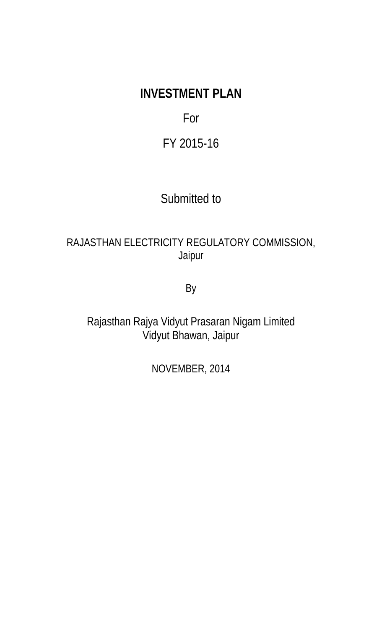# **INVESTMENT PLAN**

## For

## FY 2015-16

## Submitted to

### RAJASTHAN ELECTRICITY REGULATORY COMMISSION, Jaipur

By

Rajasthan Rajya Vidyut Prasaran Nigam Limited Vidyut Bhawan, Jaipur

NOVEMBER, 2014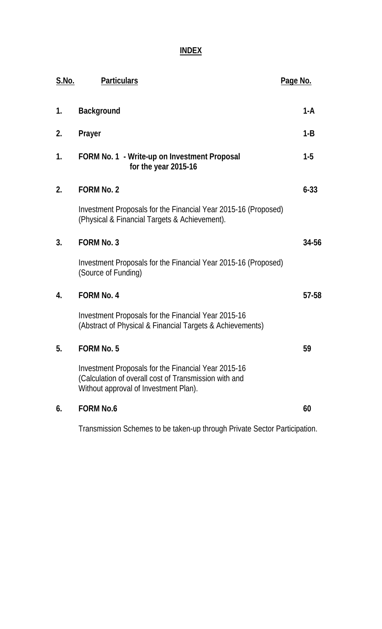**INDEX**

| <u>S.No.</u> | <b>Particulars</b>                                                                                                                                    | Page No. |
|--------------|-------------------------------------------------------------------------------------------------------------------------------------------------------|----------|
| 1.           | <b>Background</b>                                                                                                                                     | $1-A$    |
| 2.           | Prayer                                                                                                                                                | $1 - B$  |
| 1.           | FORM No. 1 - Write-up on Investment Proposal<br>for the year 2015-16                                                                                  | $1-5$    |
| 2.           | <b>FORM No. 2</b>                                                                                                                                     | $6 - 33$ |
|              | Investment Proposals for the Financial Year 2015-16 (Proposed)<br>(Physical & Financial Targets & Achievement).                                       |          |
| 3.           | <b>FORM No. 3</b>                                                                                                                                     | 34-56    |
|              | Investment Proposals for the Financial Year 2015-16 (Proposed)<br>(Source of Funding)                                                                 |          |
| 4.           | <b>FORM No. 4</b>                                                                                                                                     | 57-58    |
|              | Investment Proposals for the Financial Year 2015-16<br>(Abstract of Physical & Financial Targets & Achievements)                                      |          |
| 5.           | <b>FORM No. 5</b>                                                                                                                                     | 59       |
|              | Investment Proposals for the Financial Year 2015-16<br>(Calculation of overall cost of Transmission with and<br>Without approval of Investment Plan). |          |
| 6.           | <b>FORM No.6</b>                                                                                                                                      | 60       |
|              |                                                                                                                                                       |          |

Transmission Schemes to be taken-up through Private Sector Participation.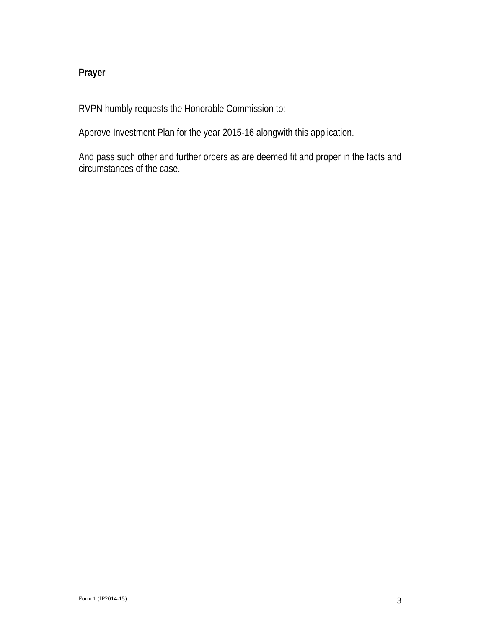### **Prayer**

RVPN humbly requests the Honorable Commission to:

Approve Investment Plan for the year 2015-16 alongwith this application.

And pass such other and further orders as are deemed fit and proper in the facts and circumstances of the case.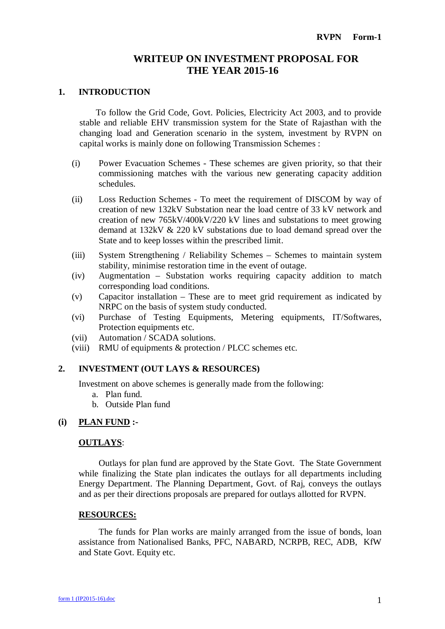#### **WRITEUP ON INVESTMENT PROPOSAL FOR THE YEAR 2015-16**

#### **1. INTRODUCTION**

To follow the Grid Code, Govt. Policies, Electricity Act 2003, and to provide stable and reliable EHV transmission system for the State of Rajasthan with the changing load and Generation scenario in the system, investment by RVPN on capital works is mainly done on following Transmission Schemes :

- (i) Power Evacuation Schemes These schemes are given priority, so that their commissioning matches with the various new generating capacity addition schedules.
- (ii) Loss Reduction Schemes To meet the requirement of DISCOM by way of creation of new 132kV Substation near the load centre of 33 kV network and creation of new 765kV/400kV/220 kV lines and substations to meet growing demand at 132kV & 220 kV substations due to load demand spread over the State and to keep losses within the prescribed limit.
- (iii) System Strengthening / Reliability Schemes Schemes to maintain system stability, minimise restoration time in the event of outage.
- (iv) Augmentation Substation works requiring capacity addition to match corresponding load conditions.
- (v) Capacitor installation These are to meet grid requirement as indicated by NRPC on the basis of system study conducted.
- (vi) Purchase of Testing Equipments, Metering equipments, IT/Softwares, Protection equipments etc.
- (vii) Automation / SCADA solutions.
- (viii) RMU of equipments & protection / PLCC schemes etc.

#### **2. INVESTMENT (OUT LAYS & RESOURCES)**

Investment on above schemes is generally made from the following:

- a. Plan fund.
- b. Outside Plan fund

#### **(i) PLAN FUND :-**

#### **OUTLAYS**:

Outlays for plan fund are approved by the State Govt. The State Government while finalizing the State plan indicates the outlays for all departments including Energy Department. The Planning Department, Govt. of Raj, conveys the outlays and as per their directions proposals are prepared for outlays allotted for RVPN.

#### **RESOURCES:**

The funds for Plan works are mainly arranged from the issue of bonds, loan assistance from Nationalised Banks, PFC, NABARD, NCRPB, REC, ADB, KfW and State Govt. Equity etc.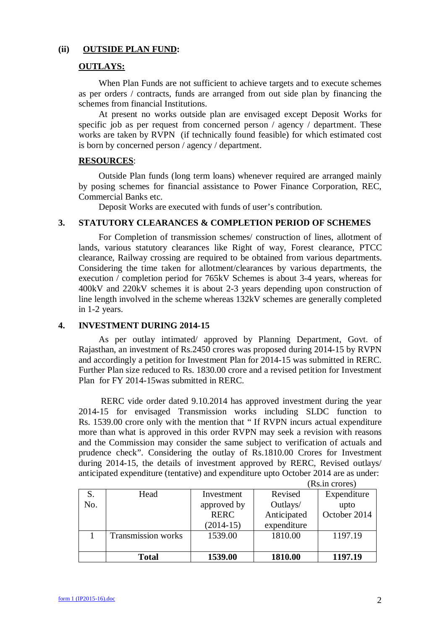#### **(ii) OUTSIDE PLAN FUND:**

#### **OUTLAYS:**

When Plan Funds are not sufficient to achieve targets and to execute schemes as per orders / contracts, funds are arranged from out side plan by financing the schemes from financial Institutions.

At present no works outside plan are envisaged except Deposit Works for specific job as per request from concerned person / agency / department. These works are taken by RVPN (if technically found feasible) for which estimated cost is born by concerned person / agency / department.

#### **RESOURCES**:

Outside Plan funds (long term loans) whenever required are arranged mainly by posing schemes for financial assistance to Power Finance Corporation, REC, Commercial Banks etc.

Deposit Works are executed with funds of user's contribution.

#### **3. STATUTORY CLEARANCES & COMPLETION PERIOD OF SCHEMES**

For Completion of transmission schemes/ construction of lines, allotment of lands, various statutory clearances like Right of way, Forest clearance, PTCC clearance, Railway crossing are required to be obtained from various departments. Considering the time taken for allotment/clearances by various departments, the execution / completion period for 765kV Schemes is about 3-4 years, whereas for 400kV and 220kV schemes it is about 2-3 years depending upon construction of line length involved in the scheme whereas 132kV schemes are generally completed in 1-2 years.

#### **4. INVESTMENT DURING 2014-15**

As per outlay intimated/ approved by Planning Department, Govt. of Rajasthan, an investment of Rs.2450 crores was proposed during 2014-15 by RVPN and accordingly a petition for Investment Plan for 2014-15 was submitted in RERC. Further Plan size reduced to Rs. 1830.00 crore and a revised petition for Investment Plan for FY 2014-15was submitted in RERC.

RERC vide order dated 9.10.2014 has approved investment during the year 2014-15 for envisaged Transmission works including SLDC function to Rs. 1539.00 crore only with the mention that " If RVPN incurs actual expenditure more than what is approved in this order RVPN may seek a revision with reasons and the Commission may consider the same subject to verification of actuals and prudence check". Considering the outlay of Rs.1810.00 Crores for Investment during 2014-15, the details of investment approved by RERC, Revised outlays/ anticipated expenditure (tentative) and expenditure upto October 2014 are as under:

|     |                           |             |             | $10.0$ . III VIVIVO |
|-----|---------------------------|-------------|-------------|---------------------|
|     | Head                      | Investment  | Revised     | Expenditure         |
| No. |                           | approved by | Outlays/    | upto                |
|     |                           | <b>RERC</b> | Anticipated | October 2014        |
|     |                           | $(2014-15)$ | expenditure |                     |
|     | <b>Transmission works</b> | 1539.00     | 1810.00     | 1197.19             |
|     |                           |             |             |                     |
|     | <b>Total</b>              | 1539.00     | 1810.00     | 1197.19             |

(Rs.in crores)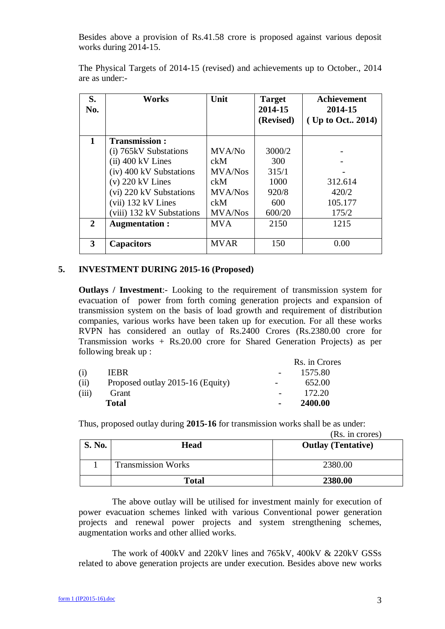Besides above a provision of Rs.41.58 crore is proposed against various deposit works during 2014-15.

| S.<br>No. | <b>Works</b>              | Unit           | <b>Target</b><br>2014-15<br>(Revised) | <b>Achievement</b><br>2014-15<br>(Up to Oct., 2014) |
|-----------|---------------------------|----------------|---------------------------------------|-----------------------------------------------------|
| 1         | <b>Transmission:</b>      |                |                                       |                                                     |
|           | (i) 765kV Substations     | MVA/No         | 3000/2                                |                                                     |
|           | $(ii)$ 400 kV Lines       | ckM            | 300                                   |                                                     |
|           | (iv) 400 kV Substations   | <b>MVA/Nos</b> | 315/1                                 |                                                     |
|           | $(v)$ 220 kV Lines        | ckM            | 1000                                  | 312.614                                             |
|           | (vi) 220 kV Substations   | <b>MVA/Nos</b> | 920/8                                 | 420/2                                               |
|           | $(vii)$ 132 kV Lines      | ckM            | 600                                   | 105.177                                             |
|           | (viii) 132 kV Substations | <b>MVA/Nos</b> | 600/20                                | 175/2                                               |
| 2         | <b>Augmentation:</b>      | <b>MVA</b>     | 2150                                  | 1215                                                |
|           |                           |                |                                       |                                                     |
| 3         | <b>Capacitors</b>         | <b>MVAR</b>    | 150                                   | 0.00                                                |

The Physical Targets of 2014-15 (revised) and achievements up to October., 2014 are as under:-

#### **5. INVESTMENT DURING 2015-16 (Proposed)**

**Outlays / Investment**:- Looking to the requirement of transmission system for evacuation of power from forth coming generation projects and expansion of transmission system on the basis of load growth and requirement of distribution companies, various works have been taken up for execution. For all these works RVPN has considered an outlay of Rs.2400 Crores (Rs.2380.00 crore for Transmission works + Rs.20.00 crore for Shared Generation Projects) as per following break up :

|       |                                  |                          | Rs. in Crores |
|-------|----------------------------------|--------------------------|---------------|
| (i)   | <b>IEBR</b>                      |                          | 1575.80       |
| (ii)  | Proposed outlay 2015-16 (Equity) | $\overline{\phantom{a}}$ | 652.00        |
| (iii) | Grant                            |                          | 172.20        |
|       | <b>Total</b>                     |                          | 2400.00       |

Thus, proposed outlay during **2015-16** for transmission works shall be as under:

(Rs. in crores)

| <b>S. No.</b> | Head                      | <b>Outlay (Tentative)</b> |
|---------------|---------------------------|---------------------------|
|               | <b>Transmission Works</b> | 2380.00                   |
|               | <b>Total</b>              | 2380.00                   |

The above outlay will be utilised for investment mainly for execution of power evacuation schemes linked with various Conventional power generation projects and renewal power projects and system strengthening schemes, augmentation works and other allied works.

The work of 400kV and 220kV lines and 765kV, 400kV & 220kV GSSs related to above generation projects are under execution. Besides above new works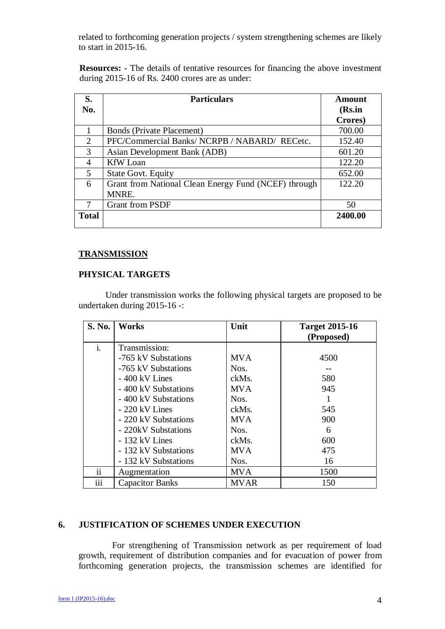related to forthcoming generation projects / system strengthening schemes are likely to start in 2015-16.

**Resources:** - The details of tentative resources for financing the above investment during 2015-16 of Rs. 2400 crores are as under:

| S.                          | <b>Particulars</b>                                   | <b>Amount</b> |
|-----------------------------|------------------------------------------------------|---------------|
| No.                         |                                                      | (Rs.in        |
|                             |                                                      | Crores)       |
|                             | <b>Bonds (Private Placement)</b>                     | 700.00        |
| $\mathcal{D}_{\mathcal{L}}$ | PFC/Commercial Banks/ NCRPB / NABARD/ RECetc.        | 152.40        |
| 3                           | Asian Development Bank (ADB)                         | 601.20        |
| 4                           | <b>KfW</b> Loan                                      | 122.20        |
| 5                           | <b>State Govt. Equity</b>                            | 652.00        |
| 6                           | Grant from National Clean Energy Fund (NCEF) through | 122.20        |
|                             | MNRE.                                                |               |
| 7                           | <b>Grant from PSDF</b>                               | 50            |
| <b>Total</b>                |                                                      | 2400.00       |

#### **TRANSMISSION**

#### **PHYSICAL TARGETS**

Under transmission works the following physical targets are proposed to be undertaken during 2015-16 -:

| S. No.         | <b>Works</b>           | Unit        | <b>Target 2015-16</b><br>(Proposed) |
|----------------|------------------------|-------------|-------------------------------------|
| $\mathbf{i}$ . | Transmission:          |             |                                     |
|                | -765 kV Substations    | <b>MVA</b>  | 4500                                |
|                | -765 kV Substations    | Nos.        |                                     |
|                | $-400$ kV Lines        | ckMs.       | 580                                 |
|                | - 400 kV Substations   | <b>MVA</b>  | 945                                 |
|                | - 400 kV Substations   | Nos.        |                                     |
|                | - 220 kV Lines         | ckMs.       | 545                                 |
|                | - 220 kV Substations   | <b>MVA</b>  | 900                                 |
|                | - 220kV Substations    | Nos.        | 6                                   |
|                | - 132 kV Lines         | ckMs.       | 600                                 |
|                | - 132 kV Substations   | <b>MVA</b>  | 475                                 |
|                | - 132 kV Substations   | Nos.        | 16                                  |
| ii             | Augmentation           | <b>MVA</b>  | 1500                                |
| iii            | <b>Capacitor Banks</b> | <b>MVAR</b> | 150                                 |

#### **6. JUSTIFICATION OF SCHEMES UNDER EXECUTION**

For strengthening of Transmission network as per requirement of load growth, requirement of distribution companies and for evacuation of power from forthcoming generation projects, the transmission schemes are identified for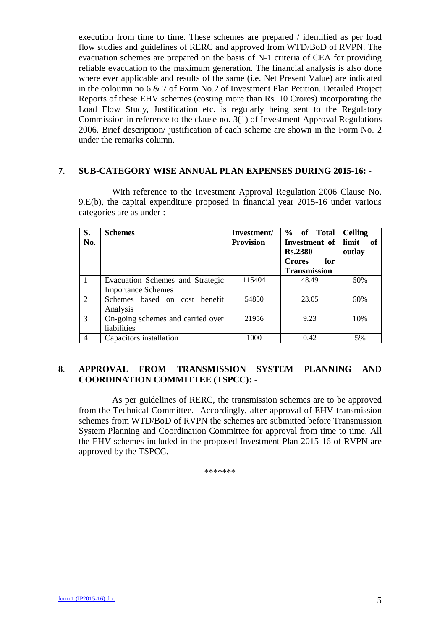execution from time to time. These schemes are prepared / identified as per load flow studies and guidelines of RERC and approved from WTD/BoD of RVPN. The evacuation schemes are prepared on the basis of N-1 criteria of CEA for providing reliable evacuation to the maximum generation. The financial analysis is also done where ever applicable and results of the same (i.e. Net Present Value) are indicated in the coloumn no 6 & 7 of Form No.2 of Investment Plan Petition. Detailed Project Reports of these EHV schemes (costing more than Rs. 10 Crores) incorporating the Load Flow Study, Justification etc. is regularly being sent to the Regulatory Commission in reference to the clause no. 3(1) of Investment Approval Regulations 2006. Brief description/ justification of each scheme are shown in the Form No. 2 under the remarks column.

#### **7**. **SUB-CATEGORY WISE ANNUAL PLAN EXPENSES DURING 2015-16: -**

With reference to the Investment Approval Regulation 2006 Clause No. 9.E(b), the capital expenditure proposed in financial year 2015-16 under various categories are as under :-

| S.  | <b>Schemes</b>                    | Investment/      | % of Total           | <b>Ceiling</b> |
|-----|-----------------------------------|------------------|----------------------|----------------|
| No. |                                   | <b>Provision</b> | Investment of        | limit<br>- of  |
|     |                                   |                  | <b>Rs.2380</b>       | outlay         |
|     |                                   |                  | <b>Crores</b><br>for |                |
|     |                                   |                  | <b>Transmission</b>  |                |
|     | Evacuation Schemes and Strategic  | 115404           | 48.49                | 60%            |
|     | <b>Importance Schemes</b>         |                  |                      |                |
| 2   | Schemes based on cost benefit     | 54850            | 23.05                | 60%            |
|     | Analysis                          |                  |                      |                |
| 3   | On-going schemes and carried over | 21956            | 9.23                 | 10%            |
|     | liabilities                       |                  |                      |                |
| 4   | Capacitors installation           | 1000             | 0.42                 | 5%             |

#### **8**. **APPROVAL FROM TRANSMISSION SYSTEM PLANNING AND COORDINATION COMMITTEE (TSPCC): -**

As per guidelines of RERC, the transmission schemes are to be approved from the Technical Committee. Accordingly, after approval of EHV transmission schemes from WTD/BoD of RVPN the schemes are submitted before Transmission System Planning and Coordination Committee for approval from time to time. All the EHV schemes included in the proposed Investment Plan 2015-16 of RVPN are approved by the TSPCC.

\*\*\*\*\*\*\*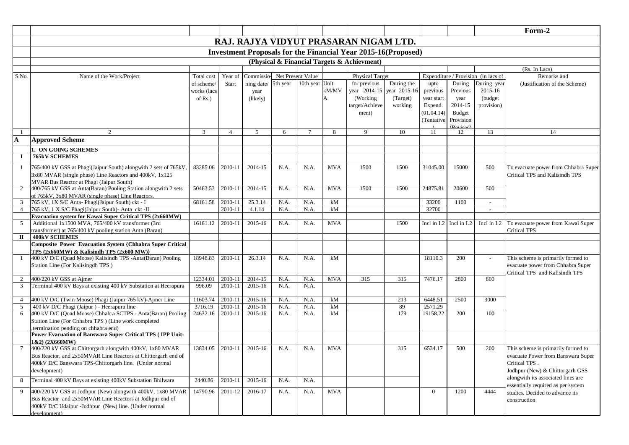|                |                                                                                                                   |             |                |             |          |                   |            |                                                                       |            |                |             |                                     | Form-2                               |
|----------------|-------------------------------------------------------------------------------------------------------------------|-------------|----------------|-------------|----------|-------------------|------------|-----------------------------------------------------------------------|------------|----------------|-------------|-------------------------------------|--------------------------------------|
|                |                                                                                                                   |             |                |             |          |                   |            | RAJ. RAJYA VIDYUT PRASARAN NIGAM LTD.                                 |            |                |             |                                     |                                      |
|                |                                                                                                                   |             |                |             |          |                   |            | <b>Investment Proposals for the Financial Year 2015-16 (Proposed)</b> |            |                |             |                                     |                                      |
|                |                                                                                                                   |             |                |             |          |                   |            | (Physical & Financial Targets & Achievment)                           |            |                |             |                                     |                                      |
|                |                                                                                                                   |             |                |             |          |                   |            |                                                                       |            |                |             |                                     | (Rs. In Lacs)                        |
| S.No.          | Name of the Work/Project                                                                                          | Total cost  | Year of        | Commissio-  |          | Net Present Value |            | Physical Target                                                       |            |                |             | Expenditure / Provision (in lacs of | Remarks and                          |
|                |                                                                                                                   | of scheme/  | <b>Start</b>   | ning date/  | 5th year | 10th year         | Unit       | for previous                                                          | During the | upto           | During      | During year                         | (Justification of the Scheme)        |
|                |                                                                                                                   | works (lacs |                | year        |          |                   | kM/MV      | year 2014-15 year 2015-16                                             |            | previous       | Previous    | 2015-16                             |                                      |
|                |                                                                                                                   | of $Rs.$ )  |                | (likely)    |          |                   | А          | (Working)                                                             | (Target)   | year start     | year        | (budget)                            |                                      |
|                |                                                                                                                   |             |                |             |          |                   |            | target/Achieve                                                        | working    | Expend.        | 2014-15     | provision)                          |                                      |
|                |                                                                                                                   |             |                |             |          |                   |            | ment)                                                                 |            | (01.04.14)     | Budget      |                                     |                                      |
|                |                                                                                                                   |             |                |             |          |                   |            |                                                                       |            | (Tentative     | Provision   |                                     |                                      |
|                |                                                                                                                   |             |                |             |          |                   |            |                                                                       |            |                |             |                                     |                                      |
|                | $\mathfrak{D}$                                                                                                    | 3           | $\overline{4}$ | 5           | 6        | $\tau$            | 8          | 9                                                                     | 10         | 11             | 12          | 13                                  | 14                                   |
| $\mathbf A$    | <b>Approved Scheme</b>                                                                                            |             |                |             |          |                   |            |                                                                       |            |                |             |                                     |                                      |
|                | 1. ON GOING SCHEMES                                                                                               |             |                |             |          |                   |            |                                                                       |            |                |             |                                     |                                      |
| $\bf{I}$       | <b>765kV SCHEMES</b>                                                                                              |             |                |             |          |                   |            |                                                                       |            |                |             |                                     |                                      |
| 1              | 765/400 kV GSS at Phagi(Jaipur South) alongwith 2 sets of 765kV,                                                  | 83285.06    | 2010-11        | 2014-15     | N.A.     | N.A.              | <b>MVA</b> | 1500                                                                  | 1500       | 31045.00       | 15000       | 500                                 | To evacuate power from Chhabra Super |
|                | 3x80 MVAR (single phase) Line Reactors and 400kV, 1x125                                                           |             |                |             |          |                   |            |                                                                       |            |                |             |                                     | Critical TPS and Kalisindh TPS       |
|                | MVAR Bus Reactor at Phagi (Jaipur South)                                                                          |             |                |             |          |                   |            |                                                                       |            |                |             |                                     |                                      |
| 2              | 400/765 kV GSS at Anta(Baran) Pooling Station alongwith 2 sets                                                    | 50463.53    | 2010-11        | 2014-15     | N.A.     | N.A.              | <b>MVA</b> | 1500                                                                  | 1500       | 24875.81       | 20600       | 500                                 |                                      |
|                | of 765kV, 3x80 MVAR (single phase) Line Reactors.                                                                 |             |                |             |          |                   |            |                                                                       |            |                |             |                                     |                                      |
| $\mathbf{3}$   | 765 kV, 1X S/C Anta- Phagi(Jaipur South) ckt - I                                                                  | 68161.58    | 2010-11        | 25.3.14     | N.A.     | N.A.              | kM         |                                                                       |            | 33200          | 1100        | $\sim$                              |                                      |
| $\overline{4}$ | 765 kV, 1 X S/C Phagi(Jaipur South)- Anta ckt -II                                                                 |             | 2010-11        | 4.1.14      | N.A.     | N.A.              | kM         |                                                                       |            | 32700          |             | $\sim$                              |                                      |
|                | Evacuation system for Kawai Super Critical TPS (2x660MW)                                                          |             |                |             |          |                   |            |                                                                       |            |                |             |                                     |                                      |
| 5              | Additional 1x1500 MVA, 765/400 kV transformer (3rd                                                                | 16161.12    | 2010-11        | 2015-16     | N.A.     | N.A.              | <b>MVA</b> |                                                                       | 1500       | Incl in I.2    | Incl in I.2 | Incl in I.2                         | To evacuate power from Kawai Super   |
|                | transformer) at 765/400 kV pooling station Anta (Baran)                                                           |             |                |             |          |                   |            |                                                                       |            |                |             |                                     | <b>Critical TPS</b>                  |
| П              | <b>400kV SCHEMES</b>                                                                                              |             |                |             |          |                   |            |                                                                       |            |                |             |                                     |                                      |
|                | <b>Composite Power Evacuation System {Chhabra Super Critical</b><br>TPS $(2x660MW)$ & Kalisindh TPS $(2x600MW)$ } |             |                |             |          |                   |            |                                                                       |            |                |             |                                     |                                      |
| $\mathbf{1}$   | 400 kV D/C (Quad Moose) Kalisindh TPS -Anta(Baran) Pooling                                                        | 18948.83    | 2010-11        | 26.3.14     | N.A.     | N.A.              | kM         |                                                                       |            | 18110.3        | 200         |                                     | This scheme is primarily formed to   |
|                | Station Line (For Kalisingdh TPS)                                                                                 |             |                |             |          |                   |            |                                                                       |            |                |             |                                     | evacuate power from Chhabra Super    |
|                |                                                                                                                   |             |                |             |          |                   |            |                                                                       |            |                |             |                                     | Critical TPS and Kalisindh TPS       |
| $\overline{2}$ | 400/220 kV GSS at Ajmer                                                                                           | 12334.01    | 2010-11        | 2014-15     | N.A.     | N.A.              | <b>MVA</b> | 315                                                                   | 315        | 7476.17        | 2800        | 800                                 |                                      |
| $\mathbf{3}$   | Terminal 400 kV Bays at existing 400 kV Substation at Heerapura                                                   | 996.09      | 2010-11        | 2015-16     | N.A.     | N.A.              |            |                                                                       |            |                |             |                                     |                                      |
|                |                                                                                                                   |             |                |             |          |                   |            |                                                                       |            |                |             |                                     |                                      |
| $\overline{4}$ | 400 kV D/C (Twin Moose) Phagi (Jaipur 765 kV)-Ajmer Line                                                          | 11603.74    | 2010-11        | 2015-16     | N.A.     | N.A.              | kM         |                                                                       | 213        | 6448.51        | 2500        | 3000                                |                                      |
| 5              | 400 kV D/C Phagi (Jaipur) - Heerapura line                                                                        | 3716.19     | 2010-11        | 2015-16     | N.A.     | N.A.              | kM         |                                                                       | 89         | 2571.29        |             |                                     |                                      |
| 6              | 400 kV D/C (Quad Moose) Chhabra SCTPS - Anta(Baran) Pooling                                                       | 24632.16    | 2010-11        | 2015-16     | N.A.     | N.A.              | kM         |                                                                       | 179        | 19158.22       | 200         | 100                                 |                                      |
|                | Station Line (For Chhabra TPS) (Line work completed<br>termination pending on chhabra end)                        |             |                |             |          |                   |            |                                                                       |            |                |             |                                     |                                      |
|                | Power Evacuation of Banswara Super Critical TPS (IPP Unit-                                                        |             |                |             |          |                   |            |                                                                       |            |                |             |                                     |                                      |
|                | (2X660MW)                                                                                                         |             |                |             |          |                   |            |                                                                       |            |                |             |                                     |                                      |
|                | 400/220 kV GSS at Chittorgarh alongwith 400kV, 1x80 MVAR                                                          | 13834.05    | 2010-11        | $2015 - 16$ | N.A.     | N.A.              | <b>MVA</b> |                                                                       | 315        | 6534.17        | 500         | 200                                 | This scheme is primarily formed to   |
|                | Bus Reactor, and 2x50MVAR Line Reactors at Chittorgarh end of                                                     |             |                |             |          |                   |            |                                                                       |            |                |             |                                     | evacuate Power from Banswara Super   |
|                | 400kV D/C Banswara TPS-Chittorgarh line. (Under normal                                                            |             |                |             |          |                   |            |                                                                       |            |                |             |                                     | Critical TPS.                        |
|                | development)                                                                                                      |             |                |             |          |                   |            |                                                                       |            |                |             |                                     | Jodhpur (New) & Chittorgarh GSS      |
| 8              | Terminal 400 kV Bays at existing 400kV Substation Bhilwara                                                        | 2440.86     | 2010-11        | 2015-16     | N.A.     | N.A.              |            |                                                                       |            |                |             |                                     | alongwith its associated lines are   |
|                |                                                                                                                   |             |                |             |          |                   |            |                                                                       |            |                |             |                                     | essentially required as per system   |
| 9              | 400/220 kV GSS at Jodhpur (New) alongwith 400kV, 1x80 MVAR                                                        | 14790.96    | 2011-12        | 2016-17     | N.A.     | N.A.              | <b>MVA</b> |                                                                       |            | $\overline{0}$ | 1200        | 4444                                | studies. Decided to advance its      |
|                | Bus Reactor and 2x50MVAR Line Reactors at Jodhpur end of                                                          |             |                |             |          |                   |            |                                                                       |            |                |             |                                     | construction                         |
|                | 400kV D/C Udaipur -Jodhpur (New) line. (Under normal                                                              |             |                |             |          |                   |            |                                                                       |            |                |             |                                     |                                      |
|                | development)                                                                                                      |             |                |             |          |                   |            |                                                                       |            |                |             |                                     |                                      |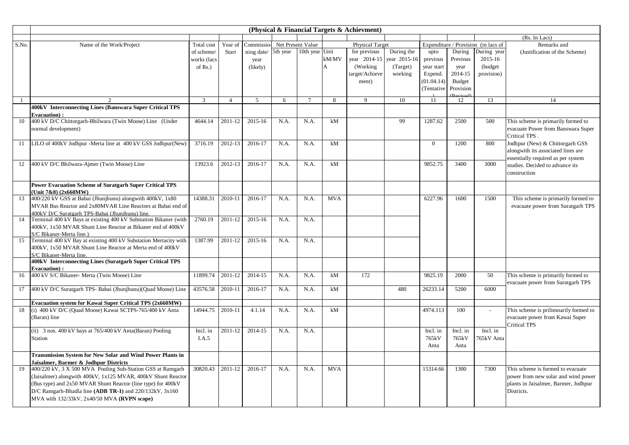|                | (Physical & Financial Targets & Achievment)                                    |                |                |                             |      |                |            |                        |              |                |               |                                     |                                       |
|----------------|--------------------------------------------------------------------------------|----------------|----------------|-----------------------------|------|----------------|------------|------------------------|--------------|----------------|---------------|-------------------------------------|---------------------------------------|
|                |                                                                                |                |                |                             |      |                |            |                        |              |                |               |                                     | (Rs. In Lacs)                         |
| S.No.          | Name of the Work/Project                                                       | Total cost     | Year of        | Commissio-Net Present Value |      |                |            | <b>Physical Target</b> |              |                |               | Expenditure / Provision (in lacs of | Remarks and                           |
|                |                                                                                | of scheme/     | Start          | ning date/ 5th year         |      | 10th year Unit |            | for previous           | During the   | upto           | During        | During year                         | (Justification of the Scheme)         |
|                |                                                                                | works (lacs    |                | year                        |      |                | kM/MV      | year 2014-15           | year 2015-16 | previous       | Previous      | 2015-16                             |                                       |
|                |                                                                                | of $Rs.$ )     |                | (likely)                    |      |                | A          | (Working)              | (Target)     | year start     | year          | (budget                             |                                       |
|                |                                                                                |                |                |                             |      |                |            | target/Achieve         | working      | Expend.        | 2014-15       | provision)                          |                                       |
|                |                                                                                |                |                |                             |      |                |            | ment)                  |              | (01.04.14)     | <b>Budget</b> |                                     |                                       |
|                |                                                                                |                |                |                             |      |                |            |                        |              | (Tentative     | Provision     |                                     |                                       |
|                |                                                                                |                |                |                             |      |                |            |                        |              |                |               |                                     |                                       |
| $\overline{1}$ |                                                                                | $\overline{3}$ | $\overline{4}$ | $\overline{5}$              | 6    | $\overline{7}$ | 8          | 9                      | 10           | -11            | 12            | 13                                  | 14                                    |
|                | 400kV Interconnecting Lines (Banswara Super Critical TPS                       |                |                |                             |      |                |            |                        |              |                |               |                                     |                                       |
|                | <b>Evacuation</b> ):                                                           |                |                |                             |      |                |            |                        |              |                |               |                                     |                                       |
| 10             | 400 kV D/C Chittorgarh-Bhilwara (Twin Moose) Line (Under                       | 4644.14        | 2011-12        | 2015-16                     | N.A. | N.A.           | kM         |                        | 99           | 1287.62        | 2500          | 500                                 | This scheme is primarily formed to    |
|                | normal development)                                                            |                |                |                             |      |                |            |                        |              |                |               |                                     | evacuate Power from Banswara Super    |
|                |                                                                                |                |                |                             |      |                |            |                        |              |                |               |                                     | Critical TPS.                         |
| -11            | LILO of 400kV Jodhpur -Merta line at 400 kV GSS Jodhpur(New)                   | 3716.19        | 2012-13        | 2016-17                     | N.A. | N.A.           | kM         |                        |              | $\overline{0}$ | 1200          | 800                                 | Jodhpur (New) & Chittorgarh GSS       |
|                |                                                                                |                |                |                             |      |                |            |                        |              |                |               |                                     | alongwith its associated lines are    |
|                |                                                                                |                |                |                             |      |                |            |                        |              |                |               |                                     | essentially required as per system    |
| 12             | 400 kV D/C Bhilwara-Ajmer (Twin Moose) Line                                    | 13923.6        | 2012-13        | 2016-17                     | N.A. | N.A.           | kM         |                        |              | 9852.75        | 3400          | 3000                                | studies. Decided to advance its       |
|                |                                                                                |                |                |                             |      |                |            |                        |              |                |               |                                     | construction                          |
|                |                                                                                |                |                |                             |      |                |            |                        |              |                |               |                                     |                                       |
|                | Power Evacuation Scheme of Suratgarh Super Critical TPS<br>Unit 7&8) (2x660MW) |                |                |                             |      |                |            |                        |              |                |               |                                     |                                       |
| 13             | 400/220 kV GSS at Babai (Jhunjhunu) alongwith 400kV, 1x80                      | 14388.31       | 2010-11        | 2016-17                     | N.A. | N.A.           | <b>MVA</b> |                        |              | 6227.96        | 1600          | 1500                                | This scheme is primarily formed to    |
|                | MVAR Bus Reactor and 2x80MVAR Line Reactors at Babai end of                    |                |                |                             |      |                |            |                        |              |                |               |                                     | evacuate power from Suratgarh TPS     |
|                | 400kV D/C Suratgarh TPS-Babai (Jhunjhunu) line.                                |                |                |                             |      |                |            |                        |              |                |               |                                     |                                       |
| 14             | Terminal 400 kV Bays at existing 400 kV Substation Bikaner (with               | 2760.19        | 2011-12        | 2015-16                     | N.A  | N.A.           |            |                        |              |                |               |                                     |                                       |
|                | 400kV, 1x50 MVAR Shunt Line Reactor at Bikaner end of 400kV                    |                |                |                             |      |                |            |                        |              |                |               |                                     |                                       |
|                | S/C Bikaner-Merta line.)                                                       |                |                |                             |      |                |            |                        |              |                |               |                                     |                                       |
| 15             | Terminal 400 kV Bay at existing 400 kV Substation Mertacity with               | 1387.99        | 2011-12        | 2015-16                     | N.A  | N.A.           |            |                        |              |                |               |                                     |                                       |
|                | 400kV, 1x50 MVAR Shunt Line Reactor at Merta end of 400kV                      |                |                |                             |      |                |            |                        |              |                |               |                                     |                                       |
|                | S/C Bikaner-Merta line.                                                        |                |                |                             |      |                |            |                        |              |                |               |                                     |                                       |
|                | 400kV Interconnecting Lines (Suratgarh Super Critical TPS                      |                |                |                             |      |                |            |                        |              |                |               |                                     |                                       |
|                | Evacuation):                                                                   |                |                |                             |      |                |            |                        |              |                |               |                                     |                                       |
| 16             | 400 kV S/C Bikaner- Merta (Twin Moose) Line                                    | 11899.74       | 2011-12        | 2014-15                     | N.A. | N.A.           | kM         | 172                    |              | 9825.19        | 2000          | 50                                  | This scheme is primarily formed to    |
|                |                                                                                |                |                |                             |      |                |            |                        |              |                |               |                                     | evacuate power from Suratgarh TPS     |
| 17             | 400 kV D/C Suratgarh TPS- Babai (Jhunjhunu) (Quad Moose) Line                  | 43576.58       | 2010-11        | 2016-17                     | N.A. | N.A.           | kM         |                        | 480          | 26233.14       | 5200          | 6000                                |                                       |
|                | Evacuation system for Kawai Super Critical TPS (2x660MW)                       |                |                |                             |      |                |            |                        |              |                |               |                                     |                                       |
| 18             | (i) 400 kV D/C (Quad Moose) Kawai SCTPS-765/400 kV Anta                        | 14944.75       | 2010-11        | 4.1.14                      | N.A. | N.A.           | kM         |                        |              | 4974.113       | 100           |                                     | This scheme is prilimnarily formed to |
|                | (Baran) line                                                                   |                |                |                             |      |                |            |                        |              |                |               |                                     | evacuate power from Kawai Super       |
|                |                                                                                |                |                |                             |      |                |            |                        |              |                |               |                                     | <b>Critical TPS</b>                   |
|                | (ii) 3 nos. 400 kV bays at 765/400 kV Anta(Baran) Pooling                      | Incl. in       | 2011-12        | 2014-15                     | N.A. | N.A.           |            |                        |              | Incl. in       | Incl. in      | Incl. in                            |                                       |
|                | Station                                                                        | I.A.5          |                |                             |      |                |            |                        |              | 765kV          | 765kV         | 765kV Anta                          |                                       |
|                |                                                                                |                |                |                             |      |                |            |                        |              | Anta           | Anta          |                                     |                                       |
|                | <b>Transmission System for New Solar and Wind Power Plants in</b>              |                |                |                             |      |                |            |                        |              |                |               |                                     |                                       |
|                | Jaisalmer, Barmer & Jodhpur Districts                                          |                |                |                             |      |                |            |                        |              |                |               |                                     |                                       |
| 19             | 400/220 kV, 3 X 500 MVA Pooling Sub-Station GSS at Ramgarh                     | 30820.43       | 2011-12        | 2016-17                     | N.A. | N.A.           | <b>MVA</b> |                        |              | 15314.66       | 1300          | 7300                                | This scheme is formed to evacuate     |
|                | (Jaisalmer) alongwith 400kV, 1x125 MVAR, 400kV Shunt Reactor                   |                |                |                             |      |                |            |                        |              |                |               |                                     | power from new solar and wind power   |
|                | (Bus type) and 2x50 MVAR Shunt Reactor (line type) for 400kV                   |                |                |                             |      |                |            |                        |              |                |               |                                     | plants in Jaisalmer, Barmer, Jodhpur  |
|                | D/C Ramgarh-Bhadla line (ADB TR-1) and $220/132kV$ , $3x160$                   |                |                |                             |      |                |            |                        |              |                |               |                                     | Districts.                            |
|                | MVA with 132/33kV, 2x40/50 MVA (RVPN scope)                                    |                |                |                             |      |                |            |                        |              |                |               |                                     |                                       |
|                |                                                                                |                |                |                             |      |                |            |                        |              |                |               |                                     |                                       |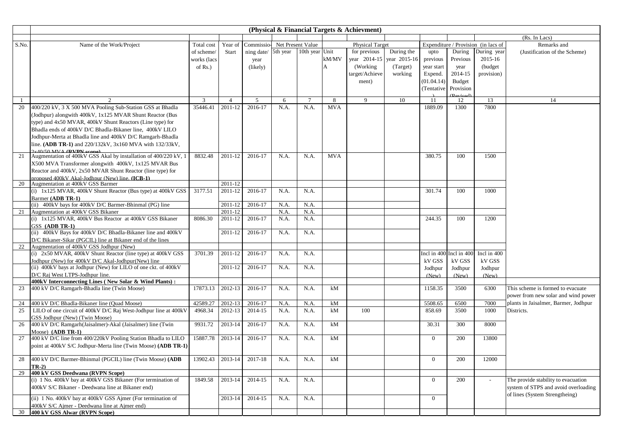| (Rs. In Lacs)<br>Commissio-Net Present Value<br>Expenditure / Provision (in lacs of<br>S.No.<br>Year of<br><b>Physical Target</b><br>Remarks and<br>Name of the Work/Project<br>Total cost<br>5th year<br>10th year<br>Unit<br>for previous<br>During the<br>During<br>During year<br>ning date/<br>upto<br>(Justification of the Scheme)<br>of scheme/<br>Start<br>year 2014-15<br>year 2015-16<br>Previous<br>kM/MV<br>previous<br>2015-16<br>works (lacs<br>year<br>(Working)<br>(Target)<br>year start<br>(budget)<br>А<br>year<br>of Rs.)<br>(likely)<br>working<br>Expend.<br>2014-15<br>provision)<br>target/Achieve<br>(01.04.14)<br>Budget<br>ment)<br>(Tentative<br>Provision<br>3<br>$\overline{4}$<br>5<br>6<br>$7\phantom{.0}$<br>8<br>9<br>10<br>11<br>12<br>13<br>14<br>400/220 kV, 3 X 500 MVA Pooling Sub-Station GSS at Bhadla<br>35446.41<br>2011-12<br>2016-17<br>N.A.<br>N.A.<br><b>MVA</b><br>1889.09<br>1300<br>7800<br>20<br>(Jodhpur) alongwith 400kV, 1x125 MVAR Shunt Reactor (Bus<br>type) and 4x50 MVAR, 400kV Shunt Reactors (Line type) for<br>Bhadla ends of 400kV D/C Bhadla-Bikaner line, 400kV LILO<br>Jodhpur-Merta at Bhadla line and 400kV D/C Ramgarh-Bhadla<br>line. (ADB TR-1) and 220/132kV, 3x160 MVA with 132/33kV,<br>$2v40/50$ MVA (DVDN coope)<br>Augmentation of 400kV GSS Akal by installation of 400/220 kV, 1<br>8832.48<br>2011-12<br>2016-17<br>N.A.<br>N.A.<br><b>MVA</b><br>380.75<br>100<br>1500<br>21<br>X500 MVA Transformer alongwith 400kV, 1x125 MVAR Bus<br>Reactor and 400kV, 2x50 MVAR Shunt Reactor (line type) for<br>proposed 400kV Akal-Jodhnur (New) line. (ICB-1)<br>2011-12<br>20<br>Augmentation at 400kV GSS Barmer<br>(i) 1x125 MVAR, 400kV Shunt Reactor (Bus type) at 400kV GSS<br>3177.51<br>2011-12<br>2016-17<br>N.A.<br>N.A.<br>301.74<br>100<br>1000<br>Barmer (ADB TR-1)<br>(ii) 400kV bays for 400kV D/C Barmer-Bhinmal (PG) line<br>2011-12<br>2016-17<br>N.A.<br>N.A.<br>Augmentation at 400kV GSS Bikaner<br>2011-12<br>N.A.<br>N.A.<br>21<br>244.35<br>(i) 1x125 MVAR, 400kV Bus Reactor at 400kV GSS Bikaner<br>8086.30<br>2011-12<br>2016-17<br>100<br>1200<br>N.A.<br>N.A.<br>GSS (ADB TR-1)<br>(ii) 400kV Bays for 400kV D/C Bhadla-Bikaner line and 400kV<br>2011-12<br>2016-17<br>N.A.<br>N.A.<br>D/C Bikaner-Sikar (PGCIL) line at Bikaner end of the lines<br>22<br>Augmentation of 400kV GSS Jodhpur (New)<br>(i) 2x50 MVAR, 400kV Shunt Reactor (line type) at 400kV GSS<br>2011-12<br>Incl in 400 Incl in 400<br>Incl in 400<br>3701.39<br>2016-17<br>N.A.<br>N.A.<br>kV GSS<br>Jodhpur (New) for 400kV D/C Akal-Jodhpur(New) line<br>kV GSS<br>kV GSS<br>(ii) 400kV bays at Jodhpur (New) for LILO of one ckt. of 400kV<br>2011-12<br>2016-17<br>N.A.<br>N.A.<br>Jodhpur<br>Jodhpur<br>Jodhpur<br>D/C Raj West LTPS-Jodhpur line.<br>(New)<br>(New)<br>(New)<br>400kV Interconnecting Lines (New Solar & Wind Plants):<br>400 kV D/C Ramgarh-Bhadla line (Twin Moose)<br>2012-13<br>2016-17<br>N.A.<br>kM<br>1158.35<br>3500<br>23<br>17873.13<br>N.A.<br>6300<br>This scheme is formed to evacuate<br>power from new solar and wind power<br>2012-13<br>2016-17<br>7000<br>plants in Jaisalmer, Barmer, Jodhpur<br>24<br>400 kV D/C Bhadla-Bikaner line (Quad Moose)<br>42589.27<br>N.A<br>N.A.<br>kM<br>5508.65<br>6500<br>4968.34<br>2012-13<br>2014-15<br>100<br>Districts.<br>25<br>LILO of one circuit of 400kV D/C Raj West-Jodhpur line at 400kV<br>N.A.<br>kM<br>858.69<br>3500<br>1000<br>N.A.<br>GSS Jodhpur (New) (Twin Moose)<br>400 kV D/C Ramgarh(Jaisalmer)-Akal (Jaisalmer) line (Twin<br>9931.72<br>2013-14<br>2016-17<br>N.A.<br>N.A.<br>kM<br>30.31<br>300<br>8000<br>26<br>Moose) (ADB TR-1)<br>400 kV D/C line from 400/220kV Pooling Station Bhadla to LILO<br>15887.78<br>2013-14<br>2016-17<br>N.A.<br>$\overline{0}$<br>200<br>27<br>N.A.<br>kM<br>13800<br>point at 400kV S/C Jodhpur-Merta line (Twin Moose) (ADB TR-1)<br>2013-14<br>2017-18<br>$\Omega$<br>28<br>400 kV D/C Barmer-Bhinmal (PGCIL) line (Twin Moose) (ADB<br>13902.43<br>N.A.<br>N.A.<br>kM<br>200<br>12000<br>$TR-2)$<br>29<br>400 kV GSS Deedwana (RVPN Scope)<br>(i) 1 No. 400kV bay at 400kV GSS Bikaner (For termination of<br>2013-14<br>2014-15<br>$\theta$<br>200<br>The provide stability to evacuation<br>1849.58<br>N.A.<br>N.A.<br>400kV S/C Bikaner - Deedwana line at Bikaner end)<br>system of STPS and avoid overloading<br>of lines (System Strengtheing)<br>2014-15<br>$\Omega$<br>(ii) 1 No. 400kV bay at 400kV GSS Ajmer (For termination of<br>2013-14<br>N.A.<br>N.A.<br>400kV S/C Ajmer - Deedwana line at Ajmer end)<br>30<br>400 kV GSS Alwar (RVPN Scope) | (Physical & Financial Targets & Achievment) |  |  |  |  |  |  |  |  |  |  |  |  |
|--------------------------------------------------------------------------------------------------------------------------------------------------------------------------------------------------------------------------------------------------------------------------------------------------------------------------------------------------------------------------------------------------------------------------------------------------------------------------------------------------------------------------------------------------------------------------------------------------------------------------------------------------------------------------------------------------------------------------------------------------------------------------------------------------------------------------------------------------------------------------------------------------------------------------------------------------------------------------------------------------------------------------------------------------------------------------------------------------------------------------------------------------------------------------------------------------------------------------------------------------------------------------------------------------------------------------------------------------------------------------------------------------------------------------------------------------------------------------------------------------------------------------------------------------------------------------------------------------------------------------------------------------------------------------------------------------------------------------------------------------------------------------------------------------------------------------------------------------------------------------------------------------------------------------------------------------------------------------------------------------------------------------------------------------------------------------------------------------------------------------------------------------------------------------------------------------------------------------------------------------------------------------------------------------------------------------------------------------------------------------------------------------------------------------------------------------------------------------------------------------------------------------------------------------------------------------------------------------------------------------------------------------------------------------------------------------------------------------------------------------------------------------------------------------------------------------------------------------------------------------------------------------------------------------------------------------------------------------------------------------------------------------------------------------------------------------------------------------------------------------------------------------------------------------------------------------------------------------------------------------------------------------------------------------------------------------------------------------------------------------------------------------------------------------------------------------------------------------------------------------------------------------------------------------------------------------------------------------------------------------------------------------------------------------------------------------------------------------------------------------------------------------------------------------------------------------------------------------------------------------------------------------------------------------------------------------------------------------------------------------------------------------------------------------------------------------------------------------------------------------------------------------------------------------------------------------------------------------------------------------------------------------------------------------------------------------------------------------------------------------------------------------------------------------------------------------------------------------------------------------------------------------------------------------------------------------------------------------------------------------------------------------------------------------------------|---------------------------------------------|--|--|--|--|--|--|--|--|--|--|--|--|
|                                                                                                                                                                                                                                                                                                                                                                                                                                                                                                                                                                                                                                                                                                                                                                                                                                                                                                                                                                                                                                                                                                                                                                                                                                                                                                                                                                                                                                                                                                                                                                                                                                                                                                                                                                                                                                                                                                                                                                                                                                                                                                                                                                                                                                                                                                                                                                                                                                                                                                                                                                                                                                                                                                                                                                                                                                                                                                                                                                                                                                                                                                                                                                                                                                                                                                                                                                                                                                                                                                                                                                                                                                                                                                                                                                                                                                                                                                                                                                                                                                                                                                                                                                                                                                                                                                                                                                                                                                                                                                                                                                                                                                                                                      |                                             |  |  |  |  |  |  |  |  |  |  |  |  |
|                                                                                                                                                                                                                                                                                                                                                                                                                                                                                                                                                                                                                                                                                                                                                                                                                                                                                                                                                                                                                                                                                                                                                                                                                                                                                                                                                                                                                                                                                                                                                                                                                                                                                                                                                                                                                                                                                                                                                                                                                                                                                                                                                                                                                                                                                                                                                                                                                                                                                                                                                                                                                                                                                                                                                                                                                                                                                                                                                                                                                                                                                                                                                                                                                                                                                                                                                                                                                                                                                                                                                                                                                                                                                                                                                                                                                                                                                                                                                                                                                                                                                                                                                                                                                                                                                                                                                                                                                                                                                                                                                                                                                                                                                      |                                             |  |  |  |  |  |  |  |  |  |  |  |  |
|                                                                                                                                                                                                                                                                                                                                                                                                                                                                                                                                                                                                                                                                                                                                                                                                                                                                                                                                                                                                                                                                                                                                                                                                                                                                                                                                                                                                                                                                                                                                                                                                                                                                                                                                                                                                                                                                                                                                                                                                                                                                                                                                                                                                                                                                                                                                                                                                                                                                                                                                                                                                                                                                                                                                                                                                                                                                                                                                                                                                                                                                                                                                                                                                                                                                                                                                                                                                                                                                                                                                                                                                                                                                                                                                                                                                                                                                                                                                                                                                                                                                                                                                                                                                                                                                                                                                                                                                                                                                                                                                                                                                                                                                                      |                                             |  |  |  |  |  |  |  |  |  |  |  |  |
|                                                                                                                                                                                                                                                                                                                                                                                                                                                                                                                                                                                                                                                                                                                                                                                                                                                                                                                                                                                                                                                                                                                                                                                                                                                                                                                                                                                                                                                                                                                                                                                                                                                                                                                                                                                                                                                                                                                                                                                                                                                                                                                                                                                                                                                                                                                                                                                                                                                                                                                                                                                                                                                                                                                                                                                                                                                                                                                                                                                                                                                                                                                                                                                                                                                                                                                                                                                                                                                                                                                                                                                                                                                                                                                                                                                                                                                                                                                                                                                                                                                                                                                                                                                                                                                                                                                                                                                                                                                                                                                                                                                                                                                                                      |                                             |  |  |  |  |  |  |  |  |  |  |  |  |
|                                                                                                                                                                                                                                                                                                                                                                                                                                                                                                                                                                                                                                                                                                                                                                                                                                                                                                                                                                                                                                                                                                                                                                                                                                                                                                                                                                                                                                                                                                                                                                                                                                                                                                                                                                                                                                                                                                                                                                                                                                                                                                                                                                                                                                                                                                                                                                                                                                                                                                                                                                                                                                                                                                                                                                                                                                                                                                                                                                                                                                                                                                                                                                                                                                                                                                                                                                                                                                                                                                                                                                                                                                                                                                                                                                                                                                                                                                                                                                                                                                                                                                                                                                                                                                                                                                                                                                                                                                                                                                                                                                                                                                                                                      |                                             |  |  |  |  |  |  |  |  |  |  |  |  |
|                                                                                                                                                                                                                                                                                                                                                                                                                                                                                                                                                                                                                                                                                                                                                                                                                                                                                                                                                                                                                                                                                                                                                                                                                                                                                                                                                                                                                                                                                                                                                                                                                                                                                                                                                                                                                                                                                                                                                                                                                                                                                                                                                                                                                                                                                                                                                                                                                                                                                                                                                                                                                                                                                                                                                                                                                                                                                                                                                                                                                                                                                                                                                                                                                                                                                                                                                                                                                                                                                                                                                                                                                                                                                                                                                                                                                                                                                                                                                                                                                                                                                                                                                                                                                                                                                                                                                                                                                                                                                                                                                                                                                                                                                      |                                             |  |  |  |  |  |  |  |  |  |  |  |  |
|                                                                                                                                                                                                                                                                                                                                                                                                                                                                                                                                                                                                                                                                                                                                                                                                                                                                                                                                                                                                                                                                                                                                                                                                                                                                                                                                                                                                                                                                                                                                                                                                                                                                                                                                                                                                                                                                                                                                                                                                                                                                                                                                                                                                                                                                                                                                                                                                                                                                                                                                                                                                                                                                                                                                                                                                                                                                                                                                                                                                                                                                                                                                                                                                                                                                                                                                                                                                                                                                                                                                                                                                                                                                                                                                                                                                                                                                                                                                                                                                                                                                                                                                                                                                                                                                                                                                                                                                                                                                                                                                                                                                                                                                                      |                                             |  |  |  |  |  |  |  |  |  |  |  |  |
|                                                                                                                                                                                                                                                                                                                                                                                                                                                                                                                                                                                                                                                                                                                                                                                                                                                                                                                                                                                                                                                                                                                                                                                                                                                                                                                                                                                                                                                                                                                                                                                                                                                                                                                                                                                                                                                                                                                                                                                                                                                                                                                                                                                                                                                                                                                                                                                                                                                                                                                                                                                                                                                                                                                                                                                                                                                                                                                                                                                                                                                                                                                                                                                                                                                                                                                                                                                                                                                                                                                                                                                                                                                                                                                                                                                                                                                                                                                                                                                                                                                                                                                                                                                                                                                                                                                                                                                                                                                                                                                                                                                                                                                                                      |                                             |  |  |  |  |  |  |  |  |  |  |  |  |
|                                                                                                                                                                                                                                                                                                                                                                                                                                                                                                                                                                                                                                                                                                                                                                                                                                                                                                                                                                                                                                                                                                                                                                                                                                                                                                                                                                                                                                                                                                                                                                                                                                                                                                                                                                                                                                                                                                                                                                                                                                                                                                                                                                                                                                                                                                                                                                                                                                                                                                                                                                                                                                                                                                                                                                                                                                                                                                                                                                                                                                                                                                                                                                                                                                                                                                                                                                                                                                                                                                                                                                                                                                                                                                                                                                                                                                                                                                                                                                                                                                                                                                                                                                                                                                                                                                                                                                                                                                                                                                                                                                                                                                                                                      |                                             |  |  |  |  |  |  |  |  |  |  |  |  |
|                                                                                                                                                                                                                                                                                                                                                                                                                                                                                                                                                                                                                                                                                                                                                                                                                                                                                                                                                                                                                                                                                                                                                                                                                                                                                                                                                                                                                                                                                                                                                                                                                                                                                                                                                                                                                                                                                                                                                                                                                                                                                                                                                                                                                                                                                                                                                                                                                                                                                                                                                                                                                                                                                                                                                                                                                                                                                                                                                                                                                                                                                                                                                                                                                                                                                                                                                                                                                                                                                                                                                                                                                                                                                                                                                                                                                                                                                                                                                                                                                                                                                                                                                                                                                                                                                                                                                                                                                                                                                                                                                                                                                                                                                      |                                             |  |  |  |  |  |  |  |  |  |  |  |  |
|                                                                                                                                                                                                                                                                                                                                                                                                                                                                                                                                                                                                                                                                                                                                                                                                                                                                                                                                                                                                                                                                                                                                                                                                                                                                                                                                                                                                                                                                                                                                                                                                                                                                                                                                                                                                                                                                                                                                                                                                                                                                                                                                                                                                                                                                                                                                                                                                                                                                                                                                                                                                                                                                                                                                                                                                                                                                                                                                                                                                                                                                                                                                                                                                                                                                                                                                                                                                                                                                                                                                                                                                                                                                                                                                                                                                                                                                                                                                                                                                                                                                                                                                                                                                                                                                                                                                                                                                                                                                                                                                                                                                                                                                                      |                                             |  |  |  |  |  |  |  |  |  |  |  |  |
|                                                                                                                                                                                                                                                                                                                                                                                                                                                                                                                                                                                                                                                                                                                                                                                                                                                                                                                                                                                                                                                                                                                                                                                                                                                                                                                                                                                                                                                                                                                                                                                                                                                                                                                                                                                                                                                                                                                                                                                                                                                                                                                                                                                                                                                                                                                                                                                                                                                                                                                                                                                                                                                                                                                                                                                                                                                                                                                                                                                                                                                                                                                                                                                                                                                                                                                                                                                                                                                                                                                                                                                                                                                                                                                                                                                                                                                                                                                                                                                                                                                                                                                                                                                                                                                                                                                                                                                                                                                                                                                                                                                                                                                                                      |                                             |  |  |  |  |  |  |  |  |  |  |  |  |
|                                                                                                                                                                                                                                                                                                                                                                                                                                                                                                                                                                                                                                                                                                                                                                                                                                                                                                                                                                                                                                                                                                                                                                                                                                                                                                                                                                                                                                                                                                                                                                                                                                                                                                                                                                                                                                                                                                                                                                                                                                                                                                                                                                                                                                                                                                                                                                                                                                                                                                                                                                                                                                                                                                                                                                                                                                                                                                                                                                                                                                                                                                                                                                                                                                                                                                                                                                                                                                                                                                                                                                                                                                                                                                                                                                                                                                                                                                                                                                                                                                                                                                                                                                                                                                                                                                                                                                                                                                                                                                                                                                                                                                                                                      |                                             |  |  |  |  |  |  |  |  |  |  |  |  |
|                                                                                                                                                                                                                                                                                                                                                                                                                                                                                                                                                                                                                                                                                                                                                                                                                                                                                                                                                                                                                                                                                                                                                                                                                                                                                                                                                                                                                                                                                                                                                                                                                                                                                                                                                                                                                                                                                                                                                                                                                                                                                                                                                                                                                                                                                                                                                                                                                                                                                                                                                                                                                                                                                                                                                                                                                                                                                                                                                                                                                                                                                                                                                                                                                                                                                                                                                                                                                                                                                                                                                                                                                                                                                                                                                                                                                                                                                                                                                                                                                                                                                                                                                                                                                                                                                                                                                                                                                                                                                                                                                                                                                                                                                      |                                             |  |  |  |  |  |  |  |  |  |  |  |  |
|                                                                                                                                                                                                                                                                                                                                                                                                                                                                                                                                                                                                                                                                                                                                                                                                                                                                                                                                                                                                                                                                                                                                                                                                                                                                                                                                                                                                                                                                                                                                                                                                                                                                                                                                                                                                                                                                                                                                                                                                                                                                                                                                                                                                                                                                                                                                                                                                                                                                                                                                                                                                                                                                                                                                                                                                                                                                                                                                                                                                                                                                                                                                                                                                                                                                                                                                                                                                                                                                                                                                                                                                                                                                                                                                                                                                                                                                                                                                                                                                                                                                                                                                                                                                                                                                                                                                                                                                                                                                                                                                                                                                                                                                                      |                                             |  |  |  |  |  |  |  |  |  |  |  |  |
|                                                                                                                                                                                                                                                                                                                                                                                                                                                                                                                                                                                                                                                                                                                                                                                                                                                                                                                                                                                                                                                                                                                                                                                                                                                                                                                                                                                                                                                                                                                                                                                                                                                                                                                                                                                                                                                                                                                                                                                                                                                                                                                                                                                                                                                                                                                                                                                                                                                                                                                                                                                                                                                                                                                                                                                                                                                                                                                                                                                                                                                                                                                                                                                                                                                                                                                                                                                                                                                                                                                                                                                                                                                                                                                                                                                                                                                                                                                                                                                                                                                                                                                                                                                                                                                                                                                                                                                                                                                                                                                                                                                                                                                                                      |                                             |  |  |  |  |  |  |  |  |  |  |  |  |
|                                                                                                                                                                                                                                                                                                                                                                                                                                                                                                                                                                                                                                                                                                                                                                                                                                                                                                                                                                                                                                                                                                                                                                                                                                                                                                                                                                                                                                                                                                                                                                                                                                                                                                                                                                                                                                                                                                                                                                                                                                                                                                                                                                                                                                                                                                                                                                                                                                                                                                                                                                                                                                                                                                                                                                                                                                                                                                                                                                                                                                                                                                                                                                                                                                                                                                                                                                                                                                                                                                                                                                                                                                                                                                                                                                                                                                                                                                                                                                                                                                                                                                                                                                                                                                                                                                                                                                                                                                                                                                                                                                                                                                                                                      |                                             |  |  |  |  |  |  |  |  |  |  |  |  |
|                                                                                                                                                                                                                                                                                                                                                                                                                                                                                                                                                                                                                                                                                                                                                                                                                                                                                                                                                                                                                                                                                                                                                                                                                                                                                                                                                                                                                                                                                                                                                                                                                                                                                                                                                                                                                                                                                                                                                                                                                                                                                                                                                                                                                                                                                                                                                                                                                                                                                                                                                                                                                                                                                                                                                                                                                                                                                                                                                                                                                                                                                                                                                                                                                                                                                                                                                                                                                                                                                                                                                                                                                                                                                                                                                                                                                                                                                                                                                                                                                                                                                                                                                                                                                                                                                                                                                                                                                                                                                                                                                                                                                                                                                      |                                             |  |  |  |  |  |  |  |  |  |  |  |  |
|                                                                                                                                                                                                                                                                                                                                                                                                                                                                                                                                                                                                                                                                                                                                                                                                                                                                                                                                                                                                                                                                                                                                                                                                                                                                                                                                                                                                                                                                                                                                                                                                                                                                                                                                                                                                                                                                                                                                                                                                                                                                                                                                                                                                                                                                                                                                                                                                                                                                                                                                                                                                                                                                                                                                                                                                                                                                                                                                                                                                                                                                                                                                                                                                                                                                                                                                                                                                                                                                                                                                                                                                                                                                                                                                                                                                                                                                                                                                                                                                                                                                                                                                                                                                                                                                                                                                                                                                                                                                                                                                                                                                                                                                                      |                                             |  |  |  |  |  |  |  |  |  |  |  |  |
|                                                                                                                                                                                                                                                                                                                                                                                                                                                                                                                                                                                                                                                                                                                                                                                                                                                                                                                                                                                                                                                                                                                                                                                                                                                                                                                                                                                                                                                                                                                                                                                                                                                                                                                                                                                                                                                                                                                                                                                                                                                                                                                                                                                                                                                                                                                                                                                                                                                                                                                                                                                                                                                                                                                                                                                                                                                                                                                                                                                                                                                                                                                                                                                                                                                                                                                                                                                                                                                                                                                                                                                                                                                                                                                                                                                                                                                                                                                                                                                                                                                                                                                                                                                                                                                                                                                                                                                                                                                                                                                                                                                                                                                                                      |                                             |  |  |  |  |  |  |  |  |  |  |  |  |
|                                                                                                                                                                                                                                                                                                                                                                                                                                                                                                                                                                                                                                                                                                                                                                                                                                                                                                                                                                                                                                                                                                                                                                                                                                                                                                                                                                                                                                                                                                                                                                                                                                                                                                                                                                                                                                                                                                                                                                                                                                                                                                                                                                                                                                                                                                                                                                                                                                                                                                                                                                                                                                                                                                                                                                                                                                                                                                                                                                                                                                                                                                                                                                                                                                                                                                                                                                                                                                                                                                                                                                                                                                                                                                                                                                                                                                                                                                                                                                                                                                                                                                                                                                                                                                                                                                                                                                                                                                                                                                                                                                                                                                                                                      |                                             |  |  |  |  |  |  |  |  |  |  |  |  |
|                                                                                                                                                                                                                                                                                                                                                                                                                                                                                                                                                                                                                                                                                                                                                                                                                                                                                                                                                                                                                                                                                                                                                                                                                                                                                                                                                                                                                                                                                                                                                                                                                                                                                                                                                                                                                                                                                                                                                                                                                                                                                                                                                                                                                                                                                                                                                                                                                                                                                                                                                                                                                                                                                                                                                                                                                                                                                                                                                                                                                                                                                                                                                                                                                                                                                                                                                                                                                                                                                                                                                                                                                                                                                                                                                                                                                                                                                                                                                                                                                                                                                                                                                                                                                                                                                                                                                                                                                                                                                                                                                                                                                                                                                      |                                             |  |  |  |  |  |  |  |  |  |  |  |  |
|                                                                                                                                                                                                                                                                                                                                                                                                                                                                                                                                                                                                                                                                                                                                                                                                                                                                                                                                                                                                                                                                                                                                                                                                                                                                                                                                                                                                                                                                                                                                                                                                                                                                                                                                                                                                                                                                                                                                                                                                                                                                                                                                                                                                                                                                                                                                                                                                                                                                                                                                                                                                                                                                                                                                                                                                                                                                                                                                                                                                                                                                                                                                                                                                                                                                                                                                                                                                                                                                                                                                                                                                                                                                                                                                                                                                                                                                                                                                                                                                                                                                                                                                                                                                                                                                                                                                                                                                                                                                                                                                                                                                                                                                                      |                                             |  |  |  |  |  |  |  |  |  |  |  |  |
|                                                                                                                                                                                                                                                                                                                                                                                                                                                                                                                                                                                                                                                                                                                                                                                                                                                                                                                                                                                                                                                                                                                                                                                                                                                                                                                                                                                                                                                                                                                                                                                                                                                                                                                                                                                                                                                                                                                                                                                                                                                                                                                                                                                                                                                                                                                                                                                                                                                                                                                                                                                                                                                                                                                                                                                                                                                                                                                                                                                                                                                                                                                                                                                                                                                                                                                                                                                                                                                                                                                                                                                                                                                                                                                                                                                                                                                                                                                                                                                                                                                                                                                                                                                                                                                                                                                                                                                                                                                                                                                                                                                                                                                                                      |                                             |  |  |  |  |  |  |  |  |  |  |  |  |
|                                                                                                                                                                                                                                                                                                                                                                                                                                                                                                                                                                                                                                                                                                                                                                                                                                                                                                                                                                                                                                                                                                                                                                                                                                                                                                                                                                                                                                                                                                                                                                                                                                                                                                                                                                                                                                                                                                                                                                                                                                                                                                                                                                                                                                                                                                                                                                                                                                                                                                                                                                                                                                                                                                                                                                                                                                                                                                                                                                                                                                                                                                                                                                                                                                                                                                                                                                                                                                                                                                                                                                                                                                                                                                                                                                                                                                                                                                                                                                                                                                                                                                                                                                                                                                                                                                                                                                                                                                                                                                                                                                                                                                                                                      |                                             |  |  |  |  |  |  |  |  |  |  |  |  |
|                                                                                                                                                                                                                                                                                                                                                                                                                                                                                                                                                                                                                                                                                                                                                                                                                                                                                                                                                                                                                                                                                                                                                                                                                                                                                                                                                                                                                                                                                                                                                                                                                                                                                                                                                                                                                                                                                                                                                                                                                                                                                                                                                                                                                                                                                                                                                                                                                                                                                                                                                                                                                                                                                                                                                                                                                                                                                                                                                                                                                                                                                                                                                                                                                                                                                                                                                                                                                                                                                                                                                                                                                                                                                                                                                                                                                                                                                                                                                                                                                                                                                                                                                                                                                                                                                                                                                                                                                                                                                                                                                                                                                                                                                      |                                             |  |  |  |  |  |  |  |  |  |  |  |  |
|                                                                                                                                                                                                                                                                                                                                                                                                                                                                                                                                                                                                                                                                                                                                                                                                                                                                                                                                                                                                                                                                                                                                                                                                                                                                                                                                                                                                                                                                                                                                                                                                                                                                                                                                                                                                                                                                                                                                                                                                                                                                                                                                                                                                                                                                                                                                                                                                                                                                                                                                                                                                                                                                                                                                                                                                                                                                                                                                                                                                                                                                                                                                                                                                                                                                                                                                                                                                                                                                                                                                                                                                                                                                                                                                                                                                                                                                                                                                                                                                                                                                                                                                                                                                                                                                                                                                                                                                                                                                                                                                                                                                                                                                                      |                                             |  |  |  |  |  |  |  |  |  |  |  |  |
|                                                                                                                                                                                                                                                                                                                                                                                                                                                                                                                                                                                                                                                                                                                                                                                                                                                                                                                                                                                                                                                                                                                                                                                                                                                                                                                                                                                                                                                                                                                                                                                                                                                                                                                                                                                                                                                                                                                                                                                                                                                                                                                                                                                                                                                                                                                                                                                                                                                                                                                                                                                                                                                                                                                                                                                                                                                                                                                                                                                                                                                                                                                                                                                                                                                                                                                                                                                                                                                                                                                                                                                                                                                                                                                                                                                                                                                                                                                                                                                                                                                                                                                                                                                                                                                                                                                                                                                                                                                                                                                                                                                                                                                                                      |                                             |  |  |  |  |  |  |  |  |  |  |  |  |
|                                                                                                                                                                                                                                                                                                                                                                                                                                                                                                                                                                                                                                                                                                                                                                                                                                                                                                                                                                                                                                                                                                                                                                                                                                                                                                                                                                                                                                                                                                                                                                                                                                                                                                                                                                                                                                                                                                                                                                                                                                                                                                                                                                                                                                                                                                                                                                                                                                                                                                                                                                                                                                                                                                                                                                                                                                                                                                                                                                                                                                                                                                                                                                                                                                                                                                                                                                                                                                                                                                                                                                                                                                                                                                                                                                                                                                                                                                                                                                                                                                                                                                                                                                                                                                                                                                                                                                                                                                                                                                                                                                                                                                                                                      |                                             |  |  |  |  |  |  |  |  |  |  |  |  |
|                                                                                                                                                                                                                                                                                                                                                                                                                                                                                                                                                                                                                                                                                                                                                                                                                                                                                                                                                                                                                                                                                                                                                                                                                                                                                                                                                                                                                                                                                                                                                                                                                                                                                                                                                                                                                                                                                                                                                                                                                                                                                                                                                                                                                                                                                                                                                                                                                                                                                                                                                                                                                                                                                                                                                                                                                                                                                                                                                                                                                                                                                                                                                                                                                                                                                                                                                                                                                                                                                                                                                                                                                                                                                                                                                                                                                                                                                                                                                                                                                                                                                                                                                                                                                                                                                                                                                                                                                                                                                                                                                                                                                                                                                      |                                             |  |  |  |  |  |  |  |  |  |  |  |  |
|                                                                                                                                                                                                                                                                                                                                                                                                                                                                                                                                                                                                                                                                                                                                                                                                                                                                                                                                                                                                                                                                                                                                                                                                                                                                                                                                                                                                                                                                                                                                                                                                                                                                                                                                                                                                                                                                                                                                                                                                                                                                                                                                                                                                                                                                                                                                                                                                                                                                                                                                                                                                                                                                                                                                                                                                                                                                                                                                                                                                                                                                                                                                                                                                                                                                                                                                                                                                                                                                                                                                                                                                                                                                                                                                                                                                                                                                                                                                                                                                                                                                                                                                                                                                                                                                                                                                                                                                                                                                                                                                                                                                                                                                                      |                                             |  |  |  |  |  |  |  |  |  |  |  |  |
|                                                                                                                                                                                                                                                                                                                                                                                                                                                                                                                                                                                                                                                                                                                                                                                                                                                                                                                                                                                                                                                                                                                                                                                                                                                                                                                                                                                                                                                                                                                                                                                                                                                                                                                                                                                                                                                                                                                                                                                                                                                                                                                                                                                                                                                                                                                                                                                                                                                                                                                                                                                                                                                                                                                                                                                                                                                                                                                                                                                                                                                                                                                                                                                                                                                                                                                                                                                                                                                                                                                                                                                                                                                                                                                                                                                                                                                                                                                                                                                                                                                                                                                                                                                                                                                                                                                                                                                                                                                                                                                                                                                                                                                                                      |                                             |  |  |  |  |  |  |  |  |  |  |  |  |
|                                                                                                                                                                                                                                                                                                                                                                                                                                                                                                                                                                                                                                                                                                                                                                                                                                                                                                                                                                                                                                                                                                                                                                                                                                                                                                                                                                                                                                                                                                                                                                                                                                                                                                                                                                                                                                                                                                                                                                                                                                                                                                                                                                                                                                                                                                                                                                                                                                                                                                                                                                                                                                                                                                                                                                                                                                                                                                                                                                                                                                                                                                                                                                                                                                                                                                                                                                                                                                                                                                                                                                                                                                                                                                                                                                                                                                                                                                                                                                                                                                                                                                                                                                                                                                                                                                                                                                                                                                                                                                                                                                                                                                                                                      |                                             |  |  |  |  |  |  |  |  |  |  |  |  |
|                                                                                                                                                                                                                                                                                                                                                                                                                                                                                                                                                                                                                                                                                                                                                                                                                                                                                                                                                                                                                                                                                                                                                                                                                                                                                                                                                                                                                                                                                                                                                                                                                                                                                                                                                                                                                                                                                                                                                                                                                                                                                                                                                                                                                                                                                                                                                                                                                                                                                                                                                                                                                                                                                                                                                                                                                                                                                                                                                                                                                                                                                                                                                                                                                                                                                                                                                                                                                                                                                                                                                                                                                                                                                                                                                                                                                                                                                                                                                                                                                                                                                                                                                                                                                                                                                                                                                                                                                                                                                                                                                                                                                                                                                      |                                             |  |  |  |  |  |  |  |  |  |  |  |  |
|                                                                                                                                                                                                                                                                                                                                                                                                                                                                                                                                                                                                                                                                                                                                                                                                                                                                                                                                                                                                                                                                                                                                                                                                                                                                                                                                                                                                                                                                                                                                                                                                                                                                                                                                                                                                                                                                                                                                                                                                                                                                                                                                                                                                                                                                                                                                                                                                                                                                                                                                                                                                                                                                                                                                                                                                                                                                                                                                                                                                                                                                                                                                                                                                                                                                                                                                                                                                                                                                                                                                                                                                                                                                                                                                                                                                                                                                                                                                                                                                                                                                                                                                                                                                                                                                                                                                                                                                                                                                                                                                                                                                                                                                                      |                                             |  |  |  |  |  |  |  |  |  |  |  |  |
|                                                                                                                                                                                                                                                                                                                                                                                                                                                                                                                                                                                                                                                                                                                                                                                                                                                                                                                                                                                                                                                                                                                                                                                                                                                                                                                                                                                                                                                                                                                                                                                                                                                                                                                                                                                                                                                                                                                                                                                                                                                                                                                                                                                                                                                                                                                                                                                                                                                                                                                                                                                                                                                                                                                                                                                                                                                                                                                                                                                                                                                                                                                                                                                                                                                                                                                                                                                                                                                                                                                                                                                                                                                                                                                                                                                                                                                                                                                                                                                                                                                                                                                                                                                                                                                                                                                                                                                                                                                                                                                                                                                                                                                                                      |                                             |  |  |  |  |  |  |  |  |  |  |  |  |
|                                                                                                                                                                                                                                                                                                                                                                                                                                                                                                                                                                                                                                                                                                                                                                                                                                                                                                                                                                                                                                                                                                                                                                                                                                                                                                                                                                                                                                                                                                                                                                                                                                                                                                                                                                                                                                                                                                                                                                                                                                                                                                                                                                                                                                                                                                                                                                                                                                                                                                                                                                                                                                                                                                                                                                                                                                                                                                                                                                                                                                                                                                                                                                                                                                                                                                                                                                                                                                                                                                                                                                                                                                                                                                                                                                                                                                                                                                                                                                                                                                                                                                                                                                                                                                                                                                                                                                                                                                                                                                                                                                                                                                                                                      |                                             |  |  |  |  |  |  |  |  |  |  |  |  |
|                                                                                                                                                                                                                                                                                                                                                                                                                                                                                                                                                                                                                                                                                                                                                                                                                                                                                                                                                                                                                                                                                                                                                                                                                                                                                                                                                                                                                                                                                                                                                                                                                                                                                                                                                                                                                                                                                                                                                                                                                                                                                                                                                                                                                                                                                                                                                                                                                                                                                                                                                                                                                                                                                                                                                                                                                                                                                                                                                                                                                                                                                                                                                                                                                                                                                                                                                                                                                                                                                                                                                                                                                                                                                                                                                                                                                                                                                                                                                                                                                                                                                                                                                                                                                                                                                                                                                                                                                                                                                                                                                                                                                                                                                      |                                             |  |  |  |  |  |  |  |  |  |  |  |  |
|                                                                                                                                                                                                                                                                                                                                                                                                                                                                                                                                                                                                                                                                                                                                                                                                                                                                                                                                                                                                                                                                                                                                                                                                                                                                                                                                                                                                                                                                                                                                                                                                                                                                                                                                                                                                                                                                                                                                                                                                                                                                                                                                                                                                                                                                                                                                                                                                                                                                                                                                                                                                                                                                                                                                                                                                                                                                                                                                                                                                                                                                                                                                                                                                                                                                                                                                                                                                                                                                                                                                                                                                                                                                                                                                                                                                                                                                                                                                                                                                                                                                                                                                                                                                                                                                                                                                                                                                                                                                                                                                                                                                                                                                                      |                                             |  |  |  |  |  |  |  |  |  |  |  |  |
|                                                                                                                                                                                                                                                                                                                                                                                                                                                                                                                                                                                                                                                                                                                                                                                                                                                                                                                                                                                                                                                                                                                                                                                                                                                                                                                                                                                                                                                                                                                                                                                                                                                                                                                                                                                                                                                                                                                                                                                                                                                                                                                                                                                                                                                                                                                                                                                                                                                                                                                                                                                                                                                                                                                                                                                                                                                                                                                                                                                                                                                                                                                                                                                                                                                                                                                                                                                                                                                                                                                                                                                                                                                                                                                                                                                                                                                                                                                                                                                                                                                                                                                                                                                                                                                                                                                                                                                                                                                                                                                                                                                                                                                                                      |                                             |  |  |  |  |  |  |  |  |  |  |  |  |
|                                                                                                                                                                                                                                                                                                                                                                                                                                                                                                                                                                                                                                                                                                                                                                                                                                                                                                                                                                                                                                                                                                                                                                                                                                                                                                                                                                                                                                                                                                                                                                                                                                                                                                                                                                                                                                                                                                                                                                                                                                                                                                                                                                                                                                                                                                                                                                                                                                                                                                                                                                                                                                                                                                                                                                                                                                                                                                                                                                                                                                                                                                                                                                                                                                                                                                                                                                                                                                                                                                                                                                                                                                                                                                                                                                                                                                                                                                                                                                                                                                                                                                                                                                                                                                                                                                                                                                                                                                                                                                                                                                                                                                                                                      |                                             |  |  |  |  |  |  |  |  |  |  |  |  |
|                                                                                                                                                                                                                                                                                                                                                                                                                                                                                                                                                                                                                                                                                                                                                                                                                                                                                                                                                                                                                                                                                                                                                                                                                                                                                                                                                                                                                                                                                                                                                                                                                                                                                                                                                                                                                                                                                                                                                                                                                                                                                                                                                                                                                                                                                                                                                                                                                                                                                                                                                                                                                                                                                                                                                                                                                                                                                                                                                                                                                                                                                                                                                                                                                                                                                                                                                                                                                                                                                                                                                                                                                                                                                                                                                                                                                                                                                                                                                                                                                                                                                                                                                                                                                                                                                                                                                                                                                                                                                                                                                                                                                                                                                      |                                             |  |  |  |  |  |  |  |  |  |  |  |  |
|                                                                                                                                                                                                                                                                                                                                                                                                                                                                                                                                                                                                                                                                                                                                                                                                                                                                                                                                                                                                                                                                                                                                                                                                                                                                                                                                                                                                                                                                                                                                                                                                                                                                                                                                                                                                                                                                                                                                                                                                                                                                                                                                                                                                                                                                                                                                                                                                                                                                                                                                                                                                                                                                                                                                                                                                                                                                                                                                                                                                                                                                                                                                                                                                                                                                                                                                                                                                                                                                                                                                                                                                                                                                                                                                                                                                                                                                                                                                                                                                                                                                                                                                                                                                                                                                                                                                                                                                                                                                                                                                                                                                                                                                                      |                                             |  |  |  |  |  |  |  |  |  |  |  |  |
|                                                                                                                                                                                                                                                                                                                                                                                                                                                                                                                                                                                                                                                                                                                                                                                                                                                                                                                                                                                                                                                                                                                                                                                                                                                                                                                                                                                                                                                                                                                                                                                                                                                                                                                                                                                                                                                                                                                                                                                                                                                                                                                                                                                                                                                                                                                                                                                                                                                                                                                                                                                                                                                                                                                                                                                                                                                                                                                                                                                                                                                                                                                                                                                                                                                                                                                                                                                                                                                                                                                                                                                                                                                                                                                                                                                                                                                                                                                                                                                                                                                                                                                                                                                                                                                                                                                                                                                                                                                                                                                                                                                                                                                                                      |                                             |  |  |  |  |  |  |  |  |  |  |  |  |
|                                                                                                                                                                                                                                                                                                                                                                                                                                                                                                                                                                                                                                                                                                                                                                                                                                                                                                                                                                                                                                                                                                                                                                                                                                                                                                                                                                                                                                                                                                                                                                                                                                                                                                                                                                                                                                                                                                                                                                                                                                                                                                                                                                                                                                                                                                                                                                                                                                                                                                                                                                                                                                                                                                                                                                                                                                                                                                                                                                                                                                                                                                                                                                                                                                                                                                                                                                                                                                                                                                                                                                                                                                                                                                                                                                                                                                                                                                                                                                                                                                                                                                                                                                                                                                                                                                                                                                                                                                                                                                                                                                                                                                                                                      |                                             |  |  |  |  |  |  |  |  |  |  |  |  |
|                                                                                                                                                                                                                                                                                                                                                                                                                                                                                                                                                                                                                                                                                                                                                                                                                                                                                                                                                                                                                                                                                                                                                                                                                                                                                                                                                                                                                                                                                                                                                                                                                                                                                                                                                                                                                                                                                                                                                                                                                                                                                                                                                                                                                                                                                                                                                                                                                                                                                                                                                                                                                                                                                                                                                                                                                                                                                                                                                                                                                                                                                                                                                                                                                                                                                                                                                                                                                                                                                                                                                                                                                                                                                                                                                                                                                                                                                                                                                                                                                                                                                                                                                                                                                                                                                                                                                                                                                                                                                                                                                                                                                                                                                      |                                             |  |  |  |  |  |  |  |  |  |  |  |  |
|                                                                                                                                                                                                                                                                                                                                                                                                                                                                                                                                                                                                                                                                                                                                                                                                                                                                                                                                                                                                                                                                                                                                                                                                                                                                                                                                                                                                                                                                                                                                                                                                                                                                                                                                                                                                                                                                                                                                                                                                                                                                                                                                                                                                                                                                                                                                                                                                                                                                                                                                                                                                                                                                                                                                                                                                                                                                                                                                                                                                                                                                                                                                                                                                                                                                                                                                                                                                                                                                                                                                                                                                                                                                                                                                                                                                                                                                                                                                                                                                                                                                                                                                                                                                                                                                                                                                                                                                                                                                                                                                                                                                                                                                                      |                                             |  |  |  |  |  |  |  |  |  |  |  |  |
|                                                                                                                                                                                                                                                                                                                                                                                                                                                                                                                                                                                                                                                                                                                                                                                                                                                                                                                                                                                                                                                                                                                                                                                                                                                                                                                                                                                                                                                                                                                                                                                                                                                                                                                                                                                                                                                                                                                                                                                                                                                                                                                                                                                                                                                                                                                                                                                                                                                                                                                                                                                                                                                                                                                                                                                                                                                                                                                                                                                                                                                                                                                                                                                                                                                                                                                                                                                                                                                                                                                                                                                                                                                                                                                                                                                                                                                                                                                                                                                                                                                                                                                                                                                                                                                                                                                                                                                                                                                                                                                                                                                                                                                                                      |                                             |  |  |  |  |  |  |  |  |  |  |  |  |
|                                                                                                                                                                                                                                                                                                                                                                                                                                                                                                                                                                                                                                                                                                                                                                                                                                                                                                                                                                                                                                                                                                                                                                                                                                                                                                                                                                                                                                                                                                                                                                                                                                                                                                                                                                                                                                                                                                                                                                                                                                                                                                                                                                                                                                                                                                                                                                                                                                                                                                                                                                                                                                                                                                                                                                                                                                                                                                                                                                                                                                                                                                                                                                                                                                                                                                                                                                                                                                                                                                                                                                                                                                                                                                                                                                                                                                                                                                                                                                                                                                                                                                                                                                                                                                                                                                                                                                                                                                                                                                                                                                                                                                                                                      |                                             |  |  |  |  |  |  |  |  |  |  |  |  |
|                                                                                                                                                                                                                                                                                                                                                                                                                                                                                                                                                                                                                                                                                                                                                                                                                                                                                                                                                                                                                                                                                                                                                                                                                                                                                                                                                                                                                                                                                                                                                                                                                                                                                                                                                                                                                                                                                                                                                                                                                                                                                                                                                                                                                                                                                                                                                                                                                                                                                                                                                                                                                                                                                                                                                                                                                                                                                                                                                                                                                                                                                                                                                                                                                                                                                                                                                                                                                                                                                                                                                                                                                                                                                                                                                                                                                                                                                                                                                                                                                                                                                                                                                                                                                                                                                                                                                                                                                                                                                                                                                                                                                                                                                      |                                             |  |  |  |  |  |  |  |  |  |  |  |  |
|                                                                                                                                                                                                                                                                                                                                                                                                                                                                                                                                                                                                                                                                                                                                                                                                                                                                                                                                                                                                                                                                                                                                                                                                                                                                                                                                                                                                                                                                                                                                                                                                                                                                                                                                                                                                                                                                                                                                                                                                                                                                                                                                                                                                                                                                                                                                                                                                                                                                                                                                                                                                                                                                                                                                                                                                                                                                                                                                                                                                                                                                                                                                                                                                                                                                                                                                                                                                                                                                                                                                                                                                                                                                                                                                                                                                                                                                                                                                                                                                                                                                                                                                                                                                                                                                                                                                                                                                                                                                                                                                                                                                                                                                                      |                                             |  |  |  |  |  |  |  |  |  |  |  |  |
|                                                                                                                                                                                                                                                                                                                                                                                                                                                                                                                                                                                                                                                                                                                                                                                                                                                                                                                                                                                                                                                                                                                                                                                                                                                                                                                                                                                                                                                                                                                                                                                                                                                                                                                                                                                                                                                                                                                                                                                                                                                                                                                                                                                                                                                                                                                                                                                                                                                                                                                                                                                                                                                                                                                                                                                                                                                                                                                                                                                                                                                                                                                                                                                                                                                                                                                                                                                                                                                                                                                                                                                                                                                                                                                                                                                                                                                                                                                                                                                                                                                                                                                                                                                                                                                                                                                                                                                                                                                                                                                                                                                                                                                                                      |                                             |  |  |  |  |  |  |  |  |  |  |  |  |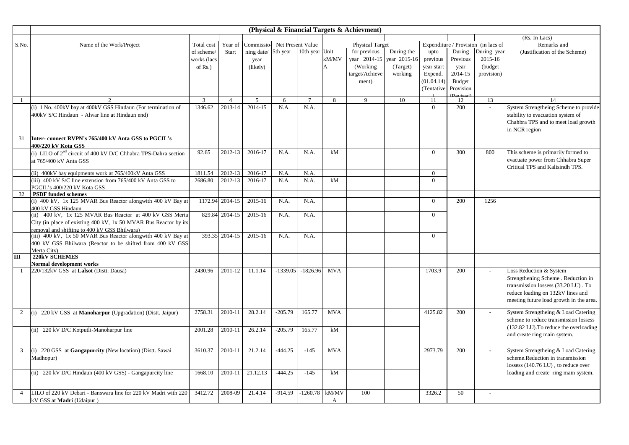|                | (Physical & Financial Targets & Achievment)                                                                  |             |                 |                              |            |                  |                |                        |              |                |           |                                     |                                         |
|----------------|--------------------------------------------------------------------------------------------------------------|-------------|-----------------|------------------------------|------------|------------------|----------------|------------------------|--------------|----------------|-----------|-------------------------------------|-----------------------------------------|
|                |                                                                                                              |             |                 |                              |            |                  |                |                        |              |                |           |                                     | (Rs. In Lacs)                           |
| S.No.          | Name of the Work/Project                                                                                     | Total cost  | Year of         | Commissio- Net Present Value |            |                  |                | <b>Physical Target</b> |              |                |           | Expenditure / Provision (in lacs of | Remarks and                             |
|                |                                                                                                              | of scheme/  | Start           | ning date/ 5th year          |            | 10th year Unit   |                | for previous           | During the   | upto           | During    | During year                         | (Justification of the Scheme)           |
|                |                                                                                                              | works (lacs |                 | year                         |            |                  | $\rm kM/MV$    | year 2014-15           | year 2015-16 | previous       | Previous  | 2015-16                             |                                         |
|                |                                                                                                              | of $Rs.$ )  |                 | (likely)                     |            |                  | $\overline{A}$ | (Working)              | (Target)     | year start     | year      | (budget                             |                                         |
|                |                                                                                                              |             |                 |                              |            |                  |                | target/Achieve         | working      | Expend.        | 2014-15   | provision)                          |                                         |
|                |                                                                                                              |             |                 |                              |            |                  |                | ment)                  |              | (01.04.14)     | Budget    |                                     |                                         |
|                |                                                                                                              |             |                 |                              |            |                  |                |                        |              | (Tentative     | Provision |                                     |                                         |
|                |                                                                                                              | 3           | $\overline{4}$  | 5                            | 6          | $\overline{7}$   | 8              | 9                      | 10           | 11             | 12        | 13                                  | 14                                      |
|                | (i) 1 No. 400kV bay at 400kV GSS Hindaun (For termination of                                                 | 1346.62     | 2013-14         | 2014-15                      | N.A.       | N.A.             |                |                        |              | $\Omega$       | 200       | $\overline{a}$                      | System Strengtheing Scheme to provide   |
|                | 400kV S/C Hindaun - Alwar line at Hindaun end)                                                               |             |                 |                              |            |                  |                |                        |              |                |           |                                     | stability to evacuation system of       |
|                |                                                                                                              |             |                 |                              |            |                  |                |                        |              |                |           |                                     | Chahbra TPS and to meet load growth     |
|                |                                                                                                              |             |                 |                              |            |                  |                |                        |              |                |           |                                     | in NCR region                           |
| 31             |                                                                                                              |             |                 |                              |            |                  |                |                        |              |                |           |                                     |                                         |
|                | Inter-connect RVPN's 765/400 kV Anta GSS to PGCIL's<br>400/220 kV Kota GSS                                   |             |                 |                              |            |                  |                |                        |              |                |           |                                     |                                         |
|                | (i) LILO of $2nd$ circuit of 400 kV D/C Chhabra TPS-Dahra section                                            | 92.65       | 2012-13         | 2016-17                      | N.A.       | N.A.             | kM             |                        |              | $\overline{0}$ | 300       | 800                                 | This scheme is primarily formed to      |
|                | at 765/400 kV Anta GSS                                                                                       |             |                 |                              |            |                  |                |                        |              |                |           |                                     | evacuate power from Chhabra Super       |
|                |                                                                                                              |             |                 |                              |            |                  |                |                        |              |                |           |                                     | Critical TPS and Kalisindh TPS.         |
|                | (ii) 400kV bay equipments work at 765/400kV Anta GSS                                                         | 1811.54     | 2012-13         | 2016-17                      | N.A        | N.A.             |                |                        |              | $\overline{0}$ |           |                                     |                                         |
|                | (iii) 400 kV S/C line extension from 765/400 kV Anta GSS to                                                  | 2686.80     | 2012-13         | 2016-17                      | N.A.       | N.A.             | kM             |                        |              | $\overline{0}$ |           |                                     |                                         |
|                | PGCIL's 400/220 kV Kota GSS                                                                                  |             |                 |                              |            |                  |                |                        |              |                |           |                                     |                                         |
| 32             | <b>PSDF</b> funded schemes                                                                                   |             |                 |                              |            |                  |                |                        |              |                |           |                                     |                                         |
|                | (i) 400 kV, 1x 125 MVAR Bus Reactor alongwith 400 kV Bay at                                                  |             | 1172.94 2014-15 | 2015-16                      | N.A.       | N.A.             |                |                        |              | $\Omega$       | 200       | 1256                                |                                         |
|                | 400 kV GSS Hindaun                                                                                           |             |                 |                              |            |                  |                |                        |              |                |           |                                     |                                         |
|                | (ii) 400 kV, 1x 125 MVAR Bus Reactor at 400 kV GSS Merta                                                     |             | 829.84 2014-15  | 2015-16                      | N.A.       | N.A.             |                |                        |              | $\Omega$       |           |                                     |                                         |
|                | City (in place of existing 400 kV, 1x 50 MVAR Bus Reactor by its                                             |             |                 |                              |            |                  |                |                        |              |                |           |                                     |                                         |
|                | removal and shifting to 400 kV GSS Bhilwara)<br>(iii) 400 kV, 1x 50 MVAR Bus Reactor alongwith 400 kV Bay at |             | 393.35 2014-15  | 2015-16                      | N.A.       | N.A.             |                |                        |              | $\overline{0}$ |           |                                     |                                         |
|                | 400 kV GSS Bhilwara (Reactor to be shifted from 400 kV GSS                                                   |             |                 |                              |            |                  |                |                        |              |                |           |                                     |                                         |
|                | Merta City)                                                                                                  |             |                 |                              |            |                  |                |                        |              |                |           |                                     |                                         |
| Ш              | <b>220kV SCHEMES</b>                                                                                         |             |                 |                              |            |                  |                |                        |              |                |           |                                     |                                         |
|                | Normal development works                                                                                     |             |                 |                              |            |                  |                |                        |              |                |           |                                     |                                         |
|                | 220/132kV GSS at Lalsot (Distt. Dausa)                                                                       | 2430.96     | 2011-12         | 11.1.14                      | $-1339.05$ | $-1826.96$       | <b>MVA</b>     |                        |              | 1703.9         | 200       |                                     | Loss Reduction & System                 |
|                |                                                                                                              |             |                 |                              |            |                  |                |                        |              |                |           |                                     | Strengthening Scheme. Reduction in      |
|                |                                                                                                              |             |                 |                              |            |                  |                |                        |              |                |           |                                     | transmission lossess (33.20 LU). To     |
|                |                                                                                                              |             |                 |                              |            |                  |                |                        |              |                |           |                                     | reduce loading on 132kV lines and       |
|                |                                                                                                              |             |                 |                              |            |                  |                |                        |              |                |           |                                     | meeting future load growth in the area. |
|                |                                                                                                              |             |                 |                              |            |                  |                |                        |              |                |           |                                     |                                         |
| 2              | 220 kV GSS at Manoharpur (Upgradation) (Distt. Jaipur)                                                       | 2758.31     | 2010-11         | 28.2.14                      | $-205.79$  | 165.77           | <b>MVA</b>     |                        |              | 4125.82        | 200       |                                     | System Strengtheing & Load Catering     |
|                |                                                                                                              |             |                 |                              |            |                  |                |                        |              |                |           |                                     | scheme to reduce transmission lossess   |
|                | (ii) 220 kV D/C Kotputli-Manoharpur line                                                                     | 2001.28     | 2010-11         | 26.2.14                      | $-205.79$  | 165.77           | kM             |                        |              |                |           |                                     | (132.82 LU). To reduce the overloading  |
|                |                                                                                                              |             |                 |                              |            |                  |                |                        |              |                |           |                                     | and create ring main system.            |
|                |                                                                                                              |             |                 |                              |            |                  |                |                        |              |                |           |                                     |                                         |
| 3              | (i) 220 GSS at Gangapurcity (New location) (Distt. Sawai                                                     | 3610.37     | 2010-11         | 21.2.14                      | $-444.25$  | $-145$           | <b>MVA</b>     |                        |              | 2973.79        | 200       |                                     | System Strengtheing & Load Catering     |
|                | Madhopur)                                                                                                    |             |                 |                              |            |                  |                |                        |              |                |           |                                     | scheme.Reduction in transmission        |
|                |                                                                                                              |             |                 |                              |            |                  |                |                        |              |                |           |                                     | lossess (140.76 LU), to reduce over     |
|                | (ii) 220 kV D/C Hindaun (400 kV GSS) - Gangapurcity line                                                     | 1668.10     | 2010-11         | 21.12.13                     | $-444.25$  | $-145$           | kM             |                        |              |                |           |                                     | loading and create ring main system.    |
|                |                                                                                                              |             |                 |                              |            |                  |                |                        |              |                |           |                                     |                                         |
| $\overline{4}$ | LILO of 220 kV Debari - Banswara line for 220 kV Madri with 220                                              | 3412.72     | 2008-09         | 21.4.14                      | $-914.59$  | $-1260.78$ kM/MV |                | 100                    |              | 3326.2         | 50        |                                     |                                         |
|                | kV GSS at Madri (Udaipur)                                                                                    |             |                 |                              |            |                  |                |                        |              |                |           |                                     |                                         |
|                |                                                                                                              |             |                 |                              |            |                  |                |                        |              |                |           |                                     |                                         |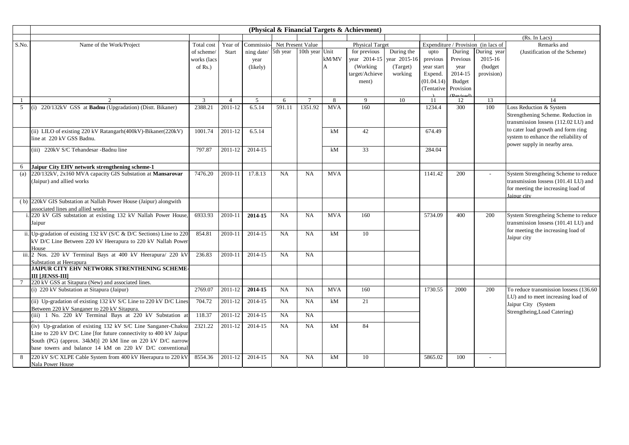|       |                                                                         |             |                |                     |           |                   |                | (Physical & Financial Targets & Achievment) |              |             |                                    |                                     |                                                           |
|-------|-------------------------------------------------------------------------|-------------|----------------|---------------------|-----------|-------------------|----------------|---------------------------------------------|--------------|-------------|------------------------------------|-------------------------------------|-----------------------------------------------------------|
|       |                                                                         |             |                |                     |           |                   |                |                                             |              |             |                                    |                                     | (Rs. In Lacs)                                             |
| S.No. | Name of the Work/Project                                                | Total cost  | Year of        | Commissio-          |           | Net Present Value |                | <b>Physical Target</b>                      |              |             |                                    | Expenditure / Provision (in lacs of | Remarks and                                               |
|       |                                                                         | of scheme/  | <b>Start</b>   | ning date/ 5th year |           | 10th year Unit    |                | for previous                                | During the   | upto        | During                             | During year                         | (Justification of the Scheme)                             |
|       |                                                                         | works (lacs |                | year                |           |                   | kM/MV          | year 2014-15                                | year 2015-16 | previous    | Previous                           | 2015-16                             |                                                           |
|       |                                                                         | of $Rs.$ )  |                | (likely)            |           |                   | $\overline{A}$ | (Working)                                   | (Target)     | year start  | year                               | (budget)                            |                                                           |
|       |                                                                         |             |                |                     |           |                   |                | target/Achieve                              | working      | Expend.     | 2014-15                            | provision)                          |                                                           |
|       |                                                                         |             |                |                     |           |                   |                | ment)                                       |              | (01.04.14)  | Budget                             |                                     |                                                           |
|       |                                                                         |             |                |                     |           |                   |                |                                             |              | (Tentative) | Provision                          |                                     |                                                           |
| -1    | $\mathcal{D}$                                                           | 3           | $\overline{4}$ | 5                   | 6         | $7\overline{ }$   | 8              | $\mathbf Q$                                 | 10           | 11          | <b>P</b> evised <sup>®</sup><br>12 | 13                                  | 14                                                        |
| 5     | 220/132kV GSS at Badnu (Upgradation) (Distt. Bikaner)                   | 2388.21     | 2011-12        | 6.5.14              | 591.11    | 1351.92           | <b>MVA</b>     | 160                                         |              | 1234.4      | 300                                | 100                                 | Loss Reduction & System                                   |
|       |                                                                         |             |                |                     |           |                   |                |                                             |              |             |                                    |                                     | Strengthening Scheme. Reduction in                        |
|       |                                                                         |             |                |                     |           |                   |                |                                             |              |             |                                    |                                     | transmission lossess (112.02 LU) and                      |
|       | (ii) LILO of existing 220 kV Ratangarh(400kV)-Bikaner(220kV)            | 1001.74     | 2011-12        | 6.5.14              |           |                   | kM             | 42                                          |              | 674.49      |                                    |                                     | to cater load growth and form ring                        |
|       | line at 220 kV GSS Badnu.                                               |             |                |                     |           |                   |                |                                             |              |             |                                    |                                     | system to enhance the reliability of                      |
|       |                                                                         |             |                |                     |           |                   |                |                                             |              |             |                                    |                                     | power supply in nearby area.                              |
|       | (iii) 220kV S/C Tehandesar -Badnu line                                  | 797.87      | 2011-12        | 2014-15             |           |                   | kM             | 33                                          |              | 284.04      |                                    |                                     |                                                           |
|       |                                                                         |             |                |                     |           |                   |                |                                             |              |             |                                    |                                     |                                                           |
| 6     | Jaipur City EHV network strengthening scheme-1                          |             |                |                     |           |                   |                |                                             |              |             |                                    |                                     |                                                           |
| (a)   | 220/132kV, 2x160 MVA capacity GIS Substation at Mansarovar              | 7476.20     | 2010-11        | 17.8.13             | NA        | <b>NA</b>         | <b>MVA</b>     |                                             |              | 1141.42     | 200                                |                                     | System Strengtheing Scheme to reduce                      |
|       | (Jaipur) and allied works                                               |             |                |                     |           |                   |                |                                             |              |             |                                    |                                     | transmission lossess (101.41 LU) and                      |
|       |                                                                         |             |                |                     |           |                   |                |                                             |              |             |                                    |                                     | for meeting the increasing load of<br>Jaipur city         |
|       | (b) 220kV GIS Substation at Nallah Power House (Jaipur) alongwith       |             |                |                     |           |                   |                |                                             |              |             |                                    |                                     |                                                           |
|       | associated lines and allied works                                       |             |                |                     |           |                   |                |                                             |              |             |                                    |                                     |                                                           |
|       | 220 kV GIS substation at existing 132 kV Nallah Power House             | 6933.93     | 2010-11        | 2014-15             | <b>NA</b> | NA                | <b>MVA</b>     | 160                                         |              | 5734.09     | 400                                | 200                                 | System Strengtheing Scheme to reduce                      |
|       | Jaipur                                                                  |             |                |                     |           |                   |                |                                             |              |             |                                    |                                     | transmission lossess (101.41 LU) and                      |
|       | ii. Up-gradation of existing 132 kV ( $S/C & D/C$ Sections) Line to 220 | 854.81      | 2010-11        | 2014-15             | NA        | NA                | kM             | 10                                          |              |             |                                    |                                     | for meeting the increasing load of                        |
|       | kV D/C Line Between 220 kV Heerapura to 220 kV Nallah Power             |             |                |                     |           |                   |                |                                             |              |             |                                    |                                     | Jaipur city                                               |
|       | House                                                                   |             |                |                     |           |                   |                |                                             |              |             |                                    |                                     |                                                           |
| iii.  | 2 Nos. 220 kV Terminal Bays at 400 kV Heerapura/ 220 kV                 | 236.83      | 2010-11        | 2014-15             | NA        | NA                |                |                                             |              |             |                                    |                                     |                                                           |
|       | Substation at Heerapura                                                 |             |                |                     |           |                   |                |                                             |              |             |                                    |                                     |                                                           |
|       | JAIPUR CITY EHV NETWORK STRENTHENING SCHEME-                            |             |                |                     |           |                   |                |                                             |              |             |                                    |                                     |                                                           |
|       | <b>III LJENSS-III</b>                                                   |             |                |                     |           |                   |                |                                             |              |             |                                    |                                     |                                                           |
|       | 220 kV GSS at Sitapura (New) and associated lines.                      |             |                |                     |           |                   |                |                                             |              |             |                                    |                                     |                                                           |
|       | (i) 220 kV Substation at Sitapura (Jaipur)                              | 2769.07     | 2011-12        | 2014-15             | NA        | NA                | <b>MVA</b>     | 160                                         |              | 1730.55     | 2000                               | 200                                 | To reduce transmission lossess (136.60)                   |
|       | (ii) Up-gradation of existing 132 kV S/C Line to 220 kV D/C Lines       | 704.72      | 2011-12        | 2014-15             | <b>NA</b> | NA                | kM             | 21                                          |              |             |                                    |                                     | LU) and to meet increasing load of<br>Jaipur City (System |
|       | Between 220 kV Sanganer to 220 kV Sitapura                              |             |                |                     |           |                   |                |                                             |              |             |                                    |                                     | Strengtheing, Load Catering)                              |
|       | (iii) 1 No. 220 kV Terminal Bays at 220 kV Substation at                | 118.37      | 2011-12        | 2014-15             | <b>NA</b> | NA                |                |                                             |              |             |                                    |                                     |                                                           |
|       | (iv) Up-gradation of existing 132 kV S/C Line Sanganer-Chaksu           | 2321.22     | 2011-12        | 2014-15             | NA        | NA                | kM             | 84                                          |              |             |                                    |                                     |                                                           |
|       | Line to 220 kV D/C Line [for future connectivity to 400 kV Jaipur       |             |                |                     |           |                   |                |                                             |              |             |                                    |                                     |                                                           |
|       | South (PG) (approx. 34kM)] 20 kM line on 220 kV D/C narrow              |             |                |                     |           |                   |                |                                             |              |             |                                    |                                     |                                                           |
|       | base towers and balance 14 kM on 220 kV D/C conventional                |             |                |                     |           |                   |                |                                             |              |             |                                    |                                     |                                                           |
| 8     | 220 kV S/C XLPE Cable System from 400 kV Heerapura to 220 kV            | 8554.36     | 2011-12        | 2014-15             | NA        | NA                | kM             | 10                                          |              | 5865.02     | 100                                | $\overline{a}$                      |                                                           |
|       | Nala Power House                                                        |             |                |                     |           |                   |                |                                             |              |             |                                    |                                     |                                                           |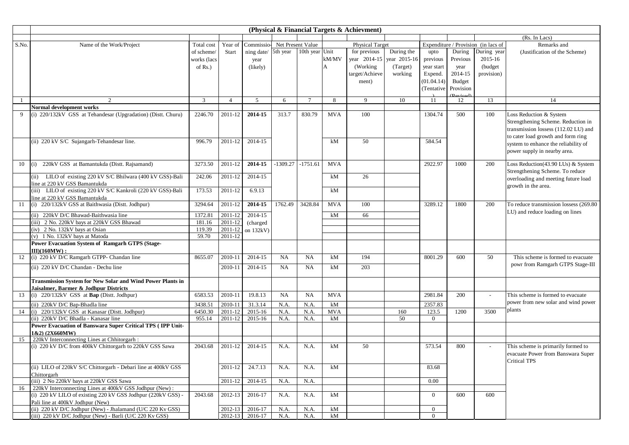|       |                                                                                                 |                 |                    |            |                   |                |                | (Physical & Financial Targets & Achievment) |                           |                |               |                                     |                                                                          |
|-------|-------------------------------------------------------------------------------------------------|-----------------|--------------------|------------|-------------------|----------------|----------------|---------------------------------------------|---------------------------|----------------|---------------|-------------------------------------|--------------------------------------------------------------------------|
|       |                                                                                                 |                 |                    |            |                   |                |                |                                             |                           |                |               |                                     | (Rs. In Lacs)                                                            |
| S.No. | Name of the Work/Project                                                                        | Total cost      | Year of            | Commissio- | Net Present Value |                |                | <b>Physical Target</b>                      |                           |                |               | Expenditure / Provision (in lacs of | Remarks and                                                              |
|       |                                                                                                 | of scheme/      | Start              | ning date/ | 5th year          | 10th year Unit |                | for previous                                | During the                | upto           | During        | During year                         | (Justification of the Scheme)                                            |
|       |                                                                                                 | works (lacs     |                    | year       |                   |                | kM/MV          |                                             | year 2014-15 year 2015-16 | previous       | Previous      | 2015-16                             |                                                                          |
|       |                                                                                                 | of $Rs.$ )      |                    | (likely)   |                   |                | $\overline{A}$ | (Working)                                   | (Target)                  | year start     | year          | (budget                             |                                                                          |
|       |                                                                                                 |                 |                    |            |                   |                |                | target/Achieve                              | working                   | Expend.        | 2014-15       | provision)                          |                                                                          |
|       |                                                                                                 |                 |                    |            |                   |                |                | ment)                                       |                           | (01.04.14)     | <b>Budget</b> |                                     |                                                                          |
|       |                                                                                                 |                 |                    |            |                   |                |                |                                             |                           | (Tentative)    | Provision     |                                     |                                                                          |
|       |                                                                                                 |                 |                    |            |                   |                |                |                                             |                           |                | (Revised)     |                                     |                                                                          |
|       | 2                                                                                               | 3               | $\overline{4}$     | 5          | 6                 | $\overline{7}$ | 8              | 9                                           | 10                        | -11            | 12            | 13                                  | 14                                                                       |
| 9     | <b>Normal development works</b><br>(i) 220/132kV GSS at Tehandesar (Upgradation) (Distt. Churu) | 2246.70         | 2011-12            | 2014-15    | 313.7             | 830.79         | <b>MVA</b>     | 100                                         |                           | 1304.74        | 500           | 100                                 | Loss Reduction & System                                                  |
|       |                                                                                                 |                 |                    |            |                   |                |                |                                             |                           |                |               |                                     | Strengthening Scheme. Reduction in                                       |
|       |                                                                                                 |                 |                    |            |                   |                |                |                                             |                           |                |               |                                     | transmission lossess (112.02 LU) and                                     |
|       |                                                                                                 |                 |                    |            |                   |                |                |                                             |                           |                |               |                                     | to cater load growth and form ring                                       |
|       | (ii) 220 kV S/C Sujangarh-Tehandesar line.                                                      | 996.79          | 2011-12            | 2014-15    |                   |                | kM             | 50                                          |                           | 584.54         |               |                                     | system to enhance the reliability of                                     |
|       |                                                                                                 |                 |                    |            |                   |                |                |                                             |                           |                |               |                                     | power supply in nearby area.                                             |
| 10    | 220kV GSS at Bamantukda (Distt. Rajsamand)<br>(i)                                               | 3273.50         | 2011-12            | 2014-15    | -1309.27          | $-1751.61$     | <b>MVA</b>     |                                             |                           | 2922.97        | 1000          | 200                                 | Loss Reduction(43.90 LUs) & System                                       |
|       |                                                                                                 |                 |                    |            |                   |                |                |                                             |                           |                |               |                                     | Strengthening Scheme. To reduce                                          |
|       | (ii) LILO of existing 220 kV S/C Bhilwara (400 kV GSS)-Bali<br>line at 220 kV GSS Bamantukda    | 242.06          | 2011-12            | 2014-15    |                   |                | kM             | 26                                          |                           |                |               |                                     | overloading and meeting future load                                      |
|       | (iii) LILO of existing 220 kV S/C Kankroli (220 kV GSS)-Bali                                    | 173.53          | 2011-12            | 6.9.13     |                   |                | kM             |                                             |                           |                |               |                                     | growth in the area.                                                      |
|       | line at 220 kV GSS Bamantukda                                                                   |                 |                    |            |                   |                |                |                                             |                           |                |               |                                     |                                                                          |
| -11   | (i) 220/132kV GSS at Baithwasia (Distt. Jodhpur)                                                | 3294.64         | 2011-12            | 2014-15    | 1762.49           | 3428.84        | <b>MVA</b>     | 100                                         |                           | 3289.12        | 1800          | 200                                 | To reduce transmission lossess (269.80                                   |
|       |                                                                                                 |                 |                    |            |                   |                |                |                                             |                           |                |               |                                     | LU) and reduce loading on lines                                          |
|       | (ii) 220kV D/C Bhawad-Baithwasia line                                                           | 1372.81         | 2011-12            | 2014-15    |                   |                | kM             | 66                                          |                           |                |               |                                     |                                                                          |
|       | (iii) 2 No. 220kV bays at 220kV GSS Bhawad                                                      | 181.16          | 2011-12            | (charged   |                   |                |                |                                             |                           |                |               |                                     |                                                                          |
|       | (iv) 2 No. 132kV bays at Osian<br>(v) 1 No. 132kV bays at Matoda                                | 119.39<br>59.70 | 2011-12<br>2011-12 | on 132kV)  |                   |                |                |                                             |                           |                |               |                                     |                                                                          |
|       | Power Evacuation System of Ramgarh GTPS (Stage-                                                 |                 |                    |            |                   |                |                |                                             |                           |                |               |                                     |                                                                          |
|       | III)(160MW):                                                                                    |                 |                    |            |                   |                |                |                                             |                           |                |               |                                     |                                                                          |
| 12    | (i) 220 kV D/C Ramgarh GTPP- Chandan line                                                       | 8655.07         | 2010-11            | 2014-15    | <b>NA</b>         | NA             | kM             | 194                                         |                           | 8001.29        | 600           | 50                                  | This scheme is formed to evacuate                                        |
|       | (ii) 220 kV D/C Chandan - Dechu line                                                            |                 | 2010-11            | 2014-15    | <b>NA</b>         | <b>NA</b>      | kM             | 203                                         |                           |                |               |                                     | powr from Ramgarh GTPS Stage-III                                         |
|       |                                                                                                 |                 |                    |            |                   |                |                |                                             |                           |                |               |                                     |                                                                          |
|       | <b>Transmission System for New Solar and Wind Power Plants in</b>                               |                 |                    |            |                   |                |                |                                             |                           |                |               |                                     |                                                                          |
|       | Jaisalmer, Barmer & Jodhpur Districts                                                           |                 |                    |            |                   |                |                |                                             |                           |                |               |                                     |                                                                          |
| 13    | (i) 220/132kV GSS at Bap (Distt. Jodhpur)                                                       | 6583.53         | 2010-11            | 19.8.13    | <b>NA</b>         | <b>NA</b>      | <b>MVA</b>     |                                             |                           | 2981.84        | 200           |                                     | This scheme is formed to evacuate                                        |
|       | (ii) 220kV D/C Bap-Bhadla line                                                                  | 3438.51         | 2010-11            | 31.3.14    | N.A.              | N.A.           | kM             |                                             |                           | 2357.83        |               |                                     | power from new solar and wind power                                      |
| 14    | (i) 220/132kV GSS at Kanasar (Distt. Jodhpur)                                                   | 6450.30         | 2011-12            | 2015-16    | N.A.              | N.A.           | <b>MVA</b>     |                                             | 160                       | 123.5          | 1200          | 3500                                | plants                                                                   |
|       | (ii) 220kV D/C Bhadla - Kanasar line                                                            | 955.14          | 2011-12            | 2015-16    | N.A.              | N.A.           | kM             |                                             | 50                        | $\overline{0}$ |               |                                     |                                                                          |
|       | Power Evacuation of Banswara Super Critical TPS (IPP Unit-                                      |                 |                    |            |                   |                |                |                                             |                           |                |               |                                     |                                                                          |
|       | 1&2) (2X660MW)                                                                                  |                 |                    |            |                   |                |                |                                             |                           |                |               |                                     |                                                                          |
| 15    | 220kV Interconnecting Lines at Chhitorgarh :                                                    |                 |                    |            |                   |                |                |                                             |                           |                |               |                                     |                                                                          |
|       | (i) 220 kV D/C from 400kV Chittorgarh to 220kV GSS Sawa                                         | 2043.68         | 2011-12            | 2014-15    | N.A.              | N.A.           | kM             | 50                                          |                           | 573.54         | 800           |                                     | This scheme is primarily formed to<br>evacuate Power from Banswara Super |
|       | (ii) LILO of 220kV S/C Chittorgarh - Debari line at 400kV GSS                                   |                 | 2011-12            | 24.7.13    | N.A.              | N.A.           | kM             |                                             |                           | 83.68          |               |                                     | Critical TPS                                                             |
|       | Chittorgarh                                                                                     |                 |                    |            |                   |                |                |                                             |                           |                |               |                                     |                                                                          |
|       | (iii) 2 No 220kV bays at 220kV GSS Sawa                                                         |                 | 2011-12            | 2014-15    | N.A.              | N.A.           |                |                                             |                           | 0.00           |               |                                     |                                                                          |
| 16    | 220kV Interconnecting Lines at 400kV GSS Jodhpur (New):                                         |                 |                    |            |                   |                |                |                                             |                           |                |               |                                     |                                                                          |
|       | (i) 220 kV LILO of existing 220 kV GSS Jodhpur (220kV GSS) -                                    | 2043.68         | 2012-13            | 2016-17    | N.A.              | N.A.           | kM             |                                             |                           | $\overline{0}$ | 600           | 600                                 |                                                                          |
|       | Pali line at 400kV Jodhpur (New)<br>(ii) 220 kV D/C Jodhpur (New) - Jhalamand (U/C 220 Kv GSS)  |                 | 2012-13            | 2016-17    | N.A.              | N.A.           | kM             |                                             |                           | $\overline{0}$ |               |                                     |                                                                          |
|       | (iii) 220 kV D/C Jodhpur (New) - Barli (U/C 220 Kv GSS)                                         |                 | $2012 - 13$        | 2016-17    | N.A.              | N.A.           | kM             |                                             |                           | $\Omega$       |               |                                     |                                                                          |
|       |                                                                                                 |                 |                    |            |                   |                |                |                                             |                           |                |               |                                     |                                                                          |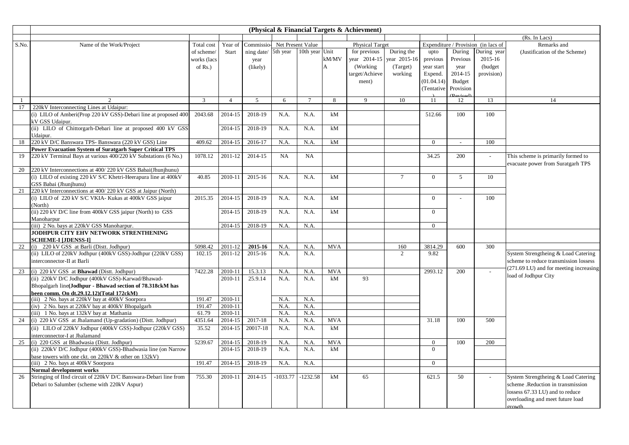|              |                                                                                                     |              |                |                             |              |                 |                | (Physical & Financial Targets & Achievment) |                 |                |              |                                     |                                                                         |
|--------------|-----------------------------------------------------------------------------------------------------|--------------|----------------|-----------------------------|--------------|-----------------|----------------|---------------------------------------------|-----------------|----------------|--------------|-------------------------------------|-------------------------------------------------------------------------|
|              |                                                                                                     |              |                |                             |              |                 |                |                                             |                 |                |              |                                     | (Rs. In Lacs)                                                           |
| S.No.        | Name of the Work/Project                                                                            | Total cost   | Year of        | Commissio-Net Present Value |              |                 |                | <b>Physical Target</b>                      |                 |                |              | Expenditure / Provision (in lacs of | Remarks and                                                             |
|              |                                                                                                     | of scheme/   | Start          | ning date/ 5th year         |              | 10th year Unit  |                | for previous                                | During the      | upto           | During       | During year                         | (Justification of the Scheme)                                           |
|              |                                                                                                     | works (lacs  |                | year                        |              |                 | kM/MV          | year 2014-15                                | year 2015-16    | previous       | Previous     | 2015-16                             |                                                                         |
|              |                                                                                                     | of $Rs.$ )   |                | (likely)                    |              |                 | $\overline{A}$ | (Working)                                   | (Target)        | year start     | year         | (budget                             |                                                                         |
|              |                                                                                                     |              |                |                             |              |                 |                | target/Achieve                              | working         | Expend.        | 2014-15      | provision)                          |                                                                         |
|              |                                                                                                     |              |                |                             |              |                 |                | ment)                                       |                 | (01.04.14)     | Budget       |                                     |                                                                         |
|              |                                                                                                     |              |                |                             |              |                 |                |                                             |                 | (Tentative     | Provision    |                                     |                                                                         |
| $\mathbf{1}$ | $\overline{2}$                                                                                      | $\mathbf{3}$ | $\overline{4}$ | 5 <sup>5</sup>              | 6            | $7\phantom{.0}$ | 8              | 9                                           | 10              | 11             | 12           | 13                                  | 14                                                                      |
| 17           | 220kV Interconnecting Lines at Udaipur:                                                             |              |                |                             |              |                 |                |                                             |                 |                |              |                                     |                                                                         |
|              | (i) LILO of Amberi(Prop 220 kV GSS)-Debari line at proposed 400                                     | 2043.68      | 2014-15        | 2018-19                     | N.A.         | N.A.            | kM             |                                             |                 | 512.66         | 100          | 100                                 |                                                                         |
|              | kV GSS Udaipur.                                                                                     |              |                |                             |              |                 |                |                                             |                 |                |              |                                     |                                                                         |
|              | (ii) LILO of Chittorgarh-Debari line at proposed 400 kV GSS                                         |              | 2014-15        | 2018-19                     | N.A.         | N.A.            | kM             |                                             |                 |                |              |                                     |                                                                         |
|              | Udainur.                                                                                            |              |                |                             |              |                 |                |                                             |                 |                |              |                                     |                                                                         |
| 18           | 220 kV D/C Banswara TPS- Banswara (220 kV GSS) Line                                                 | 409.62       | 2014-15        | 2016-17                     | N.A.         | N.A.            | kM             |                                             |                 | $\overline{0}$ | $\mathbf{r}$ | 100                                 |                                                                         |
|              | <b>Power Evacuation System of Suratgarh Super Critical TPS</b>                                      |              |                |                             | NA           |                 |                |                                             |                 | 34.25          | 200          |                                     |                                                                         |
| 19           | 220 kV Terminal Bays at various 400/220 kV Substations (6 No.)                                      | 1078.12      | 2011-12        | 2014-15                     |              | <b>NA</b>       |                |                                             |                 |                |              | $\sim$                              | This scheme is primarily formed to<br>evacuate power from Suratgarh TPS |
| 20           | 220 kV Interconnections at 400/220 kV GSS Babai(Jhunjhunu)                                          |              |                |                             |              |                 |                |                                             |                 |                |              |                                     |                                                                         |
|              | (i) LILO of existing 220 kV S/C Khetri-Heerapura line at 400kV                                      | 40.85        | 2010-11        | 2015-16                     | N.A.         | N.A.            | kM             |                                             | $7\phantom{.0}$ | $\theta$       | 5            | 10                                  |                                                                         |
|              | GSS Babai (Jhunihunu)                                                                               |              |                |                             |              |                 |                |                                             |                 |                |              |                                     |                                                                         |
| 21           | 220 kV Interconnections at 400/220 kV GSS at Jaipur (North)                                         |              |                |                             |              |                 |                |                                             |                 |                |              |                                     |                                                                         |
|              | (i) LILO of 220 kV S/C VKIA- Kukas at 400kV GSS jaipur                                              | 2015.35      | 2014-15        | 2018-19                     | N.A.         | N.A.            | kM             |                                             |                 | $\overline{0}$ |              | 100                                 |                                                                         |
|              | (North)                                                                                             |              |                |                             |              |                 |                |                                             |                 |                |              |                                     |                                                                         |
|              | (ii) 220 kV D/C line from 400kV GSS jaipur (North) to GSS                                           |              | 2014-15        | 2018-19                     | N.A.         | N.A.            | kM             |                                             |                 | $\theta$       |              |                                     |                                                                         |
|              | Manoharpur                                                                                          |              |                |                             |              |                 |                |                                             |                 |                |              |                                     |                                                                         |
|              | (iii) 2 No. bays at 220kV GSS Manoharpur.                                                           |              | 2014-15        | 2018-19                     | N.A.         | N.A.            |                |                                             |                 | $\overline{0}$ |              |                                     |                                                                         |
|              | JODHPUR CITY EHV NETWORK STRENTHENING                                                               |              |                |                             |              |                 |                |                                             |                 |                |              |                                     |                                                                         |
| 22           | <b>SCHEME-I [JDENSS-I]</b><br>(i) 220 kV GSS at Barli (Distt. Jodhpur)                              | 5098.42      | 2011-12        | $2015 - 16$                 | N.A.         | N.A.            | <b>MVA</b>     |                                             | 160             | 3814.29        | 600          | 300                                 |                                                                         |
|              | (ii) LILO of 220kV Jodhpur (400kV GSS)-Jodhpur (220kV GSS)                                          | 102.15       | 2011-12        | 2015-16                     | N.A.         | N.A.            |                |                                             | $\overline{2}$  | 9.82           |              |                                     | System Strengtheing & Load Catering                                     |
|              | interconnector-II at Barli                                                                          |              |                |                             |              |                 |                |                                             |                 |                |              |                                     | scheme to reduce transmission lossess                                   |
|              |                                                                                                     |              |                |                             |              |                 |                |                                             |                 |                |              |                                     | (271.69 LU) and for meeting increasing                                  |
| 23           | (i) 220 kV GSS at <b>Bhawad</b> (Distt. Jodhpur)                                                    | 7422.28      | 2010-11        | 15.3.13                     | N.A.         | N.A.            | <b>MVA</b>     |                                             |                 | 2993.12        | 200          |                                     | load of Jodhpur City                                                    |
|              | (ii) 220kV D/C Jodhpur (400kV GSS)-Karwad/Bhawad-                                                   |              | 2010-11        | 25.9.14                     | N.A.         | N.A.            | kM             | 93                                          |                 |                |              |                                     |                                                                         |
|              | Bhopalgarh line(Jodhpur - Bhawad section of 78.318ckM has                                           |              |                |                             |              |                 |                |                                             |                 |                |              |                                     |                                                                         |
|              | been comm. On dt.29.12.12)(Total 172ckM)                                                            | 191.47       | 2010-11        |                             |              | N.A.            |                |                                             |                 |                |              |                                     |                                                                         |
|              | (iii) 2 No. bays at 220kV bay at 400kV Soorpora<br>(iv) 2 No. bays at 220kV bay at 400kV Bhopalgarh | 191.47       | 2010-11        |                             | N.A.<br>N.A. | N.A.            |                |                                             |                 |                |              |                                     |                                                                         |
|              | (iii) 1 No. bays at 132kV bay at Mathania                                                           | 61.79        | 2010-11        |                             | N.A.         | N.A.            |                |                                             |                 |                |              |                                     |                                                                         |
| 24           | (i) 220 kV GSS at Jhalamand (Up-gradation) (Distt. Jodhpur)                                         | 4351.64      | 2014-15        | 2017-18                     | N.A.         | N.A.            | <b>MVA</b>     |                                             |                 | 31.18          | 100          | 500                                 |                                                                         |
|              | (ii) LILO of 220kV Jodhpur (400kV GSS)-Jodhpur (220kV GSS)                                          | 35.52        | 2014-15        | 20017-18                    | N.A.         | N.A.            | kM             |                                             |                 |                |              |                                     |                                                                         |
|              | interconnector-I at Jhalamand                                                                       |              |                |                             |              |                 |                |                                             |                 |                |              |                                     |                                                                         |
| 25           | (i) 220 GSS at Bhadwasia (Distt. Jodhpur)                                                           | 5239.67      | 2014-15        | 2018-19                     | N.A          | N.A.            | <b>MVA</b>     |                                             |                 | $\Omega$       | 100          | 200                                 |                                                                         |
|              | (ii) 220kV D/C Jodhpur (400kV GSS)-Bhadwasia line (on Narrow                                        |              | 2014-15        | 2018-19                     | N.A.         | N.A.            | kM             |                                             |                 | $\overline{0}$ |              |                                     |                                                                         |
|              | base towers with one ckt. on 220kV & other on 132kV)                                                |              |                |                             |              |                 |                |                                             |                 |                |              |                                     |                                                                         |
|              | (iii) 2 No. bays at 400kV Soorpora                                                                  | 191.47       | 2014-15        | 2018-19                     | N.A.         | N.A.            |                |                                             |                 | $\overline{0}$ |              |                                     |                                                                         |
|              | <b>Normal development works</b>                                                                     |              |                |                             |              |                 |                |                                             |                 |                |              |                                     |                                                                         |
| 26           | Stringing of IInd circuit of 220kV D/C Banswara-Debari line from                                    | 755.30       | 2010-11        | 2014-15                     | 1033.77      | $-1232.58$      | kM             | 65                                          |                 | 621.5          | 50           |                                     | System Strengtheing & Load Catering                                     |
|              | Debari to Salumber (scheme with 220kV Aspur)                                                        |              |                |                             |              |                 |                |                                             |                 |                |              |                                     | scheme .Reduction in transmission                                       |
|              |                                                                                                     |              |                |                             |              |                 |                |                                             |                 |                |              |                                     | lossess 67.33 LU) and to reduce                                         |
|              |                                                                                                     |              |                |                             |              |                 |                |                                             |                 |                |              |                                     | overloading and meet future load                                        |
|              |                                                                                                     |              |                |                             |              |                 |                |                                             |                 |                |              |                                     | orowth                                                                  |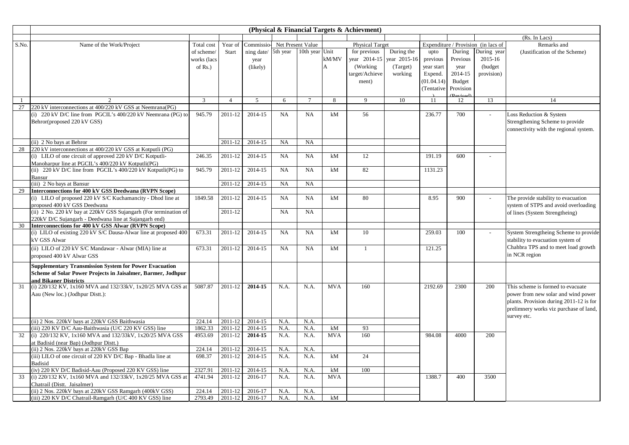|       |                                                                  |             |                |                              |           |                 |                | (Physical & Financial Targets & Achievment) |              |            |               |                                     |                                         |
|-------|------------------------------------------------------------------|-------------|----------------|------------------------------|-----------|-----------------|----------------|---------------------------------------------|--------------|------------|---------------|-------------------------------------|-----------------------------------------|
|       |                                                                  |             |                |                              |           |                 |                |                                             |              |            |               |                                     | (Rs. In Lacs)                           |
| S.No. | Name of the Work/Project                                         | Total cost  | Year of        | Commissio- Net Present Value |           |                 |                | <b>Physical Target</b>                      |              |            |               | Expenditure / Provision (in lacs of | Remarks and                             |
|       |                                                                  | of scheme/  | Start          | ning date/ 5th year          |           | 10th year Unit  |                | for previous                                | During the   | upto       | During        | During year                         | (Justification of the Scheme)           |
|       |                                                                  | works (lacs |                | year                         |           |                 | kM/MV          | year 2014-15                                | year 2015-16 | previous   | Previous      | 2015-16                             |                                         |
|       |                                                                  | of $Rs.$ )  |                | (likely)                     |           |                 | $\overline{A}$ | (Working)                                   | (Target)     | year start | year          | (budget                             |                                         |
|       |                                                                  |             |                |                              |           |                 |                | target/Achieve                              | working      | Expend.    | 2014-15       | provision)                          |                                         |
|       |                                                                  |             |                |                              |           |                 |                | ment)                                       |              | (01.04.14) | <b>Budget</b> |                                     |                                         |
|       |                                                                  |             |                |                              |           |                 |                |                                             |              | (Tentative | Provision     |                                     |                                         |
|       |                                                                  |             |                |                              |           |                 |                |                                             |              |            |               |                                     |                                         |
|       | $\mathcal{D}$                                                    | 3           | $\overline{4}$ | $\mathfrak{F}$               | 6         | $7\phantom{.0}$ | 8              | 9                                           | 10           | 11         | 12            | 13                                  | 14                                      |
| 27    | 220 kV interconnections at 400/220 kV GSS at Neemrana(PG)        |             |                |                              |           |                 |                |                                             |              |            |               |                                     |                                         |
|       | (i) 220 kV D/C line from PGCIL's 400/220 kV Neemrana (PG) to     | 945.79      | 2011-12        | 2014-15                      | NA        | NA              | kM             | 56                                          |              | 236.77     | 700           |                                     | Loss Reduction & System                 |
|       | Behror(proposed 220 kV GSS)                                      |             |                |                              |           |                 |                |                                             |              |            |               |                                     | Strengthening Scheme to provide         |
|       |                                                                  |             |                |                              |           |                 |                |                                             |              |            |               |                                     | connectivity with the regional system.  |
|       | (ii) 2 No bays at Behror                                         |             | 2011-12        | 2014-15                      | NA        | NA              |                |                                             |              |            |               |                                     |                                         |
| 28    | 220 kV interconnections at 400/220 kV GSS at Kotputli (PG)       |             |                |                              |           |                 |                |                                             |              |            |               |                                     |                                         |
|       | (i) LILO of one circuit of approved 220 kV D/C Kotputli-         | 246.35      | 2011-12        | 2014-15                      | <b>NA</b> | <b>NA</b>       | kM             | 12                                          |              | 191.19     | 600           |                                     |                                         |
|       | Manoharpur line at PGCIL's 400/220 kV Kotputli(PG)               |             |                |                              |           |                 |                |                                             |              |            |               |                                     |                                         |
|       | (ii) 220 kV D/C line from PGCIL's 400/220 kV Kotputli(PG) to     | 945.79      | 2011-12        | 2014-15                      | NA        | NA              | kM             | 82                                          |              | 1131.23    |               |                                     |                                         |
|       | Bansur                                                           |             |                |                              |           |                 |                |                                             |              |            |               |                                     |                                         |
|       | (iii) 2 No bays at Bansur                                        |             | 2011-12        | 2014-15                      | <b>NA</b> | NA              |                |                                             |              |            |               |                                     |                                         |
| 29    | Interconnections for 400 kV GSS Deedwana (RVPN Scope)            |             |                |                              |           |                 |                |                                             |              |            |               |                                     |                                         |
|       | (i) LILO of proposed 220 kV S/C Kuchamancity - Dhod line at      | 1849.58     | 2011-12        | 2014-15                      | NA        | NA              | kM             | 80                                          |              | 8.95       | 900           |                                     | The provide stability to evacuation     |
|       | proposed 400 kV GSS Deedwana                                     |             |                |                              |           |                 |                |                                             |              |            |               |                                     | system of STPS and avoid overloading    |
|       | (ii) 2 No. 220 kV bay at 220kV GSS Sujangarh (For termination of |             | 2011-12        |                              | <b>NA</b> | <b>NA</b>       |                |                                             |              |            |               |                                     | of lines (System Strengtheing)          |
|       | 220kV D/C Sujangarh - Deedwana line at Sujangarh end)            |             |                |                              |           |                 |                |                                             |              |            |               |                                     |                                         |
| 30    | Interconnections for 400 kV GSS Alwar (RVPN Scope)               |             |                |                              |           |                 |                |                                             |              |            |               |                                     |                                         |
|       | (i) LILO of existing 220 kV S/C Dausa-Alwar line at proposed 400 | 673.31      | 2011-12        | 2014-15                      | NA        | NA              | kM             | 10                                          |              | 259.03     | 100           | $\overline{a}$                      | System Strengtheing Scheme to provide   |
|       | kV GSS Alwar                                                     |             |                |                              |           |                 |                |                                             |              |            |               |                                     | stability to evacuation system of       |
|       | (ii) LILO of 220 kV S/C Mandawar - Alwar (MIA) line at           | 673.31      | 2011-12        | 2014-15                      | NA        | NA              | kM             | $\mathbf{1}$                                |              | 121.25     |               |                                     | Chahbra TPS and to meet load growth     |
|       | proposed 400 kV Alwar GSS                                        |             |                |                              |           |                 |                |                                             |              |            |               |                                     | in NCR region                           |
|       | <b>Supplementary Transmission System for Power Evacuation</b>    |             |                |                              |           |                 |                |                                             |              |            |               |                                     |                                         |
|       | Scheme of Solar Power Projects in Jaisalmer, Barmer, Jodhpur     |             |                |                              |           |                 |                |                                             |              |            |               |                                     |                                         |
|       | and Bikaner Districts                                            |             |                |                              |           |                 |                |                                             |              |            |               |                                     |                                         |
| 31    | (i) 220/132 KV, 1x160 MVA and 132/33kV, 1x20/25 MVA GSS at       | 5087.87     | 2011-12        | 2014-15                      | N.A.      | N.A.            | <b>MVA</b>     | 160                                         |              | 2192.69    | 2300          | 200                                 | This scheme is formed to evacuate       |
|       | Aau (New loc.) (Jodhpur Distt.):                                 |             |                |                              |           |                 |                |                                             |              |            |               |                                     | power from new solar and wind power     |
|       |                                                                  |             |                |                              |           |                 |                |                                             |              |            |               |                                     | plants. Provision during 2011-12 is for |
|       |                                                                  |             |                |                              |           |                 |                |                                             |              |            |               |                                     | prelimnery works viz purchase of land,  |
|       |                                                                  |             |                |                              |           |                 |                |                                             |              |            |               |                                     | survey etc.                             |
|       | (ii) 2 Nos. 220kV bays at 220kV GSS Baithwasia                   | 224.14      | 2011-12        | 2014-15                      | N.A.      | N.A.            |                |                                             |              |            |               |                                     |                                         |
|       | (iii) 220 KV D/C Aau-Baithwasia (U/C 220 KV GSS) line            | 1862.33     | 2011-12        | 2014-15                      | N.A.      | N.A.            | kM             | 93                                          |              |            |               |                                     |                                         |
| 32    | (i) 220/132 KV, 1x160 MVA and 132/33kV, 1x20/25 MVA GSS          | 4953.69     | 2011-12        | 2014-15                      | N.A.      | N.A.            | <b>MVA</b>     | 160                                         |              | 984.08     | 4000          | 200                                 |                                         |
|       | at Badisid (near Bap) (Jodhpur Distt.)                           |             |                |                              |           |                 |                |                                             |              |            |               |                                     |                                         |
|       | (ii) 2 Nos. 220kV bays at 220kV GSS Bap                          | 224.14      | 2011-12        | 2014-15                      | N.A.      | N.A.            |                |                                             |              |            |               |                                     |                                         |
|       | (iii) LILO of one circuit of 220 KV D/C Bap - Bhadla line at     | 698.37      | 2011-12        | 2014-15                      | N.A.      | N.A.            | kM             | 24                                          |              |            |               |                                     |                                         |
|       | <b>Badisid</b>                                                   |             |                |                              |           |                 |                |                                             |              |            |               |                                     |                                         |
|       | (iv) 220 KV D/C Badisid-Aau (Proposed 220 KV GSS) line           | 2327.91     | 2011-12        | 2014-15                      | N.A.      | N.A.            | kM             | 100                                         |              |            |               |                                     |                                         |
| 33    | (i) 220/132 KV, 1x160 MVA and 132/33kV, 1x20/25 MVA GSS at       | 4741.94     | 2011-12        | 2016-17                      | N.A.      | N.A.            | <b>MVA</b>     |                                             |              | 1388.7     | 400           | 3500                                |                                         |
|       | Chatrail (Distt. Jaisalmer)                                      |             |                |                              |           |                 |                |                                             |              |            |               |                                     |                                         |
|       | (ii) 2 Nos. 220kV bays at 220kV GSS Ramgarh (400kV GSS)          | 224.14      | 2011-12        | 2016-17                      | N.A.      | N.A.            |                |                                             |              |            |               |                                     |                                         |
|       | (iii) 220 KV D/C Chatrail-Ramgarh (U/C 400 KV GSS) line          | 2793.49     | 2011-12        | 2016-17                      | N.A.      | N.A.            | kM             |                                             |              |            |               |                                     |                                         |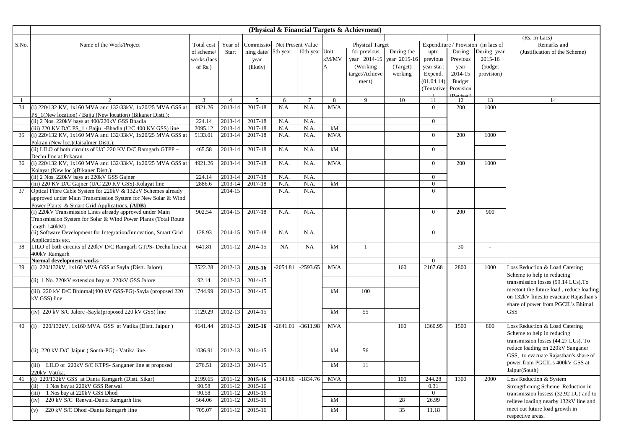|       |                                                                                       |             |                |            |                   |                       |            | (Physical & Financial Targets & Achievment) |            |                |                                        |                                     |                                                                               |
|-------|---------------------------------------------------------------------------------------|-------------|----------------|------------|-------------------|-----------------------|------------|---------------------------------------------|------------|----------------|----------------------------------------|-------------------------------------|-------------------------------------------------------------------------------|
|       |                                                                                       |             |                |            |                   |                       |            |                                             |            |                |                                        |                                     | (Rs. In Lacs)                                                                 |
| S.No. | Name of the Work/Project                                                              | Total cost  | Year of        | Commissio- | Net Present Value |                       |            | <b>Physical Target</b>                      |            |                |                                        | Expenditure / Provision (in lacs of | Remarks and                                                                   |
|       |                                                                                       | of scheme/  | Start          | ning date/ | 5th year          | 10th year Unit        |            | for previous                                | During the | upto           | During                                 | During year                         | (Justification of the Scheme)                                                 |
|       |                                                                                       | works (lacs |                | year       |                   |                       | kM/MV      | year 2014-15 year 2015-16                   |            | previous       | Previous                               | 2015-16                             |                                                                               |
|       |                                                                                       | of $Rs.$ )  |                | (likely)   |                   |                       |            | (Working)                                   | (Target)   | year start     | year                                   | (budget)                            |                                                                               |
|       |                                                                                       |             |                |            |                   |                       |            | target/Achieve                              | working    | Expend.        | 2014-15                                | provision)                          |                                                                               |
|       |                                                                                       |             |                |            |                   |                       |            | ment)                                       |            | (01.04.14)     | <b>Budget</b>                          |                                     |                                                                               |
|       |                                                                                       |             |                |            |                   |                       |            |                                             |            | (Tentative)    | Provision                              |                                     |                                                                               |
| - 1   | $\mathfrak{D}$                                                                        | 3           | $\overline{4}$ | 5          | 6                 | $\overline{7}$        | 8          | 9                                           | 10         | -11            | $(D^{\text{axi}}_{\text{e}}(a))$<br>12 | 13                                  | 14                                                                            |
| 34    | (i) 220/132 KV, 1x160 MVA and 132/33kV, 1x20/25 MVA GSS at                            | 4921.26     | 2013-14        | 2017-18    | N.A.              | N.A.                  | <b>MVA</b> |                                             |            | $\Omega$       | 200                                    | 1000                                |                                                                               |
|       | PS 1(New location) / Bajju (New location) (Bikaner Distt.):                           |             |                |            |                   |                       |            |                                             |            |                |                                        |                                     |                                                                               |
|       | (ii) 2 Nos. 220kV bays at 400/220kV GSS Bhadla                                        | 224.14      | 2013-14        | 2017-18    | N.A.              | N.A.                  |            |                                             |            | $\overline{0}$ |                                        |                                     |                                                                               |
|       | (iii) 220 KV D/C PS_1 / Bajju -Bhadla (U/C 400 KV GSS) line                           | 2095.12     | 2013-14        | 2017-18    | N.A.              | N.A.                  | kM         |                                             |            |                |                                        |                                     |                                                                               |
| 35    | (i) 220/132 KV, 1x160 MVA and 132/33kV, 1x20/25 MVA GSS at                            | 5133.01     | 2013-14        | 2017-18    | N.A.              | N.A.                  | <b>MVA</b> |                                             |            | $\overline{0}$ | 200                                    | 1000                                |                                                                               |
|       | Pokran (New loc.)(Jaisalmer Distt.):                                                  |             |                |            |                   |                       |            |                                             |            |                |                                        |                                     |                                                                               |
|       | (ii) LILO of both circuits of U/C 220 KV D/C Ramgarh GTPP -                           | 465.58      | 2013-14        | 2017-18    | N.A.              | N.A.                  | kM         |                                             |            | $\Omega$       |                                        |                                     |                                                                               |
| 36    | Dechu line at Pokaran<br>(i) 220/132 KV, 1x160 MVA and 132/33kV, 1x20/25 MVA GSS at   | 4921.26     | 2013-14        | 2017-18    | N.A.              | N.A.                  | <b>MVA</b> |                                             |            | $\Omega$       | 200                                    | 1000                                |                                                                               |
|       | Kolayat (New loc.)(Bikaner Distt.):                                                   |             |                |            |                   |                       |            |                                             |            |                |                                        |                                     |                                                                               |
|       | (ii) 2 Nos. 220kV bays at 220kV GSS Gajner                                            | 224.14      | 2013-14        | 2017-18    | N.A.              | N.A.                  |            |                                             |            | $\overline{0}$ |                                        |                                     |                                                                               |
|       | (iii) 220 KV D/C Gajner (U/C 220 KV GSS)-Kolayat line                                 | 2886.6      | 2013-14        | 2017-18    | N.A.              | N.A.                  | kM         |                                             |            | $\theta$       |                                        |                                     |                                                                               |
| 37    | Optical Fibre Cable System for 220kV & 132kV Schemes already                          |             | 2014-15        |            | N.A.              | N.A.                  |            |                                             |            | $\Omega$       |                                        |                                     |                                                                               |
|       | approved under Main Transmission System for New Solar & Wind                          |             |                |            |                   |                       |            |                                             |            |                |                                        |                                     |                                                                               |
|       | Power Plants & Smart Grid Applications. (ADB)                                         |             |                |            |                   |                       |            |                                             |            |                |                                        |                                     |                                                                               |
|       | (i) 220kV Transmission Lines already approved under Main                              | 902.54      | 2014-15        | 2017-18    | N.A.              | N.A.                  |            |                                             |            | $\Omega$       | 200                                    | 900                                 |                                                                               |
|       | Transmission System for Solar & Wind Power Plants (Total Route                        |             |                |            |                   |                       |            |                                             |            |                |                                        |                                     |                                                                               |
|       | length $140kM$ )                                                                      |             |                |            |                   |                       |            |                                             |            |                |                                        |                                     |                                                                               |
|       | (ii) Software Development for Integration/Innovation, Smart Grid<br>Applications etc. | 128.93      | 2014-15        | 2017-18    | N.A.              | N.A.                  |            |                                             |            | $\overline{0}$ |                                        |                                     |                                                                               |
| 38    | LILO of both circuits of 220kV D/C Ramgarh GTPS- Dechu line at                        | 641.81      | 2011-12        | 2014-15    | NA                | NA                    | kM         | -1                                          |            |                | 30                                     |                                     |                                                                               |
|       | 400kV Ramgarh                                                                         |             |                |            |                   |                       |            |                                             |            |                |                                        |                                     |                                                                               |
|       | Normal development works                                                              |             |                |            |                   |                       |            |                                             |            | $\Omega$       |                                        |                                     |                                                                               |
| 39    | (i) 220/132kV, 1x160 MVA GSS at Sayla (Distt. Jalore)                                 | 3522.28     | 2012-13        | 2015-16    | $-2054.81$        | $-2593.65$            | <b>MVA</b> |                                             | 160        | 2167.68        | 2800                                   | 1000                                | Loss Reduction & Load Catering                                                |
|       | (ii) 1 No. 220kV extension bay at 220kV GSS Jalore                                    | 92.14       | 2012-13        | 2014-15    |                   |                       |            |                                             |            |                |                                        |                                     | Scheme to help in reducing                                                    |
|       |                                                                                       |             |                |            |                   |                       |            |                                             |            |                |                                        |                                     | transmission losses (99.14 LUs).To                                            |
|       | (iii) 220 kV D/C Bhinmal(400 kV GSS-PG)-Sayla (proposed 220                           | 1744.99     | 2012-13        | 2014-15    |                   |                       | kM         | 100                                         |            |                |                                        |                                     | meetout the future load, reduce loading                                       |
|       | kV GSS) line                                                                          |             |                |            |                   |                       |            |                                             |            |                |                                        |                                     | on 132kV lines, to evacuate Rajasthan's<br>share of power from PGCIL's Bhimal |
|       |                                                                                       |             | 2012-13        | 2014-15    |                   |                       |            | 55                                          |            |                |                                        |                                     | <b>GSS</b>                                                                    |
|       | (iv) 220 kV S/C Jalore -Sayla(proposed 220 kV GSS) line                               | 1129.29     |                |            |                   |                       | kM         |                                             |            |                |                                        |                                     |                                                                               |
| 40    | (i) 220/132kV, 1x160 MVA GSS at Vatika (Distt. Jaipur)                                | 4641.44     | 2012-13        | 2015-16    | $-2641.01$        | $-3611.98$            | <b>MVA</b> |                                             | 160        | 1360.95        | 1500                                   | 800                                 | Loss Reduction & Load Catering                                                |
|       |                                                                                       |             |                |            |                   |                       |            |                                             |            |                |                                        |                                     | Scheme to help in reducing                                                    |
|       |                                                                                       |             |                |            |                   |                       |            |                                             |            |                |                                        |                                     | transmission losses (44.27 LUs). To                                           |
|       | (ii) 220 kV D/C Jaipur (South-PG) - Vatika line.                                      | 1036.91     | 2012-13        | 2014-15    |                   |                       | kM         | 56                                          |            |                |                                        |                                     | reduce loading on 220kV Sanganer                                              |
|       |                                                                                       |             |                |            |                   |                       |            |                                             |            |                |                                        |                                     | GSS, to evacuate Rajasthan's share of                                         |
|       | (iii) LILO of 220kV S/C KTPS- Sanganer line at proposed                               | 276.51      | 2012-13        | 2014-15    |                   |                       | kM         | 11                                          |            |                |                                        |                                     | power from PGCIL's 400kV GSS at                                               |
|       | 220kV Vatika.                                                                         |             |                |            |                   |                       |            |                                             |            |                |                                        |                                     | Jaipur(South)                                                                 |
| 41    | (i) 220/132kV GSS at Danta Ramgarh (Distt. Sikar)                                     | 2199.65     | 2011-12        | 2015-16    |                   | $-1343.66$ $-1834.76$ | <b>MVA</b> |                                             | 100        | 244.28         | 1300                                   | 2000                                | Loss Reduction & System                                                       |
|       | 1 Nos bay at 220kV GSS Renwal<br>(ii)                                                 | 90.58       | 2011-12        | 2015-16    |                   |                       |            |                                             |            | 0.31           |                                        |                                     | Strengthening Scheme. Reduction in                                            |
|       | (iii) 1 Nos bay at 220kV GSS Dhod                                                     | 90.58       | 2011-12        | 2015-16    |                   |                       |            |                                             |            | $\overline{0}$ |                                        |                                     | transmission lossess (32.92 LU) and to                                        |
|       | 220 kV S/C Renwal-Danta Ramgarh line<br>(iv)                                          | 564.06      | $2011 - 12$    | 2015-16    |                   |                       | kM         |                                             | 28         | 26.99          |                                        |                                     | relieve loading nearby 132kV line and                                         |
|       | 220 kV S/C Dhod -Danta Ramgarh line<br>(v)                                            | 705.07      | 2011-12        | 2015-16    |                   |                       | kM         |                                             | 35         | 11.18          |                                        |                                     | meet out future load growth in                                                |
|       |                                                                                       |             |                |            |                   |                       |            |                                             |            |                |                                        |                                     | respective areas.                                                             |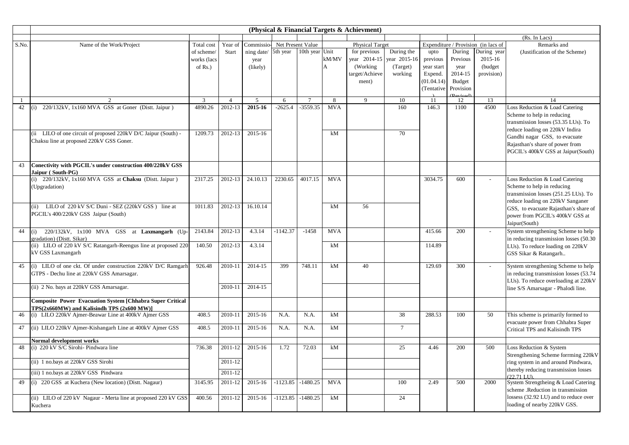|       |                                                                                             |                |                      |                              |            |                |            | (Physical & Financial Targets & Achievment) |                |            |                             |                                     |                                                                            |
|-------|---------------------------------------------------------------------------------------------|----------------|----------------------|------------------------------|------------|----------------|------------|---------------------------------------------|----------------|------------|-----------------------------|-------------------------------------|----------------------------------------------------------------------------|
|       |                                                                                             |                |                      |                              |            |                |            |                                             |                |            |                             |                                     | (Rs. In Lacs)                                                              |
| S.No. | Name of the Work/Project                                                                    | Total cost     | Year of              | Commissio- Net Present Value |            |                |            | <b>Physical Target</b>                      |                |            |                             | Expenditure / Provision (in lacs of | Remarks and                                                                |
|       |                                                                                             | of scheme/     | Start                | ning date/ 5th year          |            | 10th year Unit |            | for previous                                | During the     | upto       | During                      | During year                         | (Justification of the Scheme)                                              |
|       |                                                                                             | works (lacs    |                      | year                         |            |                | kM/MV      | year 2014-15                                | year 2015-16   | previous   | Previous                    | 2015-16                             |                                                                            |
|       |                                                                                             | of $Rs.$ )     |                      | (likely)                     |            |                | A          | (Working)                                   | (Target)       | year start | year                        | (budget)                            |                                                                            |
|       |                                                                                             |                |                      |                              |            |                |            | target/Achieve                              | working        | Expend.    | 2014-15                     | provision)                          |                                                                            |
|       |                                                                                             |                |                      |                              |            |                |            | ment)                                       |                | (01.04.14) | <b>Budget</b>               |                                     |                                                                            |
|       |                                                                                             |                |                      |                              |            |                |            |                                             |                | (Tentative | Provision<br><b>Peviced</b> |                                     |                                                                            |
| -1    | 2                                                                                           | $\overline{3}$ | $\overline{4}$       | 5                            | 6          | $\overline{7}$ | 8          | $\mathbf{Q}$                                | 10             | 11         | 12                          | 13                                  | 14                                                                         |
| 42    | 220/132kV, 1x160 MVA GSS at Goner (Distt. Jaipur)                                           | 4890.26        | 2012-13              | 2015-16                      | $-2625.4$  | $-3559.35$     | <b>MVA</b> |                                             | 160            | 146.3      | 1100                        | 4500                                | Loss Reduction & Load Catering                                             |
|       |                                                                                             |                |                      |                              |            |                |            |                                             |                |            |                             |                                     | Scheme to help in reducing                                                 |
|       |                                                                                             |                |                      |                              |            |                |            |                                             |                |            |                             |                                     | transmission losses (53.35 LUs). To                                        |
|       | (ii LILO of one circuit of proposed 220kV D/C Jaipur (South) -                              | 1209.73        | 2012-13              | 2015-16                      |            |                | kM         |                                             | 70             |            |                             |                                     | reduce loading on 220kV Indira                                             |
|       | Chaksu line at proposed 220kV GSS Goner.                                                    |                |                      |                              |            |                |            |                                             |                |            |                             |                                     | Gandhi nagar GSS, to evacuate                                              |
|       |                                                                                             |                |                      |                              |            |                |            |                                             |                |            |                             |                                     | Rajasthan's share of power from                                            |
|       |                                                                                             |                |                      |                              |            |                |            |                                             |                |            |                             |                                     | PGCIL's 400kV GSS at Jaipur(South)                                         |
| 43    | Conectivity with PGCIL's under construction 400/220kV GSS                                   |                |                      |                              |            |                |            |                                             |                |            |                             |                                     |                                                                            |
|       | Jaipur (South-PG)                                                                           |                |                      |                              |            |                |            |                                             |                |            |                             |                                     |                                                                            |
|       | (i) $220/132kV$ , 1x160 MVA GSS at Chaksu (Distt. Jaipur)                                   | 2317.25        | 2012-13              | 24.10.13                     | 2230.65    | 4017.15        | <b>MVA</b> |                                             |                | 3034.75    | 600                         |                                     | Loss Reduction & Load Catering                                             |
|       | (Upgradation)                                                                               |                |                      |                              |            |                |            |                                             |                |            |                             |                                     | Scheme to help in reducing                                                 |
|       |                                                                                             |                |                      |                              |            |                |            |                                             |                |            |                             |                                     | transmission losses (251.25 LUs). To                                       |
|       | (ii) LILO of $220 \text{ kV}$ S/C Duni - SEZ $(220 \text{ kV}$ GSS) line at                 | 1011.83        | 2012-13              | 16.10.14                     |            |                | kM         | 56                                          |                |            |                             |                                     | reduce loading on 220kV Sanganer                                           |
|       | PGCIL's 400/220kV GSS Jaipur (South)                                                        |                |                      |                              |            |                |            |                                             |                |            |                             |                                     | GSS, to evacuate Rajasthan's share of                                      |
|       |                                                                                             |                |                      |                              |            |                |            |                                             |                |            |                             |                                     | power from PGCIL's 400kV GSS at                                            |
|       |                                                                                             |                |                      |                              |            |                |            |                                             |                |            |                             |                                     | Jaipur(South)                                                              |
| 44    | (i) 220/132kV, 1x100 MVA GSS at Laxmangarh (Up-                                             | 2143.84        | 2012-13              | 4.3.14                       | $-1142.37$ | $-1458$        | <b>MVA</b> |                                             |                | 415.66     | 200                         |                                     | System strengthening Scheme to help                                        |
|       | gradation) (Distt. Sikar)<br>(ii) LILO of 220 kV S/C Ratangarh-Reengus line at proposed 220 | 140.50         | 2012-13              | 4.3.14                       |            |                | kM         |                                             |                | 114.89     |                             |                                     | in reducing transmission losses (50.30<br>LUs). To reduce loading on 220kV |
|       | kV GSS Laxmangarh                                                                           |                |                      |                              |            |                |            |                                             |                |            |                             |                                     | GSS Sikar & Ratangarh                                                      |
|       |                                                                                             |                |                      |                              |            |                |            |                                             |                |            |                             |                                     |                                                                            |
| 45    | (i) LILO of one ckt. Of under construction 220kV D/C Ramgarh                                | 926.48         | 2010-11              | 2014-15                      | 399        | 748.11         | kM         | 40                                          |                | 129.69     | 300                         |                                     | System strengthening Scheme to help                                        |
|       | GTPS - Dechu line at 220kV GSS Amarsagar.                                                   |                |                      |                              |            |                |            |                                             |                |            |                             |                                     | in reducing transmission losses (53.74                                     |
|       |                                                                                             |                |                      |                              |            |                |            |                                             |                |            |                             |                                     | LUs). To reduce overloading at 220kV                                       |
|       | (ii) 2 No. bays at 220kV GSS Amarsagar.                                                     |                | 2010-11              | 2014-15                      |            |                |            |                                             |                |            |                             |                                     | line S/S Amarsagar - Phalodi line.                                         |
|       | <b>Composite Power Evacuation System [Chhabra Super Critical</b>                            |                |                      |                              |            |                |            |                                             |                |            |                             |                                     |                                                                            |
|       | TPS(2x660MW) and Kalisindh TPS (2x600 MW)]                                                  |                |                      |                              |            |                |            |                                             |                |            |                             |                                     |                                                                            |
| 46    | (i) LILO 220kV Ajmer-Beawar Line at 400kV Ajmer GSS                                         | 408.5          | 2010-11              | 2015-16                      | N.A.       | N.A.           | kM         |                                             | 38             | 288.53     | 100                         | 50                                  | This scheme is primarily formed to                                         |
|       |                                                                                             |                |                      |                              |            |                |            |                                             |                |            |                             |                                     | evacuate power from Chhabra Super                                          |
| 47    | (ii) LILO 220kV Ajmer-Kishangarh Line at 400kV Ajmer GSS                                    | 408.5          | $\overline{2010-11}$ | 2015-16                      | N.A.       | N.A.           | kM         |                                             | $\overline{7}$ |            |                             |                                     | Critical TPS and Kalisindh TPS                                             |
|       | Normal development works                                                                    |                |                      |                              |            |                |            |                                             |                |            |                             |                                     |                                                                            |
| 48    | (i) 220 kV S/C Sirohi- Pindwara line                                                        | 736.38         | 2011-12              | 2015-16                      | 1.72       | 72.03          | kM         |                                             | 25             | 4.46       | 200                         | 500                                 | Loss Reduction & System                                                    |
|       |                                                                                             |                |                      |                              |            |                |            |                                             |                |            |                             |                                     | Strengthening Scheme forrming 220kV                                        |
|       | (ii) 1 no.bays at 220kV GSS Sirohi                                                          |                | 2011-12              |                              |            |                |            |                                             |                |            |                             |                                     | ring system in and around Pindwara,                                        |
|       | (iii) 1 no.bays at 220kV GSS Pindwara                                                       |                | 2011-12              |                              |            |                |            |                                             |                |            |                             |                                     | thereby reducing transmission losses                                       |
|       |                                                                                             |                |                      |                              |            |                |            |                                             |                |            |                             |                                     | $(22.71 \text{ LJD})$                                                      |
| 49    | (i) 220 GSS at Kuchera (New location) (Distt. Nagaur)                                       | 3145.95        | 2011-12              | 2015-16                      | $-1123.85$ | $-1480.25$     | <b>MVA</b> |                                             | 100            | 2.49       | 500                         | 2000                                | System Strengtheing & Load Catering<br>scheme .Reduction in transmission   |
|       |                                                                                             | 400.56         |                      |                              | $-1123.85$ | $-1480.25$     | kM         |                                             | 24             |            |                             |                                     | lossess (32.92 LU) and to reduce over                                      |
|       | (ii) LILO of 220 kV Nagaur - Merta line at proposed 220 kV GSS<br>Kuchera                   |                | 2011-12              | 2015-16                      |            |                |            |                                             |                |            |                             |                                     | loading of nearby 220kV GSS.                                               |
|       |                                                                                             |                |                      |                              |            |                |            |                                             |                |            |                             |                                     |                                                                            |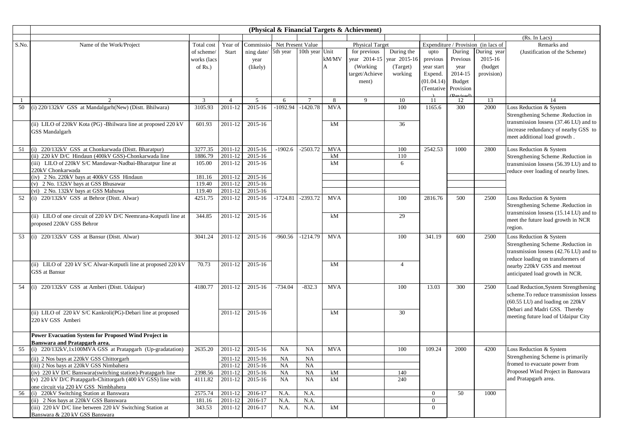|       |                                                                                    |                  |                    |                              |            |                |            | (Physical & Financial Targets & Achievment) |                |                |                                          |                                     |                                                                              |
|-------|------------------------------------------------------------------------------------|------------------|--------------------|------------------------------|------------|----------------|------------|---------------------------------------------|----------------|----------------|------------------------------------------|-------------------------------------|------------------------------------------------------------------------------|
|       |                                                                                    |                  |                    |                              |            |                |            |                                             |                |                |                                          |                                     | (Rs. In Lacs)                                                                |
| S.No. | Name of the Work/Project                                                           | Total cost       | Year of            | Commissio- Net Present Value |            |                |            | <b>Physical Target</b>                      |                |                |                                          | Expenditure / Provision (in lacs of | Remarks and                                                                  |
|       |                                                                                    | of scheme/       | <b>Start</b>       | ning date/                   | 5th year   | 10th year Unit |            | for previous                                | During the     | upto           | During                                   | During year                         | (Justification of the Scheme)                                                |
|       |                                                                                    | works (lacs      |                    | year                         |            |                | kM/MV      | year 2014-15                                | year 2015-16   | previous       | Previous                                 | 2015-16                             |                                                                              |
|       |                                                                                    | of $Rs.$ )       |                    | (likely)                     |            |                | A          | (Working)                                   | (Target)       | year start     | year                                     | (budget)                            |                                                                              |
|       |                                                                                    |                  |                    |                              |            |                |            | target/Achieve                              | working        | Expend.        | 2014-15                                  | provision)                          |                                                                              |
|       |                                                                                    |                  |                    |                              |            |                |            | ment)                                       |                | (01.04.14)     | <b>Budget</b>                            |                                     |                                                                              |
|       |                                                                                    |                  |                    |                              |            |                |            |                                             |                | (Tentative)    | Provision                                |                                     |                                                                              |
|       |                                                                                    | $\overline{3}$   | $\overline{4}$     | 5                            | 6          |                | 8          | 9                                           | 10             | -11            | (P <sub>evi</sub> <sub>cod</sub> )<br>12 | 13                                  | 14                                                                           |
| 50    | (i) 220/132kV GSS at Mandalgarh(New) (Distt. Bhilwara)                             | 3105.93          | 2011-12            | 2015-16                      | $-1092.94$ | $-1420.78$     | <b>MVA</b> |                                             | 100            | 1165.6         | 300                                      | 2000                                | Loss Reduction & System                                                      |
|       |                                                                                    |                  |                    |                              |            |                |            |                                             |                |                |                                          |                                     | Strengthening Scheme .Reduction in                                           |
|       |                                                                                    |                  |                    |                              |            |                |            |                                             |                |                |                                          |                                     | transmission lossess (37.46 LU) and to                                       |
|       | (ii) LILO of 220kV Kota (PG) -Bhilwara line at proposed 220 kV                     | 601.93           | 2011-12            | 2015-16                      |            |                | kM         |                                             | 36             |                |                                          |                                     | increase redundancy of nearby GSS to                                         |
|       | <b>GSS Mandalgarh</b>                                                              |                  |                    |                              |            |                |            |                                             |                |                |                                          |                                     | meet additional load growth.                                                 |
|       |                                                                                    |                  |                    |                              |            |                |            |                                             |                |                |                                          |                                     |                                                                              |
| 51    | (i) 220/132kV GSS at Chonkarwada (Distt. Bharatpur)                                | 3277.35          | 2011-12            | 2015-16                      | $-1902.6$  | $-2503.72$     | <b>MVA</b> |                                             | 100            | 2542.53        | 1000                                     | 2800                                | Loss Reduction & System                                                      |
|       | (ii) 220 kV D/C Hindaun (400kV GSS)-Chonkarwada line                               | 1886.79          | 2011-12            | 2015-16                      |            |                | kM         |                                             | 110            |                |                                          |                                     | Strengthening Scheme .Reduction in                                           |
|       | (iii) LILO of 220kV S/C Mandawar-Nadbai-Bharatpur line at                          | 105.00           | 2011-12            | 2015-16                      |            |                | kM         |                                             | 6              |                |                                          |                                     | transmission lossess (56.39 LU) and to                                       |
|       | 220kV Chonkarwada                                                                  |                  |                    |                              |            |                |            |                                             |                |                |                                          |                                     | reduce over loading of nearby lines.                                         |
|       | (iv) 2 No. 220kV bays at 400kV GSS Hindaun<br>(v) 2 No. 132kV bays at GSS Bhusawar | 181.16<br>119.40 | 2011-12<br>2011-12 | 2015-16<br>2015-16           |            |                |            |                                             |                |                |                                          |                                     |                                                                              |
|       | (vi) 2 No. 132kV bays at GSS Mahuwa                                                | 119.40           | 2011-12            | 2015-16                      |            |                |            |                                             |                |                |                                          |                                     |                                                                              |
| 52    | (i) 220/132kV GSS at Behror (Distt. Alwar)                                         | 4251.75          | 2011-12            | 2015-16                      | -1724.81   | $-2393.72$     | <b>MVA</b> |                                             | 100            | 2816.76        | 500                                      | 2500                                | Loss Reduction & System                                                      |
|       |                                                                                    |                  |                    |                              |            |                |            |                                             |                |                |                                          |                                     | Strengthening Scheme .Reduction in                                           |
|       |                                                                                    |                  |                    |                              |            |                |            |                                             |                |                |                                          |                                     | transmission lossess (15.14 LU) and to                                       |
|       | (ii) LILO of one circuit of 220 kV D/C Neemrana-Kotputli line at                   | 344.85           | 2011-12            | 2015-16                      |            |                | kM         |                                             | 29             |                |                                          |                                     | meet the future load growth in NCR                                           |
|       | proposed 220kV GSS Behror                                                          |                  |                    |                              |            |                |            |                                             |                |                |                                          |                                     | region.                                                                      |
|       |                                                                                    |                  |                    |                              |            |                | <b>MVA</b> |                                             |                |                | 600                                      |                                     |                                                                              |
| 53    | (i) 220/132kV GSS at Bansur (Distt. Alwar)                                         | 3041.24          | 2011-12            | 2015-16                      | $-960.56$  | $-1214.79$     |            |                                             | 100            | 341.19         |                                          | 2500                                | Loss Reduction & System                                                      |
|       |                                                                                    |                  |                    |                              |            |                |            |                                             |                |                |                                          |                                     | Strengthening Scheme .Reduction in<br>transmission lossess (42.76 LU) and to |
|       |                                                                                    |                  |                    |                              |            |                |            |                                             |                |                |                                          |                                     | reduce loading on transformers of                                            |
|       | (ii) LILO of 220 kV S/C Alwar-Kotputli line at proposed 220 kV                     | 70.73            | 2011-12            | 2015-16                      |            |                | kM         |                                             | $\overline{4}$ |                |                                          |                                     | nearby 220kV GSS and meetout                                                 |
|       | GSS at Bansur                                                                      |                  |                    |                              |            |                |            |                                             |                |                |                                          |                                     | anticipated load growth in NCR.                                              |
|       |                                                                                    |                  |                    |                              |            |                |            |                                             |                |                |                                          |                                     |                                                                              |
| 54    | (i) 220/132kV GSS at Amberi (Distt. Udaipur)                                       | 4180.77          | 2011-12            | 2015-16                      | $-734.04$  | $-832.3$       | <b>MVA</b> |                                             | 100            | 13.03          | 300                                      | 2500                                | Load Reduction, System Strengthening                                         |
|       |                                                                                    |                  |                    |                              |            |                |            |                                             |                |                |                                          |                                     | scheme. To reduce transmission lossess                                       |
|       |                                                                                    |                  |                    |                              |            |                |            |                                             |                |                |                                          |                                     | (60.55 LU) and loading on 220kV                                              |
|       |                                                                                    |                  |                    |                              |            |                | kM         |                                             | 30             |                |                                          |                                     | Debari and Madri GSS. Thereby                                                |
|       | (ii) LILO of 220 kV S/C Kankroli(PG)-Debari line at proposed<br>220 kV GSS Amberi  |                  | 2011-12            | 2015-16                      |            |                |            |                                             |                |                |                                          |                                     | meeting future load of Udaipur City                                          |
|       |                                                                                    |                  |                    |                              |            |                |            |                                             |                |                |                                          |                                     |                                                                              |
|       | Power Evacuation System for Proposed Wind Project in                               |                  |                    |                              |            |                |            |                                             |                |                |                                          |                                     |                                                                              |
|       | Banswara and Pratapgarh area.                                                      |                  |                    |                              |            |                |            |                                             |                |                |                                          |                                     |                                                                              |
| 55    | (i) 220/132kV,1x100MVA GSS at Pratapgarh (Up-gradatation)                          | 2635.20          | 2011-12            | 2015-16                      | <b>NA</b>  | <b>NA</b>      | <b>MVA</b> |                                             | 100            | 109.24         | 2000                                     | 4200                                | Loss Reduction & System                                                      |
|       | (ii) 2 Nos bays at 220kV GSS Chittorgarh                                           |                  | $2011 - 12$        | 2015-16                      | <b>NA</b>  | <b>NA</b>      |            |                                             |                |                |                                          |                                     | Strengthening Scheme is primarily                                            |
|       | (iii) 2 Nos bays at 220kV GSS Nimbahera                                            |                  | 2011-12            | 2015-16                      | <b>NA</b>  | NA             |            |                                             |                |                |                                          |                                     | fromed to evacuate power from                                                |
|       | (iv) 220 kV D/C Banswara(switching station)-Pratapgarh line                        | 2398.56          | 2011-12            | 2015-16                      | <b>NA</b>  | NA             | $\rm{kM}$  |                                             | 140            |                |                                          |                                     | Proposed Wind Project in Banswara                                            |
|       | (v) 220 kV D/C Pratapgarh-Chittorgarh (400 kV GSS) line with                       | 4111.82          | 2011-12            | 2015-16                      | <b>NA</b>  | NA             | kM         |                                             | 240            |                |                                          |                                     | and Pratapgarh area.                                                         |
|       | one circuit via 220 kV GSS Nimbhahera                                              |                  |                    |                              |            |                |            |                                             |                |                |                                          |                                     |                                                                              |
| 56    | (i) 220kV Switching Station at Banswara                                            | 2575.74          | 2011-12            | 2016-17                      | N.A        | N.A.           |            |                                             |                | $\overline{0}$ | 50                                       | 1000                                |                                                                              |
|       | (ii) 2 Nos bays at 220kV GSS Banswara                                              | 181.16           | 2011-12            | 2016-17                      | N.A.       | N.A.           |            |                                             |                | $\overline{0}$ |                                          |                                     |                                                                              |
|       | (iii) 220 kV D/C line between 220 kV Switching Station at                          | 343.53           | 2011-12            | 2016-17                      | N.A.       | N.A.           | kM         |                                             |                | $\mathbf{0}$   |                                          |                                     |                                                                              |
|       | Banswara & 220 kV GSS Banswara                                                     |                  |                    |                              |            |                |            |                                             |                |                |                                          |                                     |                                                                              |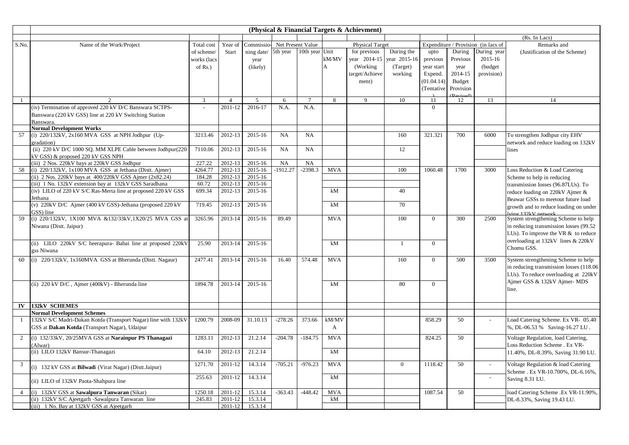|                |                                                                                                        |                   |                    |                             |               |                 |            | (Physical & Financial Targets & Achievment) |                |                |                      |                                     |                                                                  |
|----------------|--------------------------------------------------------------------------------------------------------|-------------------|--------------------|-----------------------------|---------------|-----------------|------------|---------------------------------------------|----------------|----------------|----------------------|-------------------------------------|------------------------------------------------------------------|
|                |                                                                                                        |                   |                    |                             |               |                 |            |                                             |                |                |                      |                                     | (Rs. In Lacs)                                                    |
| S.No.          | Name of the Work/Project                                                                               | Total cost        | Year of            | Commissio-Net Present Value |               |                 |            | <b>Physical Target</b>                      |                |                |                      | Expenditure / Provision (in lacs of | Remarks and                                                      |
|                |                                                                                                        | of scheme/        | Start              | ning date/                  | 5th year      | 10th year Unit  |            | for previous                                | During the     | upto           | During               | During year                         | (Justification of the Scheme)                                    |
|                |                                                                                                        | works (lacs       |                    | year                        |               |                 | kM/MV      | year 2014-15                                | year 2015-16   | previous       | Previous             | 2015-16                             |                                                                  |
|                |                                                                                                        | of $Rs.$ )        |                    | (likely)                    |               |                 | A          | (Working)                                   | (Target)       | year start     | year                 | (budget)                            |                                                                  |
|                |                                                                                                        |                   |                    |                             |               |                 |            | target/Achieve                              | working        | Expend.        | 2014-15              | provision)                          |                                                                  |
|                |                                                                                                        |                   |                    |                             |               |                 |            | ment)                                       |                | (01.04.14)     | <b>Budget</b>        |                                     |                                                                  |
|                |                                                                                                        |                   |                    |                             |               |                 |            |                                             |                | (Tentative)    | Provision            |                                     |                                                                  |
| -1             | $\mathfrak{D}$                                                                                         | $\overline{3}$    | $\overline{4}$     | 5                           | 6             | $\overline{7}$  | 8          | $\mathbf{Q}$                                | 10             | 11             | <b>Peviced</b><br>12 | 13                                  | 14                                                               |
|                | (iv) Termination of approved 220 kV D/C Banswara SCTPS-                                                |                   | 2011-12            | 2016-17                     | N.A.          | N.A.            |            |                                             |                | $\overline{0}$ |                      |                                     |                                                                  |
|                | Banswara (220 kV GSS) line at 220 kV Switching Station                                                 |                   |                    |                             |               |                 |            |                                             |                |                |                      |                                     |                                                                  |
|                | Banswara                                                                                               |                   |                    |                             |               |                 |            |                                             |                |                |                      |                                     |                                                                  |
|                | <b>Normal Development Works</b>                                                                        |                   |                    |                             |               |                 |            |                                             |                |                |                      |                                     |                                                                  |
| 57             | (i) $220/132kV$ , $2x160$ MVA GSS at NPH Jodhpur (Up-                                                  | 3213.46           | 2012-13            | 2015-16                     | NA            | NA              |            |                                             | 160            | 321.321        | 700                  | 6000                                | To strengthen Jodhpur city EHV                                   |
|                | gradation)                                                                                             |                   |                    |                             |               |                 |            |                                             |                |                |                      |                                     | network and reduce loading on 132kV                              |
|                | (ii) 220 kV D/C 1000 SQ. MM XLPE Cable between Jodhpur(220                                             | 7110.06           | 2012-13            | 2015-16                     | NA            | NA              |            |                                             | 12             |                |                      |                                     | lines                                                            |
|                | kV GSS) & proposed 220 kV GSS NPH                                                                      |                   |                    |                             |               |                 |            |                                             |                |                |                      |                                     |                                                                  |
| 58             | (iii) 2 Nos. 220kV bays at 220kV GSS Jodhpur<br>(i) 220/132kV, 1x100 MVA GSS at Jethana (Distt. Ajmer) | 227.22<br>4264.77 | 2012-13<br>2012-13 | 2015-16<br>2015-16          | NA<br>1912.27 | NA<br>$-2398.3$ | <b>MVA</b> |                                             | 100            | 1060.48        | 1700                 | 3000                                | Loss Reduction & Load Catering                                   |
|                | (ii) 2 Nos. 220kV bays at 400/220kV GSS Ajmer (2x82.24)                                                | 184.28            | 2012-13            | 2015-16                     |               |                 |            |                                             |                |                |                      |                                     |                                                                  |
|                | (iii) 1 No. 132kV extension bay at 132kV GSS Saradhana                                                 | 60.72             | 2012-13            | $2015 - 16$                 |               |                 |            |                                             |                |                |                      |                                     | Scheme to help in reducing<br>transmission losses (96.87LUs). To |
|                | (iv) LILO of 220 kV S/C Ras-Merta line at proposed 220 kV GSS                                          | 699.34            | 2012-13            | 2015-16                     |               |                 | kM         |                                             | 40             |                |                      |                                     | reduce loading on 220kV Ajmer &                                  |
|                | Jethana                                                                                                |                   |                    |                             |               |                 |            |                                             |                |                |                      |                                     | Beawar GSSs to meetout future load                               |
|                | (v) 220kV D/C Ajmer (400 kV GSS)-Jethana (proposed 220 kV                                              | 719.45            | 2012-13            | 2015-16                     |               |                 | kM         |                                             | 70             |                |                      |                                     | growth and to reduce loading on under                            |
|                | GSS) line                                                                                              |                   |                    |                             |               |                 |            |                                             |                |                |                      |                                     | lving 132kV network                                              |
| 59             | (i) 220/132kV, 1X100 MVA &132/33kV,1X20/25 MVA GSS a                                                   | 3265.96           | 2013-14            | 2015-16                     | 89.49         |                 | <b>MVA</b> |                                             | 100            | $\overline{0}$ | 300                  | 2500                                | System strengthening Scheme to help                              |
|                | Niwana (Distt. Jaipur)                                                                                 |                   |                    |                             |               |                 |            |                                             |                |                |                      |                                     | in reducing transmission losses (99.52                           |
|                |                                                                                                        |                   |                    |                             |               |                 |            |                                             |                |                |                      |                                     | LUs). To improve the VR $&$ to reduce                            |
|                | (ii) LILO 220kV S/C heerapura- Babai line at proposed 220kV                                            | 25.90             | 2013-14            | 2015-16                     |               |                 | kM         |                                             | $\mathbf{1}$   | $\overline{0}$ |                      |                                     | overloading at 132kV lines & 220kV                               |
|                | gss Niwana                                                                                             |                   |                    |                             |               |                 |            |                                             |                |                |                      |                                     | Chomu GSS.                                                       |
| 60             | (i) 220/132kV, 1x160MVA GSS at Bherunda (Distt. Nagaur)                                                | 2477.41           | 2013-14            | 2015-16                     | 16.40         | 574.48          | <b>MVA</b> |                                             | 160            | $\overline{0}$ | 500                  | 3500                                | System strengthening Scheme to help                              |
|                |                                                                                                        |                   |                    |                             |               |                 |            |                                             |                |                |                      |                                     | in reducing transmission losses (118.06)                         |
|                |                                                                                                        |                   |                    |                             |               |                 |            |                                             |                |                |                      |                                     | LUs). To reduce overloading at 220kV                             |
|                |                                                                                                        |                   |                    |                             |               |                 |            |                                             |                |                |                      |                                     | Ajmer GSS & 132kV Ajmer-MDS                                      |
|                | (ii) 220 kV D/C, Ajmer (400kV) - Bherunda line                                                         | 1894.78           | 2013-14            | 2015-16                     |               |                 | kM         |                                             | 80             | $\Omega$       |                      |                                     | line.                                                            |
|                |                                                                                                        |                   |                    |                             |               |                 |            |                                             |                |                |                      |                                     |                                                                  |
| IV             | <b>132kV SCHEMES</b>                                                                                   |                   |                    |                             |               |                 |            |                                             |                |                |                      |                                     |                                                                  |
|                | <b>Normal Development Schemes</b>                                                                      |                   |                    |                             |               |                 |            |                                             |                |                |                      |                                     |                                                                  |
| $\mathbf{1}$   | 132kV S/C Madri-Dakan Kotda (Transport Nagar) line with 132kV                                          | 1200.79           | 2008-09            | 31.10.13                    | $-278.26$     | 373.66          | kM/MV      |                                             |                | 858.29         | 50                   |                                     | Load Catering Scheme. Ex VR- 05.40                               |
|                | GSS at Dakan Kotda (Transport Nagar), Udaipur                                                          |                   |                    |                             |               |                 | A          |                                             |                |                |                      |                                     | %, DL-06.53 % Saving-16.27 LU.                                   |
|                |                                                                                                        |                   |                    |                             |               |                 |            |                                             |                |                |                      |                                     |                                                                  |
| 2              | (i) 132/33kV, 20/25MVA GSS at Narainpur PS Thanagazi                                                   | 1283.11           | 2012-13            | 21.2.14                     | $-204.78$     | $-184.75$       | <b>MVA</b> |                                             |                | 824.25         | 50                   |                                     | Voltage Regulation, load Catering,                               |
|                | (Alwar)<br>(ii) LILO 132kV Bansur-Thanagazi                                                            | 64.10             | 2012-13            | 21.2.14                     |               |                 | kM         |                                             |                |                |                      |                                     | Loss Reduction Scheme . Ex VR-                                   |
|                |                                                                                                        |                   |                    |                             |               |                 |            |                                             |                |                |                      |                                     | 11.40%, DL-8.39%, Saving 31.90 LU.                               |
| 3              |                                                                                                        | 1271.70           | 2011-12            | 14.3.14                     | $-705.21$     | $-976.23$       | <b>MVA</b> |                                             | $\overline{0}$ | 1118.42        | 50                   | $\overline{a}$                      | Voltage Regulation & load Catering                               |
|                | (i) 132 kV GSS at Bilwadi (Virat Nagar) (Distt.Jaipur)                                                 |                   |                    |                             |               |                 |            |                                             |                |                |                      |                                     | Scheme . Ex VR-10.700%, DL-6.16%,                                |
|                | (ii) LILO of 132kV Paota-Shahpura line                                                                 | 255.63            | 2011-12            | 14.3.14                     |               |                 | kM         |                                             |                |                |                      | $\overline{\phantom{a}}$            | Saving 8.31 LU.                                                  |
|                |                                                                                                        |                   |                    |                             |               |                 |            |                                             |                |                |                      |                                     |                                                                  |
| $\overline{4}$ | (i) 132kV GSS at Sawalpura Tanwaran (Sikar)                                                            | 1250.18           | 2011-12            | 15.3.14                     | $-363.43$     | $-448.42$       | <b>MVA</b> |                                             |                | 1087.54        | 50                   |                                     | load Catering Scheme .Ex VR-11.90%,                              |
|                | (ii) 132kV S/C Ajeetgarh -Sawalpura Tanwaran line                                                      | 245.83            | 2011-12            | 15.3.14                     |               |                 | kM         |                                             |                |                |                      |                                     | DL-8.33%, Saving 19.43 LU.                                       |
|                | (iii) 1 No. Bay at 132kV GSS at Ajeetgarh                                                              |                   | 2011-12            | 15.3.14                     |               |                 |            |                                             |                |                |                      |                                     |                                                                  |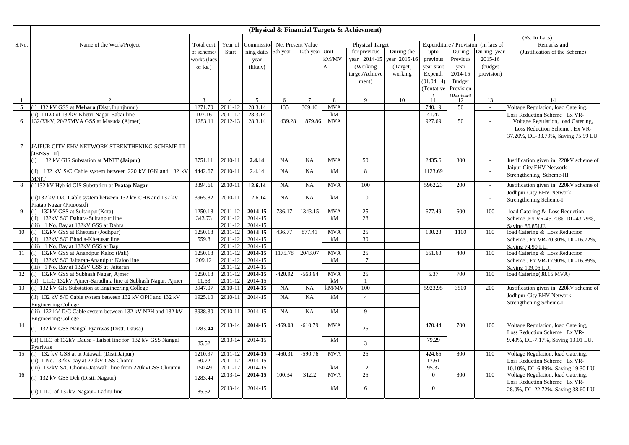|               |                                                              |             |                |                     |                   |                 |            | (Physical & Financial Targets & Achievment) |              |            |           |                                     |                                        |
|---------------|--------------------------------------------------------------|-------------|----------------|---------------------|-------------------|-----------------|------------|---------------------------------------------|--------------|------------|-----------|-------------------------------------|----------------------------------------|
|               |                                                              |             |                |                     |                   |                 |            |                                             |              |            |           |                                     | (Rs. In Lacs)                          |
| S.No.         | Name of the Work/Project                                     | Total cost  | Year of        | Commissio-          | Net Present Value |                 |            | <b>Physical Target</b>                      |              |            |           | Expenditure / Provision (in lacs of | Remarks and                            |
|               |                                                              | of scheme/  | Start          | ning date/ 5th year |                   | 10th year Unit  |            | for previous                                | During the   | upto       | During    | During year                         | (Justification of the Scheme)          |
|               |                                                              | works (lacs |                | year                |                   |                 | kM/MV      | year 2014-15                                | year 2015-16 | previous   | Previous  | 2015-16                             |                                        |
|               |                                                              | of $Rs.$ )  |                | (likely)            |                   |                 | A          | (Working)                                   | (Target)     | year start | year      | (budget                             |                                        |
|               |                                                              |             |                |                     |                   |                 |            | target/Achieve                              | working      | Expend.    | 2014-15   | provision)                          |                                        |
|               |                                                              |             |                |                     |                   |                 |            | ment)                                       |              | (01.04.14) | Budget    |                                     |                                        |
|               |                                                              |             |                |                     |                   |                 |            |                                             |              | (Tentative | Provision |                                     |                                        |
|               |                                                              |             |                |                     |                   |                 |            |                                             |              |            | Revised   |                                     |                                        |
|               |                                                              | 3           | $\overline{4}$ | $5\overline{)}$     | 6                 | $7\phantom{.0}$ | 8          | 9                                           | 10           | 11         | 12        | 13                                  | 14                                     |
| $\mathcal{F}$ | (i) 132 kV GSS at Mehara (Distt.Jhunihunu)                   | 1271.70     | 2011-12        | 28.3.14             | 135               | 369.46          | <b>MVA</b> |                                             |              | 740.19     | 50        | $\sim$                              | Voltage Regulation, load Catering,     |
|               | (ii) LILO of 132kV Khetri Nagar-Babai line                   | 107.16      | 2011-12        | 28.3.14             |                   |                 | kM         |                                             |              | 41.47      |           | $\sim$                              | Loss Reduction Scheme . Ex VR-         |
|               | 132/33kV, 20/25MVA GSS at Masuda (Ajmer)                     | 1283.11     | 2012-13        | 28.3.14             | 439.28            | 879.86          | <b>MVA</b> |                                             |              | 927.69     | 50        | $\mathbb{Z}^2$                      | Voltage Regulation, load Catering,     |
|               |                                                              |             |                |                     |                   |                 |            |                                             |              |            |           |                                     | Loss Reduction Scheme . Ex VR-         |
|               |                                                              |             |                |                     |                   |                 |            |                                             |              |            |           |                                     | 37.20%, DL-33.79%, Saving 75.99 LU.    |
|               | JAIPUR CITY EHV NETWORK STRENTHENING SCHEME-III              |             |                |                     |                   |                 |            |                                             |              |            |           |                                     |                                        |
|               | [JENSS-III]                                                  |             |                |                     |                   |                 |            |                                             |              |            |           |                                     |                                        |
|               | $(i)$ 132 kV GIS Substation at <b>MNIT</b> ( <b>Jaipur</b> ) | 3751.11     | 2010-11        | 2.4.14              | <b>NA</b>         | <b>NA</b>       | <b>MVA</b> | 50                                          |              | 2435.6     | 300       | $\mathbb{Z}^2$                      | Justification given in 220kV scheme of |
|               |                                                              |             |                |                     |                   |                 |            |                                             |              |            |           |                                     | Jaipur City EHV Network                |
|               | (ii) 132 kV S/C Cable system between 220 kV IGN and 132 kV   | 4442.67     | 2010-11        | 2.4.14              | <b>NA</b>         | <b>NA</b>       | kM         | 8                                           |              | 1123.69    |           | $\sim$                              | Strengthening Scheme-III               |
|               | <b>MNIT</b>                                                  |             |                |                     |                   |                 |            |                                             |              |            |           |                                     |                                        |
| 8             | (i)132 kV Hybrid GIS Substation at Pratap Nagar              | 3394.61     | 2010-11        | 12.6.14             | <b>NA</b>         | <b>NA</b>       | <b>MVA</b> | 100                                         |              | 5962.23    | 200       | $\sim$                              | Justification given in 220kV scheme of |
|               |                                                              |             |                |                     |                   |                 |            |                                             |              |            |           |                                     | Jodhpur City EHV Network               |
|               | (ii) 132 kV D/C Cable system between 132 kV CHB and 132 kV   | 3965.82     | 2010-11        | 12.6.14             | NA                | NA              | kM         | 10                                          |              |            |           | $\sim$                              | Strengthening Scheme-I                 |
|               | Pratap Nagar (Proposed)                                      |             |                |                     |                   |                 |            |                                             |              |            |           |                                     |                                        |
| $\mathbf Q$   | (i) 132kV GSS at Sultanpur(Kota)                             | 1250.18     | 2011-12        | 2014-15             | 736.17            | 1343.15         | <b>MVA</b> | 25                                          |              | 677.49     | 600       | 100                                 | load Catering & Loss Reduction         |
|               | (ii) 132kV S/C Dahara-Sultanpur line                         | 343.73      | 2011-12        | 2014-15             |                   |                 | kM         | 28                                          |              |            |           |                                     | Scheme .Ex VR-45.20%, DL-43.79%,       |
|               | (iii) 1 No. Bay at 132kV GSS at Dahra                        |             | 2011-12        | 2014-15             |                   |                 |            |                                             |              |            |           |                                     | Saving 86.85LU.                        |
|               | 10 (i) 132kV GSS at Khetusar (Jodhpur)                       | 1250.18     | 2011-12        | 2014-15             | 436.77            | 877.41          | <b>MVA</b> | 25                                          |              | 100.23     | 1100      | 100                                 | load Catering & Loss Reduction         |
|               | (ii) 132kV S/C Bhadla-Khetusar line                          | 559.8       | 2011-12        | 2014-15             |                   |                 | kM         | 30                                          |              |            |           |                                     | Scheme . Ex VR-20.30%, DL-16.72%,      |
|               | (iii) 1 No. Bay at 132kV GSS at Bap                          |             | 2011-12        | 2014-15             |                   |                 |            |                                             |              |            |           |                                     | Saving 74.90 LU.                       |
|               | 11 (i) 132kV GSS at Anandpur Kaloo (Pali)                    | 1250.18     | 2011-12        | 2014-15             | 1175.78           | 2043.07         | <b>MVA</b> | 25                                          |              | 651.63     | 400       | 100                                 | load Catering & Loss Reduction         |
|               | (ii) 132kV S/C Jaitaran-Anandpur Kaloo line                  | 209.12      | 2011-12        | 2014-15             |                   |                 | kM         | 17                                          |              |            |           |                                     | Scheme . Ex VR-17.90%, DL-16.89%,      |
|               | (iii) 1 No. Bay at 132kV GSS at Jaitaran                     |             | 2011-12        | 2014-15             |                   |                 |            |                                             |              |            |           |                                     | Saving 109.05 LU.                      |
| 12            | (i) 132kV GSS at Subhash Nagar, Ajmer                        | 1250.18     | 2011-12        | 2014-15             | $-420.92$         | $-563.64$       | <b>MVA</b> | 25                                          |              | 5.37       | 700       | 100                                 | load Catering(38.15 MVA)               |
|               | (ii) LILO 132kV Ajmer-Saradhna line at Subhash Nagar, Ajmer  | 11.53       | 2011-12        | 2014-15             |                   |                 | kM         | $\overline{1}$                              |              |            |           |                                     |                                        |
| 13            | (i) 132 kV GIS Substation at Engineering College             | 3947.07     | 2010-11        | 2014-15             | NA                | NA              | kM/MV      | 100                                         |              | 5923.95    | 3500      | 200                                 | Justification given in 220kV scheme of |
|               | (ii) 132 kV S/C Cable system between 132 kV OPH and 132 kV   | 1925.10     | 2010-11        | 2014-15             | NA                | <b>NA</b>       | kM         | $\overline{4}$                              |              |            |           |                                     | Jodhpur City EHV Network               |
|               | <b>Engineering College</b>                                   |             |                |                     |                   |                 |            |                                             |              |            |           |                                     | Strengthening Scheme-I                 |
|               | (iii) 132 kV D/C Cable system between 132 kV NPH and 132 kV  | 3938.30     | 2010-11        | 2014-15             | NA                | NA              | kM         | 9                                           |              |            |           |                                     |                                        |
|               | <b>Engineering College</b>                                   |             |                |                     |                   |                 |            |                                             |              |            |           |                                     |                                        |
| 14            |                                                              |             | 2013-14        | 2014-15             | $-469.08$         | $-610.79$       | <b>MVA</b> |                                             |              | 470.44     | 700       | 100                                 | Voltage Regulation, load Catering,     |
|               | (i) 132 kV GSS Nangal Pyariwas (Distt. Dausa)                | 1283.44     |                |                     |                   |                 |            | 25                                          |              |            |           |                                     | Loss Reduction Scheme . Ex VR-         |
|               | (ii) LILO of 132kV Dausa - Lalsot line for 132 kV GSS Nangal |             | 2013-14        | 2014-15             |                   |                 | kM         |                                             |              | 79.29      |           |                                     | 9.40%, DL-7.17%, Saving 13.01 LU.      |
|               | Pyariwas                                                     | 85.52       |                |                     |                   |                 |            | $\overline{3}$                              |              |            |           |                                     |                                        |
|               | 15 (i) 132 kV GSS at at Jatawali (Distt.Jaipur)              | 1210.97     | 2011-12        | 2014-15             | $-460.31$         | $-590.76$       | <b>MVA</b> | 25                                          |              | 424.65     | 800       | 100                                 | Voltage Regulation, load Catering,     |
|               | (ii) 1 No. 132kV bay at 220kV GSS Chomu                      | 60.72       | 2011-12        | 2014-15             |                   |                 |            |                                             |              | 17.61      |           |                                     | Loss Reduction Scheme . Ex VR-         |
|               | (iii) 132kV S/C Chomu-Jatawali line from 220kVGSS Choumu     | 150.49      | 2011-12        | 2014-15             |                   |                 | kM         | 12                                          |              | 95.37      |           |                                     | 10.10%, DL-6.89%, Saving 19.30 LU      |
| 16            |                                                              |             | 2013-14        | 2014-15             | 100.34            | 312.2           | <b>MVA</b> | 25                                          |              | $\theta$   | 800       | 100                                 | Voltage Regulation, load Catering,     |
|               | (i) 132 kV GSS Deh (Distt. Nagaur)                           | 1283.44     |                |                     |                   |                 |            |                                             |              |            |           |                                     | Loss Reduction Scheme . Ex VR-         |
|               |                                                              |             | 2013-14        | 2014-15             |                   |                 | kM         | 6                                           |              | $\theta$   |           |                                     |                                        |
|               | (ii) LILO of 132kV Nagaur- Ladnu line                        | 85.52       |                |                     |                   |                 |            |                                             |              |            |           |                                     | 28.0%, DL-22.72%, Saving 38.60 LU.     |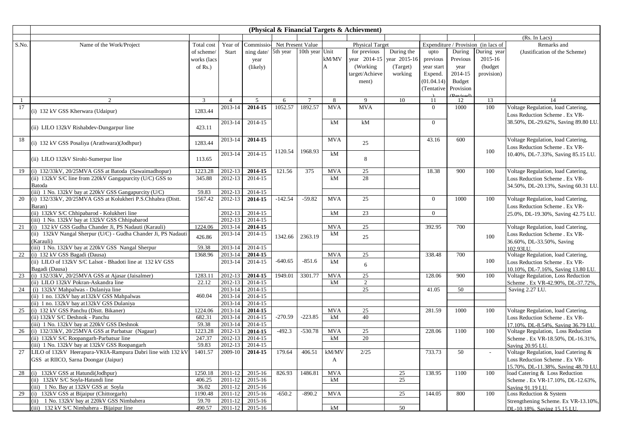|              |                                                                                                         |                 |                    |                              |                         |                |            | (Physical & Financial Targets & Achievment) |              |                |                |                                     |                                                                          |
|--------------|---------------------------------------------------------------------------------------------------------|-----------------|--------------------|------------------------------|-------------------------|----------------|------------|---------------------------------------------|--------------|----------------|----------------|-------------------------------------|--------------------------------------------------------------------------|
|              |                                                                                                         |                 |                    |                              |                         |                |            |                                             |              |                |                |                                     | (Rs. In Lacs)                                                            |
| S.No.        | Name of the Work/Project                                                                                | Total cost      | Year of            | Commissio- Net Present Value |                         |                |            | <b>Physical Target</b>                      |              |                |                | Expenditure / Provision (in lacs of | Remarks and                                                              |
|              |                                                                                                         | of scheme/      | <b>Start</b>       | ning date/                   | 5th year 10th year Unit |                |            | for previous                                | During the   | upto           | During         | During year                         | (Justification of the Scheme)                                            |
|              |                                                                                                         | works (lacs     |                    | year                         |                         |                | kM/MV      | year 2014-15                                | year 2015-16 | previous       | Previous       | 2015-16                             |                                                                          |
|              |                                                                                                         | of $Rs.$ )      |                    | (likely)                     |                         |                | A          | (Working)                                   | (Target)     | year start     | year           | (budget)                            |                                                                          |
|              |                                                                                                         |                 |                    |                              |                         |                |            | target/Achieve                              | working      | Expend.        | 2014-15        | provision)                          |                                                                          |
|              |                                                                                                         |                 |                    |                              |                         |                |            | ment)                                       |              | (01.04.14)     | Budget         |                                     |                                                                          |
|              |                                                                                                         |                 |                    |                              |                         |                |            |                                             |              | (Tentative     | Provision      |                                     |                                                                          |
| $\mathbf{1}$ | $\mathcal{D}_{\alpha}$                                                                                  | $\overline{3}$  | $\overline{4}$     | $\overline{5}$               | 6                       | $\overline{7}$ | 8          | 9                                           | 10           | 11             | (Revised<br>12 | 13                                  | 14                                                                       |
| 17           |                                                                                                         |                 | 2013-14            | 2014-15                      | 1052.57                 | 1892.57        | <b>MVA</b> | <b>MVA</b>                                  |              | $\overline{0}$ | 1000           | 100                                 | Voltage Regulation, load Catering,                                       |
|              | (i) 132 kV GSS Kherwara (Udaipur)                                                                       | 1283.44         |                    |                              |                         |                |            |                                             |              |                |                |                                     | Loss Reduction Scheme . Ex VR-                                           |
|              |                                                                                                         |                 | 2013-14            | 2014-15                      |                         |                | kM         | kM                                          |              | $\theta$       |                |                                     | 38.50%, DL-29.62%, Saving 89.80 LU.                                      |
|              | (ii) LILO 132kV Rishabdev-Dungarpur line                                                                | 423.11          |                    |                              |                         |                |            |                                             |              |                |                |                                     |                                                                          |
|              |                                                                                                         |                 |                    |                              |                         |                |            |                                             |              |                |                |                                     |                                                                          |
| 18           | (i) 132 kV GSS Posaliya (Arathwara)(Jodhpur)                                                            | 1283.44         | 2013-14            | 2014-15                      |                         |                | <b>MVA</b> | 25                                          |              | 43.16          | 600            |                                     | Voltage Regulation, load Catering,                                       |
|              |                                                                                                         |                 |                    |                              | 1120.54                 | 1968.93        |            |                                             |              |                |                | 100                                 | Loss Reduction Scheme . Ex VR-                                           |
|              | (ii) LILO 132kV Sirohi-Sumerpur line                                                                    | 113.65          | 2013-14            | 2014-15                      |                         |                | kM         | 8                                           |              |                |                |                                     | 10.40%, DL-7.33%, Saving 85.15 LU.                                       |
|              |                                                                                                         |                 |                    |                              |                         |                |            |                                             |              |                |                |                                     |                                                                          |
| 19           | (i) 132/33kV, 20/25MVA GSS at Batoda (Sawaimadhopur)                                                    | 1223.28         | 2012-13            | 2014-15                      | 121.56                  | 375            | <b>MVA</b> | 25                                          |              | 18.38          | 900            | 100                                 | Voltage Regulation, load Catering,                                       |
|              | (ii) 132kV S/C line from 220kV Gangapurcity (U/C) GSS to                                                | 345.88          | 2012-13            | 2014-15                      |                         |                | kM         | 28                                          |              |                |                |                                     | Loss Reduction Scheme . Ex VR-                                           |
|              | Batoda                                                                                                  |                 |                    |                              |                         |                |            |                                             |              |                |                |                                     | 34.50%, DL-20.13%, Saving 60.31 LU.                                      |
|              | (iii) 1 No. 132kV bay at 220kV GSS Gangapurcity (U/C)                                                   | 59.83           | 2012-13            | 2014-15                      |                         |                |            |                                             |              |                |                |                                     |                                                                          |
| 20           | (i) 132/33kV, 20/25MVA GSS at Kolukheri P.S.Chhabra (Distt.                                             | 1567.42         | 2012-13            | 2014-15                      | $-142.54$               | $-59.82$       | <b>MVA</b> | 25                                          |              | $\overline{0}$ | 1000           | 100                                 | Voltage Regulation, load Catering,                                       |
|              | Baran)                                                                                                  |                 |                    |                              |                         |                |            |                                             |              |                |                |                                     | Loss Reduction Scheme . Ex VR-                                           |
|              | (ii) 132kV S/C Chhipabarod - Kolukheri line                                                             |                 | 2012-13            | 2014-15                      |                         |                | kM         | 23                                          |              | $\theta$       |                |                                     | 25.0%, DL-19.30%, Saving 42.75 LU.                                       |
| 21           | (iii) 1 No. 132kV bay at 132kV GSS Chhipabarod<br>(i) 132 kV GSS Gudha Chander Ji, PS Nadauti (Karauli) | 1224.06         | 2012-13<br>2013-14 | 2014-15<br>2014-15           |                         |                | <b>MVA</b> | 25                                          |              | 392.95         | 700            |                                     | Voltage Regulation, load Catering,                                       |
|              | (ii) 132kV Nangal Sherpur (U/C) - Gudha Chander Ji, PS Nadauti                                          |                 | 2013-14            | 2014-15                      |                         |                | kM         |                                             |              |                |                |                                     |                                                                          |
|              | (Karauli)                                                                                               | 426.86          |                    |                              | 1342.66                 | 2363.19        |            | 25                                          |              |                |                | 100                                 | Loss Reduction Scheme . Ex VR-<br>36.60%, DL-33.50%, Saving              |
|              | (iii) 1 No. 132kV bay at 220kV GSS Nangal Sherpur                                                       | 59.38           | 2013-14            | 2014-15                      |                         |                |            |                                             |              |                |                |                                     | 102.93LU.                                                                |
| 22           | (i) 132 kV GSS Bagadi (Dausa)                                                                           | 1368.96         | 2013-14            | 2014-15                      |                         |                | <b>MVA</b> | 25                                          |              | 338.48         | 700            |                                     | Voltage Regulation, load Catering,                                       |
|              | (ii) LILO of 132kV S/C Lalsot - Bhadoti line at 132 kV GSS                                              |                 | 2013-14            | 2014-15                      | $-640.65$               | $-851.6$       | kM         |                                             |              |                |                | 100                                 | Loss Reduction Scheme . Ex VR-                                           |
|              | Bagadi (Dausa)                                                                                          |                 |                    |                              |                         |                |            | 6                                           |              |                |                |                                     | 10.10%, DL-7.16%, Saving 13.80 LU.                                       |
| 23           | (i) 132/33kV, 20/25MVA GSS at Ajasar (Jaisalmer)                                                        | 1283.11         | 2012-13            | 2014-15                      | 1949.01                 | 3301.77        | <b>MVA</b> | 25                                          |              | 128.06         | 900            | 100                                 | Voltage Regulation, Loss Reduction                                       |
|              | (ii) LILO 132kV Pokran-Askandra line                                                                    | 22.12           | 2012-13            | 2014-15                      |                         |                | kM         | $\overline{2}$                              |              |                |                |                                     | Scheme . Ex VR-42.90%, DL-37.72%                                         |
| 24           | (i) 132kV Mahpalwas - Dulaniya line                                                                     |                 | 2013-14            | 2014-15                      |                         |                |            | 25                                          |              | 41.05          | 50             |                                     | Saving 2.27 LU.                                                          |
|              | (ii) 1 no. 132kV bay at 132kV GSS Mahpalwas                                                             | 460.04          | 2013-14            | 2014-15                      |                         |                |            |                                             |              |                |                |                                     |                                                                          |
|              | (ii) 1 no. 132kV bay at 132kV GSS Dulaniya                                                              |                 | 2013-14            | 2014-15                      |                         |                |            |                                             |              |                |                |                                     |                                                                          |
| 25           | (i) 132 kV GSS Panchu (Distt. Bikaner)                                                                  | 1224.06         | 2013-14            | 2014-15                      | $-270.59$               | $-223.85$      | <b>MVA</b> | 25                                          |              | 281.59         | 1000           | 100                                 | Voltage Regulation, load Catering,                                       |
|              | (ii) 132kV S/C Deshnok - Panchu<br>(iii) 1 No. 132kV bay at 220kV GSS Deshnok                           | 682.31<br>59.38 | 2013-14<br>2013-14 | 2014-15<br>2014-15           |                         |                | kM         | 40                                          |              |                |                |                                     | Loss Reduction Scheme . Ex VR-                                           |
| 26           | (i) 132/33kV, 20/25MVA GSS at Parbatsar (Nagaur)                                                        | 1223.28         | 2012-13            | 2014-15                      | $-492.3$                | $-530.78$      | <b>MVA</b> | 25                                          |              | 228.06         | 1100           | 100                                 | 17.10%, DL-8.54%, Saving 36.79 LU.<br>Voltage Regulation, Loss Reduction |
|              | (ii) 132kV S/C Roopangarh-Parbatsar line                                                                | 247.37          | 2012-13            | 2014-15                      |                         |                | kM         | 20                                          |              |                |                |                                     | Scheme . Ex VR-18.50%, DL-16.31%,                                        |
|              | iii) 1 No. 132kV bay at 132kV GSS Roopangarh                                                            | 59.83           | 2012-13            | 2014-15                      |                         |                |            |                                             |              |                |                |                                     | Saving 20.95 LU                                                          |
| 27           | LILO of 132kV Heerapura-VKIA-Rampura Dabri line with 132 kV                                             | 1401.57         | 2009-10            | 2014-15                      | 179.64                  | 406.51         | kM/MV      | 2/25                                        |              | 733.73         | 50             | $\overline{a}$                      | Voltage Regulation, load Catering &                                      |
|              | GSS at RIICO, Sarna Doongar (Jaipur)                                                                    |                 |                    |                              |                         |                | A          |                                             |              |                |                |                                     | Loss Reduction Scheme . Ex VR-                                           |
|              |                                                                                                         |                 |                    |                              |                         |                |            |                                             |              |                |                |                                     | 15.70%, DL-11.38%, Saving 48.70 LU.                                      |
| 28           | (i) 132kV GSS at Hatundi(Jodhpur)                                                                       | 1250.18         | 2011-12            | 2015-16                      | 826.93                  | 1486.81        | <b>MVA</b> |                                             | 25           | 138.95         | 1100           | 100                                 | load Catering & Loss Reduction                                           |
|              | (ii) 132kV S/C Soyla-Hatundi line                                                                       | 406.25          | 2011-12            | 2015-16                      |                         |                | kM         |                                             | 25           |                |                |                                     | Scheme . Ex VR-17.10%, DL-12.63%,                                        |
|              | (iii) 1 No. Bay at 132kV GSS at Soyla                                                                   | 36.02           | 2011-12            | 2015-16                      |                         |                |            |                                             |              |                |                |                                     | Saving 91.19 LU.                                                         |
| 29           | (i) 132kV GSS at Bijaipur (Chittorgarh)                                                                 | 1190.48         | 2011-12            | 2015-16                      | $-650.2$                | $-890.2$       | <b>MVA</b> |                                             | 25           | 144.05         | 800            | 100                                 | Loss Reduction & System                                                  |
|              | (ii) 1 No. 132kV bay at 220kV GSS Nimbahera                                                             | 59.70           | 2011-12            | 2015-16                      |                         |                |            |                                             |              |                |                |                                     | Strengthening Scheme. Ex VR-13.10%,                                      |
|              | (iii) 132 kV S/C Nimbahera - Bijaipur line                                                              | 490.57          | 2011-12            | 2015-16                      |                         |                | kM         |                                             | 50           |                |                |                                     | DL-10.18%, Saving 15.15 LU.                                              |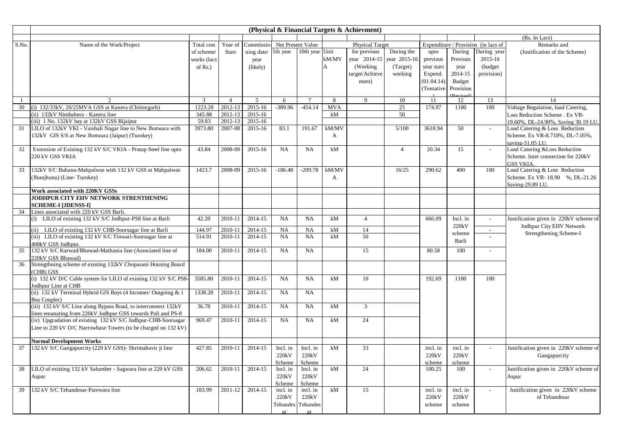|       |                                                                                      |                |                |                             |                    |                    |              | (Physical & Financial Targets & Achievment) |                |            |                    |                                     |                                        |
|-------|--------------------------------------------------------------------------------------|----------------|----------------|-----------------------------|--------------------|--------------------|--------------|---------------------------------------------|----------------|------------|--------------------|-------------------------------------|----------------------------------------|
|       |                                                                                      |                |                |                             |                    |                    |              |                                             |                |            |                    |                                     | (Rs. In Lacs)                          |
| S.No. | Name of the Work/Project                                                             | Total cost     | Year of        | Commissio-Net Present Value |                    |                    |              | <b>Physical Target</b>                      |                |            |                    | Expenditure / Provision (in lacs of | Remarks and                            |
|       |                                                                                      | of scheme/     | Start          | ning date/                  | 5th year           | 10th year Unit     |              | for previous                                | During the     | upto       | During             | During year                         | (Justification of the Scheme)          |
|       |                                                                                      | works (lacs    |                | year                        |                    |                    | kM/MV        | year 2014-15                                | year 2015-16   | previous   | Previous           | 2015-16                             |                                        |
|       |                                                                                      | of $Rs.$ )     |                | (likely)                    |                    |                    | A            | (Working)                                   | (Target)       | year start | year               | (budget                             |                                        |
|       |                                                                                      |                |                |                             |                    |                    |              | target/Achieve                              | working        | Expend.    | 2014-15            | provision)                          |                                        |
|       |                                                                                      |                |                |                             |                    |                    |              | ment)                                       |                | (01.04.14) | <b>Budget</b>      |                                     |                                        |
|       |                                                                                      |                |                |                             |                    |                    |              |                                             |                | (Tentative | Provision          |                                     |                                        |
| -1    | 2                                                                                    | $\overline{3}$ | $\overline{4}$ | 5                           | 6                  | $7\phantom{.0}$    | 8            | 9                                           | 10             | 11         | 12                 | 13                                  | 14                                     |
| 30    | (i) 132/33kV, 20/25MVA GSS at Kanera (Chittorgarh)                                   | 1223.28        | 2012-13        | 2015-16                     | $-389.96$          | $-454.14$          | <b>MVA</b>   |                                             | 25             | 174.97     | 1100               | 100                                 | Voltage Regulation, load Catering,     |
|       | (ii) 132kV Nimbahera - Kanera line                                                   | 345.88         | 2012-13        | 2015-16                     |                    |                    | kM           |                                             | 50             |            |                    |                                     | Loss Reduction Scheme . Ex VR-         |
|       | (iii) 1 No. 132kV bay at 132kV GSS Bijaipur                                          | 59.83          | 2012-13        | 2015-16                     |                    |                    |              |                                             |                |            |                    |                                     | 19.60%, DL-24.90%, Saving 30.19 LU.    |
| 31    | LILO of 132kV VKI - Vaishali Nagar line to New Jhotwara with                         | 3973.80        | 2007-08        | 2015-16                     | 83.1               | 191.67             | kM/MV        |                                             | 5/100          | 3618.94    | 50                 |                                     | Load Catering & Loss Reduction         |
|       | 132kV GIS S/S at New Jhotwara (Jaipur) (Turnkey)                                     |                |                |                             |                    |                    | A            |                                             |                |            |                    |                                     | Scheme. Ex VR-8.710%, DL-7.05%,        |
|       |                                                                                      |                |                |                             |                    |                    |              |                                             |                |            |                    |                                     | saving-31.05 LU.                       |
| 32    | Extension of Existing 132 kV S/C VKIA - Pratap Steel line upto                       | 43.84          | 2008-09        | 2015-16                     | <b>NA</b>          | <b>NA</b>          | kM           |                                             | $\overline{4}$ | 20.34      | 15                 |                                     | Load Catering & Loss Reduction         |
|       | 220 kV GSS VKIA                                                                      |                |                |                             |                    |                    |              |                                             |                |            |                    |                                     | Scheme. Inter connection for 220kV     |
|       |                                                                                      |                |                |                             |                    |                    |              |                                             |                |            |                    |                                     | <b>GSS VKIA.</b>                       |
| 33    | 132kV S/C Buhana-Mahpalwas with 132 kV GSS at Mahpalwas                              | 1423.7         | 2008-09        | 2015-16                     | $-186.48$          | $-209.78$          | kM/MV        |                                             | 16/25          | 290.62     | 400                | 100                                 | Load Catering & Loss Reduction         |
|       | (Jhunjhunu) (Line-Turnkey)                                                           |                |                |                             |                    |                    | $\mathbf{A}$ |                                             |                |            |                    |                                     | Scheme. Ex VR-18.90 %, DL-21.26        |
|       |                                                                                      |                |                |                             |                    |                    |              |                                             |                |            |                    |                                     | Saving-29.89 LU                        |
|       | Work associated with 220KV GSSs                                                      |                |                |                             |                    |                    |              |                                             |                |            |                    |                                     |                                        |
|       | JODHPUR CITY EHV NETWORK STRENTHENING                                                |                |                |                             |                    |                    |              |                                             |                |            |                    |                                     |                                        |
|       | <b>SCHEME-I [JDENSS-I]</b>                                                           |                |                |                             |                    |                    |              |                                             |                |            |                    |                                     |                                        |
| 34    | Lines associated with 220 kV GSS Barli.                                              |                |                |                             |                    |                    |              |                                             |                |            |                    |                                     |                                        |
|       | (i) LILO of existing 132 kV S/C Jodhpur-PS8 line at Barli                            | 42.20          | 2010-11        | 2014-15                     | <b>NA</b>          | <b>NA</b>          | kM           | $\overline{4}$                              |                | 666.09     | Incl. in<br>220kV  | $\overline{a}$                      | Justification given in 220kV scheme of |
|       | (ii) LILO of existing 132 kV CHB-Soorsagar line at Barli                             | 144.97         | 2010-11        | 2014-15                     | <b>NA</b>          | <b>NA</b>          | kM           | 14                                          |                |            |                    | $\overline{\phantom{a}}$            | Jodhpur City EHV Network               |
|       | (iii) LILO of existing 132 kV S/C Tinwari-Soorsagar line at                          | 514.91         | 2010-11        | 2014-15                     | <b>NA</b>          | NA.                | kM           | 50                                          |                |            | scheme             |                                     | Strengthening Scheme-I                 |
|       | 400kV GSS Jodhnur.                                                                   |                |                |                             |                    |                    |              |                                             |                |            | Barli              |                                     |                                        |
| 35    | 132 kV S/C Karwad/Bhawad-Mathania line (Associated line of                           | 184.00         | 2010-11        | 2014-15                     | <b>NA</b>          | NA                 |              | 15                                          |                | 80.58      | 100                |                                     |                                        |
|       | 220kV GSS Bhawad)                                                                    |                |                |                             |                    |                    |              |                                             |                |            |                    |                                     |                                        |
| 36    | Strengthning scheme of existing 132kV Chopasani Housing Board                        |                |                |                             |                    |                    |              |                                             |                |            |                    |                                     |                                        |
|       | (CHB) GSS                                                                            |                |                |                             |                    |                    |              |                                             |                |            |                    |                                     |                                        |
|       | (i) 132 kV D/C Cable system for LILO of existing 132 kV S/C PS8-                     | 3585.80        | 2010-11        | 2014-15                     | <b>NA</b>          | <b>NA</b>          | kM           | 10                                          |                | 192.69     | 1100               | 100                                 |                                        |
|       | Jodhpur Line at CHB<br>(ii) 132 kV Terminal Hybrid GIS Bays (4 Incomer/ Outgoing & 1 | 1338.28        | 2010-11        | 2014-15                     | <b>NA</b>          | NA                 |              |                                             |                |            |                    |                                     |                                        |
|       | Bus Coupler)                                                                         |                |                |                             |                    |                    |              |                                             |                |            |                    |                                     |                                        |
|       | (iii) 132 kV S/C Line along Bypass Road, to interconnect 132kV                       | 36.78          | 2010-11        | 2014-15                     | <b>NA</b>          | NA.                | kM           | 3                                           |                |            |                    |                                     |                                        |
|       | lines emanating from 220kV Jodhpur GSS towards Pali and PS-8                         |                |                |                             |                    |                    |              |                                             |                |            |                    |                                     |                                        |
|       | (iv) Upgradation of existing 132 kV S/C Jodhpur-CHB-Soorsagar                        | 969.47         | 2010-11        | 2014-15                     | <b>NA</b>          | <b>NA</b>          | kM           | 24                                          |                |            |                    |                                     |                                        |
|       | Line to 220 kV D/C Narrowbase Towers (to be charged on 132 kV)                       |                |                |                             |                    |                    |              |                                             |                |            |                    |                                     |                                        |
|       |                                                                                      |                |                |                             |                    |                    |              |                                             |                |            |                    |                                     |                                        |
|       | <b>Normal Development Works</b>                                                      |                |                |                             |                    |                    |              |                                             |                |            |                    |                                     |                                        |
| 37    | 132 kV S/C Gangapurcity (220 kV GSS)- Shrimahavir ji line                            | 427.85         | 2010-11        | 2014-15                     | Incl. in           | Incl. in           | kM           | 33                                          |                | incl. in   | incl. in           |                                     | Justification given in 220kV scheme of |
|       |                                                                                      |                |                |                             | 220kV              | 220kV              |              |                                             |                | 220kV      | 220kV              |                                     | Gangapurcity                           |
|       |                                                                                      |                |                |                             | Scheme             | Scheme             |              |                                             |                | scheme     | scheme             |                                     |                                        |
| 38    | LILO of existing 132 kV Salumber - Sagwara line at 220 kV GSS                        | 206.62         | 2010-11        | 2014-15                     | Incl. in           | Incl. in           | kM           | 24                                          |                | 100.25     | 100                |                                     | Justification given in 220kV scheme of |
|       | Aspur                                                                                |                |                |                             | 220kV              | 220kV              |              |                                             |                |            |                    |                                     | Aspur                                  |
| 39    | 132 kV S/C Tehandesar-Parewara line                                                  | 183.99         | 2011-12        | 2014-15                     | Scheme<br>incl. in | Scheme<br>incl. in | kM           | 15                                          |                | incl. in   | incl. in           |                                     | Justification given in 220kV scheme    |
|       |                                                                                      |                |                |                             | 220kV              | 220kV              |              |                                             |                | 220kV      | 220 <sub>k</sub> V |                                     | of Tehandesar                          |
|       |                                                                                      |                |                |                             | Tehandes Tehandes  |                    |              |                                             |                | scheme     | scheme             |                                     |                                        |
|       |                                                                                      |                |                |                             | ar                 | -ar                |              |                                             |                |            |                    |                                     |                                        |
|       |                                                                                      |                |                |                             |                    |                    |              |                                             |                |            |                    |                                     |                                        |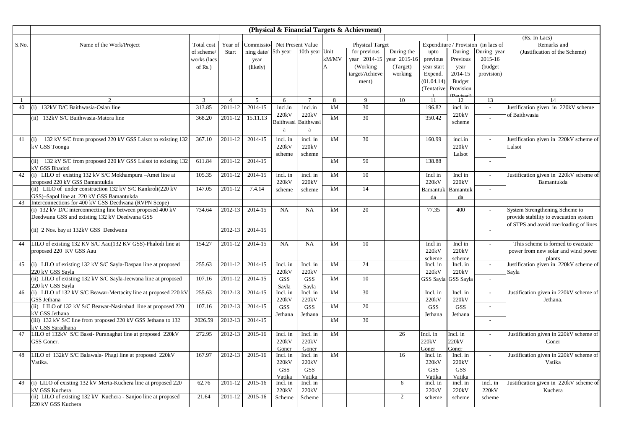| (Rs. In Lacs)<br>Commissio-Net Present Value<br><b>Physical Target</b><br>Expenditure / Provision (in lacs of<br>S.No.<br>Name of the Work/Project<br>Year of<br>Remarks and<br>Total cost<br>10th year Unit<br>During the<br>5th year<br>for previous<br>During<br>During year<br>of scheme/<br><b>Start</b><br>ning date/<br>upto<br>(Justification of the Scheme)<br>kM/MV<br>year 2014-15<br>year 2015-16<br>2015-16<br>works (lacs<br>previous<br>Previous<br>year<br>(Working)<br>(Target)<br>(budget)<br>of $Rs.$ )<br>(likely)<br>A<br>year start<br>year<br>target/Achieve<br>2014-15<br>provision)<br>working<br>Expend.<br>(01.04.14)<br>Budget<br>ment)<br>(Tentative<br>Provision<br>$(D_1, D_2, D_3)$<br>$\overline{3}$<br>5<br>8<br>9<br>10<br>13<br>$\mathfrak{D}$<br>$7\phantom{.0}$<br>11<br>12<br>14<br>$\overline{4}$<br>6<br>30<br>40<br>(i) 132kV D/C Baithwasia-Osian line<br>313.85<br>2014-15<br>incl.in<br>kM<br>196.82<br>Justification given in 220kV scheme<br>2011-12<br>incl.in<br>incl. in<br>$\sim$<br>220kV<br>220kV<br>220kV<br>of Baithwasia<br>30<br>350.42<br>(ii) 132kV S/C Baithwasia-Matora line<br>368.20<br>2011-12<br>15.11.13<br>kM<br>Baithwasi<br>Baithwasi<br>scheme<br>a<br>a<br>41<br>132 kV S/C from proposed 220 kV GSS Lalsot to existing 132<br>2011-12<br>2014-15<br>incl. in<br>incl. in<br>kM<br>30<br>160.99<br>incl.in<br>Justification given in 220kV scheme of<br>367.10<br>(i)<br>$\overline{a}$<br>220kV<br>220kV<br>220kV<br>kV GSS Toonga<br>Lalsot<br>scheme<br>Lalsot<br>scheme<br>(ii) 132 kV S/C from proposed 220 kV GSS Lalsot to existing 132<br>611.84<br>2011-12<br>2014-15<br>50<br>138.88<br>kM<br>$\overline{\phantom{a}}$<br><b>CV GSS Bhadoti</b><br>(i) LILO of existing 132 kV S/C Mokhampura -Amet line at<br>42<br>105.35<br>2011-12<br>2014-15<br>kM<br>10<br>Incl in<br>Justification given in 220kV scheme of<br>incl. in<br>incl. in<br>Incl in<br>proposed 220 kV GSS Bamantukda<br>220kV<br>220kV<br>220kV<br>220kV<br>Bamantukda<br>(ii) LILO of under construction 132 kV S/C Kankroli(220 kV<br>7.4.14<br>147.05<br>2011-12<br>kM<br>14<br>Bamantuk<br>Bamantuk<br>scheme<br>scheme<br>GSS)-Sapol line at 220 kV GSS Bamantukda<br>da<br>da<br>Interconnections for 400 kV GSS Deedwana (RVPN Scope)<br>43<br>(i) 132 kV D/C interconnecting line between proposed 400 kV<br>20<br>77.35<br>System Strengthening Scheme to<br>2012-13<br>2014-15<br><b>NA</b><br>NA<br>kM<br>400<br>734.64<br>Deedwana GSS and existing 132 kV Deedwana GSS<br>provide stability to evacuation system<br>of STPS and avoid overloading of lines<br>(ii) 2 Nos. bay at 132kV GSS Deedwana<br>2012-13<br>2014-15<br>$\overline{\phantom{a}}$<br>LILO of existing 132 KV S/C Aau(132 KV GSS)-Phalodi line at<br>154.27<br>2011-12<br>2014-15<br><b>NA</b><br><b>NA</b><br>Incl in<br>This scheme is formed to evacuate<br>44<br>kM<br>10<br>Incl in<br>$\overline{a}$<br>proposed 220 KV GSS Aau<br>220kV<br>220kV<br>power from new solar and wind power<br>scheme<br>scheme<br>plants<br>(i) LILO of existing 132 kV S/C Sayla-Daspan line at proposed<br>2014-15<br>24<br>Justification given in 220kV scheme of<br>255.63<br>2011-12<br>Incl. in<br>Incl. in<br>kM<br>Incl. in<br>Incl. in<br>45<br>220 kV GSS Sayla<br>220kV<br>220kV<br>220kV<br>220kV<br>Sayla<br>(ii) LILO of existing 132 kV S/C Sayla-Jeewana line at proposed<br>2014-15<br>107.16<br>2011-12<br>kM<br>10<br><b>GSS</b><br><b>GSS</b><br>GSS Sayla<br>GSS Sayla<br>$\sim$<br>220 kV GSS Savla<br>Savla<br>Savla<br>(i) LILO of 132 kV S/C Beawar-Mertacity line at proposed 220 kV<br>255.63<br>2012-13<br>2014-15<br>kM<br>30<br>Justification given in 220kV scheme of<br>Incl. in<br>Incl. in<br>Incl. in<br>Incl. in<br>46<br>$\overline{\phantom{a}}$<br>220kV<br>220kV<br>220kV<br>GSS Jethana<br>220kV<br>Jethana.<br>(ii) LILO of 132 kV S/C Beawar-Nasirabad line at proposed 220<br>20<br>2012-13<br>2014-15<br>kM<br>107.16<br><b>GSS</b><br><b>GSS</b><br><b>GSS</b><br><b>GSS</b><br>$\overline{a}$<br>kV GSS Jethana<br>Jethana<br>Jethana<br>Jethana<br>Jethana<br>(iii) 132 kV S/C line from proposed 220 kV GSS Jethana to 132<br>2012-13<br>2014-15<br>30<br>2026.59<br>kM<br>$\overline{a}$<br><b>KV GSS Saradhana</b><br>LILO of 132kV S/C Bassi-Puranaghat line at proposed 220kV<br>2015-16<br>26<br>Justification given in 220kV scheme of<br>47<br>272.95<br>2012-13<br>Incl. in<br>Incl. in<br>kM<br>Incl. in<br>Incl. in<br>220kV<br>220kV<br>220kV<br>220kV<br>GSS Goner.<br>Goner<br>Goner<br>Goner<br>Goner<br>Goner<br>LILO of 132kV S/C Balawala- Phagi line at proposed 220kV<br>2012-13<br>2015-16<br>kM<br>Justification given in 220kV scheme of<br>48<br>167.97<br>16<br>Incl. in<br>Incl. in<br>Incl. in<br>Incl. in<br>$\sim$<br>220kV<br>Vatika.<br>220kV<br>220kV<br>220kV<br>Vatika<br><b>GSS</b><br><b>GSS</b><br><b>GSS</b><br><b>GSS</b><br>Vatika<br>Vatika<br>Vatika<br>Vatika<br>(i) LILO of existing 132 kV Merta-Kuchera line at proposed 220<br>2011-12<br>2015-16<br>6<br>Justification given in 220kV scheme of<br>49<br>62.76<br>Incl. in<br>incl. in<br>Incl. in<br>incl. in<br>incl. in<br>kV GSS Kuchera<br>220kV<br>220kV<br>220kV<br>220kV<br>220kV<br>Kuchera<br>(ii) LILO of existing 132 kV Kuchera - Sanjoo line at proposed<br>2011-12<br>2015-16<br>2<br>21.64<br>Scheme<br>Scheme<br>scheme<br>scheme<br>scheme |                    |  |  |  | (Physical & Financial Targets & Achievment) |  |  |  |
|--------------------------------------------------------------------------------------------------------------------------------------------------------------------------------------------------------------------------------------------------------------------------------------------------------------------------------------------------------------------------------------------------------------------------------------------------------------------------------------------------------------------------------------------------------------------------------------------------------------------------------------------------------------------------------------------------------------------------------------------------------------------------------------------------------------------------------------------------------------------------------------------------------------------------------------------------------------------------------------------------------------------------------------------------------------------------------------------------------------------------------------------------------------------------------------------------------------------------------------------------------------------------------------------------------------------------------------------------------------------------------------------------------------------------------------------------------------------------------------------------------------------------------------------------------------------------------------------------------------------------------------------------------------------------------------------------------------------------------------------------------------------------------------------------------------------------------------------------------------------------------------------------------------------------------------------------------------------------------------------------------------------------------------------------------------------------------------------------------------------------------------------------------------------------------------------------------------------------------------------------------------------------------------------------------------------------------------------------------------------------------------------------------------------------------------------------------------------------------------------------------------------------------------------------------------------------------------------------------------------------------------------------------------------------------------------------------------------------------------------------------------------------------------------------------------------------------------------------------------------------------------------------------------------------------------------------------------------------------------------------------------------------------------------------------------------------------------------------------------------------------------------------------------------------------------------------------------------------------------------------------------------------------------------------------------------------------------------------------------------------------------------------------------------------------------------------------------------------------------------------------------------------------------------------------------------------------------------------------------------------------------------------------------------------------------------------------------------------------------------------------------------------------------------------------------------------------------------------------------------------------------------------------------------------------------------------------------------------------------------------------------------------------------------------------------------------------------------------------------------------------------------------------------------------------------------------------------------------------------------------------------------------------------------------------------------------------------------------------------------------------------------------------------------------------------------------------------------------------------------------------------------------------------------------------------------------------------------------------------------------------------------------------------------------------------------------------------------------------------------------------------------------------------------------------------------------------------------------------------------------------------------------------------------------------------------------------------------------------------------------------------------------------------------------------------------------------------------------------------------------------------------------------------------------------------------------------------------------------------------------------------------------------------------------------------------------------------------------------------------------------------------------------------------------------------|--------------------|--|--|--|---------------------------------------------|--|--|--|
|                                                                                                                                                                                                                                                                                                                                                                                                                                                                                                                                                                                                                                                                                                                                                                                                                                                                                                                                                                                                                                                                                                                                                                                                                                                                                                                                                                                                                                                                                                                                                                                                                                                                                                                                                                                                                                                                                                                                                                                                                                                                                                                                                                                                                                                                                                                                                                                                                                                                                                                                                                                                                                                                                                                                                                                                                                                                                                                                                                                                                                                                                                                                                                                                                                                                                                                                                                                                                                                                                                                                                                                                                                                                                                                                                                                                                                                                                                                                                                                                                                                                                                                                                                                                                                                                                                                                                                                                                                                                                                                                                                                                                                                                                                                                                                                                                                                                                                                                                                                                                                                                                                                                                                                                                                                                                                                                                                                                                                      |                    |  |  |  |                                             |  |  |  |
|                                                                                                                                                                                                                                                                                                                                                                                                                                                                                                                                                                                                                                                                                                                                                                                                                                                                                                                                                                                                                                                                                                                                                                                                                                                                                                                                                                                                                                                                                                                                                                                                                                                                                                                                                                                                                                                                                                                                                                                                                                                                                                                                                                                                                                                                                                                                                                                                                                                                                                                                                                                                                                                                                                                                                                                                                                                                                                                                                                                                                                                                                                                                                                                                                                                                                                                                                                                                                                                                                                                                                                                                                                                                                                                                                                                                                                                                                                                                                                                                                                                                                                                                                                                                                                                                                                                                                                                                                                                                                                                                                                                                                                                                                                                                                                                                                                                                                                                                                                                                                                                                                                                                                                                                                                                                                                                                                                                                                                      |                    |  |  |  |                                             |  |  |  |
|                                                                                                                                                                                                                                                                                                                                                                                                                                                                                                                                                                                                                                                                                                                                                                                                                                                                                                                                                                                                                                                                                                                                                                                                                                                                                                                                                                                                                                                                                                                                                                                                                                                                                                                                                                                                                                                                                                                                                                                                                                                                                                                                                                                                                                                                                                                                                                                                                                                                                                                                                                                                                                                                                                                                                                                                                                                                                                                                                                                                                                                                                                                                                                                                                                                                                                                                                                                                                                                                                                                                                                                                                                                                                                                                                                                                                                                                                                                                                                                                                                                                                                                                                                                                                                                                                                                                                                                                                                                                                                                                                                                                                                                                                                                                                                                                                                                                                                                                                                                                                                                                                                                                                                                                                                                                                                                                                                                                                                      |                    |  |  |  |                                             |  |  |  |
|                                                                                                                                                                                                                                                                                                                                                                                                                                                                                                                                                                                                                                                                                                                                                                                                                                                                                                                                                                                                                                                                                                                                                                                                                                                                                                                                                                                                                                                                                                                                                                                                                                                                                                                                                                                                                                                                                                                                                                                                                                                                                                                                                                                                                                                                                                                                                                                                                                                                                                                                                                                                                                                                                                                                                                                                                                                                                                                                                                                                                                                                                                                                                                                                                                                                                                                                                                                                                                                                                                                                                                                                                                                                                                                                                                                                                                                                                                                                                                                                                                                                                                                                                                                                                                                                                                                                                                                                                                                                                                                                                                                                                                                                                                                                                                                                                                                                                                                                                                                                                                                                                                                                                                                                                                                                                                                                                                                                                                      |                    |  |  |  |                                             |  |  |  |
|                                                                                                                                                                                                                                                                                                                                                                                                                                                                                                                                                                                                                                                                                                                                                                                                                                                                                                                                                                                                                                                                                                                                                                                                                                                                                                                                                                                                                                                                                                                                                                                                                                                                                                                                                                                                                                                                                                                                                                                                                                                                                                                                                                                                                                                                                                                                                                                                                                                                                                                                                                                                                                                                                                                                                                                                                                                                                                                                                                                                                                                                                                                                                                                                                                                                                                                                                                                                                                                                                                                                                                                                                                                                                                                                                                                                                                                                                                                                                                                                                                                                                                                                                                                                                                                                                                                                                                                                                                                                                                                                                                                                                                                                                                                                                                                                                                                                                                                                                                                                                                                                                                                                                                                                                                                                                                                                                                                                                                      |                    |  |  |  |                                             |  |  |  |
|                                                                                                                                                                                                                                                                                                                                                                                                                                                                                                                                                                                                                                                                                                                                                                                                                                                                                                                                                                                                                                                                                                                                                                                                                                                                                                                                                                                                                                                                                                                                                                                                                                                                                                                                                                                                                                                                                                                                                                                                                                                                                                                                                                                                                                                                                                                                                                                                                                                                                                                                                                                                                                                                                                                                                                                                                                                                                                                                                                                                                                                                                                                                                                                                                                                                                                                                                                                                                                                                                                                                                                                                                                                                                                                                                                                                                                                                                                                                                                                                                                                                                                                                                                                                                                                                                                                                                                                                                                                                                                                                                                                                                                                                                                                                                                                                                                                                                                                                                                                                                                                                                                                                                                                                                                                                                                                                                                                                                                      |                    |  |  |  |                                             |  |  |  |
|                                                                                                                                                                                                                                                                                                                                                                                                                                                                                                                                                                                                                                                                                                                                                                                                                                                                                                                                                                                                                                                                                                                                                                                                                                                                                                                                                                                                                                                                                                                                                                                                                                                                                                                                                                                                                                                                                                                                                                                                                                                                                                                                                                                                                                                                                                                                                                                                                                                                                                                                                                                                                                                                                                                                                                                                                                                                                                                                                                                                                                                                                                                                                                                                                                                                                                                                                                                                                                                                                                                                                                                                                                                                                                                                                                                                                                                                                                                                                                                                                                                                                                                                                                                                                                                                                                                                                                                                                                                                                                                                                                                                                                                                                                                                                                                                                                                                                                                                                                                                                                                                                                                                                                                                                                                                                                                                                                                                                                      |                    |  |  |  |                                             |  |  |  |
|                                                                                                                                                                                                                                                                                                                                                                                                                                                                                                                                                                                                                                                                                                                                                                                                                                                                                                                                                                                                                                                                                                                                                                                                                                                                                                                                                                                                                                                                                                                                                                                                                                                                                                                                                                                                                                                                                                                                                                                                                                                                                                                                                                                                                                                                                                                                                                                                                                                                                                                                                                                                                                                                                                                                                                                                                                                                                                                                                                                                                                                                                                                                                                                                                                                                                                                                                                                                                                                                                                                                                                                                                                                                                                                                                                                                                                                                                                                                                                                                                                                                                                                                                                                                                                                                                                                                                                                                                                                                                                                                                                                                                                                                                                                                                                                                                                                                                                                                                                                                                                                                                                                                                                                                                                                                                                                                                                                                                                      |                    |  |  |  |                                             |  |  |  |
|                                                                                                                                                                                                                                                                                                                                                                                                                                                                                                                                                                                                                                                                                                                                                                                                                                                                                                                                                                                                                                                                                                                                                                                                                                                                                                                                                                                                                                                                                                                                                                                                                                                                                                                                                                                                                                                                                                                                                                                                                                                                                                                                                                                                                                                                                                                                                                                                                                                                                                                                                                                                                                                                                                                                                                                                                                                                                                                                                                                                                                                                                                                                                                                                                                                                                                                                                                                                                                                                                                                                                                                                                                                                                                                                                                                                                                                                                                                                                                                                                                                                                                                                                                                                                                                                                                                                                                                                                                                                                                                                                                                                                                                                                                                                                                                                                                                                                                                                                                                                                                                                                                                                                                                                                                                                                                                                                                                                                                      |                    |  |  |  |                                             |  |  |  |
|                                                                                                                                                                                                                                                                                                                                                                                                                                                                                                                                                                                                                                                                                                                                                                                                                                                                                                                                                                                                                                                                                                                                                                                                                                                                                                                                                                                                                                                                                                                                                                                                                                                                                                                                                                                                                                                                                                                                                                                                                                                                                                                                                                                                                                                                                                                                                                                                                                                                                                                                                                                                                                                                                                                                                                                                                                                                                                                                                                                                                                                                                                                                                                                                                                                                                                                                                                                                                                                                                                                                                                                                                                                                                                                                                                                                                                                                                                                                                                                                                                                                                                                                                                                                                                                                                                                                                                                                                                                                                                                                                                                                                                                                                                                                                                                                                                                                                                                                                                                                                                                                                                                                                                                                                                                                                                                                                                                                                                      |                    |  |  |  |                                             |  |  |  |
|                                                                                                                                                                                                                                                                                                                                                                                                                                                                                                                                                                                                                                                                                                                                                                                                                                                                                                                                                                                                                                                                                                                                                                                                                                                                                                                                                                                                                                                                                                                                                                                                                                                                                                                                                                                                                                                                                                                                                                                                                                                                                                                                                                                                                                                                                                                                                                                                                                                                                                                                                                                                                                                                                                                                                                                                                                                                                                                                                                                                                                                                                                                                                                                                                                                                                                                                                                                                                                                                                                                                                                                                                                                                                                                                                                                                                                                                                                                                                                                                                                                                                                                                                                                                                                                                                                                                                                                                                                                                                                                                                                                                                                                                                                                                                                                                                                                                                                                                                                                                                                                                                                                                                                                                                                                                                                                                                                                                                                      |                    |  |  |  |                                             |  |  |  |
|                                                                                                                                                                                                                                                                                                                                                                                                                                                                                                                                                                                                                                                                                                                                                                                                                                                                                                                                                                                                                                                                                                                                                                                                                                                                                                                                                                                                                                                                                                                                                                                                                                                                                                                                                                                                                                                                                                                                                                                                                                                                                                                                                                                                                                                                                                                                                                                                                                                                                                                                                                                                                                                                                                                                                                                                                                                                                                                                                                                                                                                                                                                                                                                                                                                                                                                                                                                                                                                                                                                                                                                                                                                                                                                                                                                                                                                                                                                                                                                                                                                                                                                                                                                                                                                                                                                                                                                                                                                                                                                                                                                                                                                                                                                                                                                                                                                                                                                                                                                                                                                                                                                                                                                                                                                                                                                                                                                                                                      |                    |  |  |  |                                             |  |  |  |
|                                                                                                                                                                                                                                                                                                                                                                                                                                                                                                                                                                                                                                                                                                                                                                                                                                                                                                                                                                                                                                                                                                                                                                                                                                                                                                                                                                                                                                                                                                                                                                                                                                                                                                                                                                                                                                                                                                                                                                                                                                                                                                                                                                                                                                                                                                                                                                                                                                                                                                                                                                                                                                                                                                                                                                                                                                                                                                                                                                                                                                                                                                                                                                                                                                                                                                                                                                                                                                                                                                                                                                                                                                                                                                                                                                                                                                                                                                                                                                                                                                                                                                                                                                                                                                                                                                                                                                                                                                                                                                                                                                                                                                                                                                                                                                                                                                                                                                                                                                                                                                                                                                                                                                                                                                                                                                                                                                                                                                      |                    |  |  |  |                                             |  |  |  |
|                                                                                                                                                                                                                                                                                                                                                                                                                                                                                                                                                                                                                                                                                                                                                                                                                                                                                                                                                                                                                                                                                                                                                                                                                                                                                                                                                                                                                                                                                                                                                                                                                                                                                                                                                                                                                                                                                                                                                                                                                                                                                                                                                                                                                                                                                                                                                                                                                                                                                                                                                                                                                                                                                                                                                                                                                                                                                                                                                                                                                                                                                                                                                                                                                                                                                                                                                                                                                                                                                                                                                                                                                                                                                                                                                                                                                                                                                                                                                                                                                                                                                                                                                                                                                                                                                                                                                                                                                                                                                                                                                                                                                                                                                                                                                                                                                                                                                                                                                                                                                                                                                                                                                                                                                                                                                                                                                                                                                                      |                    |  |  |  |                                             |  |  |  |
|                                                                                                                                                                                                                                                                                                                                                                                                                                                                                                                                                                                                                                                                                                                                                                                                                                                                                                                                                                                                                                                                                                                                                                                                                                                                                                                                                                                                                                                                                                                                                                                                                                                                                                                                                                                                                                                                                                                                                                                                                                                                                                                                                                                                                                                                                                                                                                                                                                                                                                                                                                                                                                                                                                                                                                                                                                                                                                                                                                                                                                                                                                                                                                                                                                                                                                                                                                                                                                                                                                                                                                                                                                                                                                                                                                                                                                                                                                                                                                                                                                                                                                                                                                                                                                                                                                                                                                                                                                                                                                                                                                                                                                                                                                                                                                                                                                                                                                                                                                                                                                                                                                                                                                                                                                                                                                                                                                                                                                      |                    |  |  |  |                                             |  |  |  |
|                                                                                                                                                                                                                                                                                                                                                                                                                                                                                                                                                                                                                                                                                                                                                                                                                                                                                                                                                                                                                                                                                                                                                                                                                                                                                                                                                                                                                                                                                                                                                                                                                                                                                                                                                                                                                                                                                                                                                                                                                                                                                                                                                                                                                                                                                                                                                                                                                                                                                                                                                                                                                                                                                                                                                                                                                                                                                                                                                                                                                                                                                                                                                                                                                                                                                                                                                                                                                                                                                                                                                                                                                                                                                                                                                                                                                                                                                                                                                                                                                                                                                                                                                                                                                                                                                                                                                                                                                                                                                                                                                                                                                                                                                                                                                                                                                                                                                                                                                                                                                                                                                                                                                                                                                                                                                                                                                                                                                                      |                    |  |  |  |                                             |  |  |  |
|                                                                                                                                                                                                                                                                                                                                                                                                                                                                                                                                                                                                                                                                                                                                                                                                                                                                                                                                                                                                                                                                                                                                                                                                                                                                                                                                                                                                                                                                                                                                                                                                                                                                                                                                                                                                                                                                                                                                                                                                                                                                                                                                                                                                                                                                                                                                                                                                                                                                                                                                                                                                                                                                                                                                                                                                                                                                                                                                                                                                                                                                                                                                                                                                                                                                                                                                                                                                                                                                                                                                                                                                                                                                                                                                                                                                                                                                                                                                                                                                                                                                                                                                                                                                                                                                                                                                                                                                                                                                                                                                                                                                                                                                                                                                                                                                                                                                                                                                                                                                                                                                                                                                                                                                                                                                                                                                                                                                                                      |                    |  |  |  |                                             |  |  |  |
|                                                                                                                                                                                                                                                                                                                                                                                                                                                                                                                                                                                                                                                                                                                                                                                                                                                                                                                                                                                                                                                                                                                                                                                                                                                                                                                                                                                                                                                                                                                                                                                                                                                                                                                                                                                                                                                                                                                                                                                                                                                                                                                                                                                                                                                                                                                                                                                                                                                                                                                                                                                                                                                                                                                                                                                                                                                                                                                                                                                                                                                                                                                                                                                                                                                                                                                                                                                                                                                                                                                                                                                                                                                                                                                                                                                                                                                                                                                                                                                                                                                                                                                                                                                                                                                                                                                                                                                                                                                                                                                                                                                                                                                                                                                                                                                                                                                                                                                                                                                                                                                                                                                                                                                                                                                                                                                                                                                                                                      |                    |  |  |  |                                             |  |  |  |
|                                                                                                                                                                                                                                                                                                                                                                                                                                                                                                                                                                                                                                                                                                                                                                                                                                                                                                                                                                                                                                                                                                                                                                                                                                                                                                                                                                                                                                                                                                                                                                                                                                                                                                                                                                                                                                                                                                                                                                                                                                                                                                                                                                                                                                                                                                                                                                                                                                                                                                                                                                                                                                                                                                                                                                                                                                                                                                                                                                                                                                                                                                                                                                                                                                                                                                                                                                                                                                                                                                                                                                                                                                                                                                                                                                                                                                                                                                                                                                                                                                                                                                                                                                                                                                                                                                                                                                                                                                                                                                                                                                                                                                                                                                                                                                                                                                                                                                                                                                                                                                                                                                                                                                                                                                                                                                                                                                                                                                      |                    |  |  |  |                                             |  |  |  |
|                                                                                                                                                                                                                                                                                                                                                                                                                                                                                                                                                                                                                                                                                                                                                                                                                                                                                                                                                                                                                                                                                                                                                                                                                                                                                                                                                                                                                                                                                                                                                                                                                                                                                                                                                                                                                                                                                                                                                                                                                                                                                                                                                                                                                                                                                                                                                                                                                                                                                                                                                                                                                                                                                                                                                                                                                                                                                                                                                                                                                                                                                                                                                                                                                                                                                                                                                                                                                                                                                                                                                                                                                                                                                                                                                                                                                                                                                                                                                                                                                                                                                                                                                                                                                                                                                                                                                                                                                                                                                                                                                                                                                                                                                                                                                                                                                                                                                                                                                                                                                                                                                                                                                                                                                                                                                                                                                                                                                                      |                    |  |  |  |                                             |  |  |  |
|                                                                                                                                                                                                                                                                                                                                                                                                                                                                                                                                                                                                                                                                                                                                                                                                                                                                                                                                                                                                                                                                                                                                                                                                                                                                                                                                                                                                                                                                                                                                                                                                                                                                                                                                                                                                                                                                                                                                                                                                                                                                                                                                                                                                                                                                                                                                                                                                                                                                                                                                                                                                                                                                                                                                                                                                                                                                                                                                                                                                                                                                                                                                                                                                                                                                                                                                                                                                                                                                                                                                                                                                                                                                                                                                                                                                                                                                                                                                                                                                                                                                                                                                                                                                                                                                                                                                                                                                                                                                                                                                                                                                                                                                                                                                                                                                                                                                                                                                                                                                                                                                                                                                                                                                                                                                                                                                                                                                                                      |                    |  |  |  |                                             |  |  |  |
|                                                                                                                                                                                                                                                                                                                                                                                                                                                                                                                                                                                                                                                                                                                                                                                                                                                                                                                                                                                                                                                                                                                                                                                                                                                                                                                                                                                                                                                                                                                                                                                                                                                                                                                                                                                                                                                                                                                                                                                                                                                                                                                                                                                                                                                                                                                                                                                                                                                                                                                                                                                                                                                                                                                                                                                                                                                                                                                                                                                                                                                                                                                                                                                                                                                                                                                                                                                                                                                                                                                                                                                                                                                                                                                                                                                                                                                                                                                                                                                                                                                                                                                                                                                                                                                                                                                                                                                                                                                                                                                                                                                                                                                                                                                                                                                                                                                                                                                                                                                                                                                                                                                                                                                                                                                                                                                                                                                                                                      |                    |  |  |  |                                             |  |  |  |
|                                                                                                                                                                                                                                                                                                                                                                                                                                                                                                                                                                                                                                                                                                                                                                                                                                                                                                                                                                                                                                                                                                                                                                                                                                                                                                                                                                                                                                                                                                                                                                                                                                                                                                                                                                                                                                                                                                                                                                                                                                                                                                                                                                                                                                                                                                                                                                                                                                                                                                                                                                                                                                                                                                                                                                                                                                                                                                                                                                                                                                                                                                                                                                                                                                                                                                                                                                                                                                                                                                                                                                                                                                                                                                                                                                                                                                                                                                                                                                                                                                                                                                                                                                                                                                                                                                                                                                                                                                                                                                                                                                                                                                                                                                                                                                                                                                                                                                                                                                                                                                                                                                                                                                                                                                                                                                                                                                                                                                      |                    |  |  |  |                                             |  |  |  |
|                                                                                                                                                                                                                                                                                                                                                                                                                                                                                                                                                                                                                                                                                                                                                                                                                                                                                                                                                                                                                                                                                                                                                                                                                                                                                                                                                                                                                                                                                                                                                                                                                                                                                                                                                                                                                                                                                                                                                                                                                                                                                                                                                                                                                                                                                                                                                                                                                                                                                                                                                                                                                                                                                                                                                                                                                                                                                                                                                                                                                                                                                                                                                                                                                                                                                                                                                                                                                                                                                                                                                                                                                                                                                                                                                                                                                                                                                                                                                                                                                                                                                                                                                                                                                                                                                                                                                                                                                                                                                                                                                                                                                                                                                                                                                                                                                                                                                                                                                                                                                                                                                                                                                                                                                                                                                                                                                                                                                                      |                    |  |  |  |                                             |  |  |  |
|                                                                                                                                                                                                                                                                                                                                                                                                                                                                                                                                                                                                                                                                                                                                                                                                                                                                                                                                                                                                                                                                                                                                                                                                                                                                                                                                                                                                                                                                                                                                                                                                                                                                                                                                                                                                                                                                                                                                                                                                                                                                                                                                                                                                                                                                                                                                                                                                                                                                                                                                                                                                                                                                                                                                                                                                                                                                                                                                                                                                                                                                                                                                                                                                                                                                                                                                                                                                                                                                                                                                                                                                                                                                                                                                                                                                                                                                                                                                                                                                                                                                                                                                                                                                                                                                                                                                                                                                                                                                                                                                                                                                                                                                                                                                                                                                                                                                                                                                                                                                                                                                                                                                                                                                                                                                                                                                                                                                                                      |                    |  |  |  |                                             |  |  |  |
|                                                                                                                                                                                                                                                                                                                                                                                                                                                                                                                                                                                                                                                                                                                                                                                                                                                                                                                                                                                                                                                                                                                                                                                                                                                                                                                                                                                                                                                                                                                                                                                                                                                                                                                                                                                                                                                                                                                                                                                                                                                                                                                                                                                                                                                                                                                                                                                                                                                                                                                                                                                                                                                                                                                                                                                                                                                                                                                                                                                                                                                                                                                                                                                                                                                                                                                                                                                                                                                                                                                                                                                                                                                                                                                                                                                                                                                                                                                                                                                                                                                                                                                                                                                                                                                                                                                                                                                                                                                                                                                                                                                                                                                                                                                                                                                                                                                                                                                                                                                                                                                                                                                                                                                                                                                                                                                                                                                                                                      |                    |  |  |  |                                             |  |  |  |
|                                                                                                                                                                                                                                                                                                                                                                                                                                                                                                                                                                                                                                                                                                                                                                                                                                                                                                                                                                                                                                                                                                                                                                                                                                                                                                                                                                                                                                                                                                                                                                                                                                                                                                                                                                                                                                                                                                                                                                                                                                                                                                                                                                                                                                                                                                                                                                                                                                                                                                                                                                                                                                                                                                                                                                                                                                                                                                                                                                                                                                                                                                                                                                                                                                                                                                                                                                                                                                                                                                                                                                                                                                                                                                                                                                                                                                                                                                                                                                                                                                                                                                                                                                                                                                                                                                                                                                                                                                                                                                                                                                                                                                                                                                                                                                                                                                                                                                                                                                                                                                                                                                                                                                                                                                                                                                                                                                                                                                      |                    |  |  |  |                                             |  |  |  |
|                                                                                                                                                                                                                                                                                                                                                                                                                                                                                                                                                                                                                                                                                                                                                                                                                                                                                                                                                                                                                                                                                                                                                                                                                                                                                                                                                                                                                                                                                                                                                                                                                                                                                                                                                                                                                                                                                                                                                                                                                                                                                                                                                                                                                                                                                                                                                                                                                                                                                                                                                                                                                                                                                                                                                                                                                                                                                                                                                                                                                                                                                                                                                                                                                                                                                                                                                                                                                                                                                                                                                                                                                                                                                                                                                                                                                                                                                                                                                                                                                                                                                                                                                                                                                                                                                                                                                                                                                                                                                                                                                                                                                                                                                                                                                                                                                                                                                                                                                                                                                                                                                                                                                                                                                                                                                                                                                                                                                                      |                    |  |  |  |                                             |  |  |  |
|                                                                                                                                                                                                                                                                                                                                                                                                                                                                                                                                                                                                                                                                                                                                                                                                                                                                                                                                                                                                                                                                                                                                                                                                                                                                                                                                                                                                                                                                                                                                                                                                                                                                                                                                                                                                                                                                                                                                                                                                                                                                                                                                                                                                                                                                                                                                                                                                                                                                                                                                                                                                                                                                                                                                                                                                                                                                                                                                                                                                                                                                                                                                                                                                                                                                                                                                                                                                                                                                                                                                                                                                                                                                                                                                                                                                                                                                                                                                                                                                                                                                                                                                                                                                                                                                                                                                                                                                                                                                                                                                                                                                                                                                                                                                                                                                                                                                                                                                                                                                                                                                                                                                                                                                                                                                                                                                                                                                                                      |                    |  |  |  |                                             |  |  |  |
|                                                                                                                                                                                                                                                                                                                                                                                                                                                                                                                                                                                                                                                                                                                                                                                                                                                                                                                                                                                                                                                                                                                                                                                                                                                                                                                                                                                                                                                                                                                                                                                                                                                                                                                                                                                                                                                                                                                                                                                                                                                                                                                                                                                                                                                                                                                                                                                                                                                                                                                                                                                                                                                                                                                                                                                                                                                                                                                                                                                                                                                                                                                                                                                                                                                                                                                                                                                                                                                                                                                                                                                                                                                                                                                                                                                                                                                                                                                                                                                                                                                                                                                                                                                                                                                                                                                                                                                                                                                                                                                                                                                                                                                                                                                                                                                                                                                                                                                                                                                                                                                                                                                                                                                                                                                                                                                                                                                                                                      |                    |  |  |  |                                             |  |  |  |
|                                                                                                                                                                                                                                                                                                                                                                                                                                                                                                                                                                                                                                                                                                                                                                                                                                                                                                                                                                                                                                                                                                                                                                                                                                                                                                                                                                                                                                                                                                                                                                                                                                                                                                                                                                                                                                                                                                                                                                                                                                                                                                                                                                                                                                                                                                                                                                                                                                                                                                                                                                                                                                                                                                                                                                                                                                                                                                                                                                                                                                                                                                                                                                                                                                                                                                                                                                                                                                                                                                                                                                                                                                                                                                                                                                                                                                                                                                                                                                                                                                                                                                                                                                                                                                                                                                                                                                                                                                                                                                                                                                                                                                                                                                                                                                                                                                                                                                                                                                                                                                                                                                                                                                                                                                                                                                                                                                                                                                      |                    |  |  |  |                                             |  |  |  |
|                                                                                                                                                                                                                                                                                                                                                                                                                                                                                                                                                                                                                                                                                                                                                                                                                                                                                                                                                                                                                                                                                                                                                                                                                                                                                                                                                                                                                                                                                                                                                                                                                                                                                                                                                                                                                                                                                                                                                                                                                                                                                                                                                                                                                                                                                                                                                                                                                                                                                                                                                                                                                                                                                                                                                                                                                                                                                                                                                                                                                                                                                                                                                                                                                                                                                                                                                                                                                                                                                                                                                                                                                                                                                                                                                                                                                                                                                                                                                                                                                                                                                                                                                                                                                                                                                                                                                                                                                                                                                                                                                                                                                                                                                                                                                                                                                                                                                                                                                                                                                                                                                                                                                                                                                                                                                                                                                                                                                                      |                    |  |  |  |                                             |  |  |  |
|                                                                                                                                                                                                                                                                                                                                                                                                                                                                                                                                                                                                                                                                                                                                                                                                                                                                                                                                                                                                                                                                                                                                                                                                                                                                                                                                                                                                                                                                                                                                                                                                                                                                                                                                                                                                                                                                                                                                                                                                                                                                                                                                                                                                                                                                                                                                                                                                                                                                                                                                                                                                                                                                                                                                                                                                                                                                                                                                                                                                                                                                                                                                                                                                                                                                                                                                                                                                                                                                                                                                                                                                                                                                                                                                                                                                                                                                                                                                                                                                                                                                                                                                                                                                                                                                                                                                                                                                                                                                                                                                                                                                                                                                                                                                                                                                                                                                                                                                                                                                                                                                                                                                                                                                                                                                                                                                                                                                                                      |                    |  |  |  |                                             |  |  |  |
|                                                                                                                                                                                                                                                                                                                                                                                                                                                                                                                                                                                                                                                                                                                                                                                                                                                                                                                                                                                                                                                                                                                                                                                                                                                                                                                                                                                                                                                                                                                                                                                                                                                                                                                                                                                                                                                                                                                                                                                                                                                                                                                                                                                                                                                                                                                                                                                                                                                                                                                                                                                                                                                                                                                                                                                                                                                                                                                                                                                                                                                                                                                                                                                                                                                                                                                                                                                                                                                                                                                                                                                                                                                                                                                                                                                                                                                                                                                                                                                                                                                                                                                                                                                                                                                                                                                                                                                                                                                                                                                                                                                                                                                                                                                                                                                                                                                                                                                                                                                                                                                                                                                                                                                                                                                                                                                                                                                                                                      |                    |  |  |  |                                             |  |  |  |
|                                                                                                                                                                                                                                                                                                                                                                                                                                                                                                                                                                                                                                                                                                                                                                                                                                                                                                                                                                                                                                                                                                                                                                                                                                                                                                                                                                                                                                                                                                                                                                                                                                                                                                                                                                                                                                                                                                                                                                                                                                                                                                                                                                                                                                                                                                                                                                                                                                                                                                                                                                                                                                                                                                                                                                                                                                                                                                                                                                                                                                                                                                                                                                                                                                                                                                                                                                                                                                                                                                                                                                                                                                                                                                                                                                                                                                                                                                                                                                                                                                                                                                                                                                                                                                                                                                                                                                                                                                                                                                                                                                                                                                                                                                                                                                                                                                                                                                                                                                                                                                                                                                                                                                                                                                                                                                                                                                                                                                      |                    |  |  |  |                                             |  |  |  |
|                                                                                                                                                                                                                                                                                                                                                                                                                                                                                                                                                                                                                                                                                                                                                                                                                                                                                                                                                                                                                                                                                                                                                                                                                                                                                                                                                                                                                                                                                                                                                                                                                                                                                                                                                                                                                                                                                                                                                                                                                                                                                                                                                                                                                                                                                                                                                                                                                                                                                                                                                                                                                                                                                                                                                                                                                                                                                                                                                                                                                                                                                                                                                                                                                                                                                                                                                                                                                                                                                                                                                                                                                                                                                                                                                                                                                                                                                                                                                                                                                                                                                                                                                                                                                                                                                                                                                                                                                                                                                                                                                                                                                                                                                                                                                                                                                                                                                                                                                                                                                                                                                                                                                                                                                                                                                                                                                                                                                                      |                    |  |  |  |                                             |  |  |  |
|                                                                                                                                                                                                                                                                                                                                                                                                                                                                                                                                                                                                                                                                                                                                                                                                                                                                                                                                                                                                                                                                                                                                                                                                                                                                                                                                                                                                                                                                                                                                                                                                                                                                                                                                                                                                                                                                                                                                                                                                                                                                                                                                                                                                                                                                                                                                                                                                                                                                                                                                                                                                                                                                                                                                                                                                                                                                                                                                                                                                                                                                                                                                                                                                                                                                                                                                                                                                                                                                                                                                                                                                                                                                                                                                                                                                                                                                                                                                                                                                                                                                                                                                                                                                                                                                                                                                                                                                                                                                                                                                                                                                                                                                                                                                                                                                                                                                                                                                                                                                                                                                                                                                                                                                                                                                                                                                                                                                                                      |                    |  |  |  |                                             |  |  |  |
|                                                                                                                                                                                                                                                                                                                                                                                                                                                                                                                                                                                                                                                                                                                                                                                                                                                                                                                                                                                                                                                                                                                                                                                                                                                                                                                                                                                                                                                                                                                                                                                                                                                                                                                                                                                                                                                                                                                                                                                                                                                                                                                                                                                                                                                                                                                                                                                                                                                                                                                                                                                                                                                                                                                                                                                                                                                                                                                                                                                                                                                                                                                                                                                                                                                                                                                                                                                                                                                                                                                                                                                                                                                                                                                                                                                                                                                                                                                                                                                                                                                                                                                                                                                                                                                                                                                                                                                                                                                                                                                                                                                                                                                                                                                                                                                                                                                                                                                                                                                                                                                                                                                                                                                                                                                                                                                                                                                                                                      |                    |  |  |  |                                             |  |  |  |
|                                                                                                                                                                                                                                                                                                                                                                                                                                                                                                                                                                                                                                                                                                                                                                                                                                                                                                                                                                                                                                                                                                                                                                                                                                                                                                                                                                                                                                                                                                                                                                                                                                                                                                                                                                                                                                                                                                                                                                                                                                                                                                                                                                                                                                                                                                                                                                                                                                                                                                                                                                                                                                                                                                                                                                                                                                                                                                                                                                                                                                                                                                                                                                                                                                                                                                                                                                                                                                                                                                                                                                                                                                                                                                                                                                                                                                                                                                                                                                                                                                                                                                                                                                                                                                                                                                                                                                                                                                                                                                                                                                                                                                                                                                                                                                                                                                                                                                                                                                                                                                                                                                                                                                                                                                                                                                                                                                                                                                      |                    |  |  |  |                                             |  |  |  |
|                                                                                                                                                                                                                                                                                                                                                                                                                                                                                                                                                                                                                                                                                                                                                                                                                                                                                                                                                                                                                                                                                                                                                                                                                                                                                                                                                                                                                                                                                                                                                                                                                                                                                                                                                                                                                                                                                                                                                                                                                                                                                                                                                                                                                                                                                                                                                                                                                                                                                                                                                                                                                                                                                                                                                                                                                                                                                                                                                                                                                                                                                                                                                                                                                                                                                                                                                                                                                                                                                                                                                                                                                                                                                                                                                                                                                                                                                                                                                                                                                                                                                                                                                                                                                                                                                                                                                                                                                                                                                                                                                                                                                                                                                                                                                                                                                                                                                                                                                                                                                                                                                                                                                                                                                                                                                                                                                                                                                                      |                    |  |  |  |                                             |  |  |  |
|                                                                                                                                                                                                                                                                                                                                                                                                                                                                                                                                                                                                                                                                                                                                                                                                                                                                                                                                                                                                                                                                                                                                                                                                                                                                                                                                                                                                                                                                                                                                                                                                                                                                                                                                                                                                                                                                                                                                                                                                                                                                                                                                                                                                                                                                                                                                                                                                                                                                                                                                                                                                                                                                                                                                                                                                                                                                                                                                                                                                                                                                                                                                                                                                                                                                                                                                                                                                                                                                                                                                                                                                                                                                                                                                                                                                                                                                                                                                                                                                                                                                                                                                                                                                                                                                                                                                                                                                                                                                                                                                                                                                                                                                                                                                                                                                                                                                                                                                                                                                                                                                                                                                                                                                                                                                                                                                                                                                                                      |                    |  |  |  |                                             |  |  |  |
|                                                                                                                                                                                                                                                                                                                                                                                                                                                                                                                                                                                                                                                                                                                                                                                                                                                                                                                                                                                                                                                                                                                                                                                                                                                                                                                                                                                                                                                                                                                                                                                                                                                                                                                                                                                                                                                                                                                                                                                                                                                                                                                                                                                                                                                                                                                                                                                                                                                                                                                                                                                                                                                                                                                                                                                                                                                                                                                                                                                                                                                                                                                                                                                                                                                                                                                                                                                                                                                                                                                                                                                                                                                                                                                                                                                                                                                                                                                                                                                                                                                                                                                                                                                                                                                                                                                                                                                                                                                                                                                                                                                                                                                                                                                                                                                                                                                                                                                                                                                                                                                                                                                                                                                                                                                                                                                                                                                                                                      |                    |  |  |  |                                             |  |  |  |
|                                                                                                                                                                                                                                                                                                                                                                                                                                                                                                                                                                                                                                                                                                                                                                                                                                                                                                                                                                                                                                                                                                                                                                                                                                                                                                                                                                                                                                                                                                                                                                                                                                                                                                                                                                                                                                                                                                                                                                                                                                                                                                                                                                                                                                                                                                                                                                                                                                                                                                                                                                                                                                                                                                                                                                                                                                                                                                                                                                                                                                                                                                                                                                                                                                                                                                                                                                                                                                                                                                                                                                                                                                                                                                                                                                                                                                                                                                                                                                                                                                                                                                                                                                                                                                                                                                                                                                                                                                                                                                                                                                                                                                                                                                                                                                                                                                                                                                                                                                                                                                                                                                                                                                                                                                                                                                                                                                                                                                      |                    |  |  |  |                                             |  |  |  |
|                                                                                                                                                                                                                                                                                                                                                                                                                                                                                                                                                                                                                                                                                                                                                                                                                                                                                                                                                                                                                                                                                                                                                                                                                                                                                                                                                                                                                                                                                                                                                                                                                                                                                                                                                                                                                                                                                                                                                                                                                                                                                                                                                                                                                                                                                                                                                                                                                                                                                                                                                                                                                                                                                                                                                                                                                                                                                                                                                                                                                                                                                                                                                                                                                                                                                                                                                                                                                                                                                                                                                                                                                                                                                                                                                                                                                                                                                                                                                                                                                                                                                                                                                                                                                                                                                                                                                                                                                                                                                                                                                                                                                                                                                                                                                                                                                                                                                                                                                                                                                                                                                                                                                                                                                                                                                                                                                                                                                                      |                    |  |  |  |                                             |  |  |  |
|                                                                                                                                                                                                                                                                                                                                                                                                                                                                                                                                                                                                                                                                                                                                                                                                                                                                                                                                                                                                                                                                                                                                                                                                                                                                                                                                                                                                                                                                                                                                                                                                                                                                                                                                                                                                                                                                                                                                                                                                                                                                                                                                                                                                                                                                                                                                                                                                                                                                                                                                                                                                                                                                                                                                                                                                                                                                                                                                                                                                                                                                                                                                                                                                                                                                                                                                                                                                                                                                                                                                                                                                                                                                                                                                                                                                                                                                                                                                                                                                                                                                                                                                                                                                                                                                                                                                                                                                                                                                                                                                                                                                                                                                                                                                                                                                                                                                                                                                                                                                                                                                                                                                                                                                                                                                                                                                                                                                                                      |                    |  |  |  |                                             |  |  |  |
|                                                                                                                                                                                                                                                                                                                                                                                                                                                                                                                                                                                                                                                                                                                                                                                                                                                                                                                                                                                                                                                                                                                                                                                                                                                                                                                                                                                                                                                                                                                                                                                                                                                                                                                                                                                                                                                                                                                                                                                                                                                                                                                                                                                                                                                                                                                                                                                                                                                                                                                                                                                                                                                                                                                                                                                                                                                                                                                                                                                                                                                                                                                                                                                                                                                                                                                                                                                                                                                                                                                                                                                                                                                                                                                                                                                                                                                                                                                                                                                                                                                                                                                                                                                                                                                                                                                                                                                                                                                                                                                                                                                                                                                                                                                                                                                                                                                                                                                                                                                                                                                                                                                                                                                                                                                                                                                                                                                                                                      |                    |  |  |  |                                             |  |  |  |
|                                                                                                                                                                                                                                                                                                                                                                                                                                                                                                                                                                                                                                                                                                                                                                                                                                                                                                                                                                                                                                                                                                                                                                                                                                                                                                                                                                                                                                                                                                                                                                                                                                                                                                                                                                                                                                                                                                                                                                                                                                                                                                                                                                                                                                                                                                                                                                                                                                                                                                                                                                                                                                                                                                                                                                                                                                                                                                                                                                                                                                                                                                                                                                                                                                                                                                                                                                                                                                                                                                                                                                                                                                                                                                                                                                                                                                                                                                                                                                                                                                                                                                                                                                                                                                                                                                                                                                                                                                                                                                                                                                                                                                                                                                                                                                                                                                                                                                                                                                                                                                                                                                                                                                                                                                                                                                                                                                                                                                      |                    |  |  |  |                                             |  |  |  |
|                                                                                                                                                                                                                                                                                                                                                                                                                                                                                                                                                                                                                                                                                                                                                                                                                                                                                                                                                                                                                                                                                                                                                                                                                                                                                                                                                                                                                                                                                                                                                                                                                                                                                                                                                                                                                                                                                                                                                                                                                                                                                                                                                                                                                                                                                                                                                                                                                                                                                                                                                                                                                                                                                                                                                                                                                                                                                                                                                                                                                                                                                                                                                                                                                                                                                                                                                                                                                                                                                                                                                                                                                                                                                                                                                                                                                                                                                                                                                                                                                                                                                                                                                                                                                                                                                                                                                                                                                                                                                                                                                                                                                                                                                                                                                                                                                                                                                                                                                                                                                                                                                                                                                                                                                                                                                                                                                                                                                                      |                    |  |  |  |                                             |  |  |  |
|                                                                                                                                                                                                                                                                                                                                                                                                                                                                                                                                                                                                                                                                                                                                                                                                                                                                                                                                                                                                                                                                                                                                                                                                                                                                                                                                                                                                                                                                                                                                                                                                                                                                                                                                                                                                                                                                                                                                                                                                                                                                                                                                                                                                                                                                                                                                                                                                                                                                                                                                                                                                                                                                                                                                                                                                                                                                                                                                                                                                                                                                                                                                                                                                                                                                                                                                                                                                                                                                                                                                                                                                                                                                                                                                                                                                                                                                                                                                                                                                                                                                                                                                                                                                                                                                                                                                                                                                                                                                                                                                                                                                                                                                                                                                                                                                                                                                                                                                                                                                                                                                                                                                                                                                                                                                                                                                                                                                                                      | 220 kV GSS Kuchera |  |  |  |                                             |  |  |  |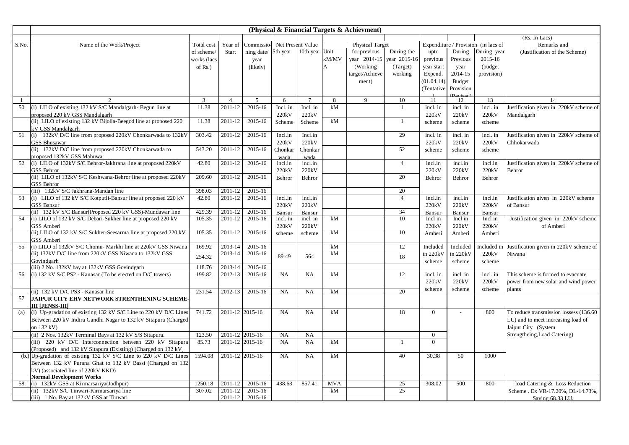|          |                                                                            |             |                           |                              |               |                 |                | (Physical & Financial Targets & Achievment) |                    |                |                |                                     |                                              |
|----------|----------------------------------------------------------------------------|-------------|---------------------------|------------------------------|---------------|-----------------|----------------|---------------------------------------------|--------------------|----------------|----------------|-------------------------------------|----------------------------------------------|
|          |                                                                            |             |                           |                              |               |                 |                |                                             |                    |                |                |                                     | (Rs. In Lacs)                                |
| S.No.    | Name of the Work/Project                                                   | Total cost  | Year of                   | Commissio- Net Present Value |               |                 |                | <b>Physical Target</b>                      |                    |                |                | Expenditure / Provision (in lacs of | Remarks and                                  |
|          |                                                                            | of scheme/  | Start                     | ning date/ 5th year          |               | 10th year Unit  |                | for previous                                | During the         | upto           | During         | During year                         | (Justification of the Scheme)                |
|          |                                                                            | works (lacs |                           | year                         |               |                 | kM/MV          | year 2014-15                                | year 2015-16       | previous       | Previous       | 2015-16                             |                                              |
|          |                                                                            | of $Rs.$ )  |                           | (likely)                     |               |                 | $\overline{A}$ | (Working)                                   | (Target)           | year start     | year           | (budget                             |                                              |
|          |                                                                            |             |                           |                              |               |                 |                | target/Achieve                              | working            | Expend.        | 2014-15        | provision)                          |                                              |
|          |                                                                            |             |                           |                              |               |                 |                | ment)                                       |                    | (01.04.14)     | Budget         |                                     |                                              |
|          |                                                                            |             |                           |                              |               |                 |                |                                             |                    | (Tentative     | Provision      |                                     |                                              |
|          |                                                                            |             |                           |                              |               | $7\phantom{.0}$ |                | $\mathbf Q$                                 |                    |                | Darioid        |                                     |                                              |
| -1<br>50 | (i) LILO of existing 132 kV S/C Mandalgarh- Begun line at                  | 3<br>11.38  | $\overline{4}$<br>2011-12 | 5<br>2015-16                 | 6<br>Incl. in | Incl. in        | 8<br>kM        |                                             | 10<br>$\mathbf{1}$ | 11<br>incl. in | 12<br>incl. in | 13<br>incl. in                      | 14<br>Justification given in 220kV scheme of |
|          | proposed 220 kV GSS Mandalgarh                                             |             |                           |                              | 220kV         | 220kV           |                |                                             |                    | 220kV          | 220kV          | 220kV                               | Mandalgarh                                   |
|          | (ii) LILO of existing 132 kV Bijolia-Beegod line at proposed 220           | 11.38       | 2011-12                   | 2015-16                      |               |                 | kM             |                                             | $\mathbf{1}$       |                |                |                                     |                                              |
|          | kV GSS Mandalgarh                                                          |             |                           |                              | Scheme        | Scheme          |                |                                             |                    | scheme         | scheme         | scheme                              |                                              |
| 51       | (i) 132kV D/C line from proposed 220kV Chonkarwada to 132kV                | 303.42      | 2011-12                   | 2015-16                      | Incl.in       | Incl.in         |                |                                             | 29                 | incl. in       | incl. in       | incl. in                            | Justification given in 220kV scheme of       |
|          | <b>GSS Bhusawar</b>                                                        |             |                           |                              | 220kV         | 220kV           |                |                                             |                    | 220kV          | 220kV          | 220kV                               | Chhokarwada                                  |
|          | (ii) 132kV D/C line from proposed 220kV Chonkarwada to                     | 543.20      | 2011-12                   | 2015-16                      | Chonkar       | Chonkar         |                |                                             | 52                 | scheme         | scheme         | scheme                              |                                              |
|          | proposed 132kV GSS Mahuwa                                                  |             |                           |                              | wada          | wada            |                |                                             |                    |                |                |                                     |                                              |
| 52       | (i) LILO of 132kV S/C Behror-Jakhrana line at proposed 220kV               | 42.80       | $\overline{2011} - 12$    | 2015-16                      | incl.in       | incl.in         |                |                                             | $\overline{4}$     | incl.in        | incl.in        | incl.in                             | Justification given in 220kV scheme of       |
|          | <b>GSS Behror</b>                                                          |             |                           |                              | 220kV         | 220kV           |                |                                             |                    | 220kV          | 220kV          | 220kV                               | Behror                                       |
|          | (ii) LILO of 132kV S/C Keshwana-Behror line at proposed 220kV              | 209.60      | 2011-12                   | 2015-16                      | Behror        | Behror          |                |                                             | 20                 | Behror         | Behror         | Behror                              |                                              |
|          | <b>GSS Behror</b>                                                          |             |                           |                              |               |                 |                |                                             |                    |                |                |                                     |                                              |
|          | (iii) 132kV S/C Jakhrana-Mandan line                                       | 398.03      | 2011-12                   | 2015-16                      |               |                 |                |                                             | 20                 |                |                |                                     |                                              |
| 53       | (i) LILO of 132 kV S/C Kotputli-Bansur line at proposed 220 kV             | 42.80       | 2011-12                   | 2015-16                      | incl.in       | incl.in         |                |                                             | $\overline{4}$     | incl.in        | incl.in        | incl.in                             | Justification given in 220kV scheme          |
|          | <b>GSS Bansur</b>                                                          |             |                           |                              | 220kV         | 220kV           |                |                                             |                    | 220kV          | 220kV          | 220kV                               | of Bansur                                    |
|          | (ii) 132 kV S/C Bansur(Proposed 220 kV GSS)-Mundawar line                  | 429.39      | 2011-12                   | 2015-16                      | Bansur        | Bansur          |                |                                             | 34                 | Bansur         | Bansur         | Bansur                              |                                              |
| 54       | (i) LILO of 132 kV S/C Debari-Sukher line at proposed 220 kV               | 105.35      | 2011-12                   | 2015-16                      | incl. in      | incl. in        | kM             |                                             | 10                 | Incl in        | Incl in        | Incl in                             | Justification given in 220kV scheme          |
|          | GSS Amberi                                                                 |             |                           |                              | 220kV         | 220kV           |                |                                             |                    | 220kV          | 220kV          | 220kV                               | of Amberi                                    |
|          | (ii) LILO of 132 kV S/C Sukher-Seesarma line at proposed 220 kV            | 105.35      | 2011-12                   | 2015-16                      | scheme        | scheme          | kM             |                                             | 10                 | Amberi         | Amberi         | Amberi                              |                                              |
| 55       | GSS Amberi<br>(i) LILO of 132kV S/C Chomu- Markhi line at 220kV GSS Niwana | 169.92      | 2013-14                   | 2015-16                      |               |                 | kM             |                                             | 12                 | Included       | Included       | Included ir                         | Justification given in 220kV scheme of       |
|          | (ii) 132kV D/C line from 220kV GSS Niwana to 132kV GSS                     |             | 2013-14                   | 2015-16                      |               |                 | kM             |                                             |                    | in 220kV       | in 220kV       | 220kV                               | Niwana                                       |
|          | Govindgarh                                                                 | 254.32      |                           |                              | 89.49         | 564             |                |                                             | 18                 | scheme         | scheme         | scheme                              |                                              |
|          | (iii) 2 No. 132kV bay at 132kV GSS Govindgarh                              | 118.76      | 2013-14                   | 2015-16                      |               |                 |                |                                             |                    |                |                |                                     |                                              |
| 56       | (i) 132 kV S/C PS2 - Kanasar (To be erected on D/C towers)                 | 199.82      | 2012-13                   | 2015-16                      | NA            | NA              | kM             |                                             | 12                 | incl. in       | incl. in       | incl. in                            | This scheme is formed to evacuate            |
|          |                                                                            |             |                           |                              |               |                 |                |                                             |                    | 220kV          | 220kV          | 220kV                               | power from new solar and wind power          |
|          | (ii) 132 kV D/C PS3 - Kanasar line                                         | 231.54      | 2012-13                   | 2015-16                      | NA            | NA              | kM             |                                             | 20                 | scheme         | scheme         | scheme                              | plants                                       |
| 57       | JAIPUR CITY EHV NETWORK STRENTHENING SCHEME-                               |             |                           |                              |               |                 |                |                                             |                    |                |                |                                     |                                              |
|          | III [JENSS-III]                                                            |             |                           |                              |               |                 |                |                                             |                    |                |                |                                     |                                              |
| (a)      | (i) Up-gradation of existing 132 kV S/C Line to 220 kV D/C Lines           | 741.72      | 2011-12 2015-16           |                              | NA            | NA              | kM             |                                             | 18                 | $\overline{0}$ | $\sim$         | 800                                 | To reduce transmission lossess (136.60       |
|          | Between 220 kV Indira Gandhi Nagar to 132 kV Sitapura (Charged             |             |                           |                              |               |                 |                |                                             |                    |                |                |                                     | LU) and to meet increasing load of           |
|          | on 132 kV)                                                                 |             |                           |                              |               |                 |                |                                             |                    |                |                |                                     | Jaipur City (System                          |
|          | (ii) 2 Nos. 132kV Terminal Bays at 132 kV S/S Sitapura.                    | 123.50      | 2011-12 2015-16           |                              | NA            | NA              |                |                                             |                    | $\overline{0}$ |                |                                     | Strengtheing, Load Catering)                 |
|          | (iii) 220 kV D/C Interconnection between 220 kV Sitapura                   | 85.73       | 2011-12 2015-16           |                              | NA            | NA              | kM             |                                             | $\mathbf{1}$       | $\overline{0}$ |                |                                     |                                              |
|          | (Proposed) and 132 kV Sitapura (Existing) [Charged on 132 kV]              |             |                           |                              |               |                 |                |                                             |                    |                |                |                                     |                                              |
| (b.)     | Up-gradation of existing 132 kV S/C Line to 220 kV D/C Lines               | 1594.08     | 2011-12 2015-16           |                              | <b>NA</b>     | NA              | kM             |                                             | 40                 | 30.38          | 50             | 1000                                |                                              |
|          | Between 132 kV Purana Ghat to 132 kV Bassi (Charged on 132                 |             |                           |                              |               |                 |                |                                             |                    |                |                |                                     |                                              |
|          | kV) (associated line of 220kV KKD)                                         |             |                           |                              |               |                 |                |                                             |                    |                |                |                                     |                                              |
|          | <b>Normal Development Works</b>                                            |             |                           |                              |               |                 |                |                                             |                    |                |                |                                     |                                              |
| 58       | (i) 132kV GSS at Kirmarsariya(Jodhpur)                                     | 1250.18     | 2011-12                   | 2015-16                      | 438.63        | 857.41          | <b>MVA</b>     |                                             | 25                 | 308.02         | 500            | 800                                 | load Catering & Loss Reduction               |
|          | (ii) 132kV S/C Tinwari-Kirmarsariya line                                   | 307.02      | 2011-12                   | 2015-16                      |               |                 | kM             |                                             | 25                 |                |                |                                     | Scheme . Ex VR-17.20%, DL-14.73%,            |
|          | 2011-12<br>2015-16<br>(iii) 1 No. Bay at 132kV GSS at Tinwari              |             |                           |                              |               |                 |                |                                             |                    |                |                |                                     | Saving 68.33 LU.                             |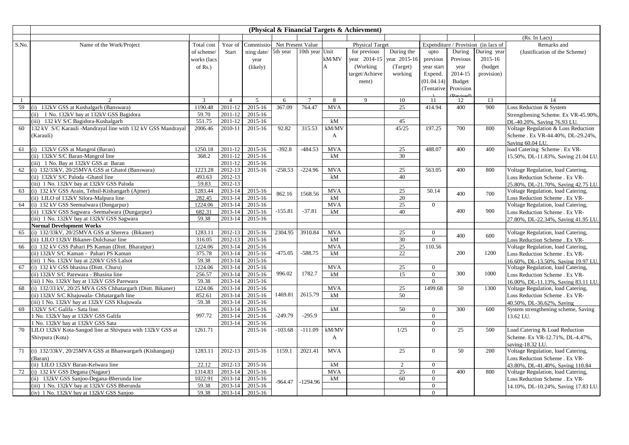|              |                                                                                              |                |                    |                     |                   |                |              | (Physical & Financial Targets & Achievment) |              |                      |               |                                     |                                                        |
|--------------|----------------------------------------------------------------------------------------------|----------------|--------------------|---------------------|-------------------|----------------|--------------|---------------------------------------------|--------------|----------------------|---------------|-------------------------------------|--------------------------------------------------------|
|              |                                                                                              |                |                    |                     |                   |                |              |                                             |              |                      |               |                                     | (Rs. In Lacs)                                          |
| S.No.        | Name of the Work/Project                                                                     | Total cost     | Year of            | Commissio-          | Net Present Value |                |              | <b>Physical Target</b>                      |              |                      |               | Expenditure / Provision (in lacs of | Remarks and                                            |
|              |                                                                                              | of scheme/     | <b>Start</b>       | ning date/ 5th year |                   | 10th year Unit |              | for previous                                | During the   | upto                 | During        | During year                         | (Justification of the Scheme)                          |
|              |                                                                                              | works (lacs    |                    | year                |                   |                | kM/MV        | year 2014-15                                | year 2015-16 | previous             | Previous      | 2015-16                             |                                                        |
|              |                                                                                              | of $Rs.$ )     |                    | (likely)            |                   |                | A            | (Working)                                   | (Target)     | year start           | year          | (budget)                            |                                                        |
|              |                                                                                              |                |                    |                     |                   |                |              | target/Achieve                              | working      | Expend.              | 2014-15       | provision)                          |                                                        |
|              |                                                                                              |                |                    |                     |                   |                |              | ment)                                       |              | (01.04.14)           | <b>Budget</b> |                                     |                                                        |
|              |                                                                                              |                |                    |                     |                   |                |              |                                             |              | (Tentative           | Provision     |                                     |                                                        |
|              |                                                                                              |                |                    |                     |                   |                |              |                                             |              |                      |               |                                     |                                                        |
| $\mathbf{1}$ | $\gamma$                                                                                     | $\overline{3}$ | $\overline{4}$     | 5                   | 6                 | $\overline{7}$ | 8            | $\mathbf Q$                                 | 10           | 11                   | 12            | 13                                  | 14                                                     |
| 59           | 132kV GSS at Kushalgarh (Banswara)<br>(i)                                                    | 1190.48        | 2011-12            | 2015-16             | 367.09            | 764.47         | <b>MVA</b>   |                                             | 25           | 414.94               | 400           | 900                                 | Loss Reduction & System                                |
|              | (ii) 1 No. 132kV bay at 132kV GSS Bagidora                                                   | 59.70          | 2011-12            | 2015-16             |                   |                |              |                                             |              |                      |               |                                     | Strengthening Scheme. Ex VR-45.90%,                    |
|              | (iii) 132 kV S/C Bagidora-Kushalgarh                                                         | 551.75         | 2011-12            | 2015-16             |                   |                | kM           |                                             | 45           |                      |               |                                     | DL-40.20%, Saving 76.93 LU.                            |
| 60           | 132 kV S/C Karauli -Mandrayal line with 132 kV GSS Mandrayal                                 | 2006.46        | 2010-11            | 2015-16             | 92.82             | 315.53         | kM/MV        |                                             | 45/25        | 197.25               | 700           | 800                                 | Voltage Regulation & Loss Reduction                    |
|              | (Karauli)                                                                                    |                |                    |                     |                   |                | A            |                                             |              |                      |               |                                     | Scheme . Ex VR-44.40%, DL-29.24%,                      |
|              |                                                                                              |                |                    |                     |                   |                |              |                                             |              |                      |               |                                     | Saving 60.04 LU.                                       |
| 61           | (i) 132kV GSS at Mangrol (Baran)                                                             | 1250.18        | 2011-12            | 2015-16             | $-392.8$          | $-484.53$      | <b>MVA</b>   |                                             | 25           | 488.07               | 400           | 400                                 | load Catering Scheme . Ex VR-                          |
|              | (ii) 132kV S/C Baran-Mangrol line                                                            | 368.2          | 2011-12            | 2015-16             |                   |                | kM           |                                             | 30           |                      |               |                                     | 15.50%, DL-11.83%, Saving 21.04 LU.                    |
|              | (iii) 1 No. Bay at 132kV GSS at Baran                                                        |                | 2011-12            | 2015-16             |                   |                |              |                                             |              |                      |               |                                     |                                                        |
| 62           | (i) 132/33kV, 20/25MVA GSS at Ghatol (Banswara)                                              | 1223.28        | 2012-13            | 2015-16             | $-258.53$         | $-224.96$      | <b>MVA</b>   |                                             | 25           | 563.05               | 400           | 800                                 | Voltage Regulation, load Catering,                     |
|              | (ii) 132kV S/C Paloda -Ghatol line                                                           | 493.63         | 2012-13            |                     |                   |                | kM           |                                             | 40           |                      |               |                                     | Loss Reduction Scheme . Ex VR-                         |
|              | (iii) 1 No. 132kV bay at 132kV GSS Paloda                                                    | 59.83          | 2012-13            |                     |                   |                |              |                                             |              |                      |               |                                     | 25.80%, DL-21.70%, Saving 42.75 LU.                    |
| 63           | (i) 132 kV GSS Arain, Tehsil-Kishangarh (Ajmer)                                              | 1283.44        | 2013-14            | 2015-16             | 862.16            | 1568.56        | <b>MVA</b>   |                                             | 25           | 50.14                | 400           | 700                                 | Voltage Regulation, load Catering,                     |
|              | (ii) LILO of 132kV Silora-Malpura line                                                       | 282.45         | 2013-14            | 2015-16             |                   |                | kM           |                                             | 20           |                      |               |                                     | Loss Reduction Scheme . Ex VR-                         |
| 64           | (i) 132 kV GSS Seemalwara (Dungarpur)                                                        | 1224.06        | 2013-14            | 2015-16             |                   |                | <b>MVA</b>   |                                             | 25           | $\overline{0}$       |               |                                     | Voltage Regulation, load Catering,                     |
|              | (ii) 132kV GSS Sagwara -Seemalwara (Dungarpur)                                               | 682.31         | 2013-14            | 2015-16             | $-155.81$         | $-37.81$       | kM           |                                             | 40           |                      | 400           | 900                                 | Loss Reduction Scheme . Ex VR-                         |
|              | (iii) 1 No. 132kV bay at 132kV GSS Sagwara                                                   | 59.38          | 2013-14            | 2015-16             |                   |                |              |                                             |              |                      |               |                                     | 27.80%, DL-22.34%, Saving 41.95 LU.                    |
|              | <b>Normal Development Works</b>                                                              |                |                    |                     |                   |                |              |                                             |              |                      |               |                                     |                                                        |
| 65           | (i) 132/33kV, 20/25MVA GSS at Sherera (Bikaner)                                              | 1283.11        | 2012-13            | 2015-16             | 2304.95           | 3910.84        | <b>MVA</b>   |                                             | 25           | $\overline{0}$       | 400           | 600                                 | Voltage Regulation, load Catering,                     |
|              | (ii) LILO 132kV Bikaner-Dulchasar line                                                       | 316.05         | 2012-13            | 2015-16             |                   |                | kM           |                                             | 30           | $\theta$             |               |                                     | Loss Reduction Scheme . Ex VR-                         |
| 66           | (i) 132 kV GSS Pahari PS Kaman (Distt. Bharatpur)                                            | 1224.06        | 2013-14            | 2015-16             | $-475.05$         | $-588.75$      | <b>MVA</b>   |                                             | 25<br>22     | 110.56               | 200           | 1200                                | Voltage Regulation, load Catering,                     |
|              | (ii) 132kV S/C Kaman - Pahari PS Kaman                                                       | 375.78         | 2013-14            | 2015-16             |                   |                | kM           |                                             |              |                      |               |                                     | Loss Reduction Scheme . Ex VR-                         |
|              | (iii) 1 No. 132kV bay at 220kV GSS Lalsot                                                    | 59.38          | 2013-14            | 2015-16             |                   |                |              |                                             |              |                      |               |                                     | 16.60%, DL-13.50%, Saving 19.97 LU.                    |
| 67           | (i) 132 kV GSS bhasina (Distt. Churu)                                                        | 1224.06        | 2013-14            | 2015-16             |                   |                | <b>MVA</b>   |                                             | 25           | $\overline{0}$       |               |                                     | Voltage Regulation, load Catering,                     |
|              | (ii) 132kV S/C Parewara - Bhasina line                                                       | 256.57         | 2013-14            | 2015-16             | 996.02            | 1782.7         | kM           |                                             | 15           | $\theta$             | 300           | 1000                                | Loss Reduction Scheme . Ex VR-                         |
|              | (iii) 1 No. 132kV bay at 132kV GSS Parewara                                                  | 59.38          | 2013-14            | 2015-16             |                   |                |              |                                             |              | $\Omega$             |               |                                     | 16.00%, DL-11.13%, Saving 83.11 LU.                    |
| 68           | (i) 132/33 kV, 20/25 MVA GSS Chhatargarh (Distt. Bikaner)                                    | 1224.06        | 2013-14            | 2015-16             |                   |                | <b>MVA</b>   |                                             | 25           | 1499.68              | 50            | 1300                                | Voltage Regulation, load Catering,                     |
|              | (ii) 132kV S/C Khajuwala- Chhatargarh line                                                   | 852.61         | 2013-14            | 2015-16             | 1469.81           | 2615.79        | kM           |                                             | 50           |                      |               |                                     | Loss Reduction Scheme . Ex VR-                         |
|              | iii) 1 No. 132kV bay at 132kV GSS Khajuwala                                                  | 59.38          | 2013-14            | 2015-16             |                   |                |              |                                             |              |                      |               |                                     | 40.50%, DL-36.62%, Saving                              |
| 69           | 132kV S/C Galifa - Sata line.<br>No. 132kV bay at 132kV GSS Galifa                           | 997.72         | 2013-14<br>2013-14 | 2015-16<br>2015-16  | $-249.79$         | $-295.9$       | kM           |                                             | 50           | $\Omega$<br>$\Omega$ | 300           | 600                                 | System strengthening scheme, Saving                    |
|              |                                                                                              |                | 2013-14            | 2015-16             |                   |                |              |                                             |              | $\theta$             |               |                                     | 13.62 LU.                                              |
| 70           | No. 132kV bay at 132kV GSS Sata<br>LILO 132kV Kota-Sangod line at Shivpura with 132kV GSS at | 1261.71        |                    | 2015-16             | $-103.68$         | $-111.09$      | kM/MV        |                                             | 1/25         | $\Omega$             | 25            | 500                                 | Load Catering & Load Reduction                         |
|              |                                                                                              |                |                    |                     |                   |                | $\mathsf{A}$ |                                             |              |                      |               |                                     |                                                        |
|              | Shivpura (Kota)                                                                              |                |                    |                     |                   |                |              |                                             |              |                      |               |                                     | Scheme. Ex VR-12.71%, DL-4.47%,                        |
| 71           | (i) 132/33kV, 20/25MVA GSS at Bhanwargarh (Kishanganj)                                       | 1283.11        | 2012-13            | 2015-16             | 1159.1            | 2021.41        | <b>MVA</b>   |                                             | 25           | $\theta$             | 50            | 200                                 | saving-18.32 LU.<br>Voltage Regulation, load Catering, |
|              | Baran)                                                                                       |                |                    |                     |                   |                |              |                                             |              |                      |               |                                     | Loss Reduction Scheme . Ex VR-                         |
|              | (ii) LILO 132kV Baran-Kelwara line                                                           | 22.12          | 2012-13            | 2015-16             |                   |                | kM           |                                             | 2            | $\overline{0}$       |               |                                     | 43.80%, DL-41.40%, Saving 110.84                       |
| 72           | (i) 132 kV GSS Degana (Nagaur)                                                               | 1314.83        | 2013-14            | 2015-16             |                   |                | <b>MVA</b>   |                                             | 25           | $\Omega$             | 400           | 800                                 | Voltage Regulation, load Catering,                     |
|              | (ii) 132kV GSS Sanjoo-Degana-Bherunda line                                                   | 1022.91        | 2013-14            | 2015-16             |                   |                | kM           |                                             | 60           | $\overline{0}$       |               |                                     | Loss Reduction Scheme . Ex VR-                         |
|              | (iii) 1 No. 132kV bay at 132kV GSS Bherunda                                                  | 59.38          | 2013-14            | 2015-16             | $-964.47$         | $-1294.96$     |              |                                             |              | $\Omega$             |               |                                     | 14.10%, DL-10.24%, Saving 17.83 LU.                    |
|              | (iv) 1 No. 132kV bay at 132kV GSS Sanjoo                                                     | 59.38          | 2013-14            | 2015-16             |                   |                |              |                                             |              | $\overline{0}$       |               |                                     |                                                        |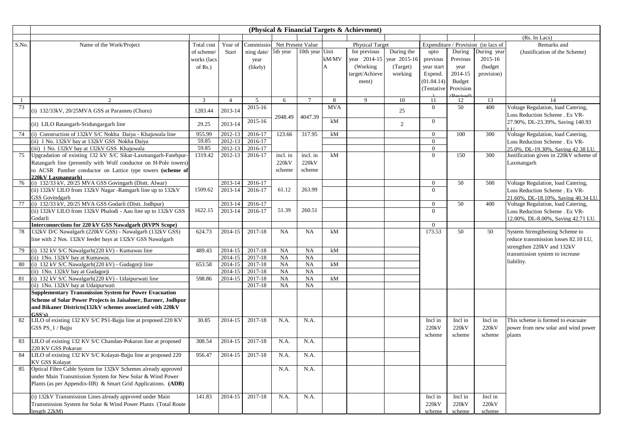|       |                                                                   |              |                    |                              |                         |                 |             | (Physical & Financial Targets & Achievment) |              |                            |               |                                     |                                        |
|-------|-------------------------------------------------------------------|--------------|--------------------|------------------------------|-------------------------|-----------------|-------------|---------------------------------------------|--------------|----------------------------|---------------|-------------------------------------|----------------------------------------|
|       |                                                                   |              |                    |                              |                         |                 |             |                                             |              |                            |               |                                     | (Rs. In Lacs)                          |
| S.No. | Name of the Work/Project                                          | Total cost   | Year of            | Commissio- Net Present Value |                         |                 |             | <b>Physical Target</b>                      |              |                            |               | Expenditure / Provision (in lacs of | Remarks and                            |
|       |                                                                   | of scheme/   | <b>Start</b>       | ning date/                   | 5th year 10th year Unit |                 |             | for previous                                | During the   | upto                       | During        | During year                         | (Justification of the Scheme)          |
|       |                                                                   | works (lacs  |                    | year                         |                         |                 | $\rm kM/MV$ | year 2014-15                                | year 2015-16 | previous                   | Previous      | 2015-16                             |                                        |
|       |                                                                   | of $Rs.$ )   |                    | (likely)                     |                         |                 | A           | (Working)                                   | (Target)     | year start                 | year          | (budget)                            |                                        |
|       |                                                                   |              |                    |                              |                         |                 |             | target/Achieve                              | working      | Expend.                    | 2014-15       | provision)                          |                                        |
|       |                                                                   |              |                    |                              |                         |                 |             | ment)                                       |              | (01.04.14)                 | <b>Budget</b> |                                     |                                        |
|       |                                                                   |              |                    |                              |                         |                 |             |                                             |              | (Tentative                 | Provision     |                                     |                                        |
|       |                                                                   |              |                    |                              |                         |                 |             |                                             |              |                            |               |                                     |                                        |
| -1    | $\overline{2}$                                                    | $\mathbf{3}$ | $\overline{4}$     | 5                            | 6                       | $7\phantom{.0}$ | 8           | 9                                           | 10           | 11                         | 12            | 13                                  | 14                                     |
| 73    | (i) 132/33kV, 20/25MVA GSS at Parasneu (Churu)                    | 1283.44      | 2013-14            | 2015-16                      |                         |                 | <b>MVA</b>  |                                             | 25           | $\theta$                   | 50            | 400                                 | Voltage Regulation, load Catering,     |
|       |                                                                   |              |                    |                              | 2048.49                 | 4047.39         |             |                                             |              |                            |               |                                     | Loss Reduction Scheme . Ex VR-         |
|       | (ii) LILO Ratangarh-Sridungargarh line                            | 29.25        | 2013-14            | 2015-16                      |                         |                 | kM          |                                             | 2            | $\overline{0}$             |               |                                     | 27.90%, DL-23.39%, Saving 140.93       |
|       |                                                                   |              |                    |                              |                         |                 |             |                                             |              |                            |               |                                     |                                        |
| 74    | (i) Construction of 132kV S/C Nokha Daiya - Khajuwala line        | 955.99       | $2012 - 13$        | 2016-17                      | 123.66                  | 317.95          | kM          |                                             |              | $\overline{0}$             | 100           | 300                                 | Voltage Regulation, load Catering,     |
|       | (ii) 1 No. 132kV bay at 132kV GSS Nokha Daiya                     | 59.85        | 2012-13            | 2016-17                      |                         |                 |             |                                             |              | $\overline{0}$             |               |                                     | Loss Reduction Scheme . Ex VR-         |
|       | (iii) 1 No. 132kV bay at 132kV GSS Khajuwala                      | 59.85        | 2012-13            | 2016-17                      |                         |                 |             |                                             |              | $\overline{0}$             |               |                                     | 25.0%, DL-19.30%, Saving 42.38 LU.     |
| 75    | Upgradation of existing 132 kV S/C Sikar-Laxmangarh-Fatehpur-     | 1319.42      | $2012 - 13$        | 2016-17                      | incl. in                | incl. in        | kM          |                                             |              | $\Omega$                   | 150           | 300                                 | Justification given in 220kV scheme of |
|       | Ratangarh line (presently with Wolf conductor on H-Pole towers)   |              |                    |                              | 220kV                   | 220kV           |             |                                             |              |                            |               |                                     | Laxmangarh                             |
|       | to ACSR Panther conductor on Lattice type towers (scheme of       |              |                    |                              | scheme                  | scheme          |             |                                             |              |                            |               |                                     |                                        |
|       | 220kV Laxmangarh)                                                 |              |                    |                              |                         |                 |             |                                             |              |                            |               |                                     |                                        |
| 76    | (i) 132/33 kV, 20/25 MVA GSS Govingarh (Distt. Alwar)             | 1509.62      | 2013-14            | 2016-17                      | 61.12                   | 263.99          |             |                                             |              | $\overline{0}$<br>$\Omega$ | 50            | 500                                 | Voltage Regulation, load Catering,     |
|       | (ii) 132kV LILO from 132kV Nagar -Ramgarh line up to 132kV        |              | 2013-14            | 2016-17                      |                         |                 |             |                                             |              |                            |               |                                     | Loss Reduction Scheme . Ex VR-         |
|       | <b>GSS</b> Govindgarh                                             |              |                    |                              |                         |                 |             |                                             |              |                            |               |                                     | 21.60%, DL-18.10%, Saving 40.34 LU.    |
| 77    | (i) 132/33 kV, 20/25 MVA GSS Godarli (Distt. Jodhpur)             | 1622.15      | 2013-14<br>2013-14 | 2016-17<br>2016-17           | 51.39                   | 260.51          |             |                                             |              | $\overline{0}$<br>$\theta$ | 50            | 400                                 | Voltage Regulation, load Catering,     |
|       | (ii) 132kV LILO from 132kV Phalodi - Aau line up to 132kV GSS     |              |                    |                              |                         |                 |             |                                             |              |                            |               |                                     | Loss Reduction Scheme . Ex VR-         |
|       | Godarli<br>Interconnections for 220 kV GSS Nawalgarh (RVPN Scope) |              |                    |                              |                         |                 |             |                                             |              | $\overline{0}$             |               |                                     | 12.00%, DL-8.00%, Saving 42.71 LU.     |
| 78    | 132kV D/C Nawalgarh (220kV GSS) - Nawalgarh (132kV GSS)           | 624.73       | 2014-15            | 2017-18                      | <b>NA</b>               | NA              | kM          |                                             |              | 173.53                     | 50            | 50                                  | System Strengthening Scheme to         |
|       | line with 2 Nos. 132kV feeder bays at 132kV GSS Nawalgarh         |              |                    |                              |                         |                 |             |                                             |              |                            |               |                                     |                                        |
|       |                                                                   |              |                    |                              |                         |                 |             |                                             |              |                            |               |                                     | reduce transmission losses 82.10 LU,   |
| 79    | (i) 132 kV S/C Nawalgarh(220 kV) - Kumawas line                   | 489.43       | 2014-15            | 2017-18                      | NA                      | NA              | kM          |                                             |              |                            |               |                                     | strengthen 220kV and 132kV             |
|       | (ii) 1No. 132kV bay at Kumawas.                                   |              | 2014-15            | 2017-18                      | NA                      | NA              |             |                                             |              |                            |               |                                     | transmission system to increase        |
| 80    | (i) 132 kV S/C Nawalgarh(220 kV) - Gudagorji line                 | 653.58       | 2014-15            | 2017-18                      | NA                      | NA              | kM          |                                             |              |                            |               |                                     | liability.                             |
|       | (ii) 1No. 132kV bay at Gudagorji                                  |              | 2014-15            | 2017-18                      | NA                      | NA              |             |                                             |              |                            |               |                                     |                                        |
| 81    | (i) 132 kV S/C Nawalgarh(220 kV) - Udaipurwati line               | 598.86       | 2014-15            | 2017-18                      | <b>NA</b>               | NA              | kM          |                                             |              |                            |               |                                     |                                        |
|       | (ii) 1No. 132kV bay at Udaipurwati                                |              |                    | 2017-18                      | <b>NA</b>               | NA              |             |                                             |              |                            |               |                                     |                                        |
|       | <b>Supplementary Transmission System for Power Evacuation</b>     |              |                    |                              |                         |                 |             |                                             |              |                            |               |                                     |                                        |
|       | Scheme of Solar Power Projects in Jaisalmer, Barmer, Jodhpur      |              |                    |                              |                         |                 |             |                                             |              |                            |               |                                     |                                        |
|       | and Bikaner Districts(132kV schemes associated with 220kV         |              |                    |                              |                         |                 |             |                                             |              |                            |               |                                     |                                        |
|       | CSS's                                                             |              |                    |                              |                         |                 |             |                                             |              |                            |               |                                     |                                        |
| 82    | LILO of existing 132 KV S/C PS1-Bajju line at proposed 220 KV     | 30.85        | 2014-15            | 2017-18                      | N.A.                    | N.A.            |             |                                             |              | Incl in                    | Incl in       | Incl in                             | This scheme is formed to evacuate      |
|       | GSS PS_1 / Bajju                                                  |              |                    |                              |                         |                 |             |                                             |              | 220kV                      | 220kV         | 220kV                               | power from new solar and wind power    |
|       |                                                                   |              |                    |                              |                         |                 |             |                                             |              | scheme                     | scheme        | scheme                              | plants                                 |
| 83    | LILO of existing 132 KV S/C Chandan-Pokaran line at proposed      | 308.54       | 2014-15            | 2017-18                      | N.A.                    | N.A.            |             |                                             |              |                            |               |                                     |                                        |
|       | 220 KV GSS Pokaran                                                |              |                    |                              |                         |                 |             |                                             |              |                            |               |                                     |                                        |
| 84    | LILO of existing 132 KV S/C Kolayat-Bajju line at proposed 220    | 956.47       | 2014-15            | 2017-18                      | N.A.                    | N.A.            |             |                                             |              |                            |               |                                     |                                        |
|       | <b>KV GSS Kolavat</b>                                             |              |                    |                              |                         |                 |             |                                             |              |                            |               |                                     |                                        |
| 85    | Optical Fibre Cable System for 132kV Schemes already approved     |              |                    |                              | N.A.                    | N.A.            |             |                                             |              |                            |               |                                     |                                        |
|       | under Main Transmission System for New Solar & Wind Power         |              |                    |                              |                         |                 |             |                                             |              |                            |               |                                     |                                        |
|       | Plants (as per Appendix-IIB) & Smart Grid Applications. (ADB)     |              |                    |                              |                         |                 |             |                                             |              |                            |               |                                     |                                        |
|       | (i) 132kV Transmission Lines already approved under Main          | 141.83       | 2014-15            | 2017-18                      | N.A.                    | N.A.            |             |                                             |              | Incl in                    | Incl in       | Incl in                             |                                        |
|       | Transmission System for Solar & Wind Power Plants (Total Route    |              |                    |                              |                         |                 |             |                                             |              | 220kV                      | 220kV         | 220kV                               |                                        |
|       | length 22kM                                                       |              |                    |                              |                         |                 |             |                                             |              |                            | scheme        | scheme                              |                                        |
|       |                                                                   |              |                    |                              |                         |                 |             |                                             |              | scheme                     |               |                                     |                                        |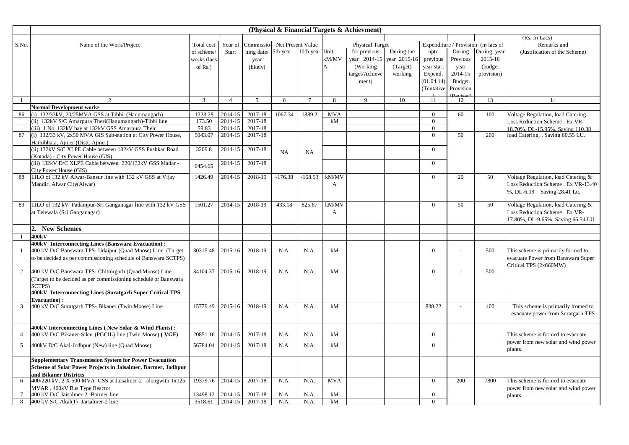|                |                                                                 |             |                |                              |           |                |                | (Physical & Financial Targets & Achievment) |              |                |                |                                     |                                     |
|----------------|-----------------------------------------------------------------|-------------|----------------|------------------------------|-----------|----------------|----------------|---------------------------------------------|--------------|----------------|----------------|-------------------------------------|-------------------------------------|
|                |                                                                 |             |                |                              |           |                |                |                                             |              |                |                |                                     | (Rs. In Lacs)                       |
| S.No.          | Name of the Work/Project                                        | Total cost  | Year of        | Commissio- Net Present Value |           |                |                | <b>Physical Target</b>                      |              |                |                | Expenditure / Provision (in lacs of | Remarks and                         |
|                |                                                                 | of scheme/  | Start          | ning date/ 5th year          |           | 10th year Unit |                | for previous                                | During the   | upto           | During         | During year                         | (Justification of the Scheme)       |
|                |                                                                 | works (lacs |                | year                         |           |                | kM/MV          | year 2014-15                                | year 2015-16 | previous       | Previous       | 2015-16                             |                                     |
|                |                                                                 | of $Rs.$ )  |                | (likely)                     |           |                | $\overline{A}$ | (Working)                                   | (Target)     | year start     | year           | (budget                             |                                     |
|                |                                                                 |             |                |                              |           |                |                | target/Achieve                              | working      | Expend.        | 2014-15        | provision)                          |                                     |
|                |                                                                 |             |                |                              |           |                |                | ment)                                       |              | (01.04.14)     | Budget         |                                     |                                     |
|                |                                                                 |             |                |                              |           |                |                |                                             |              | (Tentative     | Provision      |                                     |                                     |
|                | $\mathcal{L}$                                                   | 3           | $\overline{4}$ | 5                            | 6         | $\overline{7}$ | 8              | $\mathbf Q$                                 | 10           | 11             | 12             | 13                                  | 14                                  |
|                | <b>Normal Development works</b>                                 |             |                |                              |           |                |                |                                             |              |                |                |                                     |                                     |
| 86             | (i) 132/33kV, 20/25MVA GSS at Tibbi (Hanumangarh)               | 1223.28     | 2014-15        | 2017-18                      | 1067.34   | 1889.2         | <b>MVA</b>     |                                             |              | $\theta$       | 60             | 100                                 | Voltage Regulation, load Catering,  |
|                | (ii) 132kV S/C Amarpura Theri(Hanumangarh)-Tibbi line           | 173.50      | 2014-15        | 2017-18                      |           |                | kM             |                                             |              | $\Omega$       |                |                                     | Loss Reduction Scheme . Ex VR-      |
|                | (iii) 1 No. 132kV bay at 132kV GSS Amarpura Their               | 59.83       | 2014-15        | 2017-18                      |           |                |                |                                             |              | $\Omega$       |                |                                     | 18.70%, DL-15.95%, Saving 110.38    |
| 87             | (i) 132/33 kV, 2x50 MVA GIS Sub-station at City Power House,    | 5043.07     | 2014-15        | 2017-18                      |           |                |                |                                             |              | $\Omega$       | 50             | 200                                 | load Catering, , Saving 60.55 LU.   |
|                | Hathibhata, Ajmer (Distt. Ajmer)                                |             |                |                              |           |                |                |                                             |              |                |                |                                     |                                     |
|                | (ii) 132kV S/C XLPE Cable between 132kV GSS Pushkar Road        | 3209.8      | 2014-15        | 2017-18                      | NA        | <b>NA</b>      |                |                                             |              | $\theta$       |                |                                     |                                     |
|                | (Kotada) - City Power House (GIS)                               |             |                |                              |           |                |                |                                             |              |                |                |                                     |                                     |
|                | (iii) 132kV D/C XLPE Cable between 220/132kV GSS Madar -        | 6454.65     | 2014-15        | 2017-18                      |           |                |                |                                             |              | $\Omega$       |                |                                     |                                     |
|                | City Power House (GIS)                                          |             |                |                              |           |                |                |                                             |              |                |                |                                     |                                     |
| 88             | LILO of 132 kV Alwar-Bansur line with 132 kV GSS at Vijay       | 1426.49     | 2014-15        | 2018-19                      | $-176.38$ | $-168.53$      | kM/MV          |                                             |              | $\Omega$       | 20             | 50                                  | Voltage Regulation, load Catering & |
|                | Mandir, Alwar City(Alwar)                                       |             |                |                              |           |                | A              |                                             |              |                |                |                                     | Loss Reduction Scheme . Ex VR-13.40 |
|                |                                                                 |             |                |                              |           |                |                |                                             |              |                |                |                                     | %, DL-6.19 Saving-28.41 Lu.         |
|                |                                                                 |             |                |                              |           |                |                |                                             |              |                | 50             |                                     |                                     |
| 89             | LILO of 132 kV Padampur-Sri Ganganagar line with 132 kV GSS     | 1501.27     | 2014-15        | 2018-19                      | 433.18    | 825.67         | kM/MV          |                                             |              | $\theta$       |                | 50                                  | Voltage Regulation, load Catering & |
|                | at Telewala (Sri Ganganagar)                                    |             |                |                              |           |                | A              |                                             |              |                |                |                                     | Loss Reduction Scheme . Ex VR-      |
|                |                                                                 |             |                |                              |           |                |                |                                             |              |                |                |                                     | 17.80%, DL-9.65%, Saving 66.34 LU.  |
|                | 2. New Schemes                                                  |             |                |                              |           |                |                |                                             |              |                |                |                                     |                                     |
| $\bf{I}$       | 400kV                                                           |             |                |                              |           |                |                |                                             |              |                |                |                                     |                                     |
|                | 400kV Interconnecting Lines (Banswara Evacuation):              |             |                |                              |           |                |                |                                             |              |                |                |                                     |                                     |
| $\mathbf{1}$   | 400 kV D/C Banswara TPS- Udaipur (Quad Moose) Line (Target      | 30315.48    | 2015-16        | 2018-19                      | N.A.      | N.A.           | kM             |                                             |              | $\Omega$       | $\overline{a}$ | 500                                 | This scheme is primarily formed to  |
|                | to be decided as per commissioning schedule of Banswara SCTPS)  |             |                |                              |           |                |                |                                             |              |                |                |                                     | evacuate Power from Banswara Super  |
| $\overline{2}$ | 400 kV D/C Banswara TPS- Chittorgarh (Quad Moose) Line          | 34104.37    | 2015-16        | 2018-19                      | N.A.      | N.A.           | kM             |                                             |              | $\overline{0}$ |                | 500                                 | Critical TPS (2x660MW)              |
|                | (Target to be decided as per commissioning schedule of Banswara |             |                |                              |           |                |                |                                             |              |                |                |                                     |                                     |
|                | SCTPS)                                                          |             |                |                              |           |                |                |                                             |              |                |                |                                     |                                     |
|                | 400kV Interconnecting Lines (Suratgarh Super Critical TPS       |             |                |                              |           |                |                |                                             |              |                |                |                                     |                                     |
|                | <b>Evacuation</b> ):                                            |             |                |                              |           |                |                |                                             |              |                |                |                                     |                                     |
| 3              | 400 kV D/C Suratgarh TPS- Bikaner (Twin Moose) Line             | 15779.49    | 2015-16        | 2018-19                      | N.A.      | N.A.           | kM             |                                             |              | 838.22         |                | 400                                 | This scheme is primarily fromed to  |
|                |                                                                 |             |                |                              |           |                |                |                                             |              |                |                |                                     | evacuate power from Suratgarh TPS   |
|                |                                                                 |             |                |                              |           |                |                |                                             |              |                |                |                                     |                                     |
|                | 400kV Interconnecting Lines (New Solar & Wind Plants):          |             |                |                              |           |                |                |                                             |              |                |                |                                     |                                     |
| $\overline{4}$ | 400 kV D/C Bikaner-Sikar (PGCIL) line (Twin Moose) (VGF)        | 20851.16    | 2014-15        | 2017-18                      | N.A.      | N.A.           | kM             |                                             |              | $\overline{0}$ |                |                                     | This scheme is formed to evacuate   |
| 5              | 400kV D/C Akal-Jodhpur (New) line (Quad Moose)                  | 56784.04    | 2014-15        | 2017-18                      | N.A.      | N.A.           | kM             |                                             |              | $\Omega$       |                |                                     | power from new solar and wind power |
|                |                                                                 |             |                |                              |           |                |                |                                             |              |                |                |                                     | plants.                             |
|                | <b>Supplementary Transmission System for Power Evacuation</b>   |             |                |                              |           |                |                |                                             |              |                |                |                                     |                                     |
|                | Scheme of Solar Power Projects in Jaisalmer, Barmer, Jodhpur    |             |                |                              |           |                |                |                                             |              |                |                |                                     |                                     |
|                | and Bikaner Districts                                           |             |                |                              |           |                |                |                                             |              |                |                |                                     |                                     |
| 6              | 400/220 kV, 2 X 500 MVA GSS at Jaisalmer-2 alongwith 1x125      | 19379.76    | 2014-15        | 2017-18                      | N.A.      | N.A.           | <b>MVA</b>     |                                             |              | $\overline{0}$ | 200            | 7800                                | This scheme is formed to evacuate   |
|                | MVAR, 400kV Bus Type Reactor                                    |             |                |                              |           |                |                |                                             |              |                |                |                                     | power from new solar and wind power |
| $\tau$         | 400 kV D/C Jaisalmer-2 -Barmer line                             | 13498.12    | 2014-15        | 2017-18                      | N.A.      | N.A.           | kM             |                                             |              | $\overline{0}$ |                |                                     | plants                              |
| 8              | 400 kV S/C Akal(1)- Jaisalmer-2 line                            | 3518.61     | 2014-15        | 2017-18                      | N.A.      | N.A.           | kM             |                                             |              | $\overline{0}$ |                |                                     |                                     |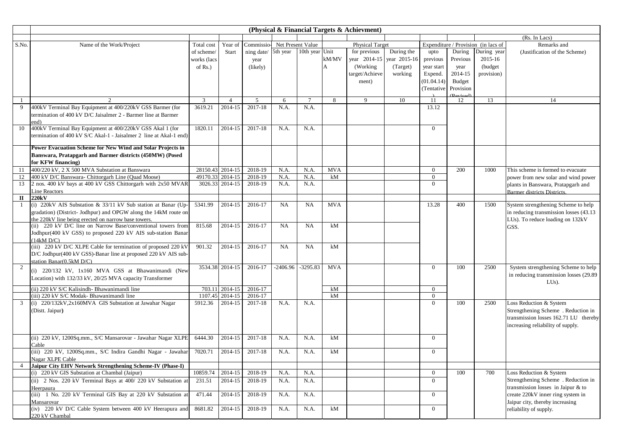|                |                                                                              |                  |                 |            |           |                   |            | (Physical & Financial Targets & Achievment) |              |                  |                                  |                                     |                                        |
|----------------|------------------------------------------------------------------------------|------------------|-----------------|------------|-----------|-------------------|------------|---------------------------------------------|--------------|------------------|----------------------------------|-------------------------------------|----------------------------------------|
|                |                                                                              |                  |                 |            |           |                   |            |                                             |              |                  |                                  |                                     | (Rs. In Lacs)                          |
| S.No.          | Name of the Work/Project                                                     | Total cost       | Year of         | Commissio- |           | Net Present Value |            | <b>Physical Target</b>                      |              |                  |                                  | Expenditure / Provision (in lacs of | Remarks and                            |
|                |                                                                              | of scheme/       | Start           | ning date/ | 5th year  | 10th year Unit    |            | for previous                                | During the   | upto             | During                           | During year                         | (Justification of the Scheme)          |
|                |                                                                              | works (lacs      |                 | year       |           |                   | kM/MV      | year 2014-15                                | year 2015-16 | previous         | Previous                         | 2015-16                             |                                        |
|                |                                                                              | of $Rs.$ )       |                 | (likely)   |           |                   | A          | (Working)                                   | (Target)     | year start       | year                             | (budget)                            |                                        |
|                |                                                                              |                  |                 |            |           |                   |            | target/Achieve                              | working      | Expend.          | 2014-15                          | provision)                          |                                        |
|                |                                                                              |                  |                 |            |           |                   |            | ment)                                       |              | (01.04.14)       | Budget                           |                                     |                                        |
|                |                                                                              |                  |                 |            |           |                   |            |                                             |              | (Tentative       | Provision                        |                                     |                                        |
| $\overline{1}$ | 2                                                                            | $\mathbf{3}$     | $\overline{4}$  | 5          | 6         | $\overline{7}$    | 8          | 9                                           | 10           | 11               | $(D_{\text{axi}} \circ d)$<br>12 | 13                                  | 14                                     |
| 9              | 400kV Terminal Bay Equipment at 400/220kV GSS Barmer (for                    | 3619.21          | $2014 - 15$     | 2017-18    | N.A.      | N.A.              |            |                                             |              | 13.12            |                                  |                                     |                                        |
|                | termination of 400 kV D/C Jaisalmer 2 - Barmer line at Barmer                |                  |                 |            |           |                   |            |                                             |              |                  |                                  |                                     |                                        |
|                | end)                                                                         |                  |                 |            |           |                   |            |                                             |              |                  |                                  |                                     |                                        |
| 10             | 400kV Terminal Bay Equipment at 400/220kV GSS Akal 1 (for                    | 1820.11          | 2014-15         | 2017-18    | N.A.      | N.A.              |            |                                             |              | $\overline{0}$   |                                  |                                     |                                        |
|                | termination of 400 kV S/C Akal-1 - Jaisalmer 2 line at Akal-1 end)           |                  |                 |            |           |                   |            |                                             |              |                  |                                  |                                     |                                        |
|                | Power Evacuation Scheme for New Wind and Solar Projects in                   |                  |                 |            |           |                   |            |                                             |              |                  |                                  |                                     |                                        |
|                | Banswara, Pratapgarh and Barmer districts (450MW) (Posed                     |                  |                 |            |           |                   |            |                                             |              |                  |                                  |                                     |                                        |
|                | for KFW financing)                                                           |                  |                 |            |           |                   |            |                                             |              |                  |                                  |                                     |                                        |
| 11             | 400/220 kV, 2 X 500 MVA Substation at Banswara                               | 28150.43 2014-15 |                 | 2018-19    | N.A.      | N.A.              | <b>MVA</b> |                                             |              | $\overline{0}$   | 200                              | 1000                                | This scheme is formed to evacuate      |
| 12             | 400 kV D/C Banswara- Chittorgarh Line (Quad Moose)                           | 49170.33 2014-15 |                 | 2018-19    | N.A.      | N.A.              | kM         |                                             |              | $\overline{0}$   |                                  |                                     | power from new solar and wind power    |
| 13             | 2 nos. 400 kV bays at 400 kV GSS Chittorgarh with 2x50 MVAR                  |                  | 3026.33 2014-15 | 2018-19    | N.A.      | N.A.              |            |                                             |              | $\overline{0}$   |                                  |                                     | plants in Banswara, Pratapgarh and     |
|                | Line Reactors                                                                |                  |                 |            |           |                   |            |                                             |              |                  |                                  |                                     | Barmer districts Districts.            |
| П              | 220kV                                                                        |                  |                 |            |           |                   |            |                                             |              |                  |                                  |                                     |                                        |
| $\mathbf{1}$   | (i) 220kV AIS Substation & 33/11 kV Sub station at Banar (Up                 | 5341.99          | 2014-15         | 2016-17    | <b>NA</b> | <b>NA</b>         | <b>MVA</b> |                                             |              | 13.28            | 400                              | 1500                                | System strengthening Scheme to help    |
|                | gradation) (District- Jodhpur) and OPGW along the 14kM route on              |                  |                 |            |           |                   |            |                                             |              |                  |                                  |                                     | in reducing transmission losses (43.13 |
|                | the 220kV line being erected on narrow base towers.                          |                  |                 |            |           |                   |            |                                             |              |                  |                                  |                                     | LUs). To reduce loading on 132kV       |
|                | (ii) 220 kV D/C line on Narrow Base/conventional towers from                 | 815.68           | 2014-15         | 2016-17    | <b>NA</b> | <b>NA</b>         | kM         |                                             |              |                  |                                  |                                     | GSS.                                   |
|                | Jodhpur(400 kV GSS) to proposed 220 kV AIS sub-station Banar                 |                  |                 |            |           |                   |            |                                             |              |                  |                                  |                                     |                                        |
|                | (14kM D/C)<br>(iii) 220 kV D/C XLPE Cable for termination of proposed 220 kV | 901.32           | 2014-15         | 2016-17    | <b>NA</b> | <b>NA</b>         | kM         |                                             |              |                  |                                  |                                     |                                        |
|                | D/C Jodhpur(400 kV GSS)-Banar line at proposed 220 kV AIS sub-               |                  |                 |            |           |                   |            |                                             |              |                  |                                  |                                     |                                        |
|                | station Banar(0.5kM D/C)                                                     |                  |                 |            |           |                   |            |                                             |              |                  |                                  |                                     |                                        |
| 2              |                                                                              |                  | 3534.38 2014-15 | 2016-17    | -2406.96  | $-3295.83$        | <b>MVA</b> |                                             |              | $\overline{0}$   | 100                              | 2500                                | System strengthening Scheme to help    |
|                | (i) 220/132 kV, 1x160 MVA GSS at Bhawanimandi (New                           |                  |                 |            |           |                   |            |                                             |              |                  |                                  |                                     | in reducing transmission losses (29.89 |
|                | Location) with 132/33 kV, 20/25 MVA capacity Transformer                     |                  |                 |            |           |                   |            |                                             |              |                  |                                  |                                     | $LUs$ ).                               |
|                | (ii) 220 kV S/C Kalisindh- Bhawanimandi line                                 |                  | 703.11 2014-15  | 2016-17    |           |                   | kM         |                                             |              | $\overline{0}$   |                                  |                                     |                                        |
|                | (iii) 220 kV S/C Modak- Bhawanimandi line                                    | 1107.45          | 2014-15         | 2016-17    |           |                   | kM         |                                             |              | $\overline{0}$   |                                  |                                     |                                        |
| 3              | (i) 220/132kV,2x160MVA GIS Substation at Jawahar Nagar                       | 5912.36          | 2014-15         | 2017-18    | N.A.      | N.A.              |            |                                             |              | $\overline{0}$   | 100                              | 2500                                | Loss Reduction & System                |
|                | (Distt. Jaipur)                                                              |                  |                 |            |           |                   |            |                                             |              |                  |                                  |                                     | Strengthening Scheme . Reduction in    |
|                |                                                                              |                  |                 |            |           |                   |            |                                             |              |                  |                                  |                                     | transmission losses 162.71 LU thereby  |
|                |                                                                              |                  |                 |            |           |                   |            |                                             |              |                  |                                  |                                     | increasing reliability of supply.      |
|                | (ii) 220 kV, 1200Sq.mm., S/C Mansarovar - Jawahar Nagar XLPE                 | 6444.30          | 2014-15         | 2017-18    | N.A.      | N.A.              | kM         |                                             |              | $\overline{0}$   |                                  |                                     |                                        |
|                | Cable                                                                        |                  |                 |            |           |                   |            |                                             |              |                  |                                  |                                     |                                        |
|                | (iii) 220 kV, 1200Sq.mm., S/C Indira Gandhi Nagar - Jawahar                  | 7020.71          | 2014-15         | 2017-18    | N.A.      | N.A.              | kM         |                                             |              | $\overline{0}$   |                                  |                                     |                                        |
|                | Nagar XLPE Cable                                                             |                  |                 |            |           |                   |            |                                             |              |                  |                                  |                                     |                                        |
| 4              | Jaipur City EHV Network Strengthening Scheme-IV (Phase-I)                    |                  |                 |            |           |                   |            |                                             |              |                  |                                  |                                     |                                        |
|                | (i) 220 kV GIS Substation at Chambal (Jaipur)                                | 10859.74         | 2014-15         | 2018-19    | N.A.      | N.A.              |            |                                             |              | $\overline{0}$   | 100                              | 700                                 | Loss Reduction & System                |
|                | (ii) 2 Nos. 220 kV Terminal Bays at 400/220 kV Substation at                 | 231.51           | 2014-15         | 2018-19    | N.A.      | N.A.              |            |                                             |              | $\overline{0}$   |                                  |                                     | Strengthening Scheme. Reduction in     |
|                | Heerpaura                                                                    |                  |                 |            |           |                   |            |                                             |              |                  |                                  |                                     | transmission losses in Jaipur & to     |
|                | (iii) 1 No. 220 kV Terminal GIS Bay at 220 kV Substation at                  | 471.44           | 2014-15         | 2018-19    | N.A.      | N.A.              |            |                                             |              | $\mathbf{0}$     |                                  |                                     | create 220kV inner ring system in      |
|                | Mansarovar                                                                   |                  |                 |            |           |                   |            |                                             |              |                  |                                  |                                     | Jaipur city, thereby increasing        |
|                | (iv) 220 kV D/C Cable System between 400 kV Heerapura and                    | 8681.82          | 2014-15         | 2018-19    | N.A.      | N.A.              | kM         |                                             |              | $\boldsymbol{0}$ |                                  |                                     | reliability of supply.                 |
|                | 220 kV Chambal                                                               |                  |                 |            |           |                   |            |                                             |              |                  |                                  |                                     |                                        |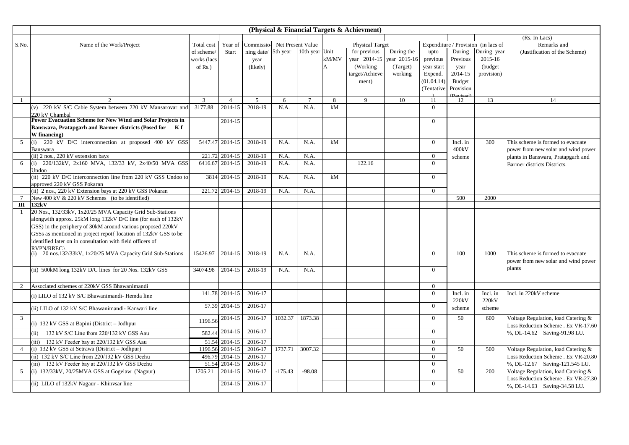|                 |                                                                          |              | (Physical & Financial Targets & Achievment) |                              |           |                |         |                 |              |                |                  |                                     |                                     |
|-----------------|--------------------------------------------------------------------------|--------------|---------------------------------------------|------------------------------|-----------|----------------|---------|-----------------|--------------|----------------|------------------|-------------------------------------|-------------------------------------|
|                 |                                                                          |              |                                             |                              |           |                |         |                 |              |                |                  |                                     | (Rs. In Lacs)                       |
| S.No.           | Name of the Work/Project                                                 | Total cost   | Year of                                     | Commissio- Net Present Value |           |                |         | Physical Target |              |                |                  | Expenditure / Provision (in lacs of | Remarks and                         |
|                 |                                                                          | of scheme/   | Start                                       | ning date/ 5th year          |           | 10th year Unit |         | for previous    | During the   | upto           | During           | During year                         | (Justification of the Scheme)       |
|                 |                                                                          | works (lacs  |                                             | year                         |           |                | kM/MV   | year 2014-15    | year 2015-16 | previous       | Previous         | 2015-16                             |                                     |
|                 |                                                                          | of $Rs.$ )   |                                             | (likely)                     |           |                | A       | (Working)       | (Target)     | year start     | year             | (budget                             |                                     |
|                 |                                                                          |              |                                             |                              |           |                |         | target/Achieve  | working      | Expend.        | 2014-15          | provision)                          |                                     |
|                 |                                                                          |              |                                             |                              |           |                |         | ment)           |              | (01.04.14)     | <b>Budget</b>    |                                     |                                     |
|                 |                                                                          |              |                                             |                              |           |                |         |                 |              | (Tentative     | Provision        |                                     |                                     |
| $\overline{1}$  |                                                                          |              | $\overline{4}$                              |                              |           |                |         | $\mathbf{Q}$    |              |                |                  | 13                                  |                                     |
|                 | (v) 220 kV S/C Cable System between 220 kV Mansarovar and                | 3<br>3177.88 | 2014-15                                     | 5<br>2018-19                 | 6<br>N.A. | N.A.           | 8<br>kM |                 | 10           | 11<br>$\Omega$ | 12               |                                     | 14                                  |
|                 | 220 kV Chambal                                                           |              |                                             |                              |           |                |         |                 |              |                |                  |                                     |                                     |
|                 | Power Evacuation Scheme for New Wind and Solar Projects in               |              | 2014-15                                     |                              |           |                |         |                 |              | $\overline{0}$ |                  |                                     |                                     |
|                 | Banswara, Pratapgarh and Barmer districts (Posed for<br>K f              |              |                                             |                              |           |                |         |                 |              |                |                  |                                     |                                     |
|                 | W financing)                                                             |              |                                             |                              |           |                |         |                 |              |                |                  |                                     |                                     |
| 5               | (i) 220 kV D/C interconnection at proposed 400 kV GSS                    |              | 5447.47 2014-15                             | 2018-19                      | N.A.      | N.A.           | kM      |                 |              | $\overline{0}$ | Incl. in         | 300                                 | This scheme is formed to evacuate   |
|                 | Banswara                                                                 |              |                                             |                              |           |                |         |                 |              |                | $400\mathrm{kV}$ |                                     | power from new solar and wind power |
|                 | (ii) 2 nos., 220 kV extension bays                                       |              | 221.72 2014-15                              | 2018-19                      | N.A       | N.A.           |         |                 |              | $\Omega$       | scheme           |                                     | plants in Banswara, Pratapgarh and  |
| 6               | (i) 220/132kV, 2x160 MVA, 132/33 kV, 2x40/50 MVA GSS                     |              | 6416.67 2014-15                             | 2018-19                      | N.A.      | N.A.           |         | 122.16          |              | $\Omega$       |                  |                                     | Barmer districts Districts.         |
|                 | Undoo                                                                    |              |                                             |                              |           |                |         |                 |              |                |                  |                                     |                                     |
|                 | (ii) 220 kV D/C interconnection line from 220 kV GSS Undoo to            |              | 3814 2014-15                                | 2018-19                      | N.A.      | N.A.           | kM      |                 |              | $\overline{0}$ |                  |                                     |                                     |
|                 | approved 220 kV GSS Pokaran                                              |              |                                             |                              |           |                |         |                 |              |                |                  |                                     |                                     |
|                 | (ii) 2 nos., 220 kV Extension bays at 220 kV GSS Pokaran                 |              | 221.72 2014-15                              | 2018-19                      | N.A.      | N.A.           |         |                 |              | $\Omega$       |                  |                                     |                                     |
| $7\phantom{.0}$ | New 400 kV & 220 kV Schemes (to be identified)                           |              |                                             |                              |           |                |         |                 |              |                | 500              | 2000                                |                                     |
| III             | 132kV                                                                    |              |                                             |                              |           |                |         |                 |              |                |                  |                                     |                                     |
| -1              | 20 Nos., 132/33kV, 1x20/25 MVA Capacity Grid Sub-Stations                |              |                                             |                              |           |                |         |                 |              |                |                  |                                     |                                     |
|                 | alongwith approx. 25kM long 132kV D/C line (for each of 132kV            |              |                                             |                              |           |                |         |                 |              |                |                  |                                     |                                     |
|                 | GSS) in the periphery of 30kM around various proposed 220kV              |              |                                             |                              |           |                |         |                 |              |                |                  |                                     |                                     |
|                 | GSSs as mentioned in project repot{ location of 132kV GSS to be          |              |                                             |                              |           |                |         |                 |              |                |                  |                                     |                                     |
|                 | identified later on in consultation with field officers of<br>RVPN/RREC1 |              |                                             |                              |           |                |         |                 |              |                |                  |                                     |                                     |
|                 | (i) 20 nos.132/33kV, 1x20/25 MVA Capacity Grid Sub-Stations              | 15426.97     | 2014-15                                     | 2018-19                      | N.A.      | N.A.           |         |                 |              | $\overline{0}$ | 100              | 1000                                | This scheme is formed to evacuate   |
|                 |                                                                          |              |                                             |                              |           |                |         |                 |              |                |                  |                                     | power from new solar and wind power |
|                 | (ii) 500kM long 132kV D/C lines for 20 Nos. 132kV GSS                    | 34074.98     | 2014-15                                     | 2018-19                      | N.A.      | N.A.           |         |                 |              | $\Omega$       |                  |                                     | plants                              |
|                 |                                                                          |              |                                             |                              |           |                |         |                 |              |                |                  |                                     |                                     |
|                 |                                                                          |              |                                             |                              |           |                |         |                 |              |                |                  |                                     |                                     |
| 2               | Associated schemes of 220kV GSS Bhawanimandi                             |              |                                             |                              |           |                |         |                 |              | $\Omega$       |                  |                                     |                                     |
|                 | (i) LILO of 132 kV S/C Bhawanimandi-Hemda line                           |              | 141.78 2014-15                              | 2016-17                      |           |                |         |                 |              | $\overline{0}$ | Incl. in         | Incl. in                            | Incl. in 220kV scheme               |
|                 |                                                                          |              | 57.39 2014-15                               | 2016-17                      |           |                |         |                 |              | $\mathbf{0}$   | 220kV            | 220kV                               |                                     |
|                 | (ii) LILO of 132 kV S/C Bhawanimandi- Kanwari line                       |              |                                             |                              |           |                |         |                 |              |                | scheme           | scheme                              |                                     |
| 3               |                                                                          | 1196.56      | 2014-15                                     | 2016-17                      | 1032.37   | 1873.38        |         |                 |              | $\Omega$       | 50               | 600                                 | Voltage Regulation, load Catering & |
|                 | (i) 132 kV GSS at Bapini (District - Jodhpur                             |              |                                             |                              |           |                |         |                 |              |                |                  |                                     | Loss Reduction Scheme . Ex VR-17.60 |
|                 | (ii) $132$ kV S/C Line from 220/132 kV GSS Aau                           | 582.44       | 2014-15                                     | 2016-17                      |           |                |         |                 |              | $\overline{0}$ |                  |                                     | %, DL-14.62 Saving-91.98 LU.        |
|                 | (iii) 132 kV Feeder bay at 220/132 kV GSS Aau                            | 51.54        | 2014-15                                     | 2016-17                      |           |                |         |                 |              | $\overline{0}$ |                  |                                     |                                     |
| $\overline{4}$  | (i) 132 kV GSS at Setrawa (District - Jodhpur)                           | 1196.56      | 2014-15                                     | 2016-17                      | 1737.71   | 3007.32        |         |                 |              | $\Omega$       | 50               | 500                                 | Voltage Regulation, load Catering & |
|                 | (ii) 132 kV S/C Line from 220/132 kV GSS Dechu                           | 496.79       | 2014-15                                     | 2016-17                      |           |                |         |                 |              | $\overline{0}$ |                  |                                     | Loss Reduction Scheme . Ex VR-20.80 |
|                 | (iii) 132 kV Feeder bay at 220/132 kV GSS Dechu                          | 51.54        | 2014-15                                     | 2016-17                      |           |                |         |                 |              | $\overline{0}$ |                  |                                     | %, DL-12.67 Saving-121.545 LU.      |
| 5               | (i) 132/33kV, 20/25MVA GSS at Gogelaw (Nagaur)                           | 1705.21      | 2014-15                                     | 2016-17                      | $-175.43$ | $-98.08$       |         |                 |              | $\Omega$       | 50               | 200                                 | Voltage Regulation, load Catering & |
|                 |                                                                          |              |                                             |                              |           |                |         |                 |              |                |                  |                                     | Loss Reduction Scheme . Ex VR-27.30 |
|                 | (ii) LILO of 132kV Nagaur - Khinysar line                                |              | 2014-15                                     | 2016-17                      |           |                |         |                 |              | $\Omega$       |                  |                                     | %, DL-14.63 Saving-34.58 LU.        |
|                 |                                                                          |              |                                             |                              |           |                |         |                 |              |                |                  |                                     |                                     |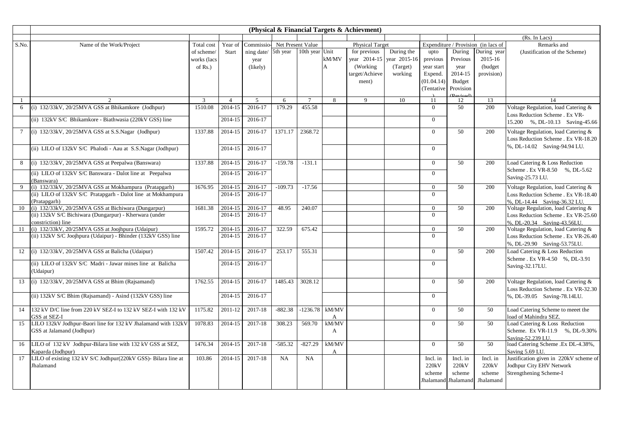|                 |                                                                |                |                |                     |                   |                 |              | (Physical & Financial Targets & Achievment) |              |                |                     |                                     |                                        |
|-----------------|----------------------------------------------------------------|----------------|----------------|---------------------|-------------------|-----------------|--------------|---------------------------------------------|--------------|----------------|---------------------|-------------------------------------|----------------------------------------|
|                 |                                                                |                |                |                     |                   |                 |              |                                             |              |                |                     |                                     | (Rs. In Lacs)                          |
| S.No.           | Name of the Work/Project                                       | Total cost     | Year of        | Commissio-          | Net Present Value |                 |              | <b>Physical Target</b>                      |              |                |                     | Expenditure / Provision (in lacs of | Remarks and                            |
|                 |                                                                | of scheme/     | Start          | ning date/ 5th year |                   | 10th year Unit  |              | for previous                                | During the   | upto           | During              | During year                         | (Justification of the Scheme)          |
|                 |                                                                | works (lacs    |                | year                |                   |                 | kM/MV        | year 2014-15                                | year 2015-16 | previous       | Previous            | 2015-16                             |                                        |
|                 |                                                                | of $Rs.$ )     |                | (likely)            |                   |                 | А            | (Working)                                   | (Target)     | year start     | year                | (budget                             |                                        |
|                 |                                                                |                |                |                     |                   |                 |              | target/Achieve                              | working      | Expend.        | 2014-15             | provision)                          |                                        |
|                 |                                                                |                |                |                     |                   |                 |              | ment)                                       |              | (01.04.14)     | Budget              |                                     |                                        |
|                 |                                                                |                |                |                     |                   |                 |              |                                             |              | (Tentative     | Provision           |                                     |                                        |
|                 |                                                                |                |                |                     |                   |                 |              |                                             |              |                |                     |                                     |                                        |
| $\mathbf{1}$    | $\mathfrak{D}$                                                 | $\overline{3}$ | $\overline{4}$ | $5\overline{)}$     | 6                 | $7\phantom{.0}$ | 8            | $\overline{Q}$                              | 10           | 11             | 12                  | 13                                  | 14                                     |
| 6               | (i) 132/33kV, 20/25MVA GSS at Bhikamkore (Jodhpur)             | 1510.08        | 2014-15        | 2016-17             | 179.29            | 455.58          |              |                                             |              | $\theta$       | 50                  | 200                                 | Voltage Regulation, load Catering &    |
|                 | (ii) 132kV S/C Bhikamkore - Biathwasia (220kV GSS) line        |                | 2014-15        | 2016-17             |                   |                 |              |                                             |              | $\Omega$       |                     |                                     | Loss Reduction Scheme . Ex VR-         |
|                 |                                                                |                |                |                     |                   |                 |              |                                             |              |                |                     |                                     | 15.200 %, DL-10.13 Saving-45.66        |
| $7\phantom{.0}$ | (i) 132/33kV, 20/25MVA GSS at S.S.Nagar (Jodhpur)              | 1337.88        | 2014-15        | 2016-17             | 1371.17           | 2368.72         |              |                                             |              | $\Omega$       | 50                  | 200                                 | Voltage Regulation, load Catering &    |
|                 |                                                                |                |                |                     |                   |                 |              |                                             |              |                |                     |                                     | Loss Reduction Scheme . Ex VR-18.20    |
|                 |                                                                |                | 2014-15        | 2016-17             |                   |                 |              |                                             |              | $\Omega$       |                     |                                     | %, DL-14.02 Saving-94.94 LU.           |
|                 | (ii) LILO of 132kV S/C Phalodi - Aau at S.S.Nagar (Jodhpur)    |                |                |                     |                   |                 |              |                                             |              |                |                     |                                     |                                        |
| 8               | (i) 132/33kV, 20/25MVA GSS at Peepalwa (Banswara)              | 1337.88        | 2014-15        | 2016-17             | $-159.78$         | $-131.1$        |              |                                             |              | $\Omega$       | 50                  | 200                                 | Load Catering & Loss Reduction         |
|                 |                                                                |                |                |                     |                   |                 |              |                                             |              |                |                     |                                     | Scheme . Ex VR-8.50 %, DL-5.62         |
|                 | (ii) LILO of 132kV S/C Banswara - Dalot line at Peepalwa       |                | 2014-15        | 2016-17             |                   |                 |              |                                             |              | $\theta$       |                     |                                     |                                        |
|                 | (Banswara)                                                     |                |                |                     |                   |                 |              |                                             |              |                |                     |                                     | Saving-25.73 LU.                       |
| 9               | (i) 132/33kV, 20/25MVA GSS at Mokhampura (Pratapgarh)          | 1676.95        | 2014-15        | 2016-17             | $-109.73$         | $-17.56$        |              |                                             |              | $\overline{0}$ | 50                  | 200                                 | Voltage Regulation, load Catering &    |
|                 | (ii) LILO of 132kV S/C Pratapgarh - Dalot line at Mokhampura   |                | 2014-15        | 2016-17             |                   |                 |              |                                             |              | $\Omega$       |                     |                                     | Loss Reduction Scheme . Ex VR-18.40    |
|                 | (Pratapgarh)                                                   |                |                |                     |                   |                 |              |                                             |              |                |                     |                                     | %, DL-14.44 Saving-36.32 LU.           |
| 10              | (i) 132/33kV, 20/25MVA GSS at Bichiwara (Dungarpur)            | 1681.38        | 2014-15        | 2016-17             | 48.95             | 240.07          |              |                                             |              | $\Omega$       | 50                  | 200                                 | Voltage Regulation, load Catering &    |
|                 | (ii) 132kV S/C Bichiwara (Dungarpur) - Kherwara (under         |                | 2014-15        | 2016-17             |                   |                 |              |                                             |              | $\Omega$       |                     |                                     | Loss Reduction Scheme . Ex VR-25.60    |
|                 | constriction) line                                             |                |                |                     |                   |                 |              |                                             |              |                |                     |                                     | %, DL-20.34 Saving-43.56LU.            |
|                 | 11 (i) 132/33kV, 20/25MVA GSS at Joojhpura (Udaipur)           | 1595.72        | 2014-15        | 2016-17             | 322.59            | 675.42          |              |                                             |              | $\overline{0}$ | 50                  | 200                                 | Voltage Regulation, load Catering &    |
|                 | (ii) 132kV S/C Joojhpura (Udaipur) - Bhinder (132kV GSS) line  |                | 2014-15        | 2016-17             |                   |                 |              |                                             |              | $\Omega$       |                     |                                     | Loss Reduction Scheme . Ex VR-26.40    |
|                 |                                                                |                |                |                     |                   |                 |              |                                             |              |                |                     |                                     | %, DL-29.90 Saving-53.75LU.            |
| 12              | (i) 132/33kV, 20/25MVA GSS at Balicha (Udaipur)                | 1507.42        | 2014-15        | 2016-17             | 253.17            | 555.31          |              |                                             |              | $\theta$       | 50                  | 200                                 | Load Catering & Loss Reduction         |
|                 |                                                                |                |                |                     |                   |                 |              |                                             |              |                |                     |                                     | Scheme . Ex VR-4.50 %, DL-3.91         |
|                 | (ii) LILO of 132kV S/C Madri - Jawar mines line at Balicha     |                | 2014-15        | 2016-17             |                   |                 |              |                                             |              | $\overline{0}$ |                     |                                     | Saving-32.17LU.                        |
|                 | (Udaipur)                                                      |                |                |                     |                   |                 |              |                                             |              |                |                     |                                     |                                        |
| 13              | (i) 132/33kV, 20/25MVA GSS at Bhim (Rajsamand)                 | 1762.55        | 2014-15        | 2016-17             | 1485.43           | 3028.12         |              |                                             |              | $\overline{0}$ | 50                  | 200                                 | Voltage Regulation, load Catering &    |
|                 |                                                                |                |                |                     |                   |                 |              |                                             |              |                |                     |                                     | Loss Reduction Scheme . Ex VR-32.30    |
|                 | (ii) 132kV S/C Bhim (Rajsamand) - Asind (132kV GSS) line       |                | 2014-15        | 2016-17             |                   |                 |              |                                             |              | $\overline{0}$ |                     |                                     | %, DL-39.05 Saving-78.14LU.            |
|                 |                                                                |                |                |                     |                   |                 |              |                                             |              |                |                     |                                     |                                        |
| 14              | 132 kV D/C line from 220 kV SEZ-I to 132 kV SEZ-I with 132 kV  | 1175.82        | 2011-12        | 2017-18             | $-882.38$         | $-1236.78$      | kM/MV        |                                             |              | $\overline{0}$ | 50                  | 50                                  | Load Catering Scheme to meeet the      |
|                 | GSS at SEZ-I                                                   |                |                |                     |                   |                 | A            |                                             |              |                |                     |                                     | load of Mahindra SEZ.                  |
| 15              | LILO 132kV Jodhpur-Baori line for 132 kV Jhalamand with 132kV  | 1078.83        | 2014-15        | 2017-18             | 308.23            | 569.70          | kM/MV        |                                             |              | $\Omega$       | 50                  | 50                                  | Load Catering & Loss Reduction         |
|                 | GSS at Jalamand (Jodhpur)                                      |                |                |                     |                   |                 | $\mathbf{A}$ |                                             |              |                |                     |                                     | Scheme. Ex VR-11.9 %, DL-9.30%         |
|                 |                                                                |                |                |                     |                   |                 |              |                                             |              |                |                     |                                     | Saving-52.239 LU.                      |
| 16              | LILO of 132 kV Jodhpur-Bilara line with 132 kV GSS at SEZ,     | 1476.34        | 2014-15        | 2017-18             | $-585.32$         | $-827.29$       | kM/MV        |                                             |              | $\theta$       | 50                  | 50                                  | load Catering Scheme .Ex DL-4.38%,     |
|                 | Kaparda (Jodhpur)                                              |                |                |                     |                   |                 | A            |                                             |              |                |                     |                                     | Saving 5.69 LU.                        |
| 17              | LILO of existing 132 kV S/C Jodhpur(220kV GSS)- Bilara line at | 103.86         | 2014-15        | 2017-18             | NA                | NA              |              |                                             |              | Incl. in       | Incl. in            | Incl. in                            | Justification given in 220kV scheme of |
|                 | Jhalamand                                                      |                |                |                     |                   |                 |              |                                             |              | 220kV          | 220kV               | 220kV                               | Jodhpur City EHV Network               |
|                 |                                                                |                |                |                     |                   |                 |              |                                             |              | scheme         | scheme              | scheme                              | Strengthening Scheme-I                 |
|                 |                                                                |                |                |                     |                   |                 |              |                                             |              |                | Jhalamand Jhalamand | Jhalamand                           |                                        |
|                 |                                                                |                |                |                     |                   |                 |              |                                             |              |                |                     |                                     |                                        |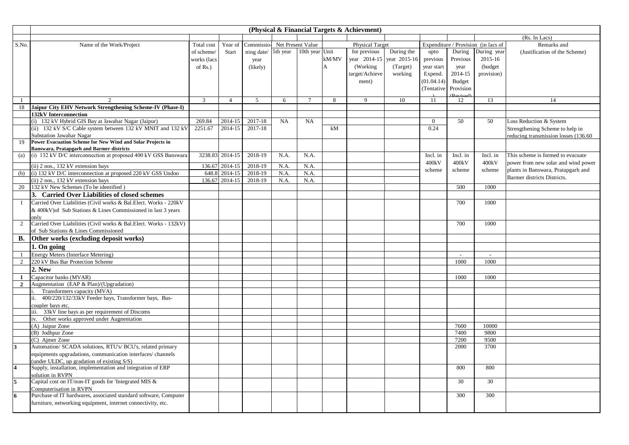|                         |                                                                           |                |                 |                |           |                   |                | (Physical & Financial Targets & Achievment) |              |                |                          |                                     |                                       |
|-------------------------|---------------------------------------------------------------------------|----------------|-----------------|----------------|-----------|-------------------|----------------|---------------------------------------------|--------------|----------------|--------------------------|-------------------------------------|---------------------------------------|
|                         |                                                                           |                |                 |                |           |                   |                |                                             |              |                |                          |                                     | (Rs. In Lacs)                         |
| S.No.                   | Name of the Work/Project                                                  | Total cost     | Year of         | Commissio-     |           | Net Present Value |                | <b>Physical Target</b>                      |              |                |                          | Expenditure / Provision (in lacs of | Remarks and                           |
|                         |                                                                           | of scheme/     | Start           | ning date/     | 5th year  | 10th year Unit    |                | for previous                                | During the   | upto           | During                   | During year                         | (Justification of the Scheme)         |
|                         |                                                                           | works (lacs    |                 | year           |           |                   | kM/MV          | year 2014-15                                | year 2015-16 | previous       | Previous                 | $2015 - 16$                         |                                       |
|                         |                                                                           | of $Rs.$ )     |                 | (likely)       |           |                   | $\overline{A}$ | (Working)                                   | (Target)     | year start     | year                     | (budget                             |                                       |
|                         |                                                                           |                |                 |                |           |                   |                | target/Achieve                              | working      | Expend.        | 2014-15                  | provision)                          |                                       |
|                         |                                                                           |                |                 |                |           |                   |                | ment)                                       |              | (01.04.14)     | Budget                   |                                     |                                       |
|                         |                                                                           |                |                 |                |           |                   |                |                                             |              | (Tentative     | Provision                |                                     |                                       |
|                         |                                                                           |                |                 |                |           |                   |                |                                             |              |                | (Revised)                |                                     |                                       |
| -1                      | $\mathfrak{D}$                                                            | $\mathfrak{Z}$ | $\overline{4}$  | 5 <sup>5</sup> | 6         | $\overline{7}$    | 8              | 9                                           | 10           | 11             | 12                       | 13                                  | 14                                    |
| 18                      | Jaipur City EHV Network Strengthening Scheme-IV (Phase-I)                 |                |                 |                |           |                   |                |                                             |              |                |                          |                                     |                                       |
|                         | <b>132kV Interconnection</b>                                              |                |                 |                |           |                   |                |                                             |              |                |                          |                                     |                                       |
|                         | (i) 132 kV Hybrid GIS Bay at Jawahar Nagar (Jaipur)                       | 269.84         | 2014-15         | 2017-18        | <b>NA</b> | <b>NA</b>         |                |                                             |              | $\overline{0}$ | 50                       | 50                                  | Loss Reduction & System               |
|                         | (ii) 132 kV S/C Cable system between 132 kV MNIT and 132 kV               | 2251.67        | 2014-15         | 2017-18        |           |                   | kM             |                                             |              | 0.24           |                          |                                     | Strengthening Scheme to help in       |
|                         | <b>Substation Jawahar Nagar</b>                                           |                |                 |                |           |                   |                |                                             |              |                |                          |                                     | reducing transmission losses (136.60) |
| 19                      | Power Evacuation Scheme for New Wind and Solar Projects in                |                |                 |                |           |                   |                |                                             |              |                |                          |                                     |                                       |
|                         | <b>Banswara, Pratapgarh and Barmer districts</b>                          |                |                 |                |           |                   |                |                                             |              |                |                          |                                     |                                       |
| (a)                     | (i) 132 kV D/C interconnection at proposed 400 kV GSS Banswara            |                | 3238.83 2014-15 | 2018-19        | N.A.      | N.A.              |                |                                             |              | Incl. in       | Incl. in                 | Incl. in                            | This scheme is formed to evacuate     |
|                         | (ii) 2 nos., 132 kV extension bays                                        | 136.67         | 2014-15         | 2018-19        | N.A.      | N.A.              |                |                                             |              | 400kV          | 400kV                    | 400kV                               | power from new solar and wind power   |
| (b)                     | (i) 132 kV D/C interconnection at proposed 220 kV GSS Undoo               | 648.8          | 2014-15         | 2018-19        | N.A.      | N.A.              |                |                                             |              | scheme         | scheme                   | scheme                              | plants in Banswara, Pratapgarh and    |
|                         | (ii) 2 nos., 132 kV extension bays                                        |                | 136.67 2014-15  | 2018-19        | N.A.      | N.A.              |                |                                             |              |                |                          |                                     | Barmer districts Districts.           |
| 20                      | 132 kV New Schemes (To be identified)                                     |                |                 |                |           |                   |                |                                             |              |                | 500                      | 1000                                |                                       |
|                         | 3. Carried Over Liabilities of closed schemes                             |                |                 |                |           |                   |                |                                             |              |                |                          |                                     |                                       |
|                         |                                                                           |                |                 |                |           |                   |                |                                             |              |                | 700                      |                                     |                                       |
|                         | Carried Over Liabilities (Civil works & Bal.Elect. Works - 220kV          |                |                 |                |           |                   |                |                                             |              |                |                          | 1000                                |                                       |
|                         | & 400kV) of Sub Stations & Lines Commissioned in last 3 years             |                |                 |                |           |                   |                |                                             |              |                |                          |                                     |                                       |
|                         | only<br>Carried Over Liabilities (Civil works & Bal.Elect. Works - 132kV) |                |                 |                |           |                   |                |                                             |              |                | 700                      | 1000                                |                                       |
| 2                       |                                                                           |                |                 |                |           |                   |                |                                             |              |                |                          |                                     |                                       |
|                         | of Sub Stations & Lines Commissioned                                      |                |                 |                |           |                   |                |                                             |              |                |                          |                                     |                                       |
| В.                      | Other works (excluding deposit works)                                     |                |                 |                |           |                   |                |                                             |              |                |                          |                                     |                                       |
|                         | 1. On going                                                               |                |                 |                |           |                   |                |                                             |              |                |                          |                                     |                                       |
|                         | Energy Meters (Interface Metering)                                        |                |                 |                |           |                   |                |                                             |              |                | $\overline{\phantom{a}}$ | $\sim$                              |                                       |
| 2                       | 220 kV Bus Bar Protection Scheme                                          |                |                 |                |           |                   |                |                                             |              |                | 1000                     | 1000                                |                                       |
|                         | 2. New                                                                    |                |                 |                |           |                   |                |                                             |              |                |                          |                                     |                                       |
| 1                       | Capacitor banks (MVAR)                                                    |                |                 |                |           |                   |                |                                             |              |                | 1000                     | 1000                                |                                       |
| $\overline{2}$          | Augmentation (EAP & Plan)/(Upgradation)                                   |                |                 |                |           |                   |                |                                             |              |                |                          |                                     |                                       |
|                         | Transformers capacity (MVA)                                               |                |                 |                |           |                   |                |                                             |              |                |                          |                                     |                                       |
|                         | 400/220/132/33kV Feeder bays, Transformer bays, Bus-<br>ii.               |                |                 |                |           |                   |                |                                             |              |                |                          |                                     |                                       |
|                         | coupler bays etc.                                                         |                |                 |                |           |                   |                |                                             |              |                |                          |                                     |                                       |
|                         | iii. 33kV line bays as per requirement of Discoms                         |                |                 |                |           |                   |                |                                             |              |                |                          |                                     |                                       |
|                         | Other works approved under Augnentation<br>iv.                            |                |                 |                |           |                   |                |                                             |              |                |                          |                                     |                                       |
|                         | (A) Jaipur Zone                                                           |                |                 |                |           |                   |                |                                             |              |                | 7600                     | 10000                               |                                       |
|                         | (B) Jodhpur Zone                                                          |                |                 |                |           |                   |                |                                             |              |                | 7400                     | 9800                                |                                       |
|                         | (C) Ajmer Zone                                                            |                |                 |                |           |                   |                |                                             |              |                | 7200                     | 9500                                |                                       |
| $\overline{\mathbf{3}}$ | Automation/ SCADA solutions, RTU's/ BCU's, related primary                |                |                 |                |           |                   |                |                                             |              |                | 2000                     | 3700                                |                                       |
|                         | equipments upgradations, communication interfaces/ channels               |                |                 |                |           |                   |                |                                             |              |                |                          |                                     |                                       |
|                         | under ULDC, up gradation of existing S/S)                                 |                |                 |                |           |                   |                |                                             |              |                |                          |                                     |                                       |
| $\overline{\mathbf{4}}$ | Supply, installation, implementation and integration of ERP               |                |                 |                |           |                   |                |                                             |              |                | 800                      | 800                                 |                                       |
|                         | solution in RVPN                                                          |                |                 |                |           |                   |                |                                             |              |                |                          |                                     |                                       |
| 5                       | Capital cost on IT/non-IT goods for 'Integrated MIS &                     |                |                 |                |           |                   |                |                                             |              |                | 30                       | 30                                  |                                       |
|                         | Computerisation in RVPN                                                   |                |                 |                |           |                   |                |                                             |              |                |                          |                                     |                                       |
| $\overline{6}$          | Purchase of IT hardwares, associated standard software, Computer          |                |                 |                |           |                   |                |                                             |              |                | 300                      | 300                                 |                                       |
|                         | furniture, networking equipment, internet connectivity, etc.              |                |                 |                |           |                   |                |                                             |              |                |                          |                                     |                                       |
|                         |                                                                           |                |                 |                |           |                   |                |                                             |              |                |                          |                                     |                                       |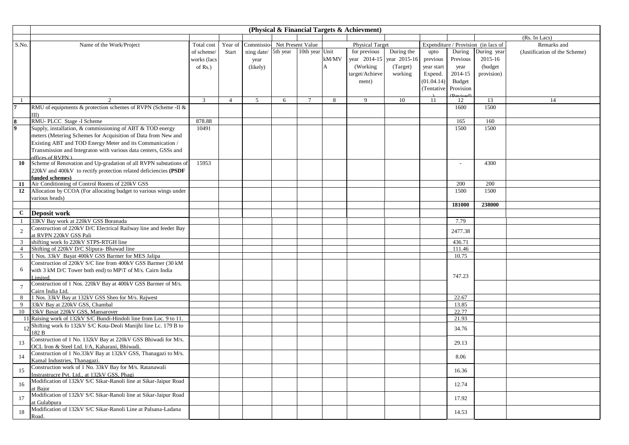|                 |                                                                        |             |         |                     |   |                   |                | (Physical & Financial Targets & Achievment) |              |            |                                  |                                     |                               |
|-----------------|------------------------------------------------------------------------|-------------|---------|---------------------|---|-------------------|----------------|---------------------------------------------|--------------|------------|----------------------------------|-------------------------------------|-------------------------------|
|                 |                                                                        |             |         |                     |   |                   |                |                                             |              |            |                                  |                                     | (Rs. In Lacs)                 |
| S.No.           | Name of the Work/Project                                               | Total cost  | Year of | Commissio-          |   | Net Present Value |                | <b>Physical Target</b>                      |              |            |                                  | Expenditure / Provision (in lacs of | Remarks and                   |
|                 |                                                                        | of scheme/  | Start   | ning date/ 5th year |   | 10th year Unit    |                | for previous                                | During the   | upto       | During                           | During year                         | (Justification of the Scheme) |
|                 |                                                                        | works (lacs |         | year                |   |                   | kM/MV          | year 2014-15                                | year 2015-16 | previous   | Previous                         | 2015-16                             |                               |
|                 |                                                                        | of $Rs.$ )  |         | (likely)            |   |                   | $\overline{A}$ | (Working)                                   | (Target)     | year start | year                             | (budget)                            |                               |
|                 |                                                                        |             |         |                     |   |                   |                | target/Achieve                              | working      | Expend.    | 2014-15                          | provision)                          |                               |
|                 |                                                                        |             |         |                     |   |                   |                | ment)                                       |              | (01.04.14) | <b>Budget</b>                    |                                     |                               |
|                 |                                                                        |             |         |                     |   |                   |                |                                             |              | (Tentative | Provision                        |                                     |                               |
|                 |                                                                        |             |         |                     |   |                   |                |                                             |              |            | $(P^{\text{axi}}_{\text{cond}})$ |                                     |                               |
|                 |                                                                        | 3           |         | $\overline{5}$      | 6 | $\overline{7}$    | 8              | $\mathbf Q$                                 | 10           | 11         | 12                               | 13                                  | 14                            |
|                 | RMU of equipments & protection schemes of RVPN (Scheme -II &           |             |         |                     |   |                   |                |                                             |              |            | 1600                             | 1500                                |                               |
|                 | IID.                                                                   |             |         |                     |   |                   |                |                                             |              |            |                                  |                                     |                               |
|                 | RMU-PLCC Stage -I Scheme                                               | 878.88      |         |                     |   |                   |                |                                             |              |            | 165                              | 160                                 |                               |
|                 | Supply, installation, & commissioning of ABT & TOD energy              | 10491       |         |                     |   |                   |                |                                             |              |            | 1500                             | 1500                                |                               |
|                 | meters (Metering Schemes for Acquisition of Data from New and          |             |         |                     |   |                   |                |                                             |              |            |                                  |                                     |                               |
|                 | Existing ABT and TOD Energy Meter and its Communication /              |             |         |                     |   |                   |                |                                             |              |            |                                  |                                     |                               |
|                 | Transmission and Integraton with various data centers, GSSs and        |             |         |                     |   |                   |                |                                             |              |            |                                  |                                     |                               |
|                 | offices of RVPN )                                                      |             |         |                     |   |                   |                |                                             |              |            |                                  |                                     |                               |
| 10              | Scheme of Renovation and Up-gradation of all RVPN substations of       | 15953       |         |                     |   |                   |                |                                             |              |            |                                  | 4300                                |                               |
|                 | 220kV and 400kV to rectify protection related deficiencies (PSDF       |             |         |                     |   |                   |                |                                             |              |            |                                  |                                     |                               |
|                 | funded schemes)                                                        |             |         |                     |   |                   |                |                                             |              |            |                                  |                                     |                               |
| 11              | Air Conditioning of Control Rooms of 220kV GSS                         |             |         |                     |   |                   |                |                                             |              |            | 200                              | 200                                 |                               |
| 12              | Allocation by CCOA (For allocating budget to various wings under       |             |         |                     |   |                   |                |                                             |              |            | 1500                             | 1500                                |                               |
|                 | various heads)                                                         |             |         |                     |   |                   |                |                                             |              |            |                                  |                                     |                               |
|                 |                                                                        |             |         |                     |   |                   |                |                                             |              |            | 181000                           | 238000                              |                               |
| $\mathbf{C}$    | Deposit work                                                           |             |         |                     |   |                   |                |                                             |              |            |                                  |                                     |                               |
|                 | 33KV Bay work at 220kV GSS Boranada                                    |             |         |                     |   |                   |                |                                             |              |            | 7.79                             |                                     |                               |
| 2               | Construction of 220kV D/C Electrical Railway line and feeder Bay       |             |         |                     |   |                   |                |                                             |              |            | 2477.38                          |                                     |                               |
|                 | at RVPN 220kV GSS Pali                                                 |             |         |                     |   |                   |                |                                             |              |            |                                  |                                     |                               |
| 3               | shifting work fo 220kV STPS-RTGH line                                  |             |         |                     |   |                   |                |                                             |              |            | 436.71                           |                                     |                               |
| $\overline{4}$  | Shifting of 220kV D/C Slipura- Bhawad line                             |             |         |                     |   |                   |                |                                             |              |            | 111.46                           |                                     |                               |
| $5\overline{)}$ | 1 Nos. 33kV Bayat 400kV GSS Barmer for MES Jalipa                      |             |         |                     |   |                   |                |                                             |              |            | 10.75                            |                                     |                               |
|                 | Construction of 220kV S/C line from 400kV GSS Barmer (30 kM            |             |         |                     |   |                   |                |                                             |              |            |                                  |                                     |                               |
| 6               | with 3 kM D/C Tower both end) to MP/T of M/s. Cairn India              |             |         |                     |   |                   |                |                                             |              |            |                                  |                                     |                               |
|                 | imited.                                                                |             |         |                     |   |                   |                |                                             |              |            | 747.23                           |                                     |                               |
| 7               | Construction of 1 Nos. 220kV Bay at 400kV GSS Barmer of M/s.           |             |         |                     |   |                   |                |                                             |              |            |                                  |                                     |                               |
|                 | Cairn India Ltd.<br>1 Nos. 33kV Bay at 132kV GSS Sheo for M/s. Rajwest |             |         |                     |   |                   |                |                                             |              |            |                                  |                                     |                               |
| 8               | 33kV Bay at 220kV GSS, Chambal                                         |             |         |                     |   |                   |                |                                             |              |            | 22.67                            |                                     |                               |
| 9<br>10         | 33kV Bayat 220kV GSS, Mansarover                                       |             |         |                     |   |                   |                |                                             |              |            | 13.85<br>22.77                   |                                     |                               |
|                 | 11 Raising work of 132kV S/C Bundi-Hindoli line from Loc. 9 to 11.     |             |         |                     |   |                   |                |                                             |              |            | 21.93                            |                                     |                               |
|                 | Shifting work fo 132kV S/C Kota-Deoli Manijhi line Lc. 179 B to        |             |         |                     |   |                   |                |                                             |              |            |                                  |                                     |                               |
| 12              | 182 B                                                                  |             |         |                     |   |                   |                |                                             |              |            | 34.76                            |                                     |                               |
|                 | Construction of 1 No. 132kV Bay at 220kV GSS Bhiwadi for M/s.          |             |         |                     |   |                   |                |                                             |              |            |                                  |                                     |                               |
| 13              | OCL Iron & Steel Ltd. I/A, Kaharani, Bhiwadi.                          |             |         |                     |   |                   |                |                                             |              |            | 29.13                            |                                     |                               |
|                 | Construction of 1 No.33kV Bay at 132kV GSS, Thanagazi to M/s.          |             |         |                     |   |                   |                |                                             |              |            |                                  |                                     |                               |
| 14              | Kamal Industries, Thanagazi.                                           |             |         |                     |   |                   |                |                                             |              |            | 8.06                             |                                     |                               |
|                 | Construction work of 1 No. 33kV Bay for M/s. Ratanawali                |             |         |                     |   |                   |                |                                             |              |            |                                  |                                     |                               |
| 15              | Instrastrucre Pvt. Ltd., at 132kV GSS, Phagi                           |             |         |                     |   |                   |                |                                             |              |            | 16.36                            |                                     |                               |
|                 | Modification of 132kV S/C Sikar-Ranoli line at Sikar-Jaipur Road       |             |         |                     |   |                   |                |                                             |              |            |                                  |                                     |                               |
| 16              | at Bajor                                                               |             |         |                     |   |                   |                |                                             |              |            | 12.74                            |                                     |                               |
|                 | Modification of 132kV S/C Sikar-Ranoli line at Sikar-Jaipur Road       |             |         |                     |   |                   |                |                                             |              |            |                                  |                                     |                               |
| 17              | at Gulabpura                                                           |             |         |                     |   |                   |                |                                             |              |            | 17.92                            |                                     |                               |
| 18              | Modification of 132kV S/C Sikar-Ranoli Line at Palsana-Ladana          |             |         |                     |   |                   |                |                                             |              |            | 14.53                            |                                     |                               |
|                 | Road.                                                                  |             |         |                     |   |                   |                |                                             |              |            |                                  |                                     |                               |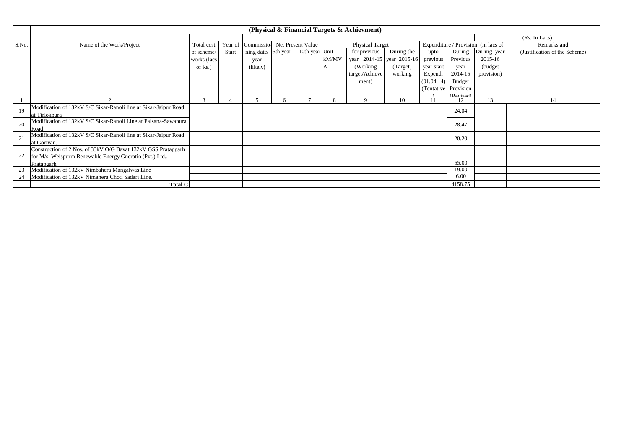|       |                                                                              |               |       |                                      |                |       | (Physical & Financial Targets & Achievment) |            |                      |                         |                                     |                               |
|-------|------------------------------------------------------------------------------|---------------|-------|--------------------------------------|----------------|-------|---------------------------------------------|------------|----------------------|-------------------------|-------------------------------------|-------------------------------|
|       |                                                                              |               |       |                                      |                |       |                                             |            |                      |                         |                                     | (Rs. In Lacs)                 |
| S.No. | Name of the Work/Project                                                     | Total cost    |       | Year of Commissio- Net Present Value |                |       | <b>Physical Target</b>                      |            |                      |                         | Expenditure / Provision (in lacs of | Remarks and                   |
|       |                                                                              | of scheme/    | Start | ning date/ 5th year                  | 10th year Unit |       | for previous                                | During the | upto                 | During                  | During year                         | (Justification of the Scheme) |
|       |                                                                              | works (lacs   |       | year                                 |                | kM/MV | year 2014-15 year 2015-16                   |            | previous             | Previous                | 2015-16                             |                               |
|       |                                                                              | of $Rs.$ )    |       | (likely)                             |                |       | (Working)                                   | (Target)   | year start           | year                    | (budget)                            |                               |
|       |                                                                              |               |       |                                      |                |       | target/Achieve                              | working    | Expend.              | 2014-15                 | provision)                          |                               |
|       |                                                                              |               |       |                                      |                |       | ment)                                       |            | (01.04.14)           | <b>Budget</b>           |                                     |                               |
|       |                                                                              |               |       |                                      |                |       |                                             |            | (Tentative Provision |                         |                                     |                               |
|       |                                                                              |               |       |                                      |                |       |                                             |            |                      | $(P^{\text{triangle}})$ |                                     |                               |
|       |                                                                              | $\mathcal{R}$ |       |                                      |                | 8     |                                             | 10         |                      | 12                      | 13                                  |                               |
| 19    | Modification of 132kV S/C Sikar-Ranoli line at Sikar-Jaipur Road             |               |       |                                      |                |       |                                             |            |                      | 24.04                   |                                     |                               |
|       | at Tirlokpura                                                                |               |       |                                      |                |       |                                             |            |                      |                         |                                     |                               |
| 20    | Modification of 132kV S/C Sikar-Ranoli Line at Palsana-Sawapura              |               |       |                                      |                |       |                                             |            |                      | 28.47                   |                                     |                               |
|       | Road.                                                                        |               |       |                                      |                |       |                                             |            |                      |                         |                                     |                               |
| 21    | Modification of 132kV S/C Sikar-Ranoli line at Sikar-Jaipur Road             |               |       |                                      |                |       |                                             |            |                      | 20.20                   |                                     |                               |
|       | at Gorivan.<br>Construction of 2 Nos. of 33kV O/G Bayat 132kV GSS Pratapgarh |               |       |                                      |                |       |                                             |            |                      |                         |                                     |                               |
| 22    |                                                                              |               |       |                                      |                |       |                                             |            |                      |                         |                                     |                               |
|       | for M/s. Welspurm Renewable Energy Gneratio (Pvt.) Ltd.,                     |               |       |                                      |                |       |                                             |            |                      | 55.00                   |                                     |                               |
| 23    | Pratapgarh<br>Modification of 132kV Nimbahera Mangalwas Line                 |               |       |                                      |                |       |                                             |            |                      | 19.00                   |                                     |                               |
| 24    | Modification of 132kV Nimahera Choti Sadari Line.                            |               |       |                                      |                |       |                                             |            |                      | 6.00                    |                                     |                               |
|       | <b>Total C</b>                                                               |               |       |                                      |                |       |                                             |            |                      | 4158.75                 |                                     |                               |
|       |                                                                              |               |       |                                      |                |       |                                             |            |                      |                         |                                     |                               |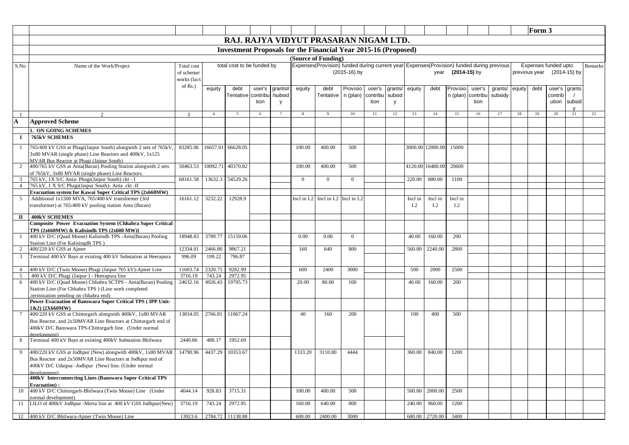|                |                                                                                                            |             |                |                            |        |         |          |                                                                                           |                |          |         |         |                  |                   |          |         |        | Form 3 |                            |               |         |
|----------------|------------------------------------------------------------------------------------------------------------|-------------|----------------|----------------------------|--------|---------|----------|-------------------------------------------------------------------------------------------|----------------|----------|---------|---------|------------------|-------------------|----------|---------|--------|--------|----------------------------|---------------|---------|
|                |                                                                                                            |             |                |                            |        |         |          | RAJ. RAJYA VIDYUT PRASARAN NIGAM LTD.                                                     |                |          |         |         |                  |                   |          |         |        |        |                            |               |         |
|                |                                                                                                            |             |                |                            |        |         |          |                                                                                           |                |          |         |         |                  |                   |          |         |        |        |                            |               |         |
|                |                                                                                                            |             |                |                            |        |         |          | <b>Investment Proposals for the Financial Year 2015-16 (Proposed)</b>                     |                |          |         |         |                  |                   |          |         |        |        |                            |               |         |
|                |                                                                                                            |             |                |                            |        |         |          | (Source of Funding)                                                                       |                |          |         |         |                  |                   |          |         |        |        |                            |               |         |
| S.No.          | Name of the Work/Project                                                                                   | Total cost  |                | total cost to be funded by |        |         |          | Expenses(Provision) funded during current year Expenses(Provision) funded during previous |                |          |         |         |                  |                   |          |         |        |        | Expenses funded upto       |               | Remarks |
|                |                                                                                                            | of scheme/  |                |                            |        |         |          |                                                                                           | $(2015-16)$ by |          |         |         |                  | year (2014-15) by |          |         |        |        | previous year (2014-15) by |               |         |
|                |                                                                                                            | works (lacs |                |                            |        |         |          |                                                                                           |                |          |         |         |                  |                   |          |         |        |        |                            |               |         |
|                |                                                                                                            | of Rs.)     | equity         | debt                       | user's | grants# | equity   | debt                                                                                      | Provisio       | user's   | grants/ | equity  | debt             | Provisio          | user's   | grants/ | equity | debt   |                            | user's grants |         |
|                |                                                                                                            |             |                | Tentative contribu         |        | /subsid |          | Tentative                                                                                 | n (plan)       | contribu | subsid  |         |                  | n (plan)          | contribu | subsidy |        |        | contrib                    |               |         |
|                |                                                                                                            |             |                |                            | tion   | y       |          |                                                                                           |                | tion     | y       |         |                  |                   | tion     |         |        |        | ution                      | subsid        |         |
|                | $\mathcal{L}$                                                                                              | 3           | $\overline{4}$ | 5                          |        |         |          |                                                                                           | 10             | 11       | 12      | 13      | 14               | 15                | 16       | 17      | 18     | 19     | 20                         | 21            | 22      |
| A              | <b>Approved Scheme</b>                                                                                     |             |                |                            |        |         |          |                                                                                           |                |          |         |         |                  |                   |          |         |        |        |                            |               |         |
|                | 1. ON GOING SCHEMES                                                                                        |             |                |                            |        |         |          |                                                                                           |                |          |         |         |                  |                   |          |         |        |        |                            |               |         |
| -1             | <b>765kV SCHEMES</b>                                                                                       |             |                |                            |        |         |          |                                                                                           |                |          |         |         |                  |                   |          |         |        |        |                            |               |         |
|                |                                                                                                            |             |                |                            |        |         |          |                                                                                           |                |          |         |         |                  |                   |          |         |        |        |                            |               |         |
|                | 765/400 kV GSS at Phagi(Jaipur South) alongwith 2 sets of 765kV,                                           | 83285.06    | 16657.01       | 66628.05                   |        |         | 100.00   | 400.00                                                                                    | 500            |          |         |         | 3000.00 12000.00 | 15000             |          |         |        |        |                            |               |         |
|                | 3x80 MVAR (single phase) Line Reactors and 400kV, 1x125                                                    |             |                |                            |        |         |          |                                                                                           |                |          |         |         |                  |                   |          |         |        |        |                            |               |         |
| 2              | MVAR Bus Reactor at Phagi (Jaipur South)<br>400/765 kV GSS at Anta(Baran) Pooling Station alongwith 2 sets | 50463.53    | 10092.71       | 40370.82                   |        |         | 100.00   | 400.00                                                                                    | 500            |          |         | 4120.00 | 16480.00         | 20600             |          |         |        |        |                            |               |         |
|                | of 765kV, 3x80 MVAR (single phase) Line Reactors.                                                          |             |                |                            |        |         |          |                                                                                           |                |          |         |         |                  |                   |          |         |        |        |                            |               |         |
| 3              | 765 kV, 1X S/C Anta- Phagi(Jaipur South) ckt - I                                                           | 68161.58    | 13632.3        | 54529.26                   |        |         | $\Omega$ | $\Omega$                                                                                  | $\overline{0}$ |          |         | 220.00  | 880.00           | 1100              |          |         |        |        |                            |               |         |
| $\overline{4}$ | 765 kV, 1 X S/C Phagi(Jaipur South)- Anta ckt -II                                                          |             |                |                            |        |         |          |                                                                                           |                |          |         |         |                  |                   |          |         |        |        |                            |               |         |
|                | Evacuation system for Kawai Super Critical TPS (2x660MW)                                                   |             |                |                            |        |         |          |                                                                                           |                |          |         |         |                  |                   |          |         |        |        |                            |               |         |
| 5              | Additional 1x1500 MVA, 765/400 kV transformer (3rd                                                         | 16161.12    | 3232.22        | 12928.9                    |        |         |          | Incl in $I.2$ Incl in $I.2$                                                               | Incl in I.2    |          |         | Incl in | Incl in          | Incl in           |          |         |        |        |                            |               |         |
|                | ransformer) at 765/400 kV pooling station Anta (Baran)                                                     |             |                |                            |        |         |          |                                                                                           |                |          |         | I.2     | I.2              | I.2               |          |         |        |        |                            |               |         |
| П              | <b>400kV SCHEMES</b>                                                                                       |             |                |                            |        |         |          |                                                                                           |                |          |         |         |                  |                   |          |         |        |        |                            |               |         |
|                | <b>Composite Power Evacuation System {Chhabra Super Critical</b>                                           |             |                |                            |        |         |          |                                                                                           |                |          |         |         |                  |                   |          |         |        |        |                            |               |         |
|                | TPS $(2x660MW)$ & Kalisindh TPS $(2x600MW)$ }                                                              |             |                |                            |        |         |          |                                                                                           |                |          |         |         |                  |                   |          |         |        |        |                            |               |         |
|                | 400 kV D/C (Quad Moose) Kalisindh TPS -Anta(Baran) Pooling                                                 | 18948.83    | 3789.77        | 15159.06                   |        |         | 0.00     | 0.00                                                                                      | $\Omega$       |          |         | 40.00   | 160.00           | 200               |          |         |        |        |                            |               |         |
| 2              | Station Line (For Kalisingdh TPS)<br>400/220 kV GSS at Ajmer                                               | 12334.01    | 2466.80        | 9867.21                    |        |         | 160      | 640                                                                                       | 800            |          |         | 560.00  | 2240.00          | 2800              |          |         |        |        |                            |               |         |
| 3              | Terminal 400 kV Bays at existing 400 kV Substation at Heerapura                                            | 996.09      | 199.22         | 796.87                     |        |         |          |                                                                                           |                |          |         |         |                  |                   |          |         |        |        |                            |               |         |
|                |                                                                                                            |             |                |                            |        |         |          |                                                                                           |                |          |         |         |                  |                   |          |         |        |        |                            |               |         |
| $\overline{4}$ | 400 kV D/C (Twin Moose) Phagi (Jaipur 765 kV)-Ajmer Line                                                   | 11603.74    | 2320.75        | 9282.99                    |        |         | 600      | 2400                                                                                      | 3000           |          |         | 500     | 2000             | 2500              |          |         |        |        |                            |               |         |
| 5              | 400 kV D/C Phagi (Jaipur) - Heerapura line                                                                 | 3716.19     | 743.24         | 2972.95                    |        |         |          |                                                                                           |                |          |         |         |                  |                   |          |         |        |        |                            |               |         |
| 6              | 400 kV D/C (Quad Moose) Chhabra SCTPS - Anta(Baran) Pooling                                                | 24632.16    | 4926.43        | 19705.73                   |        |         | 20.00    | 80.00                                                                                     | 100            |          |         | 40.00   | 160.00           | 200               |          |         |        |        |                            |               |         |
|                | Station Line (For Chhabra TPS) (Line work completed                                                        |             |                |                            |        |         |          |                                                                                           |                |          |         |         |                  |                   |          |         |        |        |                            |               |         |
|                | termination pending on chhabra end)<br>Power Evacuation of Banswara Super Critical TPS (IPP Unit-          |             |                |                            |        |         |          |                                                                                           |                |          |         |         |                  |                   |          |         |        |        |                            |               |         |
|                | 1&2) (2X660MW)                                                                                             |             |                |                            |        |         |          |                                                                                           |                |          |         |         |                  |                   |          |         |        |        |                            |               |         |
| 7              | 400/220 kV GSS at Chittorgarh alongwith 400kV, 1x80 MVAR                                                   | 13834.05    | 2766.81        | 11067.24                   |        |         | 40       | 160                                                                                       | 200            |          |         | 100     | 400              | 500               |          |         |        |        |                            |               |         |
|                | Bus Reactor, and 2x50MVAR Line Reactors at Chittorgarh end of                                              |             |                |                            |        |         |          |                                                                                           |                |          |         |         |                  |                   |          |         |        |        |                            |               |         |
|                | 400kV D/C Banswara TPS-Chittorgarh line. (Under normal                                                     |             |                |                            |        |         |          |                                                                                           |                |          |         |         |                  |                   |          |         |        |        |                            |               |         |
|                | development)                                                                                               |             |                |                            |        |         |          |                                                                                           |                |          |         |         |                  |                   |          |         |        |        |                            |               |         |
|                | Terminal 400 kV Bays at existing 400kV Substation Bhilwara                                                 | 2440.86     | 488.17         | 1952.69                    |        |         |          |                                                                                           |                |          |         |         |                  |                   |          |         |        |        |                            |               |         |
| 9              | 400/220 kV GSS at Jodhpur (New) alongwith 400kV, 1x80 MVAR                                                 | 14790.96    | 4437.29        | 10353.67                   |        |         | 1333.20  | 3110.80                                                                                   | 4444           |          |         | 360.00  | 840.00           | 1200              |          |         |        |        |                            |               |         |
|                | Bus Reactor and 2x50MVAR Line Reactors at Jodhpur end of                                                   |             |                |                            |        |         |          |                                                                                           |                |          |         |         |                  |                   |          |         |        |        |                            |               |         |
|                | 400kV D/C Udaipur -Jodhpur (New) line. (Under normal                                                       |             |                |                            |        |         |          |                                                                                           |                |          |         |         |                  |                   |          |         |        |        |                            |               |         |
|                | development)                                                                                               |             |                |                            |        |         |          |                                                                                           |                |          |         |         |                  |                   |          |         |        |        |                            |               |         |
|                | 400kV Interconnecting Lines (Banswara Super Critical TPS<br><b>Evacuation</b> ):                           |             |                |                            |        |         |          |                                                                                           |                |          |         |         |                  |                   |          |         |        |        |                            |               |         |
| 10             | 400 kV D/C Chittorgarh-Bhilwara (Twin Moose) Line (Under                                                   | 4644.14     | 928.83         | 3715.31                    |        |         | 100.00   | 400.00                                                                                    | 500            |          |         | 500.00  | 2000.00          | 2500              |          |         |        |        |                            |               |         |
|                | normal development)                                                                                        |             |                |                            |        |         |          |                                                                                           |                |          |         |         |                  |                   |          |         |        |        |                            |               |         |
| 11             | LILO of 400kV Jodhpur -Merta line at 400 kV GSS Jodhpur(New)                                               | 3716.19     | 743.24         | 2972.95                    |        |         | 160.00   | 640.00                                                                                    | 800            |          |         | 240.00  | 960.00           | 1200              |          |         |        |        |                            |               |         |
|                |                                                                                                            |             |                |                            |        |         |          |                                                                                           |                |          |         |         |                  |                   |          |         |        |        |                            |               |         |
|                | 12 400 kV D/C Bhilwara-Ajmer (Twin Moose) Line                                                             | 13923.6     |                | 2784.72 11138.88           |        |         | 600.00   | 2400.00                                                                                   | 3000           |          |         |         | 680.00 2720.00   | 3400              |          |         |        |        |                            |               |         |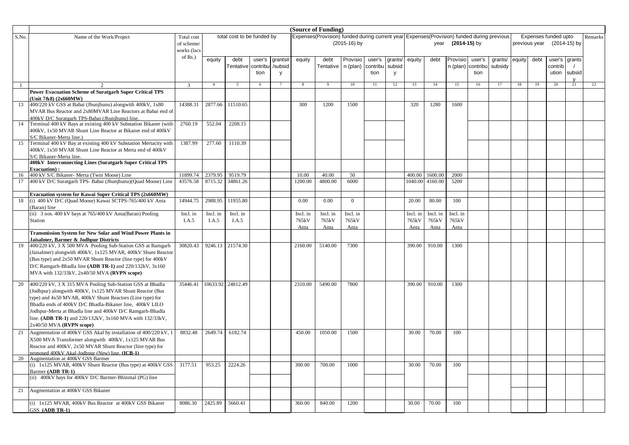|       |                                                                                                               |                | (Source of Funding) |                            |        |         |             |                                                                                             |                |          |        |             |             |                |          |         |        |               |                      |    |         |
|-------|---------------------------------------------------------------------------------------------------------------|----------------|---------------------|----------------------------|--------|---------|-------------|---------------------------------------------------------------------------------------------|----------------|----------|--------|-------------|-------------|----------------|----------|---------|--------|---------------|----------------------|----|---------|
| S.No. | Name of the Work/Project                                                                                      | Total cost     |                     | total cost to be funded by |        |         |             | Expenses (Provision) funded during current year Expenses (Provision) funded during previous |                |          |        |             |             |                |          |         |        |               | Expenses funded upto |    | Remarks |
|       |                                                                                                               | of scheme/     |                     |                            |        |         |             |                                                                                             | (2015-16) by   |          |        |             | year        | $(2014-15)$ by |          |         |        | previous year | (2014-15) by         |    |         |
|       |                                                                                                               | works (lacs    |                     |                            |        |         |             |                                                                                             |                |          |        |             |             |                |          |         |        |               |                      |    |         |
|       |                                                                                                               | of Rs.)        | equity              | debt                       | user's | grants# | equity      | debt                                                                                        | Provisio       | user's   | grants | equity      | debt        | Provisio       | user's   | grants/ | equity | debt          | user's grants        |    |         |
|       |                                                                                                               |                |                     | Tentative contribu         |        | /subsid |             | Tentative                                                                                   | n (plan)       | contribu | subsic |             |             | n (plan)       | contribu | subsidy |        |               | contrib              |    |         |
|       |                                                                                                               |                |                     |                            | tion   | y       |             |                                                                                             |                | tion     | V      |             |             |                | tion     |         |        |               | ution subsid         |    |         |
|       |                                                                                                               | $\overline{3}$ | $\overline{4}$      | $5\overline{)}$            | 6      | 7       | 8           | - 9                                                                                         | 10             | 11       | 12     | 13          | 14          | 15             | 16       | 17      | 18     | 19            | 20                   | 21 | 22      |
|       | <b>Power Evacuation Scheme of Suratgarh Super Critical TPS</b>                                                |                |                     |                            |        |         |             |                                                                                             |                |          |        |             |             |                |          |         |        |               |                      |    |         |
|       | (Unit 7&8) (2x660MW)                                                                                          |                |                     |                            |        |         |             |                                                                                             |                |          |        |             |             |                |          |         |        |               |                      |    |         |
| 13    | 400/220 kV GSS at Babai (Jhunjhunu) alongwith 400kV, 1x80                                                     | 14388.31       | 2877.66             | 11510.65                   |        |         | 300         | 1200                                                                                        | 1500           |          |        | 320         | 1280        | 1600           |          |         |        |               |                      |    |         |
|       | MVAR Bus Reactor and 2x80MVAR Line Reactors at Babai end of                                                   |                |                     |                            |        |         |             |                                                                                             |                |          |        |             |             |                |          |         |        |               |                      |    |         |
|       | 400kV D/C Suratgarh TPS-Babai (Jhunjhunu) line.                                                               |                |                     |                            |        |         |             |                                                                                             |                |          |        |             |             |                |          |         |        |               |                      |    |         |
| 14    | Terminal 400 kV Bays at existing 400 kV Substation Bikaner (with                                              | 2760.19        | 552.04              | 2208.15                    |        |         |             |                                                                                             |                |          |        |             |             |                |          |         |        |               |                      |    |         |
|       | 400kV, 1x50 MVAR Shunt Line Reactor at Bikaner end of 400kV                                                   |                |                     |                            |        |         |             |                                                                                             |                |          |        |             |             |                |          |         |        |               |                      |    |         |
| 15    | S/C Bikaner-Merta line.)<br>Terminal 400 kV Bay at existing 400 kV Substation Mertacity with                  | 1387.99        | 277.60              | 1110.39                    |        |         |             |                                                                                             |                |          |        |             |             |                |          |         |        |               |                      |    |         |
|       | 400kV, 1x50 MVAR Shunt Line Reactor at Merta end of 400kV                                                     |                |                     |                            |        |         |             |                                                                                             |                |          |        |             |             |                |          |         |        |               |                      |    |         |
|       | S/C Bikaner-Merta line.                                                                                       |                |                     |                            |        |         |             |                                                                                             |                |          |        |             |             |                |          |         |        |               |                      |    |         |
|       | 400kV Interconnecting Lines (Suratgarh Super Critical TPS                                                     |                |                     |                            |        |         |             |                                                                                             |                |          |        |             |             |                |          |         |        |               |                      |    |         |
|       | <b>Evacuation</b> ):                                                                                          |                |                     |                            |        |         |             |                                                                                             |                |          |        |             |             |                |          |         |        |               |                      |    |         |
| 16    | 400 kV S/C Bikaner- Merta (Twin Moose) Line                                                                   | 11899.74       | 2379.95             | 9519.79                    |        |         | 10.00       | 40.00                                                                                       | 50             |          |        | 400.00      | 1600.00     | 2000           |          |         |        |               |                      |    |         |
| 17    | 400 kV D/C Suratgarh TPS- Babai (Jhunjhunu)(Quad Moose) Line                                                  | 43576.58       | 8715.32             | 34861.26                   |        |         | 1200.00     | 4800.00                                                                                     | 6000           |          |        | 1040.00     | 4160.00     | 5200           |          |         |        |               |                      |    |         |
|       | Evacuation system for Kawai Super Critical TPS (2x660MW)                                                      |                |                     |                            |        |         |             |                                                                                             |                |          |        |             |             |                |          |         |        |               |                      |    |         |
| 18    | (i) 400 kV D/C (Quad Moose) Kawai SCTPS-765/400 kV Anta                                                       | 14944.75       | 2988.95             | 11955.80                   |        |         | 0.00        | 0.00                                                                                        | $\overline{0}$ |          |        | 20.00       | 80.00       | 100            |          |         |        |               |                      |    |         |
|       | (Baran) line                                                                                                  |                |                     |                            |        |         |             |                                                                                             |                |          |        |             |             |                |          |         |        |               |                      |    |         |
|       | (ii) 3 nos. 400 kV bays at 765/400 kV Anta(Baran) Pooling                                                     | Incl. in       | Incl. in            | Incl. in                   |        |         | Incl. in    | Incl. in                                                                                    | Incl. in       |          |        | Incl. in    | Incl. in    | Incl. in       |          |         |        |               |                      |    |         |
|       | Station                                                                                                       | I.A.5          | I.A.5               | I.A.5                      |        |         | 765kV       | 765kV                                                                                       | 765kV          |          |        | 765kV       | 765kV       | 765kV          |          |         |        |               |                      |    |         |
|       | <b>Transmission System for New Solar and Wind Power Plants in</b>                                             |                |                     |                            |        |         | <b>Anta</b> | <b>Anta</b>                                                                                 | <b>Anta</b>    |          |        | <u>Anta</u> | <u>Anta</u> | Anta           |          |         |        |               |                      |    |         |
|       | Jaisalmer, Barmer & Jodhpur Districts                                                                         |                |                     |                            |        |         |             |                                                                                             |                |          |        |             |             |                |          |         |        |               |                      |    |         |
| 19    | 400/220 kV, 3 X 500 MVA Pooling Sub-Station GSS at Ramgarh                                                    | 30820.43       | 9246.13             | 21574.30                   |        |         | 2160.00     | 5140.00                                                                                     | 7300           |          |        | 390.00      | 910.00      | 1300           |          |         |        |               |                      |    |         |
|       | (Jaisalmer) alongwith 400kV, 1x125 MVAR, 400kV Shunt Reactor                                                  |                |                     |                            |        |         |             |                                                                                             |                |          |        |             |             |                |          |         |        |               |                      |    |         |
|       | (Bus type) and 2x50 MVAR Shunt Reactor (line type) for 400kV                                                  |                |                     |                            |        |         |             |                                                                                             |                |          |        |             |             |                |          |         |        |               |                      |    |         |
|       | D/C Ramgarh-Bhadla line (ADB TR-1) and $220/132kV$ , $3x160$                                                  |                |                     |                            |        |         |             |                                                                                             |                |          |        |             |             |                |          |         |        |               |                      |    |         |
|       | MVA with 132/33kV, 2x40/50 MVA (RVPN scope)                                                                   |                |                     |                            |        |         |             |                                                                                             |                |          |        |             |             |                |          |         |        |               |                      |    |         |
| 20    | 400/220 kV, 3 X 315 MVA Pooling Sub-Station GSS at Bhadla                                                     | 35446.41       |                     | 10633.92 24812.49          |        |         | 2310.00     | 5490.00                                                                                     | 7800           |          |        | 390.00      | 910.00      | 1300           |          |         |        |               |                      |    |         |
|       | (Jodhpur) alongwith 400kV, 1x125 MVAR Shunt Reactor (Bus                                                      |                |                     |                            |        |         |             |                                                                                             |                |          |        |             |             |                |          |         |        |               |                      |    |         |
|       | type) and 4x50 MVAR, 400kV Shunt Reactors (Line type) for                                                     |                |                     |                            |        |         |             |                                                                                             |                |          |        |             |             |                |          |         |        |               |                      |    |         |
|       | Bhadla ends of 400kV D/C Bhadla-Bikaner line, 400kV LILO                                                      |                |                     |                            |        |         |             |                                                                                             |                |          |        |             |             |                |          |         |        |               |                      |    |         |
|       | Jodhpur-Merta at Bhadla line and 400kV D/C Ramgarh-Bhadla                                                     |                |                     |                            |        |         |             |                                                                                             |                |          |        |             |             |                |          |         |        |               |                      |    |         |
|       | line. (ADB TR-1) and 220/132kV, 3x160 MVA with 132/33kV,                                                      |                |                     |                            |        |         |             |                                                                                             |                |          |        |             |             |                |          |         |        |               |                      |    |         |
|       | 2x40/50 MVA (RVPN scope)                                                                                      |                |                     |                            |        |         |             |                                                                                             |                |          |        |             |             |                |          |         |        |               |                      |    |         |
| 21    | Augmentation of 400kV GSS Akal by installation of 400/220 kV, 1                                               | 8832.48        | 2649.74             | 6182.74                    |        |         | 450.00      | 1050.00                                                                                     | 1500           |          |        | 30.00       | 70.00       | 100            |          |         |        |               |                      |    |         |
|       | X500 MVA Transformer alongwith 400kV, 1x125 MVAR Bus                                                          |                |                     |                            |        |         |             |                                                                                             |                |          |        |             |             |                |          |         |        |               |                      |    |         |
|       | Reactor and 400kV, 2x50 MVAR Shunt Reactor (line type) for<br>proposed 400kV Akal-Jodhnur (New) line. (ICB-1) |                |                     |                            |        |         |             |                                                                                             |                |          |        |             |             |                |          |         |        |               |                      |    |         |
| 20    | Augmentation at 400kV GSS Barmer                                                                              |                |                     |                            |        |         |             |                                                                                             |                |          |        |             |             |                |          |         |        |               |                      |    |         |
|       | (i) 1x125 MVAR, 400kV Shunt Reactor (Bus type) at 400kV GSS                                                   | 3177.51        | 953.25              | 2224.26                    |        |         | 300.00      | 700.00                                                                                      | 1000           |          |        | 30.00       | 70.00       | 100            |          |         |        |               |                      |    |         |
|       | Barmer (ADB TR-1)                                                                                             |                |                     |                            |        |         |             |                                                                                             |                |          |        |             |             |                |          |         |        |               |                      |    |         |
|       | (ii) 400kV bays for 400kV D/C Barmer-Bhinmal (PG) line                                                        |                |                     |                            |        |         |             |                                                                                             |                |          |        |             |             |                |          |         |        |               |                      |    |         |
| 21    | Augmentation at 400kV GSS Bikaner                                                                             |                |                     |                            |        |         |             |                                                                                             |                |          |        |             |             |                |          |         |        |               |                      |    |         |
|       |                                                                                                               |                |                     |                            |        |         |             |                                                                                             |                |          |        |             |             |                |          |         |        |               |                      |    |         |
|       | (i) 1x125 MVAR, 400kV Bus Reactor at 400kV GSS Bikaner                                                        | 8086.30        | 2425.89             | 5660.41                    |        |         | 360.00      | 840.00                                                                                      | 1200           |          |        | 30.00       | 70.00       | 100            |          |         |        |               |                      |    |         |
|       | GSS (ADB TR-1)                                                                                                |                |                     |                            |        |         |             |                                                                                             |                |          |        |             |             |                |          |         |        |               |                      |    |         |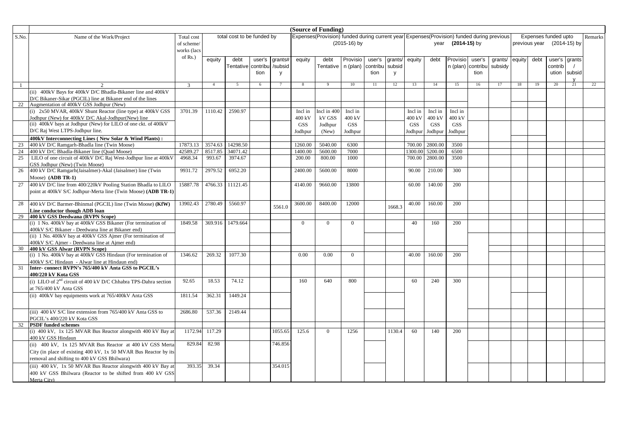| (Source of Funding)<br>Expenses(Provision) funded during current year Expenses(Provision) funded during previous |                                                                                               |               |                |                            |                 |                |                |                      |                |          |         |            |            |                   |          |                |    |               |                      |               |         |
|------------------------------------------------------------------------------------------------------------------|-----------------------------------------------------------------------------------------------|---------------|----------------|----------------------------|-----------------|----------------|----------------|----------------------|----------------|----------|---------|------------|------------|-------------------|----------|----------------|----|---------------|----------------------|---------------|---------|
| S.No.                                                                                                            | Name of the Work/Project                                                                      | Total cost    |                | total cost to be funded by |                 |                |                |                      |                |          |         |            |            |                   |          |                |    |               | Expenses funded upto |               | Remarks |
|                                                                                                                  |                                                                                               | of scheme/    |                |                            |                 |                |                |                      | (2015-16) by   |          |         |            |            | year (2014-15) by |          |                |    | previous year |                      | (2014-15) by  |         |
|                                                                                                                  |                                                                                               | works (lacs   |                |                            |                 |                |                |                      |                |          |         |            |            |                   |          |                |    |               |                      |               |         |
|                                                                                                                  |                                                                                               | of Rs.)       | equity         | debt                       | user's          | qrants#        | equity         | debt                 | Provisio       | user's   | grants/ | equity     | debt       | Provisio          | user's   | grants/ equity |    | debt          |                      | user's grants |         |
|                                                                                                                  |                                                                                               |               |                | Tentative contribu         |                 | /subsid        |                | Tentative   n (plan) |                | contribu | subsid  |            |            | n (plan)          | contribu | subsidy        |    |               | contrib              |               |         |
|                                                                                                                  |                                                                                               |               |                |                            | tion            | <b>y</b>       |                |                      |                | tion     | y       |            |            |                   | tion     |                |    |               |                      | ution subsid  |         |
|                                                                                                                  |                                                                                               |               |                |                            |                 |                |                |                      |                |          |         |            |            |                   |          |                |    |               |                      |               |         |
| -1                                                                                                               | $\mathfrak{D}$                                                                                | $\mathcal{E}$ | $\overline{4}$ | $\overline{5}$             | $6\overline{6}$ | $\overline{7}$ | 8              | $\overline{9}$       | 10             | 11       | 12      | 13         | 14         | 15                | 16       | 17             | 18 | 19            | 20                   | 21            | 22      |
|                                                                                                                  | (ii) 400kV Bays for 400kV D/C Bhadla-Bikaner line and 400kV                                   |               |                |                            |                 |                |                |                      |                |          |         |            |            |                   |          |                |    |               |                      |               |         |
|                                                                                                                  | D/C Bikaner-Sikar (PGCIL) line at Bikaner end of the lines                                    |               |                |                            |                 |                |                |                      |                |          |         |            |            |                   |          |                |    |               |                      |               |         |
| 22                                                                                                               | Augmentation of 400kV GSS Jodhpur (New)                                                       |               |                |                            |                 |                |                |                      |                |          |         |            |            |                   |          |                |    |               |                      |               |         |
|                                                                                                                  | (i) 2x50 MVAR, 400kV Shunt Reactor (line type) at 400kV GSS                                   | 3701.39       | 1110.42        | 2590.97                    |                 |                | Incl in        | Incl in 400          | Incl in        |          |         | Incl in    | Incl in    | Incl in           |          |                |    |               |                      |               |         |
|                                                                                                                  | Jodhpur (New) for 400kV D/C Akal-Jodhpur(New) line                                            |               |                |                            |                 |                | 400 kV         | kV GSS               | 400 kV         |          |         | 400 kV     | 400 kV     | 400 kV            |          |                |    |               |                      |               |         |
|                                                                                                                  | (ii) 400kV bays at Jodhpur (New) for LILO of one ckt. of 400kV                                |               |                |                            |                 |                | <b>GSS</b>     | Jodhpur              | <b>GSS</b>     |          |         | <b>GSS</b> | <b>GSS</b> | <b>GSS</b>        |          |                |    |               |                      |               |         |
|                                                                                                                  | D/C Raj West LTPS-Jodhpur line.                                                               |               |                |                            |                 |                | Jodhpur        | (New)                | Jodhpur        |          |         | Jodhpur    | Jodhpur    | Jodhpur           |          |                |    |               |                      |               |         |
|                                                                                                                  | 400kV Interconnecting Lines (New Solar & Wind Plants):                                        |               |                |                            |                 |                |                |                      |                |          |         |            |            |                   |          |                |    |               |                      |               |         |
| 23                                                                                                               | 400 kV D/C Ramgarh-Bhadla line (Twin Moose)                                                   | 17873.13      | 3574.63        | 14298.50                   |                 |                | 1260.00        | 5040.00              | 6300           |          |         | 700.00     | 2800.00    | 3500              |          |                |    |               |                      |               |         |
| 24                                                                                                               | 400 kV D/C Bhadla-Bikaner line (Quad Moose)                                                   | 42589.27      | 8517.85        | 34071.42                   |                 |                | 1400.00        | 5600.00              | 7000           |          |         | 300.00     | 5200.00    | 6500              |          |                |    |               |                      |               |         |
| 25                                                                                                               | LILO of one circuit of 400kV D/C Raj West-Jodhpur line at 400kV                               | 4968.34       | 993.67         | 3974.67                    |                 |                | 200.00         | 800.00               | 1000           |          |         | 700.00     | 2800.00    | 3500              |          |                |    |               |                      |               |         |
|                                                                                                                  | GSS Jodhpur (New) (Twin Moose)                                                                |               |                |                            |                 |                |                |                      |                |          |         |            |            |                   |          |                |    |               |                      |               |         |
| 26                                                                                                               | 400 kV D/C Ramgarh(Jaisalmer)-Akal (Jaisalmer) line (Twin                                     | 9931.72       | 2979.52        | 6952.20                    |                 |                | 2400.00        | 5600.00              | 8000           |          |         | 90.00      | 210.00     | 300               |          |                |    |               |                      |               |         |
|                                                                                                                  | Moose) (ADB TR-1)                                                                             |               |                |                            |                 |                |                |                      |                |          |         |            |            |                   |          |                |    |               |                      |               |         |
| 27                                                                                                               | 400 kV D/C line from 400/220kV Pooling Station Bhadla to LILO                                 | 15887.78      | 4766.33        | 11121.45                   |                 |                | 4140.00        | 9660.00              | 13800          |          |         | 60.00      | 140.00     | 200               |          |                |    |               |                      |               |         |
|                                                                                                                  | point at 400kV S/C Jodhpur-Merta line (Twin Moose) (ADB TR-1)                                 |               |                |                            |                 |                |                |                      |                |          |         |            |            |                   |          |                |    |               |                      |               |         |
|                                                                                                                  |                                                                                               |               |                |                            |                 |                |                |                      |                |          |         |            |            |                   |          |                |    |               |                      |               |         |
| 28                                                                                                               | 400 kV D/C Barmer-Bhinmal (PGCIL) line (Twin Moose) (KfW)                                     | 13902.43      | 2780.49        | 5560.97                    |                 | 5561.0         | 3600.00        | 8400.00              | 12000          |          | 1668.3  | 40.00      | 160.00     | 200               |          |                |    |               |                      |               |         |
|                                                                                                                  | Line conductor though ADB loan                                                                |               |                |                            |                 |                |                |                      |                |          |         |            |            |                   |          |                |    |               |                      |               |         |
| 29                                                                                                               | 400 kV GSS Deedwana (RVPN Scope)                                                              |               |                |                            |                 |                |                |                      |                |          |         |            |            |                   |          |                |    |               |                      |               |         |
|                                                                                                                  | (i) 1 No. 400kV bay at 400kV GSS Bikaner (For termination of                                  | 1849.58       | 369.916        | 1479.664                   |                 |                | $\overline{0}$ | $\Omega$             | $\Omega$       |          |         | 40         | 160        | 200               |          |                |    |               |                      |               |         |
|                                                                                                                  | 400kV S/C Bikaner - Deedwana line at Bikaner end)                                             |               |                |                            |                 |                |                |                      |                |          |         |            |            |                   |          |                |    |               |                      |               |         |
|                                                                                                                  | (ii) 1 No. 400kV bay at 400kV GSS Ajmer (For termination of                                   |               |                |                            |                 |                |                |                      |                |          |         |            |            |                   |          |                |    |               |                      |               |         |
| 30                                                                                                               | 400kV S/C Ajmer - Deedwana line at Ajmer end)                                                 |               |                |                            |                 |                |                |                      |                |          |         |            |            |                   |          |                |    |               |                      |               |         |
|                                                                                                                  | 400 kV GSS Alwar (RVPN Scope)<br>(i) 1 No. 400kV bay at 400kV GSS Hindaun (For termination of | 1346.62       | 269.32         | 1077.30                    |                 |                | 0.00           | 0.00                 | $\overline{0}$ |          |         | 40.00      | 160.00     | 200               |          |                |    |               |                      |               |         |
|                                                                                                                  | 400kV S/C Hindaun - Alwar line at Hindaun end)                                                |               |                |                            |                 |                |                |                      |                |          |         |            |            |                   |          |                |    |               |                      |               |         |
| 31                                                                                                               | Inter-connect RVPN's 765/400 kV Anta GSS to PGCIL's                                           |               |                |                            |                 |                |                |                      |                |          |         |            |            |                   |          |                |    |               |                      |               |         |
|                                                                                                                  | 400/220 kV Kota GSS                                                                           |               |                |                            |                 |                |                |                      |                |          |         |            |            |                   |          |                |    |               |                      |               |         |
|                                                                                                                  | (i) LILO of $2nd$ circuit of 400 kV D/C Chhabra TPS-Dahra section                             | 92.65         | 18.53          | 74.12                      |                 |                | 160            | 640                  | 800            |          |         | 60         | 240        | 300               |          |                |    |               |                      |               |         |
|                                                                                                                  | at 765/400 kV Anta GSS                                                                        |               |                |                            |                 |                |                |                      |                |          |         |            |            |                   |          |                |    |               |                      |               |         |
|                                                                                                                  | (ii) 400kV bay equipments work at 765/400kV Anta GSS                                          | 1811.54       | 362.31         | 1449.24                    |                 |                |                |                      |                |          |         |            |            |                   |          |                |    |               |                      |               |         |
|                                                                                                                  |                                                                                               |               |                |                            |                 |                |                |                      |                |          |         |            |            |                   |          |                |    |               |                      |               |         |
|                                                                                                                  |                                                                                               |               |                |                            |                 |                |                |                      |                |          |         |            |            |                   |          |                |    |               |                      |               |         |
|                                                                                                                  | (iii) 400 kV S/C line extension from 765/400 kV Anta GSS to                                   | 2686.80       | 537.36         | 2149.44                    |                 |                |                |                      |                |          |         |            |            |                   |          |                |    |               |                      |               |         |
|                                                                                                                  | PGCIL's 400/220 kV Kota GSS                                                                   |               |                |                            |                 |                |                |                      |                |          |         |            |            |                   |          |                |    |               |                      |               |         |
| 32                                                                                                               | <b>PSDF</b> funded schemes                                                                    |               |                |                            |                 |                |                |                      |                |          |         |            |            | 200               |          |                |    |               |                      |               |         |
|                                                                                                                  | (i) 400 kV, 1x 125 MVAR Bus Reactor alongwith 400 kV Bay at<br>400 kV GSS Hindaun             | 1172.94       | 117.29         |                            |                 | 1055.65        | 125.6          | $\overline{0}$       | 1256           |          | 1130.4  | 60         | 140        |                   |          |                |    |               |                      |               |         |
|                                                                                                                  | (ii) 400 kV, 1x 125 MVAR Bus Reactor at 400 kV GSS Merta                                      | 829.84        | 82.98          |                            |                 | 746.856        |                |                      |                |          |         |            |            |                   |          |                |    |               |                      |               |         |
|                                                                                                                  | City (in place of existing 400 kV, 1x 50 MVAR Bus Reactor by its                              |               |                |                            |                 |                |                |                      |                |          |         |            |            |                   |          |                |    |               |                      |               |         |
|                                                                                                                  | removal and shifting to 400 kV GSS Bhilwara)                                                  |               |                |                            |                 |                |                |                      |                |          |         |            |            |                   |          |                |    |               |                      |               |         |
|                                                                                                                  |                                                                                               |               |                |                            |                 |                |                |                      |                |          |         |            |            |                   |          |                |    |               |                      |               |         |
|                                                                                                                  | (iii) 400 kV, 1x 50 MVAR Bus Reactor alongwith 400 kV Bay at                                  | 393.35        | 39.34          |                            |                 | 354.015        |                |                      |                |          |         |            |            |                   |          |                |    |               |                      |               |         |
|                                                                                                                  | 400 kV GSS Bhilwara (Reactor to be shifted from 400 kV GSS                                    |               |                |                            |                 |                |                |                      |                |          |         |            |            |                   |          |                |    |               |                      |               |         |
|                                                                                                                  | Merta City)                                                                                   |               |                |                            |                 |                |                |                      |                |          |         |            |            |                   |          |                |    |               |                      |               |         |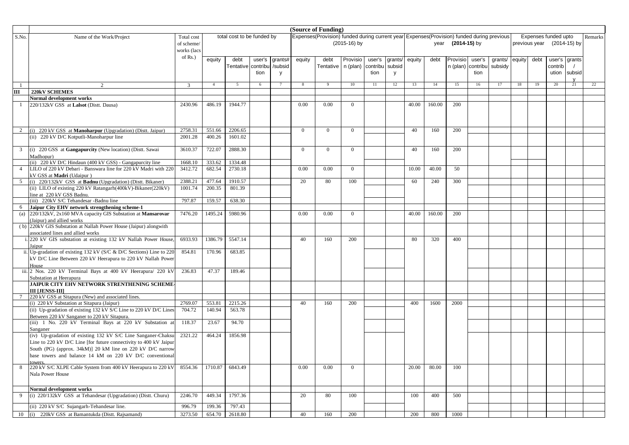|                |                                                                                                                  |                |                |                            |        |         |                | (Source of Funding)                                                                       |                |          |         |        |        |                   |          |         |        |               |                      |    |         |
|----------------|------------------------------------------------------------------------------------------------------------------|----------------|----------------|----------------------------|--------|---------|----------------|-------------------------------------------------------------------------------------------|----------------|----------|---------|--------|--------|-------------------|----------|---------|--------|---------------|----------------------|----|---------|
| S.No.          | Name of the Work/Project                                                                                         | Total cost     |                | total cost to be funded by |        |         |                | Expenses(Provision) funded during current year Expenses(Provision) funded during previous |                |          |         |        |        |                   |          |         |        |               | Expenses funded upto |    | Remarks |
|                |                                                                                                                  | of scheme/     |                |                            |        |         |                |                                                                                           | $(2015-16)$ by |          |         |        |        | year (2014-15) by |          |         |        | previous year | (2014-15) by         |    |         |
|                |                                                                                                                  | works (lacs    |                |                            |        |         |                |                                                                                           |                |          |         |        |        |                   |          |         |        |               |                      |    |         |
|                |                                                                                                                  | of $Rs.$ )     |                |                            |        |         |                |                                                                                           |                |          |         |        |        |                   |          |         |        |               |                      |    |         |
|                |                                                                                                                  |                | equity         | debt                       | user's | grants# | equity         | debt                                                                                      | Provisio       | user's   | grants/ | equity | debt   | Provisio          | user's   | grants/ | equity | debt          | user's grants        |    |         |
|                |                                                                                                                  |                |                | Tentative contribu         |        | /subsid |                | Tentative   n (plan)                                                                      |                | contribu | subsid  |        |        | n (plan)          | contribu | subsidy |        |               | contrib              |    |         |
|                |                                                                                                                  |                |                |                            | tion   | V       |                |                                                                                           |                | tion     | y       |        |        |                   | tion     |         |        |               | ution subsid         |    |         |
| -1             |                                                                                                                  | $\overline{3}$ | $\overline{4}$ | 5                          | 6      |         | 8              |                                                                                           | 10             | 11       | 12      | 13     | 14     | 15                | 16       | 17      | 18     | 19            | 20                   | 21 | 22      |
| Ш              | 220kV SCHEMES                                                                                                    |                |                |                            |        |         |                |                                                                                           |                |          |         |        |        |                   |          |         |        |               |                      |    |         |
|                | Normal development works                                                                                         |                |                |                            |        |         |                |                                                                                           |                |          |         |        |        |                   |          |         |        |               |                      |    |         |
|                | 220/132kV GSS at Lalsot (Distt. Dausa)                                                                           | 2430.96        | 486.19         | 1944.77                    |        |         | 0.00           | 0.00                                                                                      | $\overline{0}$ |          |         | 40.00  | 160.00 | 200               |          |         |        |               |                      |    |         |
|                |                                                                                                                  |                |                |                            |        |         |                |                                                                                           |                |          |         |        |        |                   |          |         |        |               |                      |    |         |
|                |                                                                                                                  |                |                |                            |        |         |                |                                                                                           |                |          |         |        |        |                   |          |         |        |               |                      |    |         |
|                |                                                                                                                  |                |                |                            |        |         |                |                                                                                           |                |          |         |        |        |                   |          |         |        |               |                      |    |         |
|                | 2 (i) 220 kV GSS at <b>Manoharpur</b> (Upgradation) (Dist. Jaipur)                                               | 2758.31        | 551.66         | 2206.65                    |        |         | $\overline{0}$ | $\overline{0}$                                                                            | $\overline{0}$ |          |         | 40     | 160    | 200               |          |         |        |               |                      |    |         |
|                | (ii) 220 kV D/C Kotputli-Manoharpur line                                                                         | 2001.28        | 400.26         | 1601.02                    |        |         |                |                                                                                           |                |          |         |        |        |                   |          |         |        |               |                      |    |         |
|                |                                                                                                                  |                |                |                            |        |         |                |                                                                                           |                |          |         |        |        |                   |          |         |        |               |                      |    |         |
| 3              | (i) 220 GSS at Gangapurcity (New location) (Dist. Sawai                                                          | 3610.37        | 722.07         | 2888.30                    |        |         | $\Omega$       | $\theta$                                                                                  | $\overline{0}$ |          |         | 40     | 160    | 200               |          |         |        |               |                      |    |         |
|                | Madhopur)                                                                                                        |                |                |                            |        |         |                |                                                                                           |                |          |         |        |        |                   |          |         |        |               |                      |    |         |
|                | (ii) 220 kV D/C Hindaun (400 kV GSS) - Gangapurcity line                                                         | 1668.10        | 333.62         | 1334.48                    |        |         |                |                                                                                           |                |          |         |        |        |                   |          |         |        |               |                      |    |         |
| $\overline{4}$ | LILO of 220 kV Debari - Banswara line for 220 kV Madri with 220                                                  | 3412.72        | 682.54         | 2730.18                    |        |         | 0.00           | 0.00                                                                                      | $\overline{0}$ |          |         | 10.00  | 40.00  | 50                |          |         |        |               |                      |    |         |
|                | kV GSS at Madri (Udaipur)                                                                                        |                |                |                            |        |         |                |                                                                                           |                |          |         |        |        |                   |          |         |        |               |                      |    |         |
|                | 5 (i) 220/132kV GSS at <b>Badnu</b> (Upgradation) (Dist. Bikaner)                                                | 2388.21        | 477.64         | 1910.57                    |        |         | 20             | 80                                                                                        | 100            |          |         | 60     | 240    | 300               |          |         |        |               |                      |    |         |
|                | (ii) LILO of existing 220 kV Ratangarh(400kV)-Bikaner(220kV)                                                     | 1001.74        | 200.35         | 801.39                     |        |         |                |                                                                                           |                |          |         |        |        |                   |          |         |        |               |                      |    |         |
|                | line at 220 kV GSS Badnu.                                                                                        |                |                |                            |        |         |                |                                                                                           |                |          |         |        |        |                   |          |         |        |               |                      |    |         |
|                | (iii) 220kV S/C Tehandesar -Badnu line                                                                           | 797.87         | 159.57         | 638.30                     |        |         |                |                                                                                           |                |          |         |        |        |                   |          |         |        |               |                      |    |         |
| 6              | Jaipur City EHV network strengthening scheme-1<br>(a) 220/132kV, 2x160 MVA capacity GIS Substation at Mansarovar | 7476.20        | 1495.24        | 5980.96                    |        |         | 0.00           | 0.00                                                                                      | $\overline{0}$ |          |         | 40.00  | 160.00 | 200               |          |         |        |               |                      |    |         |
|                | (Jaipur) and allied works                                                                                        |                |                |                            |        |         |                |                                                                                           |                |          |         |        |        |                   |          |         |        |               |                      |    |         |
|                | (b) 220kV GIS Substation at Nallah Power House (Jaipur) alongwith                                                |                |                |                            |        |         |                |                                                                                           |                |          |         |        |        |                   |          |         |        |               |                      |    |         |
|                | associated lines and allied works                                                                                |                |                |                            |        |         |                |                                                                                           |                |          |         |        |        |                   |          |         |        |               |                      |    |         |
|                | . 220 kV GIS substation at existing 132 kV Nallah Power House,                                                   | 6933.93        | 1386.79        | 5547.14                    |        |         | 40             | 160                                                                                       | 200            |          |         | 80     | 320    | 400               |          |         |        |               |                      |    |         |
|                | Jaipur                                                                                                           |                |                |                            |        |         |                |                                                                                           |                |          |         |        |        |                   |          |         |        |               |                      |    |         |
|                | ii. Up-gradation of existing 132 kV (S/C & D/C Sections) Line to 220                                             | 854.81         | 170.96         | 683.85                     |        |         |                |                                                                                           |                |          |         |        |        |                   |          |         |        |               |                      |    |         |
|                | kV D/C Line Between 220 kV Heerapura to 220 kV Nallah Power                                                      |                |                |                            |        |         |                |                                                                                           |                |          |         |        |        |                   |          |         |        |               |                      |    |         |
|                | House                                                                                                            |                |                |                            |        |         |                |                                                                                           |                |          |         |        |        |                   |          |         |        |               |                      |    |         |
|                | iii. 2 Nos. 220 kV Terminal Bays at 400 kV Heerapura/ 220 kV                                                     | 236.83         | 47.37          | 189.46                     |        |         |                |                                                                                           |                |          |         |        |        |                   |          |         |        |               |                      |    |         |
|                | Substation at Heerapura                                                                                          |                |                |                            |        |         |                |                                                                                           |                |          |         |        |        |                   |          |         |        |               |                      |    |         |
|                | JAIPUR CITY EHV NETWORK STRENTHENING SCHEME-                                                                     |                |                |                            |        |         |                |                                                                                           |                |          |         |        |        |                   |          |         |        |               |                      |    |         |
|                | <b>III LJENSS-III</b>                                                                                            |                |                |                            |        |         |                |                                                                                           |                |          |         |        |        |                   |          |         |        |               |                      |    |         |
| 7              | 220 kV GSS at Sitapura (New) and associated lines.                                                               | 2769.07        | 553.81         |                            |        |         | 40             | 160                                                                                       | 200            |          |         | 400    | 1600   | 2000              |          |         |        |               |                      |    |         |
|                | (i) 220 kV Substation at Sitapura (Jaipur)<br>(ii) Up-gradation of existing 132 kV S/C Line to 220 kV D/C Lines  | 704.72         | 140.94         | 2215.26<br>563.78          |        |         |                |                                                                                           |                |          |         |        |        |                   |          |         |        |               |                      |    |         |
|                | Between 220 kV Sanganer to 220 kV Sitapura.                                                                      |                |                |                            |        |         |                |                                                                                           |                |          |         |        |        |                   |          |         |        |               |                      |    |         |
|                | (iii) 1 No. 220 kV Terminal Bays at 220 kV Substation a                                                          | 118.37         | 23.67          | 94.70                      |        |         |                |                                                                                           |                |          |         |        |        |                   |          |         |        |               |                      |    |         |
|                | Sanganer                                                                                                         |                |                |                            |        |         |                |                                                                                           |                |          |         |        |        |                   |          |         |        |               |                      |    |         |
|                | (iv) Up-gradation of existing 132 kV S/C Line Sanganer-Chaksu                                                    | 2321.22        | 464.24         | 1856.98                    |        |         |                |                                                                                           |                |          |         |        |        |                   |          |         |        |               |                      |    |         |
|                | Line to 220 kV D/C Line [for future connectivity to 400 kV Jaipur                                                |                |                |                            |        |         |                |                                                                                           |                |          |         |        |        |                   |          |         |        |               |                      |    |         |
|                | South (PG) (approx. 34kM)] 20 kM line on 220 kV D/C narrow                                                       |                |                |                            |        |         |                |                                                                                           |                |          |         |        |        |                   |          |         |        |               |                      |    |         |
|                | base towers and balance 14 kM on 220 kV D/C conventional                                                         |                |                |                            |        |         |                |                                                                                           |                |          |         |        |        |                   |          |         |        |               |                      |    |         |
|                | towers                                                                                                           |                |                |                            |        |         |                |                                                                                           |                |          |         |        |        |                   |          |         |        |               |                      |    |         |
| 8              | 220 kV S/C XLPE Cable System from 400 kV Heerapura to 220 kV                                                     | 8554.36        | 1710.87        | 6843.49                    |        |         | 0.00           | 0.00                                                                                      | $\overline{0}$ |          |         | 20.00  | 80.00  | 100               |          |         |        |               |                      |    |         |
|                | Nala Power House                                                                                                 |                |                |                            |        |         |                |                                                                                           |                |          |         |        |        |                   |          |         |        |               |                      |    |         |
|                |                                                                                                                  |                |                |                            |        |         |                |                                                                                           |                |          |         |        |        |                   |          |         |        |               |                      |    |         |
|                | Normal development works                                                                                         |                |                |                            |        |         |                |                                                                                           |                |          |         |        |        |                   |          |         |        |               |                      |    |         |
| 9              | (i) 220/132kV GSS at Tehandesar (Upgradation) (Distt. Churu)                                                     | 2246.70        | 449.34         | 1797.36                    |        |         | 20             | 80                                                                                        | 100            |          |         | 100    | 400    | 500               |          |         |        |               |                      |    |         |
|                |                                                                                                                  |                |                |                            |        |         |                |                                                                                           |                |          |         |        |        |                   |          |         |        |               |                      |    |         |
|                | (ii) 220 kV S/C Sujangarh-Tehandesar line.                                                                       | 996.79         | 199.36         | 797.43                     |        |         |                |                                                                                           |                |          |         |        |        |                   |          |         |        |               |                      |    |         |
|                | 10 (i) 220kV GSS at Bamantukda (Distt. Rajsamand)                                                                | 3273.50        | 654.70         | 2618.80                    |        |         | 40             | 160                                                                                       | 200            |          |         | 200    | 800    | 1000              |          |         |        |               |                      |    |         |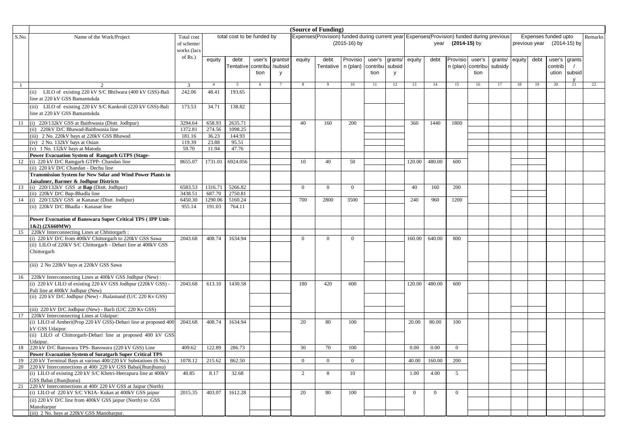|       |                                                                                                        |             |                |                            | (Source of Funding) |         |                |                                                                                           |                |          |         |                |                |                   |          |         |        |               |                      |    |         |
|-------|--------------------------------------------------------------------------------------------------------|-------------|----------------|----------------------------|---------------------|---------|----------------|-------------------------------------------------------------------------------------------|----------------|----------|---------|----------------|----------------|-------------------|----------|---------|--------|---------------|----------------------|----|---------|
| S.No. | Name of the Work/Project                                                                               | Total cost  |                | total cost to be funded by |                     |         |                | Expenses(Provision) funded during current year Expenses(Provision) funded during previous |                |          |         |                |                |                   |          |         |        |               | Expenses funded upto |    | Remarks |
|       |                                                                                                        | of scheme/  |                |                            |                     |         |                |                                                                                           | $(2015-16)$ by |          |         |                |                | year (2014-15) by |          |         |        | previous year | (2014-15) by         |    |         |
|       |                                                                                                        | works (lacs |                |                            |                     |         |                |                                                                                           |                |          |         |                |                |                   |          |         |        |               |                      |    |         |
|       |                                                                                                        | of $Rs.$ )  | equity         | debt                       | user's              | grants# | equity         | debt                                                                                      | Provisio       | user's   | grants/ | equity         | debt           | Provisio          | user's   | grants/ | equity | debt          | user's grants        |    |         |
|       |                                                                                                        |             |                | Tentative contribu         |                     | /subsid |                | Tentative   n (plan)                                                                      |                | contribu | subsid  |                |                | n (plan)          | contribu | subsidy |        |               | contrib              |    |         |
|       |                                                                                                        |             |                |                            | tion                | V       |                |                                                                                           |                | tion     | V       |                |                |                   | tion     |         |        |               | ution subsid         |    |         |
|       |                                                                                                        |             |                |                            |                     |         |                |                                                                                           |                |          |         |                |                |                   |          |         |        |               |                      |    |         |
|       |                                                                                                        | 3           | $\overline{4}$ | 5                          | 6                   |         | 8              | 9                                                                                         | 10             | 11       | 12      | 13             | 14             | 15                | 16       | 17      | 18     | 19            | 20                   | 21 | 22      |
|       | (ii) LILO of existing 220 kV S/C Bhilwara (400 kV GSS)-Bali                                            | 242.06      | 48.41          | 193.65                     |                     |         |                |                                                                                           |                |          |         |                |                |                   |          |         |        |               |                      |    |         |
|       | line at 220 kV GSS Bamantukda                                                                          |             |                |                            |                     |         |                |                                                                                           |                |          |         |                |                |                   |          |         |        |               |                      |    |         |
|       | (iii) LILO of existing 220 kV S/C Kankroli (220 kV GSS)-Bali                                           | 173.53      | 34.71          | 138.82                     |                     |         |                |                                                                                           |                |          |         |                |                |                   |          |         |        |               |                      |    |         |
|       | line at 220 kV GSS Bamantukda                                                                          |             |                |                            |                     |         |                |                                                                                           |                |          |         |                |                |                   |          |         |        |               |                      |    |         |
|       |                                                                                                        |             |                |                            |                     |         |                |                                                                                           |                |          |         |                |                |                   |          |         |        |               |                      |    |         |
| 11    | (i) 220/132kV GSS at Baithwasia (Distt. Jodhpur)                                                       | 3294.64     | 658.93         | 2635.71                    |                     |         | 40             | 160                                                                                       | 200            |          |         | 360            | 1440           | 1800              |          |         |        |               |                      |    |         |
|       | (ii) 220kV D/C Bhawad-Baithwasia line                                                                  | 1372.81     | 274.56         | 1098.25                    |                     |         |                |                                                                                           |                |          |         |                |                |                   |          |         |        |               |                      |    |         |
|       | (iii) 2 No. 220kV bays at 220kV GSS Bhawad                                                             | 181.16      | 36.23          | 144.93                     |                     |         |                |                                                                                           |                |          |         |                |                |                   |          |         |        |               |                      |    |         |
|       | (iv) 2 No. 132kV bays at Osian                                                                         | 119.39      | 23.88          | 95.51                      |                     |         |                |                                                                                           |                |          |         |                |                |                   |          |         |        |               |                      |    |         |
|       | (v) 1 No. 132kV bays at Matoda                                                                         | 59.70       | 11.94          | 47.76                      |                     |         |                |                                                                                           |                |          |         |                |                |                   |          |         |        |               |                      |    |         |
|       | <b>Power Evacuation System of Ramgarh GTPS (Stage-</b><br>12 (i) 220 kV D/C Ramgarh GTPP- Chandan line | 8655.07     | 1731.01        | 6924.056                   |                     |         | 10             | 40                                                                                        | 50             |          |         | 120.00         | 480.00         | 600               |          |         |        |               |                      |    |         |
|       | (ii) 220 kV D/C Chandan - Dechu line                                                                   |             |                |                            |                     |         |                |                                                                                           |                |          |         |                |                |                   |          |         |        |               |                      |    |         |
|       | Transmission System for New Solar and Wind Power Plants in                                             |             |                |                            |                     |         |                |                                                                                           |                |          |         |                |                |                   |          |         |        |               |                      |    |         |
|       | Jaisalmer, Barmer & Jodhpur Districts                                                                  |             |                |                            |                     |         |                |                                                                                           |                |          |         |                |                |                   |          |         |        |               |                      |    |         |
| 13    | (i) $220/132kV$ GSS at <b>Bap</b> (Dist. Jodhpur)                                                      | 6583.53     | 1316.71        | 5266.82                    |                     |         | $\overline{0}$ | $\Omega$                                                                                  | $\Omega$       |          |         | 40             | 160            | 200               |          |         |        |               |                      |    |         |
|       | (ii) 220kV D/C Bap-Bhadla line                                                                         | 3438.51     | 687.70         | 2750.81                    |                     |         |                |                                                                                           |                |          |         |                |                |                   |          |         |        |               |                      |    |         |
|       | 14 (i) 220/132kV GSS at Kanasar (Dist. Jodhpur)                                                        | 6450.30     | 1290.06        | 5160.24                    |                     |         | 700            | 2800                                                                                      | 3500           |          |         | 240            | 960            | 1200              |          |         |        |               |                      |    |         |
|       | (ii) 220kV D/C Bhadla - Kanasar line                                                                   | 955.14      | 191.03         | 764.11                     |                     |         |                |                                                                                           |                |          |         |                |                |                   |          |         |        |               |                      |    |         |
|       |                                                                                                        |             |                |                            |                     |         |                |                                                                                           |                |          |         |                |                |                   |          |         |        |               |                      |    |         |
|       | Power Evacuation of Banswara Super Critical TPS (IPP Unit-                                             |             |                |                            |                     |         |                |                                                                                           |                |          |         |                |                |                   |          |         |        |               |                      |    |         |
|       | 1&2) (2X660MW)                                                                                         |             |                |                            |                     |         |                |                                                                                           |                |          |         |                |                |                   |          |         |        |               |                      |    |         |
| 15    | 220kV Interconnecting Lines at Chhitorgarh:                                                            |             |                |                            |                     |         |                |                                                                                           |                |          |         |                |                |                   |          |         |        |               |                      |    |         |
|       | (i) 220 kV D/C from 400kV Chittorgarh to 220kV GSS Sawa                                                | 2043.68     | 408.74         | 1634.94                    |                     |         | $\Omega$       | $\Omega$                                                                                  | $\Omega$       |          |         | 160.00         | 640.00         | 800               |          |         |        |               |                      |    |         |
|       | (ii) LILO of 220kV S/C Chittorgarh - Debari line at 400kV GSS                                          |             |                |                            |                     |         |                |                                                                                           |                |          |         |                |                |                   |          |         |        |               |                      |    |         |
|       | Chittorgarh                                                                                            |             |                |                            |                     |         |                |                                                                                           |                |          |         |                |                |                   |          |         |        |               |                      |    |         |
|       |                                                                                                        |             |                |                            |                     |         |                |                                                                                           |                |          |         |                |                |                   |          |         |        |               |                      |    |         |
|       | (iii) 2 No 220kV bays at 220kV GSS Sawa                                                                |             |                |                            |                     |         |                |                                                                                           |                |          |         |                |                |                   |          |         |        |               |                      |    |         |
|       |                                                                                                        |             |                |                            |                     |         |                |                                                                                           |                |          |         |                |                |                   |          |         |        |               |                      |    |         |
| 16    | 220kV Interconnecting Lines at 400kV GSS Jodhpur (New):                                                |             |                |                            |                     |         | 180            |                                                                                           | 600            |          |         | 120.00         | 480.00         | 600               |          |         |        |               |                      |    |         |
|       | (i) 220 kV LILO of existing 220 kV GSS Jodhpur (220kV GSS) -                                           | 2043.68     | 613.10         | 1430.58                    |                     |         |                | 420                                                                                       |                |          |         |                |                |                   |          |         |        |               |                      |    |         |
|       | Pali line at 400kV Jodhpur (New)<br>(ii) 220 kV D/C Jodhpur (New) - Jhalamand (U/C 220 Kv GSS)         |             |                |                            |                     |         |                |                                                                                           |                |          |         |                |                |                   |          |         |        |               |                      |    |         |
|       |                                                                                                        |             |                |                            |                     |         |                |                                                                                           |                |          |         |                |                |                   |          |         |        |               |                      |    |         |
|       | (iii) 220 kV D/C Jodhpur (New) - Barli (U/C 220 Kv GSS)                                                |             |                |                            |                     |         |                |                                                                                           |                |          |         |                |                |                   |          |         |        |               |                      |    |         |
| 17    | 220kV Interconnecting Lines at Udaipur:                                                                |             |                |                            |                     |         |                |                                                                                           |                |          |         |                |                |                   |          |         |        |               |                      |    |         |
|       | (i) LILO of Amberi(Prop 220 kV GSS)-Debari line at proposed 400                                        | 2043.68     | 408.74         | 1634.94                    |                     |         | 20             | 80                                                                                        | 100            |          |         | 20.00          | 80.00          | 100               |          |         |        |               |                      |    |         |
|       | kV GSS Udaipur.                                                                                        |             |                |                            |                     |         |                |                                                                                           |                |          |         |                |                |                   |          |         |        |               |                      |    |         |
|       | (ii) LILO of Chittorgarh-Debari line at proposed 400 kV GSS                                            |             |                |                            |                     |         |                |                                                                                           |                |          |         |                |                |                   |          |         |        |               |                      |    |         |
|       | Udaipur.                                                                                               |             |                |                            |                     |         |                |                                                                                           |                |          |         |                |                |                   |          |         |        |               |                      |    |         |
| 18    | 220 kV D/C Banswara TPS- Banswara (220 kV GSS) Line                                                    | 409.62      | 122.89         | 286.73                     |                     |         | 30             | 70                                                                                        | 100            |          |         | 0.00           | 0.00           | $\overline{0}$    |          |         |        |               |                      |    |         |
|       | <b>Power Evacuation System of Suratgarh Super Critical TPS</b>                                         |             |                |                            |                     |         |                |                                                                                           |                |          |         |                |                |                   |          |         |        |               |                      |    |         |
|       | 220 kV Terminal Bays at various 400/220 kV Substations (6 No.)                                         | 1078.12     |                | 215.62 862.50              |                     |         | $\overline{0}$ | $\overline{0}$                                                                            | $\overline{0}$ |          |         |                | 40.00 160.00   | 200               |          |         |        |               |                      |    |         |
| 20    | 220 kV Interconnections at 400/220 kV GSS Babai(Jhunjhunu)                                             |             |                |                            |                     |         |                |                                                                                           |                |          |         |                |                |                   |          |         |        |               |                      |    |         |
|       | (i) LILO of existing 220 kV S/C Khetri-Heerapura line at 400kV                                         | 40.85       | 8.17           | 32.68                      |                     |         | $\overline{2}$ | 8                                                                                         | 10             |          |         | 1.00           | 4.00           | 5 <sup>5</sup>    |          |         |        |               |                      |    |         |
|       | GSS Babai (Jhunjhunu)                                                                                  |             |                |                            |                     |         |                |                                                                                           |                |          |         |                |                |                   |          |         |        |               |                      |    |         |
|       | 21 220 kV Interconnections at 400/220 kV GSS at Jaipur (North)                                         |             |                |                            |                     |         |                |                                                                                           |                |          |         |                |                |                   |          |         |        |               |                      |    |         |
|       | (i) LILO of 220 kV S/C VKIA- Kukas at 400kV GSS jaipur                                                 | 2015.35     | 403.07         | 1612.28                    |                     |         | 20             | 80                                                                                        | 100            |          |         | $\overline{0}$ | $\overline{0}$ | $\overline{0}$    |          |         |        |               |                      |    |         |
|       | (ii) 220 kV D/C line from 400kV GSS jaipur (North) to GSS                                              |             |                |                            |                     |         |                |                                                                                           |                |          |         |                |                |                   |          |         |        |               |                      |    |         |
|       | Manoharpur                                                                                             |             |                |                            |                     |         |                |                                                                                           |                |          |         |                |                |                   |          |         |        |               |                      |    |         |
|       | (iii) 2 No. bays at 220kV GSS Manoharpur.                                                              |             |                |                            |                     |         |                |                                                                                           |                |          |         |                |                |                   |          |         |        |               |                      |    |         |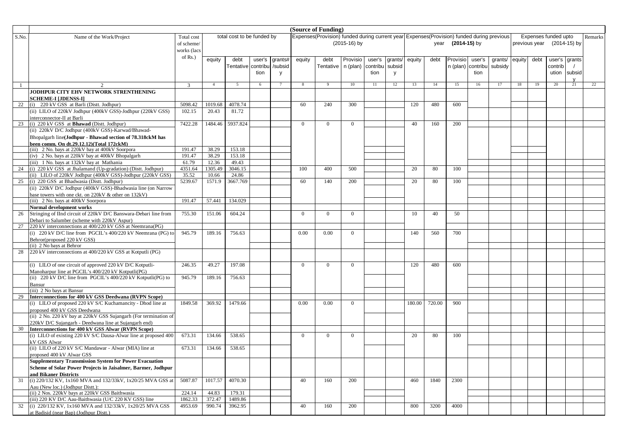|       | (Source of Funding)                                                                              |                |                |                            |        |              |                |                                                                                           |                |          |         |        |        |                |          |         |        |      |                            |        |         |
|-------|--------------------------------------------------------------------------------------------------|----------------|----------------|----------------------------|--------|--------------|----------------|-------------------------------------------------------------------------------------------|----------------|----------|---------|--------|--------|----------------|----------|---------|--------|------|----------------------------|--------|---------|
| S.No. | Name of the Work/Project                                                                         | Total cost     |                | total cost to be funded by |        |              |                | Expenses(Provision) funded during current year Expenses(Provision) funded during previous |                |          |         |        |        |                |          |         |        |      | Expenses funded upto       |        | Remarks |
|       |                                                                                                  | of scheme/     |                |                            |        |              |                |                                                                                           | (2015-16) by   |          |         |        | year   | $(2014-15)$ by |          |         |        |      | previous year (2014-15) by |        |         |
|       |                                                                                                  | works (lacs    |                |                            |        |              |                |                                                                                           |                |          |         |        |        |                |          |         |        |      |                            |        |         |
|       |                                                                                                  | of Rs.)        | equity         | debt                       | user's | grants#      | equity         | debt                                                                                      | Provisio       | user's   | grants/ | equity | debt   | Provisio       | user's   | grants/ | equity | debt | user's grants              |        |         |
|       |                                                                                                  |                |                | <b>Tentative</b> contribu  |        | /subsid      |                | Tentative                                                                                 | n (plan)       | contribu | subsic  |        |        | n (plan)       | contribu | subsidy |        |      | contrib                    |        |         |
|       |                                                                                                  |                |                |                            | tion   | $\mathsf{V}$ |                |                                                                                           |                | tion     | y       |        |        |                | tion     |         |        |      | ution                      | subsid |         |
|       |                                                                                                  |                |                |                            |        |              |                |                                                                                           |                |          |         |        |        |                |          |         |        |      |                            |        |         |
|       |                                                                                                  | $\overline{3}$ | $\overline{4}$ | 5                          | 6      |              | 8              | 9                                                                                         | 10             | 11       | 12      | 13     | 14     | 15             | 16       | 17      | 18     | 19   | 20                         | 21     | 22      |
|       | JODHPUR CITY EHV NETWORK STRENTHENING                                                            |                |                |                            |        |              |                |                                                                                           |                |          |         |        |        |                |          |         |        |      |                            |        |         |
|       | <b>SCHEME-I [JDENSS-I]</b>                                                                       |                |                |                            |        |              |                |                                                                                           |                |          |         |        |        |                |          |         |        |      |                            |        |         |
| 22    | (i) 220 kV GSS at Barli (Distt. Jodhpur)                                                         | 5098.42        | 1019.68        | 4078.74                    |        |              | 60             | 240                                                                                       | 300            |          |         | 120    | 480    | 600            |          |         |        |      |                            |        |         |
|       | (ii) LILO of 220kV Jodhpur (400kV GSS)-Jodhpur (220kV GSS)                                       | 102.15         | 20.43          | 81.72                      |        |              |                |                                                                                           |                |          |         |        |        |                |          |         |        |      |                            |        |         |
|       | interconnector-II at Barli                                                                       |                |                |                            |        |              |                |                                                                                           |                |          |         |        |        |                |          |         |        |      |                            |        |         |
|       | 23 (i) 220 kV GSS at <b>Bhawad</b> (Dist. Jodhpur)                                               | 7422.28        | 1484.46        | 5937.824                   |        |              | $\overline{0}$ | $\overline{0}$                                                                            | $\overline{0}$ |          |         | 40     | 160    | 200            |          |         |        |      |                            |        |         |
|       | (ii) 220kV D/C Jodhpur (400kV GSS)-Karwad/Bhawad-                                                |                |                |                            |        |              |                |                                                                                           |                |          |         |        |        |                |          |         |        |      |                            |        |         |
|       | Bhopalgarh line(Jodhpur - Bhawad section of 78.318ckM has                                        |                |                |                            |        |              |                |                                                                                           |                |          |         |        |        |                |          |         |        |      |                            |        |         |
|       | been comm. On dt.29.12.12)(Total 172ckM)                                                         |                |                |                            |        |              |                |                                                                                           |                |          |         |        |        |                |          |         |        |      |                            |        |         |
|       | (iii) 2 No. bays at 220kV bay at 400kV Soorpora                                                  | 191.47         | 38.29          | 153.18                     |        |              |                |                                                                                           |                |          |         |        |        |                |          |         |        |      |                            |        |         |
|       | (iv) 2 No. bays at 220kV bay at 400kV Bhopalgarh                                                 | 191.47         | 38.29          | 153.18                     |        |              |                |                                                                                           |                |          |         |        |        |                |          |         |        |      |                            |        |         |
|       | (iii) 1 No. bays at 132kV bay at Mathania                                                        | 61.79          | 12.36          | 49.43                      |        |              |                |                                                                                           |                |          |         |        |        |                |          |         |        |      |                            |        |         |
| 24    | (i) 220 kV GSS at Jhalamand (Up-gradation) (Distt. Jodhpur)                                      | 4351.64        | 1305.49        | 3046.15                    |        |              | 100            | 400                                                                                       | 500            |          |         | 20     | 80     | 100            |          |         |        |      |                            |        |         |
|       | (ii) LILO of 220kV Jodhpur (400kV GSS)-Jodhpur (220kV GSS)                                       | 35.52          | 10.66          | 24.86                      |        |              |                |                                                                                           |                |          |         |        |        |                |          |         |        |      |                            |        |         |
|       | 25 (i) 220 GSS at Bhadwasia (Dist. Jodhpur)                                                      | 5239.67        | 1571.9         | 3667.769                   |        |              | 60             | 140                                                                                       | 200            |          |         | 20     | 80     | 100            |          |         |        |      |                            |        |         |
|       | (ii) 220kV D/C Jodhpur (400kV GSS)-Bhadwasia line (on Narrow                                     |                |                |                            |        |              |                |                                                                                           |                |          |         |        |        |                |          |         |        |      |                            |        |         |
|       | base towers with one ckt. on 220kV & other on 132kV)                                             | 191.47         | 57.441         |                            |        |              |                |                                                                                           |                |          |         |        |        |                |          |         |        |      |                            |        |         |
|       | (iii) 2 No. bays at 400kV Soorpora<br>Normal development works                                   |                |                | 134.029                    |        |              |                |                                                                                           |                |          |         |        |        |                |          |         |        |      |                            |        |         |
| 26    | Stringing of IInd circuit of 220kV D/C Banswara-Debari line from                                 | 755.30         | 151.06         | 604.24                     |        |              | $\overline{0}$ | $\overline{0}$                                                                            | $\overline{0}$ |          |         | 10     | 40     | 50             |          |         |        |      |                            |        |         |
|       | Debari to Salumber (scheme with 220kV Aspur)                                                     |                |                |                            |        |              |                |                                                                                           |                |          |         |        |        |                |          |         |        |      |                            |        |         |
| 27    | 220 kV interconnections at 400/220 kV GSS at Neemrana(PG)                                        |                |                |                            |        |              |                |                                                                                           |                |          |         |        |        |                |          |         |        |      |                            |        |         |
|       | (i) 220 kV D/C line from PGCIL's 400/220 kV Neemrana (PG) to                                     | 945.79         | 189.16         | 756.63                     |        |              | 0.00           | 0.00                                                                                      | $\overline{0}$ |          |         | 140    | 560    | 700            |          |         |        |      |                            |        |         |
|       | Behror(proposed 220 kV GSS)                                                                      |                |                |                            |        |              |                |                                                                                           |                |          |         |        |        |                |          |         |        |      |                            |        |         |
|       | (ii) 2 No bays at Behror                                                                         |                |                |                            |        |              |                |                                                                                           |                |          |         |        |        |                |          |         |        |      |                            |        |         |
| 28    | 220 kV interconnections at 400/220 kV GSS at Kotputli (PG)                                       |                |                |                            |        |              |                |                                                                                           |                |          |         |        |        |                |          |         |        |      |                            |        |         |
|       |                                                                                                  |                |                |                            |        |              |                |                                                                                           |                |          |         |        |        |                |          |         |        |      |                            |        |         |
|       | (i) LILO of one circuit of approved 220 kV D/C Kotputli-                                         | 246.35         | 49.27          | 197.08                     |        |              | $\Omega$       | $\Omega$                                                                                  | $\overline{0}$ |          |         | 120    | 480    | 600            |          |         |        |      |                            |        |         |
|       | Manoharpur line at PGCIL's 400/220 kV Kotputli(PG)                                               |                |                |                            |        |              |                |                                                                                           |                |          |         |        |        |                |          |         |        |      |                            |        |         |
|       | (ii) 220 kV D/C line from PGCIL's 400/220 kV Kotputli(PG) to                                     | 945.79         | 189.16         | 756.63                     |        |              |                |                                                                                           |                |          |         |        |        |                |          |         |        |      |                            |        |         |
|       | Bansur                                                                                           |                |                |                            |        |              |                |                                                                                           |                |          |         |        |        |                |          |         |        |      |                            |        |         |
|       | (iii) 2 No bays at Bansur                                                                        |                |                |                            |        |              |                |                                                                                           |                |          |         |        |        |                |          |         |        |      |                            |        |         |
| 29    | Interconnections for 400 kV GSS Deedwana (RVPN Scope)                                            |                |                |                            |        |              |                |                                                                                           |                |          |         |        |        |                |          |         |        |      |                            |        |         |
|       | (i) LILO of proposed 220 kV S/C Kuchamancity - Dhod line at                                      | 1849.58        | 369.92         | 1479.66                    |        |              | 0.00           | 0.00                                                                                      | $\Omega$       |          |         | 180.00 | 720.00 | 900            |          |         |        |      |                            |        |         |
|       | proposed 400 kV GSS Deedwana<br>(ii) 2 No. 220 kV bay at 220kV GSS Sujangarh (For termination of |                |                |                            |        |              |                |                                                                                           |                |          |         |        |        |                |          |         |        |      |                            |        |         |
|       | 220kV D/C Sujangarh - Deedwana line at Sujangarh end)                                            |                |                |                            |        |              |                |                                                                                           |                |          |         |        |        |                |          |         |        |      |                            |        |         |
| 30    | Interconnections for 400 kV GSS Alwar (RVPN Scope)                                               |                |                |                            |        |              |                |                                                                                           |                |          |         |        |        |                |          |         |        |      |                            |        |         |
|       | (i) LILO of existing 220 kV S/C Dausa-Alwar line at proposed 400                                 | 673.31         | 134.66         | 538.65                     |        |              | $\overline{0}$ | $\overline{0}$                                                                            | $\overline{0}$ |          |         | 20     | 80     | 100            |          |         |        |      |                            |        |         |
|       | kV GSS Alwar                                                                                     |                |                |                            |        |              |                |                                                                                           |                |          |         |        |        |                |          |         |        |      |                            |        |         |
|       | (ii) LILO of 220 kV S/C Mandawar - Alwar (MIA) line at                                           | 673.31         | 134.66         | 538.65                     |        |              |                |                                                                                           |                |          |         |        |        |                |          |         |        |      |                            |        |         |
|       | proposed 400 kV Alwar GSS                                                                        |                |                |                            |        |              |                |                                                                                           |                |          |         |        |        |                |          |         |        |      |                            |        |         |
|       | <b>Supplementary Transmission System for Power Evacuation</b>                                    |                |                |                            |        |              |                |                                                                                           |                |          |         |        |        |                |          |         |        |      |                            |        |         |
|       | Scheme of Solar Power Projects in Jaisalmer, Barmer, Jodhnur                                     |                |                |                            |        |              |                |                                                                                           |                |          |         |        |        |                |          |         |        |      |                            |        |         |
|       | and Bikaner Districts                                                                            |                |                |                            |        |              |                |                                                                                           |                |          |         |        |        |                |          |         |        |      |                            |        |         |
| 31    | (i) 220/132 KV, 1x160 MVA and 132/33kV, 1x20/25 MVA GSS at                                       | 5087.87        | 1017.57        | 4070.30                    |        |              | 40             | 160                                                                                       | 200            |          |         | 460    | 1840   | 2300           |          |         |        |      |                            |        |         |
|       | Aau (New loc.) (Jodhpur Distt.):                                                                 |                |                |                            |        |              |                |                                                                                           |                |          |         |        |        |                |          |         |        |      |                            |        |         |
|       | (ii) 2 Nos. 220kV bays at 220kV GSS Baithwasia                                                   | 224.14         | 44.83          | 179.31                     |        |              |                |                                                                                           |                |          |         |        |        |                |          |         |        |      |                            |        |         |
|       | (iii) 220 KV D/C Aau-Baithwasia (U/C 220 KV GSS) line                                            | 1862.33        | 372.47         | 1489.86                    |        |              |                |                                                                                           |                |          |         |        |        |                |          |         |        |      |                            |        |         |
| 32    | (i) 220/132 KV, 1x160 MVA and 132/33kV, 1x20/25 MVA GSS                                          | 4953.69        | 990.74         | 3962.95                    |        |              | 40             | 160                                                                                       | 200            |          |         | 800    | 3200   | 4000           |          |         |        |      |                            |        |         |
|       | at Badisid (near Bap) (Jodhpur Distt.)                                                           |                |                |                            |        |              |                |                                                                                           |                |          |         |        |        |                |          |         |        |      |                            |        |         |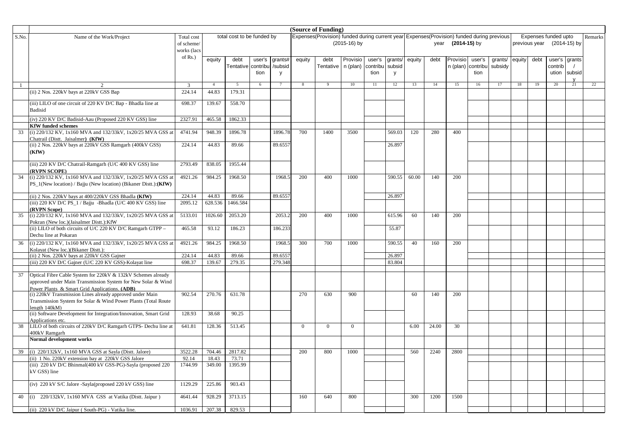|       |                                                                                                        |                |                | (Source of Funding)        |        |                |                |                                                                                           |                |          |         |        |       |                |          |         |        |               |                      |              |         |
|-------|--------------------------------------------------------------------------------------------------------|----------------|----------------|----------------------------|--------|----------------|----------------|-------------------------------------------------------------------------------------------|----------------|----------|---------|--------|-------|----------------|----------|---------|--------|---------------|----------------------|--------------|---------|
| S.No. | Name of the Work/Project                                                                               | Total cost     |                | total cost to be funded by |        |                |                | Expenses(Provision) funded during current year Expenses(Provision) funded during previous |                |          |         |        |       |                |          |         |        |               | Expenses funded upto |              | Remarks |
|       |                                                                                                        | of scheme/     |                |                            |        |                |                |                                                                                           | (2015-16) by   |          |         |        | year  | $(2014-15)$ by |          |         |        | previous year |                      | (2014-15) by |         |
|       |                                                                                                        | works (lacs    |                |                            |        |                |                |                                                                                           |                |          |         |        |       |                |          |         |        |               |                      |              |         |
|       |                                                                                                        | of Rs.)        | equity         | debt                       | user's | grants#        | equity         | debt                                                                                      | Provisio       | user's   | grants. | equity | debt  | Provisio       | user's   | grants/ | equity | debt          | user's grants        |              |         |
|       |                                                                                                        |                |                | Tentative contribu         |        | /subsid        |                | <b>Tentative</b>                                                                          | n (plan)       | contribu | subsic  |        |       | n (plan)       | contribu | subsidy |        |               | contrib              |              |         |
|       |                                                                                                        |                |                |                            | tion   | <b>y</b>       |                |                                                                                           |                | tion     | V       |        |       |                | tion     |         |        |               | ution subsid         |              |         |
|       |                                                                                                        | $\overline{3}$ | $\overline{4}$ | $5^{\circ}$                | 6      | $\overline{7}$ | 8              | 9                                                                                         | 10             | 11       | 12      | 13     | 14    | 15             | 16       | 17      | 18     | 19            | 20                   | 21           | 22      |
|       | (ii) 2 Nos. 220kV bays at 220kV GSS Bap                                                                | 224.14         | 44.83          | 179.31                     |        |                |                |                                                                                           |                |          |         |        |       |                |          |         |        |               |                      |              |         |
|       |                                                                                                        |                |                |                            |        |                |                |                                                                                           |                |          |         |        |       |                |          |         |        |               |                      |              |         |
|       | (iii) LILO of one circuit of 220 KV D/C Bap - Bhadla line at                                           | 698.37         | 139.67         | 558.70                     |        |                |                |                                                                                           |                |          |         |        |       |                |          |         |        |               |                      |              |         |
|       | <b>Badisid</b>                                                                                         |                |                |                            |        |                |                |                                                                                           |                |          |         |        |       |                |          |         |        |               |                      |              |         |
|       | (iv) 220 KV D/C Badisid-Aau (Proposed 220 KV GSS) line                                                 | 2327.91        | 465.58         | 1862.33                    |        |                |                |                                                                                           |                |          |         |        |       |                |          |         |        |               |                      |              |         |
|       | <b>KfW</b> funded schemes                                                                              |                |                |                            |        |                |                |                                                                                           |                |          |         |        |       |                |          |         |        |               |                      |              |         |
| 33    | (i) 220/132 KV, 1x160 MVA and 132/33kV, 1x20/25 MVA GSS at<br>Chatrail (Distt. Jaisalmer) (KfW)        | 4741.94        | 948.39         | 1896.78                    |        | 1896.78        | 700            | 1400                                                                                      | 3500           |          | 569.03  | 120    | 280   | 400            |          |         |        |               |                      |              |         |
|       | (ii) 2 Nos. 220kV bays at 220kV GSS Ramgarh (400kV GSS)                                                | 224.14         | 44.83          | 89.66                      |        | 89.6557        |                |                                                                                           |                |          | 26.897  |        |       |                |          |         |        |               |                      |              |         |
|       | (KfW)                                                                                                  |                |                |                            |        |                |                |                                                                                           |                |          |         |        |       |                |          |         |        |               |                      |              |         |
|       |                                                                                                        |                |                |                            |        |                |                |                                                                                           |                |          |         |        |       |                |          |         |        |               |                      |              |         |
|       | (iii) 220 KV D/C Chatrail-Ramgarh (U/C 400 KV GSS) line<br>(RVPN SCOPE)                                | 2793.49        | 838.05         | 1955.44                    |        |                |                |                                                                                           |                |          |         |        |       |                |          |         |        |               |                      |              |         |
| 34    | (i) 220/132 KV, 1x160 MVA and 132/33kV, 1x20/25 MVA GSS at                                             | 4921.26        | 984.25         | 1968.50                    |        | 1968.5         | 200            | 400                                                                                       | 1000           |          | 590.55  | 60.00  | 140   | 200            |          |         |        |               |                      |              |         |
|       | PS_1(New location) / Bajju (New location) (Bikaner Distt.): (KfW)                                      |                |                |                            |        |                |                |                                                                                           |                |          |         |        |       |                |          |         |        |               |                      |              |         |
|       | (ii) 2 Nos. 220kV bays at 400/220kV GSS Bhadla (KfW)                                                   | 224.14         | 44.83          | 89.66                      |        | 89.6557        |                |                                                                                           |                |          | 26.897  |        |       |                |          |         |        |               |                      |              |         |
|       | (iii) 220 KV D/C PS_1 / Bajju -Bhadla (U/C 400 KV GSS) line                                            | 2095.12        | 628.536        | 1466.584                   |        |                |                |                                                                                           |                |          |         |        |       |                |          |         |        |               |                      |              |         |
|       | (RVPN Scope)                                                                                           |                |                |                            |        |                |                |                                                                                           |                |          |         |        |       |                |          |         |        |               |                      |              |         |
| 35    | (i) 220/132 KV, 1x160 MVA and 132/33kV, 1x20/25 MVA GSS at                                             | 5133.01        | 1026.60        | 2053.20                    |        | 2053.2         | 200            | 400                                                                                       | 1000           |          | 615.96  | 60     | 140   | 200            |          |         |        |               |                      |              |         |
|       | Pokran (New loc.)(Jaisalmer Distt.):KfW<br>(ii) LILO of both circuits of U/C 220 KV D/C Ramgarh GTPP - | 465.58         | 93.12          | 186.23                     |        | 186.233        |                |                                                                                           |                |          | 55.87   |        |       |                |          |         |        |               |                      |              |         |
|       | Dechu line at Pokaran                                                                                  |                |                |                            |        |                |                |                                                                                           |                |          |         |        |       |                |          |         |        |               |                      |              |         |
| 36    | (i) 220/132 KV, 1x160 MVA and 132/33kV, 1x20/25 MVA GSS at                                             | 4921.26        | 984.25         | 1968.50                    |        | 1968.5         | 300            | 700                                                                                       | 1000           |          | 590.55  | 40     | 160   | 200            |          |         |        |               |                      |              |         |
|       | Kolayat (New loc.)(Bikaner Distt.):                                                                    |                |                |                            |        |                |                |                                                                                           |                |          |         |        |       |                |          |         |        |               |                      |              |         |
|       | (ii) 2 Nos. 220kV bays at 220kV GSS Gajner                                                             | 224.14         | 44.83          | 89.66                      |        | 89.6557        |                |                                                                                           |                |          | 26.897  |        |       |                |          |         |        |               |                      |              |         |
|       | (iii) 220 KV D/C Gajner (U/C 220 KV GSS)-Kolayat line                                                  | 698.37         | 139.67         | 279.35                     |        | 279.348        |                |                                                                                           |                |          | 83.804  |        |       |                |          |         |        |               |                      |              |         |
| 37    | Optical Fibre Cable System for 220kV & 132kV Schemes already                                           |                |                |                            |        |                |                |                                                                                           |                |          |         |        |       |                |          |         |        |               |                      |              |         |
|       | approved under Main Transmission System for New Solar & Wind                                           |                |                |                            |        |                |                |                                                                                           |                |          |         |        |       |                |          |         |        |               |                      |              |         |
|       | Power Plants & Smart Grid Applications. (ADB)                                                          |                |                |                            |        |                |                |                                                                                           |                |          |         |        |       |                |          |         |        |               |                      |              |         |
|       | (i) 220kV Transmission Lines already approved under Main                                               | 902.54         | 270.76         | 631.78                     |        |                | 270            | 630                                                                                       | 900            |          |         | 60     | 140   | 200            |          |         |        |               |                      |              |         |
|       | Transmission System for Solar & Wind Power Plants (Total Route                                         |                |                |                            |        |                |                |                                                                                           |                |          |         |        |       |                |          |         |        |               |                      |              |         |
|       | length 140kM)<br>(ii) Software Development for Integration/Innovation, Smart Grid                      | 128.93         | 38.68          | 90.25                      |        |                |                |                                                                                           |                |          |         |        |       |                |          |         |        |               |                      |              |         |
|       | Applications etc.                                                                                      |                |                |                            |        |                |                |                                                                                           |                |          |         |        |       |                |          |         |        |               |                      |              |         |
| 38    | LILO of both circuits of 220kV D/C Ramgarh GTPS- Dechu line at                                         | 641.81         | 128.36         | 513.45                     |        |                | $\overline{0}$ | $\overline{0}$                                                                            | $\overline{0}$ |          |         | 6.00   | 24.00 | 30             |          |         |        |               |                      |              |         |
|       | 400kV Ramgarh                                                                                          |                |                |                            |        |                |                |                                                                                           |                |          |         |        |       |                |          |         |        |               |                      |              |         |
|       | <b>Normal development works</b>                                                                        |                |                |                            |        |                |                |                                                                                           |                |          |         |        |       |                |          |         |        |               |                      |              |         |
| 39    | (i) 220/132kV, 1x160 MVA GSS at Sayla (Distt. Jalore)                                                  | 3522.28        | 704.46         | 2817.82                    |        |                | 200            | 800                                                                                       | 1000           |          |         | 560    | 2240  | 2800           |          |         |        |               |                      |              |         |
|       | (ii) 1 No. 220kV extension bay at 220kV GSS Jalore                                                     | 92.14          | 18.43          | 73.71                      |        |                |                |                                                                                           |                |          |         |        |       |                |          |         |        |               |                      |              |         |
|       | (iii) 220 kV D/C Bhinmal(400 kV GSS-PG)-Sayla (proposed 220                                            | 1744.99        | 349.00         | 1395.99                    |        |                |                |                                                                                           |                |          |         |        |       |                |          |         |        |               |                      |              |         |
|       | kV GSS) line                                                                                           |                |                |                            |        |                |                |                                                                                           |                |          |         |        |       |                |          |         |        |               |                      |              |         |
|       | (iv) 220 kV S/C Jalore -Sayla(proposed 220 kV GSS) line                                                | 1129.29        | 225.86         | 903.43                     |        |                |                |                                                                                           |                |          |         |        |       |                |          |         |        |               |                      |              |         |
|       |                                                                                                        |                |                |                            |        |                |                |                                                                                           |                |          |         |        |       |                |          |         |        |               |                      |              |         |
| 40    | 220/132kV, 1x160 MVA GSS at Vatika (Distt. Jaipur)<br>(i)                                              | 4641.44        | 928.29         | 3713.15                    |        |                | 160            | 640                                                                                       | 800            |          |         | 300    | 1200  | 1500           |          |         |        |               |                      |              |         |
|       |                                                                                                        |                |                |                            |        |                |                |                                                                                           |                |          |         |        |       |                |          |         |        |               |                      |              |         |
|       | (ii) 220 kV D/C Jaipur (South-PG) - Vatika line.                                                       | 1036.91        | 207.38         | 829.53                     |        |                |                |                                                                                           |                |          |         |        |       |                |          |         |        |               |                      |              |         |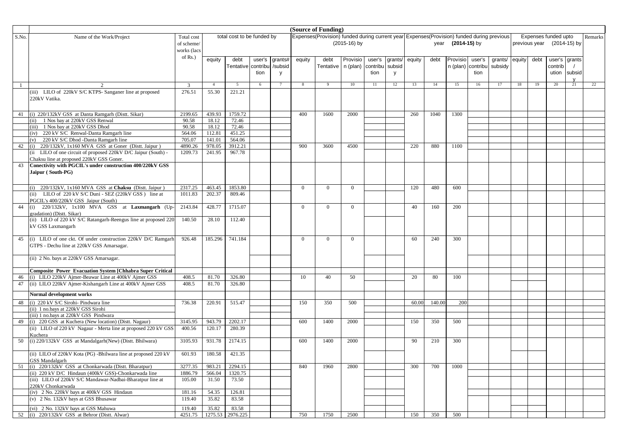|          |                                                                                                                         |                   |                  |                            |        |                    | (Source of Funding) |                                                                                           |                |          |                   |        |        |                   |          |         |        |               |                      |    |         |
|----------|-------------------------------------------------------------------------------------------------------------------------|-------------------|------------------|----------------------------|--------|--------------------|---------------------|-------------------------------------------------------------------------------------------|----------------|----------|-------------------|--------|--------|-------------------|----------|---------|--------|---------------|----------------------|----|---------|
| S.No.    | Name of the Work/Project                                                                                                | Total cost        |                  | total cost to be funded by |        |                    |                     | Expenses(Provision) funded during current year Expenses(Provision) funded during previous |                |          |                   |        |        |                   |          |         |        |               | Expenses funded upto |    | Remarks |
|          |                                                                                                                         | of scheme/        |                  |                            |        |                    |                     |                                                                                           | (2015-16) by   |          |                   |        |        | year (2014-15) by |          |         |        | previous year | (2014-15) by         |    |         |
|          |                                                                                                                         | works (lacs       |                  |                            |        |                    |                     |                                                                                           |                |          |                   |        |        |                   |          |         |        |               |                      |    |         |
|          |                                                                                                                         | of Rs.)           |                  | debt                       | user's |                    | equity              | debt                                                                                      | Provisio       | user's   |                   | equity | debt   | Provisio          | user's   | grants/ | equity | debt          | user's grants        |    |         |
|          |                                                                                                                         |                   | equity           | Tentative contribu         |        | grants#<br>/subsid |                     | Tentative   n (plan)                                                                      |                | contribu | grants/<br>subsid |        |        | n (plan)          | contribu | subsidy |        |               | contrib              |    |         |
|          |                                                                                                                         |                   |                  |                            | tion   | <b>V</b>           |                     |                                                                                           |                | tion     | V                 |        |        |                   | tion     |         |        |               | ution subsid         |    |         |
|          |                                                                                                                         |                   |                  |                            |        |                    |                     |                                                                                           |                |          |                   |        |        |                   |          |         |        |               |                      |    |         |
|          |                                                                                                                         | 3                 | $\overline{4}$   | 5                          | 6      |                    | 8                   | $\mathbf{Q}$                                                                              | 10             | 11       | 12                | 13     | 14     | 15                | 16       | 17      | 18     | 19            | 20                   | 21 | 22      |
|          | (iii) LILO of 220kV S/C KTPS- Sanganer line at proposed                                                                 | 276.51            | 55.30            | 221.21                     |        |                    |                     |                                                                                           |                |          |                   |        |        |                   |          |         |        |               |                      |    |         |
|          | 220kV Vatika.                                                                                                           |                   |                  |                            |        |                    |                     |                                                                                           |                |          |                   |        |        |                   |          |         |        |               |                      |    |         |
|          |                                                                                                                         |                   |                  |                            |        |                    |                     |                                                                                           |                |          |                   |        |        |                   |          |         |        |               |                      |    |         |
|          | 41 (i) 220/132kV GSS at Danta Ramgarh (Distt. Sikar)                                                                    | 2199.65           | 439.93           | 1759.72                    |        |                    | 400                 | 1600                                                                                      | 2000           |          |                   | 260    | 1040   | 1300              |          |         |        |               |                      |    |         |
|          | (ii) 1 Nos bay at 220kV GSS Renwal                                                                                      | 90.58             | 18.12            | 72.46                      |        |                    |                     |                                                                                           |                |          |                   |        |        |                   |          |         |        |               |                      |    |         |
|          | (iii) 1 Nos bay at 220kV GSS Dhod                                                                                       | 90.58             | 18.12            | 72.46                      |        |                    |                     |                                                                                           |                |          |                   |        |        |                   |          |         |        |               |                      |    |         |
|          | 220 kV S/C Renwal-Danta Ramgarh line<br>(iv)                                                                            | 564.06            | 112.81           | 451.25                     |        |                    |                     |                                                                                           |                |          |                   |        |        |                   |          |         |        |               |                      |    |         |
|          | 220 kV S/C Dhod -Danta Ramgarh line<br>(v)                                                                              | 705.07            | 141.01           | 564.06                     |        |                    |                     |                                                                                           |                |          |                   |        |        |                   |          |         |        |               |                      |    |         |
| 42       | 220/132kV, 1x160 MVA GSS at Goner (Distt. Jaipur)<br>(i)                                                                | 4890.26           | 978.05           | 3912.21                    |        |                    | 900                 | 3600                                                                                      | 4500           |          |                   | 220    | 880    | 1100              |          |         |        |               |                      |    |         |
|          | (ii LILO of one circuit of proposed 220kV D/C Jaipur (South) -                                                          | 1209.73           | 241.95           | 967.78                     |        |                    |                     |                                                                                           |                |          |                   |        |        |                   |          |         |        |               |                      |    |         |
|          | Chaksu line at proposed 220kV GSS Goner.                                                                                |                   |                  |                            |        |                    |                     |                                                                                           |                |          |                   |        |        |                   |          |         |        |               |                      |    |         |
| 43       | Conectivity with PGCIL's under construction 400/220kV GSS                                                               |                   |                  |                            |        |                    |                     |                                                                                           |                |          |                   |        |        |                   |          |         |        |               |                      |    |         |
|          | Jaipur (South-PG)                                                                                                       |                   |                  |                            |        |                    |                     |                                                                                           |                |          |                   |        |        |                   |          |         |        |               |                      |    |         |
|          |                                                                                                                         |                   |                  |                            |        |                    |                     |                                                                                           |                |          |                   |        |        |                   |          |         |        |               |                      |    |         |
|          | (i) 220/132kV, 1x160 MVA GSS at Chaksu (Distt. Jaipur)                                                                  | 2317.25           | 463.45           | 1853.80                    |        |                    | $\overline{0}$      | $\overline{0}$                                                                            | $\overline{0}$ |          |                   | 120    | 480    | 600               |          |         |        |               |                      |    |         |
|          | LILO of 220 kV S/C Duni - SEZ (220kV GSS) line at<br>(ii)                                                               | 1011.83           | 202.37           | 809.46                     |        |                    |                     |                                                                                           |                |          |                   |        |        |                   |          |         |        |               |                      |    |         |
|          | PGCIL's 400/220kV GSS Jaipur (South)                                                                                    |                   |                  |                            |        |                    |                     |                                                                                           |                |          |                   |        |        |                   |          |         |        |               |                      |    |         |
| $44$ (i) | 220/132kV, 1x100 MVA GSS at Laxmangarh (Up-                                                                             | 2143.84           | 428.77           | 1715.07                    |        |                    | $\overline{0}$      | $\overline{0}$                                                                            | $\overline{0}$ |          |                   | 40     | 160    | 200               |          |         |        |               |                      |    |         |
|          | gradation) (Distt. Sikar)                                                                                               |                   |                  |                            |        |                    |                     |                                                                                           |                |          |                   |        |        |                   |          |         |        |               |                      |    |         |
|          | (ii) LILO of 220 kV S/C Ratangarh-Reengus line at proposed 220                                                          | 140.50            | 28.10            | 112.40                     |        |                    |                     |                                                                                           |                |          |                   |        |        |                   |          |         |        |               |                      |    |         |
|          | kV GSS Laxmangarh                                                                                                       |                   |                  |                            |        |                    |                     |                                                                                           |                |          |                   |        |        |                   |          |         |        |               |                      |    |         |
|          |                                                                                                                         |                   |                  |                            |        |                    |                     |                                                                                           |                |          |                   |        |        |                   |          |         |        |               |                      |    |         |
| 45       | (i) LILO of one ckt. Of under construction 220kV D/C Ramgarh                                                            | 926.48            | 185.296          | 741.184                    |        |                    | $\overline{0}$      | $\overline{0}$                                                                            | $\overline{0}$ |          |                   | 60     | 240    | 300               |          |         |        |               |                      |    |         |
|          | GTPS - Dechu line at 220kV GSS Amarsagar.                                                                               |                   |                  |                            |        |                    |                     |                                                                                           |                |          |                   |        |        |                   |          |         |        |               |                      |    |         |
|          | (ii) 2 No. bays at 220kV GSS Amarsagar.                                                                                 |                   |                  |                            |        |                    |                     |                                                                                           |                |          |                   |        |        |                   |          |         |        |               |                      |    |         |
|          |                                                                                                                         |                   |                  |                            |        |                    |                     |                                                                                           |                |          |                   |        |        |                   |          |         |        |               |                      |    |         |
|          | <b>Composite Power Evacuation System [Chhabra Super Critical</b>                                                        |                   |                  |                            |        |                    |                     |                                                                                           |                |          |                   |        |        |                   |          |         |        |               |                      |    |         |
| 46       | (i) LILO 220kV Ajmer-Beawar Line at 400kV Ajmer GSS                                                                     | 408.5             | 81.70            | 326.80                     |        |                    | 10                  | 40                                                                                        | 50             |          |                   | 20     | 80     | 100               |          |         |        |               |                      |    |         |
| 47       | (ii) LILO 220kV Ajmer-Kishangarh Line at 400kV Ajmer GSS                                                                | 408.5             | 81.70            | 326.80                     |        |                    |                     |                                                                                           |                |          |                   |        |        |                   |          |         |        |               |                      |    |         |
|          |                                                                                                                         |                   |                  |                            |        |                    |                     |                                                                                           |                |          |                   |        |        |                   |          |         |        |               |                      |    |         |
|          | Normal development works                                                                                                |                   |                  |                            |        |                    |                     |                                                                                           |                |          |                   |        |        |                   |          |         |        |               |                      |    |         |
| 48       | (i) 220 kV S/C Sirohi- Pindwara line                                                                                    | 736.38            | 220.91           | 515.47                     |        |                    | 150                 | 350                                                                                       | 500            |          |                   | 60.00  | 140.00 | 200               |          |         |        |               |                      |    |         |
|          | (ii) 1 no.bays at 220kV GSS Sirohi                                                                                      |                   |                  |                            |        |                    |                     |                                                                                           |                |          |                   |        |        |                   |          |         |        |               |                      |    |         |
|          | (iii) 1 no.bays at 220kV GSS Pindwara                                                                                   |                   |                  |                            |        |                    |                     |                                                                                           |                |          |                   |        |        |                   |          |         |        |               |                      |    |         |
| 49       | (i) 220 GSS at Kuchera (New location) (Distt. Nagaur)<br>(ii) LILO of 220 kV Nagaur - Merta line at proposed 220 kV GSS | 3145.95<br>400.56 | 943.79<br>120.17 | 2202.17<br>280.39          |        |                    | 600                 | 1400                                                                                      | 2000           |          |                   | 150    | 350    | 500               |          |         |        |               |                      |    |         |
|          | Kuchera                                                                                                                 |                   |                  |                            |        |                    |                     |                                                                                           |                |          |                   |        |        |                   |          |         |        |               |                      |    |         |
| 50       | (i) 220/132kV GSS at Mandalgarh(New) (Distt. Bhilwara)                                                                  | 3105.93           | 931.78           | 2174.15                    |        |                    | 600                 | 1400                                                                                      | 2000           |          |                   | 90     | 210    | 300               |          |         |        |               |                      |    |         |
|          |                                                                                                                         |                   |                  |                            |        |                    |                     |                                                                                           |                |          |                   |        |        |                   |          |         |        |               |                      |    |         |
|          | (ii) LILO of 220kV Kota (PG) -Bhilwara line at proposed 220 kV                                                          | 601.93            | 180.58           | 421.35                     |        |                    |                     |                                                                                           |                |          |                   |        |        |                   |          |         |        |               |                      |    |         |
|          | <b>GSS Mandalgarh</b>                                                                                                   |                   |                  |                            |        |                    |                     |                                                                                           |                |          |                   |        |        |                   |          |         |        |               |                      |    |         |
|          | 51 (i) 220/132kV GSS at Chonkarwada (Distt. Bharatpur)                                                                  | 3277.35           | 983.21           | 2294.15                    |        |                    | 840                 | 1960                                                                                      | 2800           |          |                   | 300    | 700    | 1000              |          |         |        |               |                      |    |         |
|          | (ii) 220 kV D/C Hindaun (400kV GSS)-Chonkarwada line                                                                    | 1886.79           | 566.04           | 1320.75                    |        |                    |                     |                                                                                           |                |          |                   |        |        |                   |          |         |        |               |                      |    |         |
|          | (iii) LILO of 220kV S/C Mandawar-Nadbai-Bharatpur line at                                                               | 105.00            | 31.50            | 73.50                      |        |                    |                     |                                                                                           |                |          |                   |        |        |                   |          |         |        |               |                      |    |         |
|          | 220kV Chonkarwada                                                                                                       |                   |                  |                            |        |                    |                     |                                                                                           |                |          |                   |        |        |                   |          |         |        |               |                      |    |         |
|          | (iv) 2 No. 220kV bays at 400kV GSS Hindaun                                                                              | 181.16            | 54.35            | 126.81                     |        |                    |                     |                                                                                           |                |          |                   |        |        |                   |          |         |        |               |                      |    |         |
|          | (v) 2 No. 132kV bays at GSS Bhusawar                                                                                    | 119.40            | 35.82            | 83.58                      |        |                    |                     |                                                                                           |                |          |                   |        |        |                   |          |         |        |               |                      |    |         |
|          | (vi) 2 No. 132kV bays at GSS Mahuwa                                                                                     | 119.40            | 35.82            | 83.58                      |        |                    |                     |                                                                                           |                |          |                   |        |        |                   |          |         |        |               |                      |    |         |
|          | 52 (i) 220/132kV GSS at Behror (Distt. Alwar)                                                                           | 4251.75           |                  | 1275.53 2976.225           |        |                    | 750                 | 1750                                                                                      | 2500           |          |                   | 150    | 350    | 500               |          |         |        |               |                      |    |         |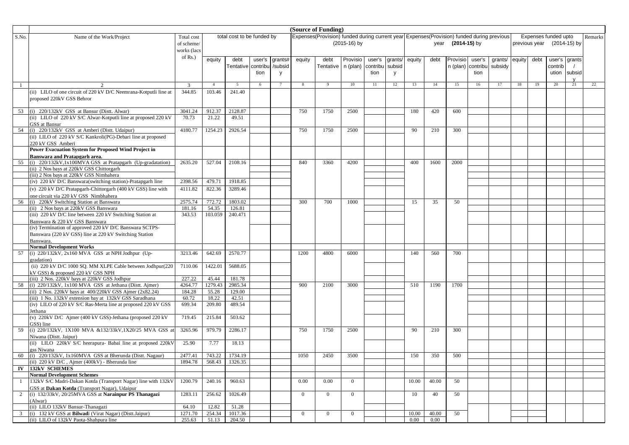| (Source of Funding) |                                                                                   |             |                  |                            |        |              |                |                                                                                           |                |          |         |                   |                   |              |          |         |        |               |                      |                        |         |
|---------------------|-----------------------------------------------------------------------------------|-------------|------------------|----------------------------|--------|--------------|----------------|-------------------------------------------------------------------------------------------|----------------|----------|---------|-------------------|-------------------|--------------|----------|---------|--------|---------------|----------------------|------------------------|---------|
| S.No.               | Name of the Work/Project                                                          | Total cost  |                  | total cost to be funded by |        |              |                | Expenses(Provision) funded during current year Expenses(Provision) funded during previous |                |          |         |                   |                   |              |          |         |        |               | Expenses funded upto |                        | Remarks |
|                     |                                                                                   | of scheme/  |                  |                            |        |              |                |                                                                                           | (2015-16) by   |          |         |                   | year              | (2014-15) by |          |         |        | previous year |                      | (2014-15) by           |         |
|                     |                                                                                   | works (lacs |                  |                            |        |              |                |                                                                                           |                |          |         |                   |                   |              |          |         |        |               |                      |                        |         |
|                     |                                                                                   | of Rs.)     | equity           | debt                       | user's | grants#      | equity         | debt                                                                                      | Provisio       | user's   | grants/ | equity            | debt              | Provisio     | user's   | grants/ | equity | debt          | user's grants        |                        |         |
|                     |                                                                                   |             |                  | Tentative contribu         |        | /subsid      |                | Tentative                                                                                 | n (plan)       | contribu | subsid  |                   |                   | n (plan)     | contribu | subsidy |        |               | contrib              |                        |         |
|                     |                                                                                   |             |                  |                            | tion   |              |                |                                                                                           |                | tion     |         |                   |                   |              | tion     |         |        |               |                      |                        |         |
|                     |                                                                                   |             |                  |                            |        | $\mathsf{v}$ |                |                                                                                           |                |          | y       |                   |                   |              |          |         |        |               | ution                | subsid<br>$\mathbf{v}$ |         |
|                     |                                                                                   | 3           | $\overline{4}$   | 5                          | 6      | 7            | 8              | $\mathbf{Q}$                                                                              | 10             | 11       | 12      | 13                | 14                | 15           | 16       | 17      | 18     | 19            | 20                   | 21                     | 22      |
|                     | (ii) LILO of one circuit of 220 kV D/C Neemrana-Kotputli line at                  | 344.85      | 103.46           | 241.40                     |        |              |                |                                                                                           |                |          |         |                   |                   |              |          |         |        |               |                      |                        |         |
|                     | proposed 220kV GSS Behror                                                         |             |                  |                            |        |              |                |                                                                                           |                |          |         |                   |                   |              |          |         |        |               |                      |                        |         |
|                     |                                                                                   |             |                  |                            |        |              |                |                                                                                           |                |          |         |                   |                   |              |          |         |        |               |                      |                        |         |
| 53                  | (i) 220/132kV GSS at Bansur (Distt. Alwar)                                        | 3041.24     | 912.37           | 2128.87                    |        |              | 750            | 1750                                                                                      | 2500           |          |         | 180               | 420               | 600          |          |         |        |               |                      |                        |         |
|                     | (ii) LILO of 220 kV S/C Alwar-Kotputli line at proposed 220 kV                    | 70.73       | 21.22            | 49.51                      |        |              |                |                                                                                           |                |          |         |                   |                   |              |          |         |        |               |                      |                        |         |
|                     | GSS at Bansur                                                                     |             |                  |                            |        |              |                |                                                                                           |                |          |         |                   |                   |              |          |         |        |               |                      |                        |         |
|                     | 54 (i) 220/132kV GSS at Amberi (Distt. Udaipur)                                   | 4180.77     | 1254.23          | 2926.54                    |        |              | 750            | 1750                                                                                      | 2500           |          |         | 90                | 210               | 300          |          |         |        |               |                      |                        |         |
|                     | (ii) LILO of 220 kV S/C Kankroli(PG)-Debari line at proposed                      |             |                  |                            |        |              |                |                                                                                           |                |          |         |                   |                   |              |          |         |        |               |                      |                        |         |
|                     | 220 kV GSS Amberi                                                                 |             |                  |                            |        |              |                |                                                                                           |                |          |         |                   |                   |              |          |         |        |               |                      |                        |         |
|                     | Power Evacuation System for Proposed Wind Project in                              |             |                  |                            |        |              |                |                                                                                           |                |          |         |                   |                   |              |          |         |        |               |                      |                        |         |
|                     | Banswara and Pratapgarh area.                                                     |             |                  |                            |        |              |                |                                                                                           |                |          |         |                   |                   |              |          |         |        |               |                      |                        |         |
| 55                  | (i) 220/132kV,1x100MVA GSS at Pratapgarh (Up-gradatation)                         | 2635.20     | 527.04           | 2108.16                    |        |              | 840            | 3360                                                                                      | 4200           |          |         | 400               | 1600              | 2000         |          |         |        |               |                      |                        |         |
|                     | (ii) 2 Nos bays at 220kV GSS Chittorgarh                                          |             |                  |                            |        |              |                |                                                                                           |                |          |         |                   |                   |              |          |         |        |               |                      |                        |         |
|                     | (iii) 2 Nos bays at 220kV GSS Nimbahera                                           |             |                  |                            |        |              |                |                                                                                           |                |          |         |                   |                   |              |          |         |        |               |                      |                        |         |
|                     | (iv) 220 kV D/C Banswara(switching station)-Pratapgarh line                       | 2398.56     | 479.71           | 1918.85                    |        |              |                |                                                                                           |                |          |         |                   |                   |              |          |         |        |               |                      |                        |         |
|                     | (v) 220 kV D/C Pratapgarh-Chittorgarh (400 kV GSS) line with                      | 4111.82     | 822.36           | 3289.46                    |        |              |                |                                                                                           |                |          |         |                   |                   |              |          |         |        |               |                      |                        |         |
|                     | one circuit via 220 kV GSS Nimbhahera                                             |             |                  |                            |        |              |                |                                                                                           |                |          |         |                   |                   |              |          |         |        |               |                      |                        |         |
|                     | 56 (i) 220kV Switching Station at Banswara                                        | 2575.74     | 772.72           | 1803.02                    |        |              | 300            | 700                                                                                       | 1000           |          |         | 15                | 35                | 50           |          |         |        |               |                      |                        |         |
|                     | (ii) 2 Nos bays at 220kV GSS Banswara                                             | 181.16      | 54.35            | 126.81                     |        |              |                |                                                                                           |                |          |         |                   |                   |              |          |         |        |               |                      |                        |         |
|                     | (iii) 220 kV D/C line between 220 kV Switching Station at                         | 343.53      | 103.059          | 240.471                    |        |              |                |                                                                                           |                |          |         |                   |                   |              |          |         |        |               |                      |                        |         |
|                     | Banswara & 220 kV GSS Banswara                                                    |             |                  |                            |        |              |                |                                                                                           |                |          |         |                   |                   |              |          |         |        |               |                      |                        |         |
|                     | (iv) Termination of approved 220 kV D/C Banswara SCTPS-                           |             |                  |                            |        |              |                |                                                                                           |                |          |         |                   |                   |              |          |         |        |               |                      |                        |         |
|                     | Banswara (220 kV GSS) line at 220 kV Switching Station                            |             |                  |                            |        |              |                |                                                                                           |                |          |         |                   |                   |              |          |         |        |               |                      |                        |         |
|                     | <b>Banswara</b>                                                                   |             |                  |                            |        |              |                |                                                                                           |                |          |         |                   |                   |              |          |         |        |               |                      |                        |         |
|                     | <b>Normal Development Works</b>                                                   |             |                  |                            |        |              |                |                                                                                           |                |          |         |                   |                   |              |          |         |        |               |                      |                        |         |
| 57                  | (i) 220/132kV, 2x160 MVA GSS at NPH Jodhpur (Up-                                  | 3213.46     | 642.69           | 2570.77                    |        |              | 1200           | 4800                                                                                      | 6000           |          |         | 140               | 560               | 700          |          |         |        |               |                      |                        |         |
|                     | gradation)<br>(ii) 220 kV D/C 1000 SQ. MM XLPE Cable between Jodhpur(220          |             | 1422.01          | 5688.05                    |        |              |                |                                                                                           |                |          |         |                   |                   |              |          |         |        |               |                      |                        |         |
|                     |                                                                                   | 7110.06     |                  |                            |        |              |                |                                                                                           |                |          |         |                   |                   |              |          |         |        |               |                      |                        |         |
|                     | kV GSS) & proposed 220 kV GSS NPH<br>(iii) 2 Nos. 220kV bays at 220kV GSS Jodhpur | 227.22      | 45.44            | 181.78                     |        |              |                |                                                                                           |                |          |         |                   |                   |              |          |         |        |               |                      |                        |         |
| 58                  | $(i)$ 220/132kV, 1x100 MVA GSS at Jethana (Distt. Ajmer)                          | 4264.77     | 1279.43          | 2985.34                    |        |              | 900            | 2100                                                                                      | 3000           |          |         | 510               | 1190              | 1700         |          |         |        |               |                      |                        |         |
|                     | (ii) $2$ Nos. 220kV bays at 400/220kV GSS Ajmer (2x82.24)                         | 184.28      | 55.28            | 129.00                     |        |              |                |                                                                                           |                |          |         |                   |                   |              |          |         |        |               |                      |                        |         |
|                     | (iii) 1 No. 132kV extension bay at 132kV GSS Saradhana                            | 60.72       | 18.22            | 42.51                      |        |              |                |                                                                                           |                |          |         |                   |                   |              |          |         |        |               |                      |                        |         |
|                     | (iv) LILO of 220 kV S/C Ras-Merta line at proposed 220 kV GSS                     | 699.34      | 209.80           | 489.54                     |        |              |                |                                                                                           |                |          |         |                   |                   |              |          |         |        |               |                      |                        |         |
|                     | Jethana                                                                           |             |                  |                            |        |              |                |                                                                                           |                |          |         |                   |                   |              |          |         |        |               |                      |                        |         |
|                     | (v) 220kV D/C Ajmer (400 kV GSS)-Jethana (proposed 220 kV                         | 719.45      | 215.84           | 503.62                     |        |              |                |                                                                                           |                |          |         |                   |                   |              |          |         |        |               |                      |                        |         |
|                     | GSS) line                                                                         |             |                  |                            |        |              |                |                                                                                           |                |          |         |                   |                   |              |          |         |        |               |                      |                        |         |
| 59                  | (i) 220/132kV, 1X100 MVA &132/33kV,1X20/25 MVA GSS a                              | 3265.96     | 979.79           | 2286.17                    |        |              | 750            | 1750                                                                                      | 2500           |          |         | 90                | 210               | 300          |          |         |        |               |                      |                        |         |
|                     | Niwana (Distt. Jaipur)                                                            |             |                  |                            |        |              |                |                                                                                           |                |          |         |                   |                   |              |          |         |        |               |                      |                        |         |
|                     | (ii) LILO 220kV S/C heerapura- Babai line at proposed 220kV                       | 25.90       | 7.77             | 18.13                      |        |              |                |                                                                                           |                |          |         |                   |                   |              |          |         |        |               |                      |                        |         |
|                     | gss Niwana                                                                        |             |                  |                            |        |              |                |                                                                                           |                |          |         |                   |                   |              |          |         |        |               |                      |                        |         |
| 60                  | (i) 220/132kV, 1x160MVA GSS at Bherunda (Distt. Nagaur)                           | 2477.41     | 743.22           | 1734.19                    |        |              | 1050           | 2450                                                                                      | 3500           |          |         | 150               | 350               | 500          |          |         |        |               |                      |                        |         |
|                     | (ii) $220 \text{ kV} \text{D/C}$ , Ajmer (400kV) - Bherunda line                  | 1894.78     | 568.43   1326.35 |                            |        |              |                |                                                                                           |                |          |         |                   |                   |              |          |         |        |               |                      |                        |         |
| $\mathbf{IV}$       | <b>132kV SCHEMES</b>                                                              |             |                  |                            |        |              |                |                                                                                           |                |          |         |                   |                   |              |          |         |        |               |                      |                        |         |
|                     | <b>Normal Development Schemes</b>                                                 |             |                  |                            |        |              |                |                                                                                           |                |          |         |                   |                   |              |          |         |        |               |                      |                        |         |
| -1                  | 132kV S/C Madri-Dakan Kotda (Transport Nagar) line with 132kV                     | 1200.79     | 240.16           | 960.63                     |        |              | 0.00           | 0.00                                                                                      | $\overline{0}$ |          |         | 10.00             | 40.00             | 50           |          |         |        |               |                      |                        |         |
|                     | GSS at Dakan Kotda (Transport Nagar), Udaipur                                     |             |                  |                            |        |              |                |                                                                                           |                |          |         |                   |                   |              |          |         |        |               |                      |                        |         |
| 2                   | (i) 132/33kV, 20/25MVA GSS at Narainpur PS Thanagazi                              | 1283.11     | 256.62           | 1026.49                    |        |              | $\overline{0}$ | $\overline{0}$                                                                            | $\overline{0}$ |          |         | 10                | 40                | 50           |          |         |        |               |                      |                        |         |
|                     | (Alwar)                                                                           |             |                  |                            |        |              |                |                                                                                           |                |          |         |                   |                   |              |          |         |        |               |                      |                        |         |
|                     | (ii) LILO 132kV Bansur-Thanagazi                                                  | 64.10       | 12.82            | 51.28                      |        |              |                |                                                                                           |                |          |         |                   |                   |              |          |         |        |               |                      |                        |         |
|                     | 3 (i) 132 kV GSS at <b>Bilwadi</b> (Virat Nagar) (Distt.Jaipur)                   | 1271.70     | 254.34           | 1017.36<br>204.50          |        |              | $\overline{0}$ | $\overline{0}$                                                                            | $\overline{0}$ |          |         | 10.00<br>$0.00\,$ | 40.00<br>$0.00\,$ | 50           |          |         |        |               |                      |                        |         |
|                     | (ii) LILO of 132kV Paota-Shahpura line                                            | 255.63      | 51.13            |                            |        |              |                |                                                                                           |                |          |         |                   |                   |              |          |         |        |               |                      |                        |         |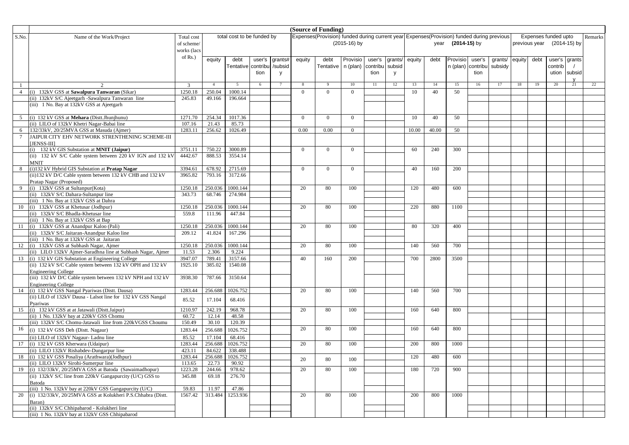|        |                                                                                                                      | (Source of Funding) |                |                            |        |         |                |                                                                                           |                |          |         |        |       |              |          |         |        |               |                      |              |         |
|--------|----------------------------------------------------------------------------------------------------------------------|---------------------|----------------|----------------------------|--------|---------|----------------|-------------------------------------------------------------------------------------------|----------------|----------|---------|--------|-------|--------------|----------|---------|--------|---------------|----------------------|--------------|---------|
| S.No.  | Name of the Work/Project                                                                                             | Total cost          |                | total cost to be funded by |        |         |                | Expenses(Provision) funded during current year Expenses(Provision) funded during previous |                |          |         |        |       |              |          |         |        |               | Expenses funded upto |              | Remarks |
|        |                                                                                                                      | of scheme/          |                |                            |        |         |                |                                                                                           | $(2015-16)$ by |          |         |        | year  | (2014-15) by |          |         |        | previous year |                      | (2014-15) by |         |
|        |                                                                                                                      | works (lacs         |                |                            |        |         |                |                                                                                           |                |          |         |        |       |              |          |         |        |               |                      |              |         |
|        |                                                                                                                      | of Rs.)             | equity         | debt                       | user's | grants# | equity         | debt                                                                                      | Provisio       | user's   | grants/ | equity | debt  | Provisio     | user's   | grants/ | equity | debt          | user's grants        |              |         |
|        |                                                                                                                      |                     |                | Tentative contribu         |        | /subsid |                | Tentative   n (plan)                                                                      |                | contribu | subsid  |        |       | n (plan)     | contribu | subsidy |        |               | contrib              |              |         |
|        |                                                                                                                      |                     |                |                            | tion   | y       |                |                                                                                           |                | tion     | y       |        |       |              | tion     |         |        |               | ution subsid         |              |         |
|        |                                                                                                                      |                     |                |                            |        |         |                |                                                                                           |                |          |         |        |       |              |          |         |        |               |                      |              |         |
|        |                                                                                                                      | 3                   | $\overline{4}$ | 5                          | 6      |         | 8              |                                                                                           | 10             | 11       | 12      | 13     | 14    | 15           | 16       | 17      | 18     | 19            | 20                   | 21           | 22      |
| 4      | (i) 132kV GSS at Sawalpura Tanwaran (Sikar)                                                                          | 1250.18             | 250.04         | 1000.14                    |        |         | $\Omega$       | $\Omega$                                                                                  | $\Omega$       |          |         | 10     | 40    | 50           |          |         |        |               |                      |              |         |
|        | (ii) 132kV S/C Ajeetgarh -Sawalpura Tanwaran line                                                                    | 245.83              | 49.166         | 196.664                    |        |         |                |                                                                                           |                |          |         |        |       |              |          |         |        |               |                      |              |         |
|        | (iii) 1 No. Bay at 132kV GSS at Ajeetgarh                                                                            |                     |                |                            |        |         |                |                                                                                           |                |          |         |        |       |              |          |         |        |               |                      |              |         |
|        |                                                                                                                      |                     |                |                            |        |         |                |                                                                                           |                |          |         |        |       |              |          |         |        |               |                      |              |         |
|        | (i) 132 kV GSS at Mehara (Distt.Jhunjhunu)                                                                           | 1271.70             | 254.34         | 1017.36                    |        |         | $\overline{0}$ | $\Omega$                                                                                  | $\Omega$       |          |         | 10     | 40    | 50           |          |         |        |               |                      |              |         |
|        | (ii) LILO of 132kV Khetri Nagar-Babai line                                                                           | 107.16              | 21.43          | 85.73                      |        |         |                |                                                                                           |                |          |         |        |       |              |          |         |        |               |                      |              |         |
|        | 132/33kV, 20/25MVA GSS at Masuda (Ajmer)                                                                             | 1283.11             | 256.62         | 1026.49                    |        |         | 0.00           | 0.00                                                                                      | $\overline{0}$ |          |         | 10.00  | 40.00 | 50           |          |         |        |               |                      |              |         |
| $\tau$ | JAIPUR CITY EHV NETWORK STRENTHENING SCHEME-III                                                                      |                     |                |                            |        |         |                |                                                                                           |                |          |         |        |       |              |          |         |        |               |                      |              |         |
|        | [JENSS-III]                                                                                                          |                     |                |                            |        |         |                |                                                                                           |                |          |         |        |       |              |          |         |        |               |                      |              |         |
|        | (i) 132 kV GIS Substation at MNIT (Jaipur)                                                                           | 3751.11             | 750.22         | 3000.89                    |        |         | $\mathbf{0}$   | $\Omega$                                                                                  | $\Omega$       |          |         | 60     | 240   | 300          |          |         |        |               |                      |              |         |
|        | (ii) 132 kV S/C Cable system between 220 kV IGN and 132 kV                                                           | 4442.67             | 888.53         | 3554.14                    |        |         |                |                                                                                           |                |          |         |        |       |              |          |         |        |               |                      |              |         |
|        | <b>MNIT</b><br>(i)132 kV Hybrid GIS Substation at Pratap Nagar                                                       | 3394.61             | 678.92         | 2715.69                    |        |         | $\mathbf{0}$   | $\overline{0}$                                                                            | $\overline{0}$ |          |         | 40     | 160   | 200          |          |         |        |               |                      |              |         |
|        | (ii)132 kV D/C Cable system between 132 kV CHB and 132 kV                                                            | 3965.82             | 793.16         | 3172.66                    |        |         |                |                                                                                           |                |          |         |        |       |              |          |         |        |               |                      |              |         |
|        | Pratap Nagar (Proposed)                                                                                              |                     |                |                            |        |         |                |                                                                                           |                |          |         |        |       |              |          |         |        |               |                      |              |         |
|        | (i) 132kV GSS at Sultanpur (Kota)                                                                                    | 1250.18             | 250.036        | 1000.144                   |        |         | 20             | 80                                                                                        | 100            |          |         | 120    | 480   | 600          |          |         |        |               |                      |              |         |
|        | (ii) 132kV S/C Dahara-Sultanpur line                                                                                 | 343.73              | 68.746         | 274.984                    |        |         |                |                                                                                           |                |          |         |        |       |              |          |         |        |               |                      |              |         |
|        | (iii) 1 No. Bay at 132kV GSS at Dahra                                                                                |                     |                |                            |        |         |                |                                                                                           |                |          |         |        |       |              |          |         |        |               |                      |              |         |
| 10     | (i) 132kV GSS at Khetusar (Jodhpur)                                                                                  | 1250.18             | 250.036        | 1000.144                   |        |         | 20             | 80                                                                                        | 100            |          |         | 220    | 880   | 1100         |          |         |        |               |                      |              |         |
|        | (ii) 132kV S/C Bhadla-Khetusar line                                                                                  | 559.8               | 111.96         | 447.84                     |        |         |                |                                                                                           |                |          |         |        |       |              |          |         |        |               |                      |              |         |
|        | (iii) 1 No. Bay at 132kV GSS at Bap                                                                                  |                     |                |                            |        |         |                |                                                                                           |                |          |         |        |       |              |          |         |        |               |                      |              |         |
| 11     | (i) 132kV GSS at Anandpur Kaloo (Pali)                                                                               | 1250.18             | 250.036        | 1000.144                   |        |         | 20             | 80                                                                                        | 100            |          |         | 80     | 320   | 400          |          |         |        |               |                      |              |         |
|        | (ii) 132kV S/C Jaitaran-Anandpur Kaloo line                                                                          | 209.12              | 41.824         | 167.296                    |        |         |                |                                                                                           |                |          |         |        |       |              |          |         |        |               |                      |              |         |
|        | (iii) 1 No. Bay at 132kV GSS at Jaitaran                                                                             |                     |                |                            |        |         |                |                                                                                           |                |          |         |        |       |              |          |         |        |               |                      |              |         |
|        | 12 (i) 132kV GSS at Subhash Nagar, Ajmer                                                                             | 1250.18             | 250.036        | 1000.144                   |        |         | 20             | 80                                                                                        | 100            |          |         | 140    | 560   | 700          |          |         |        |               |                      |              |         |
|        | (ii) LILO 132kV Ajmer-Saradhna line at Subhash Nagar, Ajmer                                                          | 11.53               | 2.306          | 9.224                      |        |         |                |                                                                                           |                |          |         |        |       |              |          |         |        |               |                      |              |         |
|        | 13 (i) 132 kV GIS Substation at Engineering College                                                                  | 3947.07             | 789.41         | 3157.66                    |        |         | 40             | 160                                                                                       | 200            |          |         | 700    | 2800  | 3500         |          |         |        |               |                      |              |         |
|        | (ii) 132 kV S/C Cable system between 132 kV OPH and 132 kV                                                           | 1925.10             | 385.02         | 1540.08                    |        |         |                |                                                                                           |                |          |         |        |       |              |          |         |        |               |                      |              |         |
|        | <b>Engineering College</b><br>(iii) 132 kV D/C Cable system between 132 kV NPH and 132 kV                            | 3938.30             | 787.66         | 3150.64                    |        |         |                |                                                                                           |                |          |         |        |       |              |          |         |        |               |                      |              |         |
|        | <b>Engineering College</b>                                                                                           |                     |                |                            |        |         |                |                                                                                           |                |          |         |        |       |              |          |         |        |               |                      |              |         |
| 14     | (i) 132 kV GSS Nangal Pyariwas (Distt. Dausa)                                                                        | 1283.44             | 256.688        | 1026.752                   |        |         | 20             | 80                                                                                        | 100            |          |         | 140    | 560   | 700          |          |         |        |               |                      |              |         |
|        | (ii) LILO of 132kV Dausa - Lalsot line for 132 kV GSS Nangal                                                         |                     |                |                            |        |         |                |                                                                                           |                |          |         |        |       |              |          |         |        |               |                      |              |         |
|        | Pyariwas                                                                                                             | 85.52               | 17.104         | 68.416                     |        |         |                |                                                                                           |                |          |         |        |       |              |          |         |        |               |                      |              |         |
|        | 15 (i) 132 kV GSS at at Jatawali (Distt.Jaipur)                                                                      | 1210.97             | 242.19         | 968.78                     |        |         | 20             | 80                                                                                        | 100            |          |         | 160    | 640   | 800          |          |         |        |               |                      |              |         |
|        | (ii) 1 No. 132kV bay at 220kV GSS Chomu                                                                              | 60.72               | 12.14          | 48.58                      |        |         |                |                                                                                           |                |          |         |        |       |              |          |         |        |               |                      |              |         |
|        | (iii) 132kV S/C Chomu-Jatawali line from 220kVGSS Choumu                                                             | 150.49              | 30.10          | 120.39                     |        |         |                |                                                                                           |                |          |         |        |       |              |          |         |        |               |                      |              |         |
| 16     | (i) 132 kV GSS Deh (Distt. Nagaur)                                                                                   | 1283.44             | 256.688        | 1026.752                   |        |         | 20             | 80                                                                                        | 100            |          |         | 160    | 640   | 800          |          |         |        |               |                      |              |         |
|        | (ii) LILO of 132kV Nagaur- Ladnu line                                                                                | 85.52               | 17.104         | 68.416                     |        |         |                |                                                                                           |                |          |         |        |       |              |          |         |        |               |                      |              |         |
| 17     | (i) 132 kV GSS Kherwara (Udaipur)                                                                                    | 1283.44             | 256.688        | 1026.752                   |        |         | 20             | 80                                                                                        | 100            |          |         | 200    | 800   | 1000         |          |         |        |               |                      |              |         |
|        | (ii) LILO 132kV Rishabdev-Dungarpur line                                                                             | 423.11              | 84.622         | 338.488                    |        |         |                |                                                                                           |                |          |         |        |       |              |          |         |        |               |                      |              |         |
| 18     | (i) 132 kV GSS Posaliya (Arathwara)(Jodhpur)                                                                         | 1283.44             | 256.688        | 1026.752                   |        |         | 20             | 80                                                                                        | 100            |          |         | 120    | 480   | 600          |          |         |        |               |                      |              |         |
|        | (ii) LILO 132kV Sirohi-Sumerpur line                                                                                 | 113.65              | 22.73          | 90.92                      |        |         |                |                                                                                           |                |          |         |        |       |              |          |         |        |               |                      |              |         |
|        | 19 (i) 132/33kV, 20/25MVA GSS at Batoda (Sawaimadhopur)                                                              | 1223.28             | 244.66         | 978.62                     |        |         | 20             | 80                                                                                        | 100            |          |         | 180    | 720   | 900          |          |         |        |               |                      |              |         |
|        | (ii) 132kV S/C line from 220kV Gangapurcity (U/C) GSS to                                                             | 345.88              | 69.18          | 276.70                     |        |         |                |                                                                                           |                |          |         |        |       |              |          |         |        |               |                      |              |         |
|        | Batoda                                                                                                               |                     |                |                            |        |         |                |                                                                                           |                |          |         |        |       |              |          |         |        |               |                      |              |         |
|        | (iii) 1 No. 132kV bay at 220kV GSS Gangapurcity (U/C)<br>(i) 132/33kV, 20/25MVA GSS at Kolukheri P.S.Chhabra (Distt. | 59.83               | 11.97          | 47.86                      |        |         | 20             | 80                                                                                        | 100            |          |         | 200    | 800   | 1000         |          |         |        |               |                      |              |         |
| 20     |                                                                                                                      | 1567.42             | 313.484        | 1253.936                   |        |         |                |                                                                                           |                |          |         |        |       |              |          |         |        |               |                      |              |         |
|        | Baran)<br>(ii) 132kV S/C Chhipabarod - Kolukheri line                                                                |                     |                |                            |        |         |                |                                                                                           |                |          |         |        |       |              |          |         |        |               |                      |              |         |
|        | (iii) 1 No. 132kV bay at 132kV GSS Chhipabarod                                                                       |                     |                |                            |        |         |                |                                                                                           |                |          |         |        |       |              |          |         |        |               |                      |              |         |
|        |                                                                                                                      |                     |                |                            |        |         |                |                                                                                           |                |          |         |        |       |              |          |         |        |               |                      |              |         |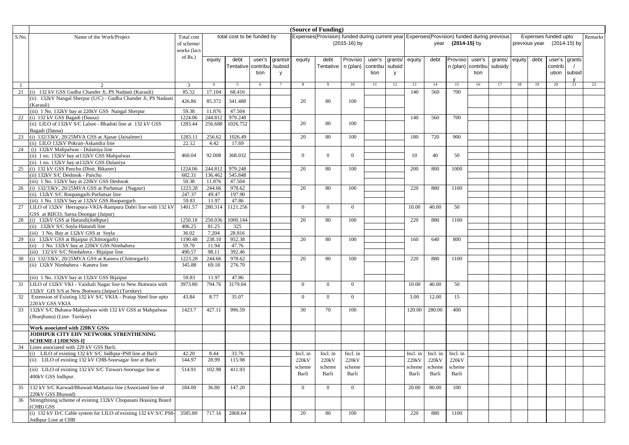|       |                                                                                                                    |                 |                   | (Source of Funding)        |        |         |                |                                                                                             |                |          |         |        |                                |                   |          |         |        |               |                      |               |         |
|-------|--------------------------------------------------------------------------------------------------------------------|-----------------|-------------------|----------------------------|--------|---------|----------------|---------------------------------------------------------------------------------------------|----------------|----------|---------|--------|--------------------------------|-------------------|----------|---------|--------|---------------|----------------------|---------------|---------|
| S.No. | Name of the Work/Project                                                                                           | Total cost      |                   | total cost to be funded by |        |         |                | Expenses (Provision) funded during current year Expenses (Provision) funded during previous |                |          |         |        |                                |                   |          |         |        |               | Expenses funded upto |               | Remarks |
|       |                                                                                                                    | of scheme/      |                   |                            |        |         |                |                                                                                             | $(2015-16)$ by |          |         |        |                                | year (2014-15) by |          |         |        | previous year |                      | (2014-15) by  |         |
|       |                                                                                                                    | works (lacs     |                   |                            |        |         |                |                                                                                             |                |          |         |        |                                |                   |          |         |        |               |                      |               |         |
|       |                                                                                                                    | of Rs.)         | equity            | debt                       | user's | grants# | equity         | debt                                                                                        | Provisio       | user's   | grants/ | equity | debt                           | Provisio          | user's   | grants/ | equity | debt          |                      | user's grants |         |
|       |                                                                                                                    |                 |                   | Tentative contribu         |        | /subsid |                | Tentative   n (plan)                                                                        |                | contribu | subsid  |        |                                | n (plan)          | contribu | subsidy |        |               | contrib              |               |         |
|       |                                                                                                                    |                 |                   |                            | tion   |         |                |                                                                                             |                | tion     |         |        |                                |                   | tion     |         |        |               |                      | ution subsid  |         |
|       |                                                                                                                    |                 |                   |                            |        | V       |                |                                                                                             |                |          | V       |        |                                |                   |          |         |        |               |                      |               |         |
|       |                                                                                                                    | $\overline{3}$  | $\overline{4}$    | 5                          | 6      |         | 8              | -9                                                                                          | 10             | 11       | 12      | 13     | 14                             | 15                | 16       | 17      | 18     | 19            | 20                   | 21            | 22      |
| 21    | (i) 132 kV GSS Gudha Chander Ji, PS Nadauti (Karauli)                                                              | 85.52           | 17.104            | 68.416                     |        |         |                |                                                                                             |                |          |         | 140    | 560                            | 700               |          |         |        |               |                      |               |         |
|       | (ii) 132kV Nangal Sherpur (U/C) - Gudha Chander Ji, PS Nadauti                                                     |                 |                   |                            |        |         |                |                                                                                             |                |          |         |        |                                |                   |          |         |        |               |                      |               |         |
|       | (Karauli)                                                                                                          | 426.86          | 85.372            | 341.488                    |        |         | 20             | 80                                                                                          | 100            |          |         |        |                                |                   |          |         |        |               |                      |               |         |
|       | (iii) 1 No. 132kV bay at 220kV GSS Nangal Sherpur                                                                  | 59.38           | 11.876            | 47.504                     |        |         |                |                                                                                             |                |          |         |        |                                |                   |          |         |        |               |                      |               |         |
| 22    | (i) 132 kV GSS Bagadi (Dausa)                                                                                      | 1224.06         | 244.812           | 979.248                    |        |         |                |                                                                                             |                |          |         | 140    | 560                            | 700               |          |         |        |               |                      |               |         |
|       | (ii) LILO of 132kV S/C Lalsot - Bhadoti line at 132 kV GSS                                                         | 1283.44         | 256.688           | 1026.752                   |        |         | 20             | 80                                                                                          | 100            |          |         |        |                                |                   |          |         |        |               |                      |               |         |
|       | Bagadi (Dausa)                                                                                                     |                 |                   |                            |        |         |                |                                                                                             |                |          |         |        |                                |                   |          |         |        |               |                      |               |         |
| 23    | (i) 132/33kV, 20/25MVA GSS at Ajasar (Jaisalmer)                                                                   | 1283.11         | 256.62            | 1026.49                    |        |         | 20             | 80                                                                                          | 100            |          |         | 180    | 720                            | 900               |          |         |        |               |                      |               |         |
|       | (ii) LILO 132kV Pokran-Askandra line                                                                               | 22.12           | 4.42              | 17.69                      |        |         |                |                                                                                             |                |          |         |        |                                |                   |          |         |        |               |                      |               |         |
|       | 24 (i) 132kV Mahpalwas - Dulaniya line                                                                             |                 |                   |                            |        |         |                |                                                                                             |                |          |         |        |                                |                   |          |         |        |               |                      |               |         |
|       | (ii) 1 no. 132kV bay at 132kV GSS Mahpalwas                                                                        | 460.04          | 92.008            | 368.032                    |        |         | $\Omega$       | $\Omega$                                                                                    | $\Omega$       |          |         | 10     | 40                             | 50                |          |         |        |               |                      |               |         |
|       | (ii) 1 no. 132kV bay at 132kV GSS Dulaniya                                                                         |                 |                   |                            |        |         |                |                                                                                             |                |          |         |        |                                |                   |          |         |        |               |                      |               |         |
| 25    | (i) 132 kV GSS Panchu (Distt. Bikaner)                                                                             | 1224.06         | 244.812           | 979.248                    |        |         | 20             | 80                                                                                          | 100            |          |         | 200    | 800                            | 1000              |          |         |        |               |                      |               |         |
|       | (ii) 132kV S/C Deshnok - Panchu<br>(iii) 1 No. 132kV bay at 220kV GSS Deshnok                                      | 682.31<br>59.38 | 136.462<br>11.876 | 545.848<br>47.504          |        |         |                |                                                                                             |                |          |         |        |                                |                   |          |         |        |               |                      |               |         |
|       | 26 (i) 132/33kV, 20/25MVA GSS at Parbatsar (Nagaur)                                                                | 1223.28         | 244.66            | 978.62                     |        |         | 20             | 80                                                                                          | 100            |          |         | 220    | 880                            | 1100              |          |         |        |               |                      |               |         |
|       | (ii) 132kV S/C Roopangarh-Parbatsar line                                                                           | 247.37          | 49.47             | 197.90                     |        |         |                |                                                                                             |                |          |         |        |                                |                   |          |         |        |               |                      |               |         |
|       | (iii) 1 No. 132kV bay at 132kV GSS Roopangarh                                                                      | 59.83           | 11.97             | 47.86                      |        |         |                |                                                                                             |                |          |         |        |                                |                   |          |         |        |               |                      |               |         |
| 27    | LILO of 132kV Heerapura-VKIA-Rampura Dabri line with 132 kV                                                        | 1401.57         | 280.314           | 1121.256                   |        |         | $\mathbf{0}$   | $\Omega$                                                                                    | $\Omega$       |          |         | 10.00  | 40.00                          | 50                |          |         |        |               |                      |               |         |
|       | GSS at RIICO, Sarna Doongar (Jaipur)                                                                               |                 |                   |                            |        |         |                |                                                                                             |                |          |         |        |                                |                   |          |         |        |               |                      |               |         |
| 28    | (i) 132kV GSS at Hatundi(Jodhpur)                                                                                  | 1250.18         | 250.036           | 1000.144                   |        |         | 20             | 80                                                                                          | 100            |          |         | 220    | 880                            | 1100              |          |         |        |               |                      |               |         |
|       | (ii) 132kV S/C Soyla-Hatundi line                                                                                  | 406.25          | 81.25             | 325                        |        |         |                |                                                                                             |                |          |         |        |                                |                   |          |         |        |               |                      |               |         |
|       | (iii) 1 No. Bay at 132kV GSS at Soyla                                                                              | 36.02           | 7.204             | 28.816                     |        |         |                |                                                                                             |                |          |         |        |                                |                   |          |         |        |               |                      |               |         |
| 29    | (i) 132kV GSS at Bijaipur (Chittorgarh)                                                                            | 1190.48         | 238.10            | 952.38                     |        |         | 20             | 80                                                                                          | 100            |          |         | 160    | 640                            | 800               |          |         |        |               |                      |               |         |
|       | (ii) 1 No. 132kV bay at 220kV GSS Nimbahera                                                                        | 59.70           | 11.94             | 47.76                      |        |         |                |                                                                                             |                |          |         |        |                                |                   |          |         |        |               |                      |               |         |
|       | (iii) 132 kV S/C Nimbahera - Bijaipur line                                                                         | 490.57          | 98.11             | 392.46                     |        |         |                |                                                                                             |                |          |         |        |                                |                   |          |         |        |               |                      |               |         |
|       | 30 (i) 132/33kV, 20/25MVA GSS at Kanera (Chittorgarh)                                                              | 1223.28         | 244.66            | 978.62                     |        |         | 20             | 80                                                                                          | 100            |          |         | 220    | 880                            | 1100              |          |         |        |               |                      |               |         |
|       | (ii) 132kV Nimbahera - Kanera line                                                                                 | 345.88          | 69.18             | 276.70                     |        |         |                |                                                                                             |                |          |         |        |                                |                   |          |         |        |               |                      |               |         |
|       |                                                                                                                    |                 |                   |                            |        |         |                |                                                                                             |                |          |         |        |                                |                   |          |         |        |               |                      |               |         |
|       | (iii) 1 No. 132kV bay at 132kV GSS Bijaipur                                                                        | 59.83           | 11.97             | 47.86                      |        |         |                |                                                                                             |                |          |         |        |                                |                   |          |         |        |               |                      |               |         |
| 31    | LILO of 132kV VKI - Vaishali Nagar line to New Jhotwara with                                                       | 3973.80         | 794.76            | 3179.04                    |        |         | $\overline{0}$ | $\Omega$                                                                                    | $\Omega$       |          |         | 10.00  | 40.00                          | 50                |          |         |        |               |                      |               |         |
| 32    | 132kV GIS S/S at New Jhotwara (Jaipur) (Turnkey)<br>Extension of Existing 132 kV S/C VKIA - Pratap Steel line upto | 43.84           | 8.77              | 35.07                      |        |         | $\mathbf{0}$   | $\Omega$                                                                                    | $\Omega$       |          |         | 3.00   | 12.00                          | 15                |          |         |        |               |                      |               |         |
|       | 220 kV GSS VKIA                                                                                                    |                 |                   |                            |        |         |                |                                                                                             |                |          |         |        |                                |                   |          |         |        |               |                      |               |         |
| 33    | 132kV S/C Buhana-Mahpalwas with 132 kV GSS at Mahpalwas                                                            | 1423.7          | 427.11            | 996.59                     |        |         | 30             | 70                                                                                          | 100            |          |         | 120.00 | 280.00                         | 400               |          |         |        |               |                      |               |         |
|       | (Jhunjhunu) (Line-Turnkey)                                                                                         |                 |                   |                            |        |         |                |                                                                                             |                |          |         |        |                                |                   |          |         |        |               |                      |               |         |
|       |                                                                                                                    |                 |                   |                            |        |         |                |                                                                                             |                |          |         |        |                                |                   |          |         |        |               |                      |               |         |
|       | Work associated with 220KV GSSs                                                                                    |                 |                   |                            |        |         |                |                                                                                             |                |          |         |        |                                |                   |          |         |        |               |                      |               |         |
|       | JODHPUR CITY EHV NETWORK STRENTHENING                                                                              |                 |                   |                            |        |         |                |                                                                                             |                |          |         |        |                                |                   |          |         |        |               |                      |               |         |
|       | <b>SCHEME-I [JDENSS-I]</b>                                                                                         |                 |                   |                            |        |         |                |                                                                                             |                |          |         |        |                                |                   |          |         |        |               |                      |               |         |
| 34    | Lines associated with 220 kV GSS Barli.                                                                            |                 |                   |                            |        |         |                |                                                                                             |                |          |         |        |                                |                   |          |         |        |               |                      |               |         |
|       | (i) LILO of existing 132 kV S/C Jodhpur-PS8 line at Barli                                                          | 42.20           | 8.44              | 33.76                      |        |         | Incl. in       | Incl. in                                                                                    | Incl. in       |          |         |        | $Incl.$ in $Incl.$ in Incl. in |                   |          |         |        |               |                      |               |         |
|       | (ii) LILO of existing 132 kV CHB-Soorsagar line at Barli                                                           | 144.97          | 28.99             | 115.98                     |        |         | 220kV          | 220kV                                                                                       | 220kV          |          |         |        | 220kV 220kV                    | 220kV             |          |         |        |               |                      |               |         |
|       | (iii) LILO of existing 132 kV S/C Tinwari-Soorsagar line at                                                        | 514.91          | 102.98            | 411.93                     |        |         | scheme         | scheme                                                                                      | scheme         |          |         | scheme | scheme                         | scheme            |          |         |        |               |                      |               |         |
|       | 400kV GSS Jodhpur.                                                                                                 |                 |                   |                            |        |         | Barli          | Barli                                                                                       | Barli          |          |         | Barli  | Barli                          | Barli             |          |         |        |               |                      |               |         |
|       |                                                                                                                    |                 |                   |                            |        |         |                |                                                                                             |                |          |         |        |                                |                   |          |         |        |               |                      |               |         |
| 35    | 132 kV S/C Karwad/Bhawad-Mathania line (Associated line of                                                         | 184.00          | 36.80             | 147.20                     |        |         | $\mathbf{0}$   | $\overline{0}$                                                                              | $\overline{0}$ |          |         | 20.00  | 80.00                          | 100               |          |         |        |               |                      |               |         |
| 36    | 220kV GSS Bhawad)<br>Strengthning scheme of existing 132kV Chopasani Housing Board                                 |                 |                   |                            |        |         |                |                                                                                             |                |          |         |        |                                |                   |          |         |        |               |                      |               |         |
|       | (CHB) GSS                                                                                                          |                 |                   |                            |        |         |                |                                                                                             |                |          |         |        |                                |                   |          |         |        |               |                      |               |         |
|       | (i) 132 kV D/C Cable system for LILO of existing 132 kV S/C PS8-                                                   | 3585.80         | 717.16            | 2868.64                    |        |         | 20             | 80                                                                                          | 100            |          |         | 220    | 880                            | 1100              |          |         |        |               |                      |               |         |
|       | Jodhpur Line at CHB                                                                                                |                 |                   |                            |        |         |                |                                                                                             |                |          |         |        |                                |                   |          |         |        |               |                      |               |         |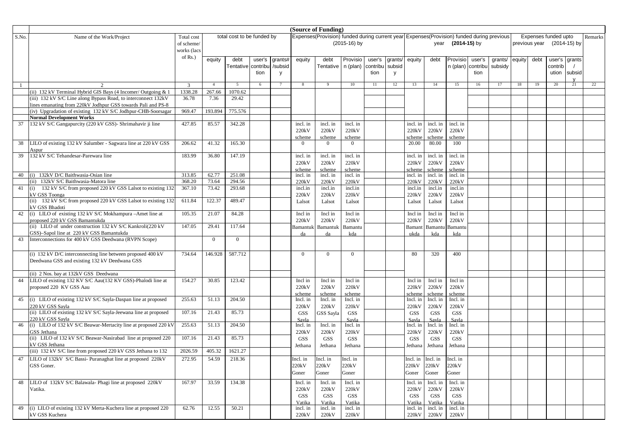|       |                                                                                   |             |                | (Source of Funding)        |        |         |                     |                                                                                           |                  |          |         |                     |                                  |                  |          |         |        |               |                      |              |         |
|-------|-----------------------------------------------------------------------------------|-------------|----------------|----------------------------|--------|---------|---------------------|-------------------------------------------------------------------------------------------|------------------|----------|---------|---------------------|----------------------------------|------------------|----------|---------|--------|---------------|----------------------|--------------|---------|
| S.No. | Name of the Work/Project                                                          | Total cost  |                | total cost to be funded by |        |         |                     | Expenses(Provision) funded during current year Expenses(Provision) funded during previous |                  |          |         |                     |                                  |                  |          |         |        |               | Expenses funded upto |              | Remarks |
|       |                                                                                   | of scheme/  |                |                            |        |         |                     |                                                                                           | $(2015-16)$ by   |          |         |                     | year                             | (2014-15) by     |          |         |        | previous year |                      | (2014-15) by |         |
|       |                                                                                   | works (lacs |                |                            |        |         |                     |                                                                                           |                  |          |         |                     |                                  |                  |          |         |        |               |                      |              |         |
|       |                                                                                   | of Rs.)     | equity         | debt                       | user's | grants# | equity              | debt                                                                                      | Provisio         | user's   | grants/ | equity              | debt                             | Provisio         | user's   | grants/ | equity | debt          | user's grants        |              |         |
|       |                                                                                   |             |                | Tentative contribu         |        | /subsid |                     | Tentative   n (plan)                                                                      |                  | contribu | subsic  |                     |                                  | n (plan)         | contribu | subsidy |        |               | contrib              |              |         |
|       |                                                                                   |             |                |                            | tion   | V       |                     |                                                                                           |                  | tion     | V       |                     |                                  |                  | tion     |         |        |               |                      | ution subsid |         |
|       |                                                                                   | 3           | $\overline{4}$ | 5                          | 6      |         | 8                   | -9                                                                                        | 10               | 11       | 12      | 13                  | 14                               | 15               | 16       | 17      | 18     | 19            | 20                   | 21           | 22      |
|       | (ii) 132 kV Terminal Hybrid GIS Bays (4 Incomer/ Outgoing & 1                     | 1338.28     | 267.66         | 1070.62                    |        |         |                     |                                                                                           |                  |          |         |                     |                                  |                  |          |         |        |               |                      |              |         |
|       | (iii) 132 kV S/C Line along Bypass Road, to interconnect 132kV                    | 36.78       | 7.36           | 29.42                      |        |         |                     |                                                                                           |                  |          |         |                     |                                  |                  |          |         |        |               |                      |              |         |
|       | ines emanating from 220kV Jodhpur GSS towards Pali and PS-8                       |             |                |                            |        |         |                     |                                                                                           |                  |          |         |                     |                                  |                  |          |         |        |               |                      |              |         |
|       | (iv) Upgradation of existing 132 kV S/C Jodhpur-CHB-Soorsagar                     | 969.47      | 193.894        | 775.576                    |        |         |                     |                                                                                           |                  |          |         |                     |                                  |                  |          |         |        |               |                      |              |         |
|       | <b>Normal Development Works</b>                                                   |             |                |                            |        |         |                     |                                                                                           |                  |          |         |                     |                                  |                  |          |         |        |               |                      |              |         |
| 37    | 132 kV S/C Gangapurcity (220 kV GSS)- Shrimahavir ji line                         | 427.85      | 85.57          | 342.28                     |        |         | incl. in            | incl. in                                                                                  | incl. in         |          |         | incl. in            | incl. in                         | incl. in         |          |         |        |               |                      |              |         |
|       |                                                                                   |             |                |                            |        |         | 220kV               | 220kV                                                                                     | 220kV            |          |         | 220kV               | 220kV                            | 220kV            |          |         |        |               |                      |              |         |
|       |                                                                                   |             |                |                            |        |         | scheme              | <u>scheme</u>                                                                             | scheme           |          |         | <u>schem</u>        | scheme                           | scheme           |          |         |        |               |                      |              |         |
| 38    | LILO of existing 132 kV Salumber - Sagwara line at 220 kV GSS                     | 206.62      | 41.32          | 165.30                     |        |         | $\overline{0}$      | $\overline{0}$                                                                            | $\overline{0}$   |          |         | 20.00               | 80.00                            | 100              |          |         |        |               |                      |              |         |
| 39    | Aspur<br>132 kV S/C Tehandesar-Parewara line                                      | 183.99      | 36.80          | 147.19                     |        |         | incl. in            | incl. in                                                                                  | incl. in         |          |         | incl. in            | incl. in                         | incl. in         |          |         |        |               |                      |              |         |
|       |                                                                                   |             |                |                            |        |         | 220kV               | 220kV                                                                                     | 220kV            |          |         | 220kV               | 220kV                            | 220kV            |          |         |        |               |                      |              |         |
|       |                                                                                   |             |                |                            |        |         | scheme              | scheme                                                                                    | scheme           |          |         | scheme              | scheme                           | scheme           |          |         |        |               |                      |              |         |
| 40    | (i) 132kV D/C Baithwasia-Osian line                                               | 313.85      | 62.77          | 251.08                     |        |         | incl. in            | incl. in                                                                                  | incl. in         |          |         | incl. in            | incl. in                         | incl. in         |          |         |        |               |                      |              |         |
|       | (ii) 132kV S/C Baithwasia-Matora line                                             | 368.20      | 73.64          | 294.56                     |        |         | 220kV               | 220kV                                                                                     | 220kV            |          |         | 220kV               | 220kV                            | 220kV            |          |         |        |               |                      |              |         |
| 41    | (i) 132 kV S/C from proposed 220 kV GSS Lalsot to existing 132                    | 367.10      | 73.42          | 293.68                     |        |         | incl.in             | incl.in                                                                                   | incl.in          |          |         | incl.in             | incl.in                          | incl.in          |          |         |        |               |                      |              |         |
|       | kV GSS Toonga                                                                     |             |                |                            |        |         | 220kV               | 220kV                                                                                     | 220kV            |          |         | 220kV               | 220kV                            | 220kV            |          |         |        |               |                      |              |         |
|       | (ii) 132 kV S/C from proposed 220 kV GSS Lalsot to existing 132                   | 611.84      | 122.37         | 489.47                     |        |         | Lalsot              | Lalsot                                                                                    | Lalsot           |          |         | Lalsot              | Lalsot                           | Lalsot           |          |         |        |               |                      |              |         |
| 42    | <b>KV GSS Bhadoti</b><br>(i) LILO of existing 132 kV S/C Mokhampura -Amet line at | 105.35      | 21.07          | 84.28                      |        |         | Incl in             | Incl in                                                                                   | Incl in          |          |         | Incl in             | Incl in                          | Incl in          |          |         |        |               |                      |              |         |
|       | proposed 220 kV GSS Bamantukda                                                    |             |                |                            |        |         | 220kV               | 220kV                                                                                     | 220kV            |          |         | 220kV               | 220kV                            | 220kV            |          |         |        |               |                      |              |         |
|       | (ii) LILO of under construction 132 kV S/C Kankroli(220 kV                        | 147.05      | 29.41          | 117.64                     |        |         | Bamantuk            | Bamantuk                                                                                  | Bamantu          |          |         | Baman               | Bamant                           | Bamantu          |          |         |        |               |                      |              |         |
|       | GSS)-Sapol line at 220 kV GSS Bamantukda                                          |             |                |                            |        |         |                     |                                                                                           | kda              |          |         | ukda                | kda                              | kda              |          |         |        |               |                      |              |         |
| 43    | Interconnections for 400 kV GSS Deedwana (RVPN Scope)                             |             | $\Omega$       | $\overline{0}$             |        |         |                     |                                                                                           |                  |          |         |                     |                                  |                  |          |         |        |               |                      |              |         |
|       |                                                                                   |             |                |                            |        |         |                     |                                                                                           |                  |          |         |                     |                                  |                  |          |         |        |               |                      |              |         |
|       | (i) $132$ kV D/C interconnecting line between proposed 400 kV                     | 734.64      | 146.928        | 587.712                    |        |         | $\overline{0}$      | $\overline{0}$                                                                            | $\overline{0}$   |          |         | 80                  | 320                              | 400              |          |         |        |               |                      |              |         |
|       | Deedwana GSS and existing 132 kV Deedwana GSS                                     |             |                |                            |        |         |                     |                                                                                           |                  |          |         |                     |                                  |                  |          |         |        |               |                      |              |         |
|       |                                                                                   |             |                |                            |        |         |                     |                                                                                           |                  |          |         |                     |                                  |                  |          |         |        |               |                      |              |         |
|       | (ii) 2 Nos. bay at 132kV GSS Deedwana                                             |             |                |                            |        |         |                     |                                                                                           |                  |          |         |                     |                                  |                  |          |         |        |               |                      |              |         |
| 44    | LILO of existing 132 KV S/C Aau(132 KV GSS)-Phalodi line at                       | 154.27      | 30.85          | 123.42                     |        |         | Incl in<br>220kV    | Incl in<br>220kV                                                                          | Incl in<br>220kV |          |         | Incl in<br>220kV    | Incl in<br>220kV                 | Incl in<br>220kV |          |         |        |               |                      |              |         |
|       | proposed 220 KV GSS Aau                                                           |             |                |                            |        |         | scheme              | scheme                                                                                    | scheme           |          |         |                     | scheme                           | scheme           |          |         |        |               |                      |              |         |
| 45    | (i) LILO of existing 132 kV S/C Sayla-Daspan line at proposed                     | 255.63      | 51.13          | 204.50                     |        |         | Incl. in            | Incl. in                                                                                  | Incl. in         |          |         | scheme<br>Incl. in  | Incl. in                         | Incl. in         |          |         |        |               |                      |              |         |
|       | 220 kV GSS Savla                                                                  |             |                |                            |        |         | 220kV               | 220kV                                                                                     | 220kV            |          |         | 220kV               | 220kV                            | 220kV            |          |         |        |               |                      |              |         |
|       | (ii) LILO of existing 132 kV S/C Sayla-Jeewana line at proposed                   | 107.16      | 21.43          | 85.73                      |        |         | <b>GSS</b>          | GSS Sayla                                                                                 | <b>GSS</b>       |          |         | <b>GSS</b>          | <b>GSS</b>                       | <b>GSS</b>       |          |         |        |               |                      |              |         |
|       | 220 kV GSS Sayla                                                                  |             |                |                            |        |         | Savla               |                                                                                           | Savla            |          |         | Savla               | Savla                            | Savla            |          |         |        |               |                      |              |         |
| 46    | (i) LILO of 132 kV S/C Beawar-Mertacity line at proposed 220 kV                   | 255.63      | 51.13          | 204.50                     |        |         | Incl. in            | Incl. in                                                                                  | Incl. in         |          |         | Incl. in            | Incl. in                         | Incl. in         |          |         |        |               |                      |              |         |
|       | GSS Jethana                                                                       |             |                |                            |        |         | 220kV               | 220kV                                                                                     | 220kV            |          |         | 220kV               | 220kV                            | 220kV            |          |         |        |               |                      |              |         |
|       | (ii) LILO of 132 kV S/C Beawar-Nasirabad line at proposed 220<br>kV GSS Jethana   | 107.16      | 21.43          | 85.73                      |        |         | <b>GSS</b>          | GSS                                                                                       | <b>GSS</b>       |          |         | <b>GSS</b>          | <b>GSS</b>                       | <b>GSS</b>       |          |         |        |               |                      |              |         |
|       | (iii) 132 kV S/C line from proposed 220 kV GSS Jethana to 132                     | 2026.59     | 405.32         | 1621.27                    |        |         | Jethana             | Jethana                                                                                   | Jethana          |          |         | Jethana             | Jethana                          | Jethana          |          |         |        |               |                      |              |         |
|       | 47 LILO of 132kV S/C Bassi-Puranaghat line at proposed 220kV                      | 272.95      | 54.59          | 218.36                     |        |         | Incl. in            | Incl. in                                                                                  | Incl. in         |          |         |                     | $Incl.$ in $Incl.$ in $Incl.$ in |                  |          |         |        |               |                      |              |         |
|       | GSS Goner.                                                                        |             |                |                            |        |         | 220kV               | 220kV                                                                                     | 220kV            |          |         | 220kV               | 220kV                            | 220kV            |          |         |        |               |                      |              |         |
|       |                                                                                   |             |                |                            |        |         | Goner               | Goner                                                                                     | Goner            |          |         | Goner               | Goner                            | Goner            |          |         |        |               |                      |              |         |
|       |                                                                                   |             |                |                            |        |         |                     |                                                                                           |                  |          |         |                     |                                  |                  |          |         |        |               |                      |              |         |
| 48    | LILO of 132kV S/C Balawala- Phagi line at proposed 220kV                          | 167.97      | 33.59          | 134.38                     |        |         | Incl. in            | Incl. in                                                                                  | Incl. in         |          |         | Incl. in            | Incl. in                         | Incl. in         |          |         |        |               |                      |              |         |
|       | Vatika.                                                                           |             |                |                            |        |         | 220kV<br><b>GSS</b> | 220kV<br><b>GSS</b>                                                                       | 220kV<br>GSS     |          |         | 220kV<br><b>GSS</b> | 220kV<br>GSS                     | 220kV<br>GSS     |          |         |        |               |                      |              |         |
|       |                                                                                   |             |                |                            |        |         | Vatika              | Vatika                                                                                    | Vatika           |          |         | Vatika              | Vatika                           | Vatika           |          |         |        |               |                      |              |         |
| 49    | (i) LILO of existing 132 kV Merta-Kuchera line at proposed 220                    | 62.76       | 12.55          | 50.21                      |        |         | incl. in            | incl. in                                                                                  | incl. in         |          |         | incl. in            | incl. in                         | incl. in         |          |         |        |               |                      |              |         |
|       | kV GSS Kuchera                                                                    |             |                |                            |        |         | 220kV               | 220kV                                                                                     | $220kV$          |          |         | 220kV               | 220kV                            | 220kV            |          |         |        |               |                      |              |         |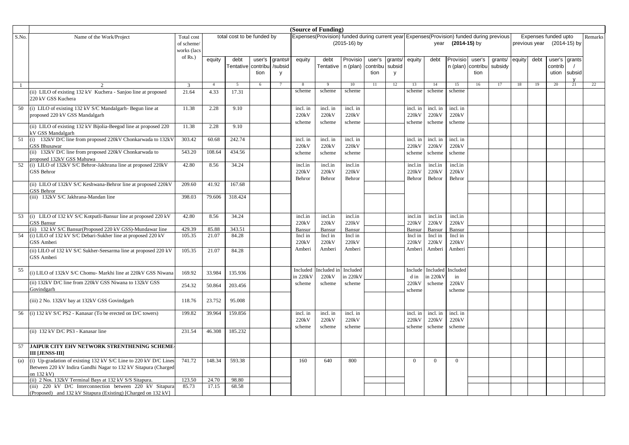|       |                                                                                     |             |                | (Source of Funding)        |        |          |          |                                                                                             |              |          |         |                 |                  |                    |          |         |        |               |                      |              |         |
|-------|-------------------------------------------------------------------------------------|-------------|----------------|----------------------------|--------|----------|----------|---------------------------------------------------------------------------------------------|--------------|----------|---------|-----------------|------------------|--------------------|----------|---------|--------|---------------|----------------------|--------------|---------|
| S.No. | Name of the Work/Project                                                            | Total cost  |                | total cost to be funded by |        |          |          | Expenses (Provision) funded during current year Expenses (Provision) funded during previous |              |          |         |                 |                  |                    |          |         |        |               | Expenses funded upto |              | Remarks |
|       |                                                                                     | of scheme/  |                |                            |        |          |          |                                                                                             | (2015-16) by |          |         |                 | year             | $(2014-15)$ by     |          |         |        | previous year |                      | (2014-15) by |         |
|       |                                                                                     | works (lacs |                |                            |        |          |          |                                                                                             |              |          |         |                 |                  |                    |          |         |        |               |                      |              |         |
|       |                                                                                     | of Rs.)     | equity         | debt                       | user's | grants#  | equity   | debt                                                                                        | Provisio     | user's   | grants/ | equity          | debt             | Provisio           | user's   | grants/ | equity | debt          | user's grants        |              |         |
|       |                                                                                     |             |                | Tentative contribu         |        | /subsid  |          | Tentative   n (plan)                                                                        |              | contribu | subsic  |                 |                  | n (plan)           | contribu | subsidy |        |               | contrib              |              |         |
|       |                                                                                     |             |                |                            | tion   | <b>V</b> |          |                                                                                             |              | tion     | y       |                 |                  |                    | tion     |         |        |               |                      | ution subsid |         |
|       | $\mathcal{D}_{\mathcal{A}}$                                                         | 3           | $\overline{4}$ | 5                          | 6      |          | 8        | 9                                                                                           | 10           | 11       | 12      | 13              | 14               | 15                 | 16       | 17      | 18     | 19            | 20                   | 21           | 22      |
| -1    | (ii) LILO of existing 132 kV Kuchera - Sanjoo line at proposed                      | 21.64       | 4.33           | 17.31                      |        |          | scheme   | scheme                                                                                      | scheme       |          |         | scheme          | scheme           | scheme             |          |         |        |               |                      |              |         |
|       | 220 kV GSS Kuchera                                                                  |             |                |                            |        |          |          |                                                                                             |              |          |         |                 |                  |                    |          |         |        |               |                      |              |         |
| 50    | (i) LILO of existing 132 kV S/C Mandalgarh- Begun line at                           | 11.38       | 2.28           | 9.10                       |        |          | incl. in | incl. in                                                                                    | incl. in     |          |         | incl. in        | incl. in         | incl. in           |          |         |        |               |                      |              |         |
|       | proposed 220 kV GSS Mandalgarh                                                      |             |                |                            |        |          | 220kV    | 220kV                                                                                       | 220kV        |          |         | 220kV           | 220kV            | 220kV              |          |         |        |               |                      |              |         |
|       | (ii) LILO of existing 132 kV Bijolia-Beegod line at proposed 220                    | 11.38       | 2.28           | 9.10                       |        |          | scheme   | scheme                                                                                      | scheme       |          |         | scheme          | scheme           | scheme             |          |         |        |               |                      |              |         |
|       | kV GSS Mandalgarh                                                                   |             |                |                            |        |          |          |                                                                                             |              |          |         |                 |                  |                    |          |         |        |               |                      |              |         |
| 51    | (i) 132kV D/C line from proposed 220kV Chonkarwada to 132kV                         | 303.42      | 60.68          | 242.74                     |        |          | incl. in | incl. in                                                                                    | incl. in     |          |         | incl. in        | incl. in         | incl. in           |          |         |        |               |                      |              |         |
|       | <b>GSS Bhusawar</b>                                                                 |             |                |                            |        |          | 220kV    | 220kV                                                                                       | 220kV        |          |         | 220kV           | 220kV            | 220kV              |          |         |        |               |                      |              |         |
|       | (ii) 132kV D/C line from proposed 220kV Chonkarwada to<br>proposed 132kV GSS Mahuwa | 543.20      | 108.64         | 434.56                     |        |          | scheme   | scheme                                                                                      | scheme       |          |         | scheme          | scheme           | scheme             |          |         |        |               |                      |              |         |
| 52    | (i) LILO of 132kV S/C Behror-Jakhrana line at proposed 220kV                        | 42.80       | 8.56           | 34.24                      |        |          | incl.in  | incl.in                                                                                     | incl.in      |          |         | incl.in         | incl.in          | incl.in            |          |         |        |               |                      |              |         |
|       | <b>GSS Behror</b>                                                                   |             |                |                            |        |          | 220kV    | 220kV                                                                                       | 220kV        |          |         | 220kV           | 220kV            | 220kV              |          |         |        |               |                      |              |         |
|       |                                                                                     |             |                |                            |        |          | Behror   | Behror                                                                                      | Behror       |          |         | Behror          | Behror           | Behror             |          |         |        |               |                      |              |         |
|       | (ii) LILO of 132kV S/C Keshwana-Behror line at proposed 220kV<br><b>GSS Behror</b>  | 209.60      | 41.92          | 167.68                     |        |          |          |                                                                                             |              |          |         |                 |                  |                    |          |         |        |               |                      |              |         |
|       | (iii) 132kV S/C Jakhrana-Mandan line                                                | 398.03      | 79.606         | 318.424                    |        |          |          |                                                                                             |              |          |         |                 |                  |                    |          |         |        |               |                      |              |         |
|       |                                                                                     |             |                |                            |        |          |          |                                                                                             |              |          |         |                 |                  |                    |          |         |        |               |                      |              |         |
| 53    | (i) LILO of 132 kV S/C Kotputli-Bansur line at proposed 220 kV                      | 42.80       | 8.56           | 34.24                      |        |          | incl.in  | incl.in                                                                                     | incl.in      |          |         | incl.in         | incl.in          | incl.in            |          |         |        |               |                      |              |         |
|       | <b>GSS Bansur</b>                                                                   |             |                |                            |        |          | 220kV    | 220kV                                                                                       | 220kV        |          |         | 220kV           | 220kV            | 220 <sub>k</sub> V |          |         |        |               |                      |              |         |
|       | (ii) 132 kV S/C Bansur(Proposed 220 kV GSS)-Mundawar line                           | 429.39      | 85.88          | 343.51                     |        |          | Bansur   | Bansur                                                                                      | Bansur       |          |         | Bansur          | Bansur           | Bansur             |          |         |        |               |                      |              |         |
| 54    | (i) LILO of 132 kV S/C Debari-Sukher line at proposed 220 kV                        | 105.35      | 21.07          | 84.28                      |        |          | Incl in  | Incl in                                                                                     | Incl in      |          |         | Incl in         | Incl in          | Incl in            |          |         |        |               |                      |              |         |
|       | <b>GSS Amberi</b>                                                                   |             |                |                            |        |          | 220kV    | 220kV                                                                                       | 220kV        |          |         | 220kV           | 220kV            | 220kV              |          |         |        |               |                      |              |         |
|       | (ii) LILO of 132 kV S/C Sukher-Seesarma line at proposed 220 kV                     | 105.35      | 21.07          | 84.28                      |        |          | Amberi   | Amberi                                                                                      | Amberi       |          |         | Amberi          | Amberi           | Amberi             |          |         |        |               |                      |              |         |
|       | GSS Amberi                                                                          |             |                |                            |        |          |          |                                                                                             |              |          |         |                 |                  |                    |          |         |        |               |                      |              |         |
|       |                                                                                     |             |                |                            |        |          |          |                                                                                             |              |          |         |                 |                  |                    |          |         |        |               |                      |              |         |
| 55    | (i) LILO of 132kV S/C Chomu- Markhi line at 220kV GSS Niwana                        | 169.92      | 33.984         | 135.936                    |        |          | Included | ncluded in                                                                                  | Included     |          |         |                 | Include Included | Included           |          |         |        |               |                      |              |         |
|       | (ii) 132kV D/C line from 220kV GSS Niwana to 132kV GSS                              |             |                |                            |        |          | in 220kV | 220kV                                                                                       | in 220kV     |          |         | d in            | in 220kV         | in                 |          |         |        |               |                      |              |         |
|       | Govindgarh                                                                          | 254.32      | 50.864         | 203.456                    |        |          | scheme   | scheme                                                                                      | scheme       |          |         | 220kV<br>scheme | scheme           | 220kV<br>scheme    |          |         |        |               |                      |              |         |
|       |                                                                                     |             |                |                            |        |          |          |                                                                                             |              |          |         |                 |                  |                    |          |         |        |               |                      |              |         |
|       | (iii) 2 No. 132kV bay at 132kV GSS Govindgarh                                       | 118.76      | 23.752         | 95.008                     |        |          |          |                                                                                             |              |          |         |                 |                  |                    |          |         |        |               |                      |              |         |
| 56    | (i) 132 kV S/C PS2 - Kanasar (To be erected on D/C towers)                          | 199.82      | 39.964         | 159.856                    |        |          | incl. in | incl. in                                                                                    | incl. in     |          |         | incl. in        | incl. in         | incl. in           |          |         |        |               |                      |              |         |
|       |                                                                                     |             |                |                            |        |          | 220kV    | 220kV                                                                                       | 220kV        |          |         | 220kV           | 220kV            | 220kV              |          |         |        |               |                      |              |         |
|       | (ii) 132 kV D/C PS3 - Kanasar line                                                  | 231.54      | 46.308         | 185.232                    |        |          | scheme   | scheme                                                                                      | scheme       |          |         | scheme          | scheme           | scheme             |          |         |        |               |                      |              |         |
|       |                                                                                     |             |                |                            |        |          |          |                                                                                             |              |          |         |                 |                  |                    |          |         |        |               |                      |              |         |
| 57    | <b>JAIPUR CITY EHV NETWORK STRENTHENING SCHEME</b>                                  |             |                |                            |        |          |          |                                                                                             |              |          |         |                 |                  |                    |          |         |        |               |                      |              |         |
|       | <b>III [JENSS-III]</b>                                                              |             |                |                            |        |          |          |                                                                                             |              |          |         |                 |                  |                    |          |         |        |               |                      |              |         |
| (a)   | (i) Up-gradation of existing 132 kV S/C Line to 220 kV D/C Lines                    | 741.72      | 148.34         | 593.38                     |        |          | 160      | 640                                                                                         | 800          |          |         | $\overline{0}$  | $\overline{0}$   | $\overline{0}$     |          |         |        |               |                      |              |         |
|       | Between 220 kV Indira Gandhi Nagar to 132 kV Sitapura (Charged                      |             |                |                            |        |          |          |                                                                                             |              |          |         |                 |                  |                    |          |         |        |               |                      |              |         |
|       | on 132 kV)                                                                          |             |                |                            |        |          |          |                                                                                             |              |          |         |                 |                  |                    |          |         |        |               |                      |              |         |
|       | (ii) 2 Nos. 132kV Terminal Bays at 132 kV S/S Sitapura.                             | 123.50      | 24.70          | 98.80                      |        |          |          |                                                                                             |              |          |         |                 |                  |                    |          |         |        |               |                      |              |         |
|       | (iii) 220 kV D/C Interconnection between 220 kV Sitapura                            | 85.73       | 17.15          | 68.58                      |        |          |          |                                                                                             |              |          |         |                 |                  |                    |          |         |        |               |                      |              |         |
|       | (Proposed) and 132 kV Sitapura (Existing) [Charged on 132 kV]                       |             |                |                            |        |          |          |                                                                                             |              |          |         |                 |                  |                    |          |         |        |               |                      |              |         |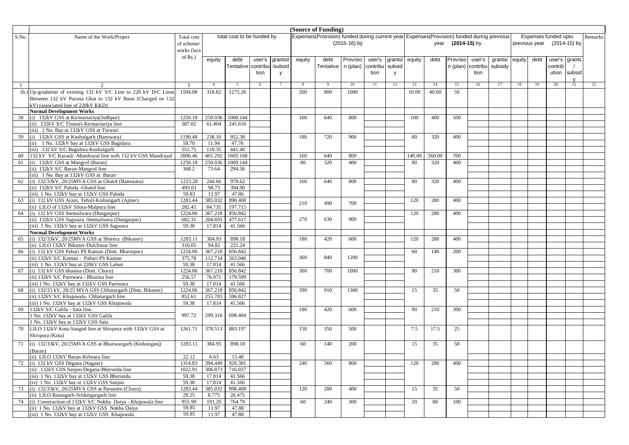|       | (Source of Funding)<br>Expenses (Provision) funded during current year Expenses (Provision) funded during previous |                 |                  |                            |        |         |        |           |                |          |         |        |        |                   |          |         |        |               |                      |              |         |
|-------|--------------------------------------------------------------------------------------------------------------------|-----------------|------------------|----------------------------|--------|---------|--------|-----------|----------------|----------|---------|--------|--------|-------------------|----------|---------|--------|---------------|----------------------|--------------|---------|
| S.No. | Name of the Work/Project                                                                                           | Total cost      |                  | total cost to be funded by |        |         |        |           |                |          |         |        |        |                   |          |         |        |               | Expenses funded upto |              | Remarks |
|       |                                                                                                                    | of scheme/      |                  |                            |        |         |        |           | $(2015-16)$ by |          |         |        |        | year (2014-15) by |          |         |        | previous year | (2014-15) by         |              |         |
|       |                                                                                                                    | works (lacs     |                  |                            |        |         |        |           |                |          |         |        |        |                   |          |         |        |               |                      |              |         |
|       |                                                                                                                    | of $Rs.$ )      | equity           | debt                       | user's | grants# | equity | debt      | Provisio       | user's   | grants/ | equity | debt   | Provisio          | user's   | grants/ | equity | debt          | user's grants        |              |         |
|       |                                                                                                                    |                 |                  | Tentative contribu         |        | /subsid |        | Tentative | n (plan)       | contribu | subsid  |        |        | n (plan)          | contribu | subsidy |        |               | contrib              |              |         |
|       |                                                                                                                    |                 |                  |                            | tion   | y       |        |           |                | tion     | V       |        |        |                   | tion     |         |        |               | ution                | subsid       |         |
|       |                                                                                                                    |                 |                  |                            |        |         |        |           |                |          |         |        |        |                   |          |         |        |               |                      | $\mathsf{V}$ |         |
|       |                                                                                                                    | 3               | $\overline{4}$   | 5                          | 6      |         | -8     |           | 10             | 11       | 12      | 13     | 14     | 15                | 16       | 17      | 18     | 19            | 20                   | 21           | 22      |
|       | (b.) Up-gradation of existing 132 kV S/C Line to 220 kV D/C Lines                                                  | 1594.08         | 318.82           | 1275.26                    |        |         | 200    | 800       | 1000           |          |         | 10.00  | 40.00  | 50                |          |         |        |               |                      |              |         |
|       | Between 132 kV Purana Ghat to 132 kV Bassi (Charged on 132                                                         |                 |                  |                            |        |         |        |           |                |          |         |        |        |                   |          |         |        |               |                      |              |         |
|       | kV) (associated line of 220kV KKD)                                                                                 |                 |                  |                            |        |         |        |           |                |          |         |        |        |                   |          |         |        |               |                      |              |         |
|       | <b>Normal Development Works</b>                                                                                    |                 |                  |                            |        |         |        |           |                |          |         |        |        |                   |          |         |        |               |                      |              |         |
| 58    | (i) 132kV GSS at Kirmarsariya(Jodhpur)                                                                             | 1250.18         | 250.036          | 1000.144                   |        |         | 160    | 640       | 800            |          |         | 100    | 400    | 500               |          |         |        |               |                      |              |         |
|       | (ii) 132kV S/C Tinwari-Kirmarsariva line                                                                           | 307.02          | 61.404           | 245.616                    |        |         |        |           |                |          |         |        |        |                   |          |         |        |               |                      |              |         |
|       | (iii) 1 No. Bay at 132kV GSS at Tinwari                                                                            |                 |                  |                            |        |         |        |           |                |          |         |        |        |                   |          |         |        |               |                      |              |         |
|       | 59 (i) 132kV GSS at Kushalgarh (Banswara)                                                                          | 1190.48         | 238.10           | 952.38                     |        |         | 180    | 720       | 900            |          |         | 80     | 320    | 400               |          |         |        |               |                      |              |         |
|       | (ii) 1 No. 132kV bay at 132kV GSS Bagidora                                                                         | 59.70           | 11.94            | 47.76                      |        |         |        |           |                |          |         |        |        |                   |          |         |        |               |                      |              |         |
|       | (iii) 132 kV S/C Bagidora-Kushalgarh                                                                               | 551.75          | 110.35           | 441.40                     |        |         |        |           |                |          |         |        |        |                   |          |         |        |               |                      |              |         |
| 60    | 132 kV S/C Karauli -Mandrayal line with 132 kV GSS Mandrayal                                                       | 2006.46         | 401.292          | 1605.168                   |        |         | 160    | 640       | 800            |          |         | 140.00 | 560.00 | 700               |          |         |        |               |                      |              |         |
| 61    | (i) 132kV GSS at Mangrol (Baran)                                                                                   | 1250.18         | 250.036          | 1000.144                   |        |         | 80     | 320       | 400            |          |         | 80     | 320    | 400               |          |         |        |               |                      |              |         |
|       | (ii) 132kV S/C Baran-Mangrol line                                                                                  | 368.2           | 73.64            | 294.56                     |        |         |        |           |                |          |         |        |        |                   |          |         |        |               |                      |              |         |
|       | (iii) 1 No. Bay at 132kV GSS at Baran                                                                              |                 |                  |                            |        |         |        |           |                |          |         |        |        |                   |          |         |        |               |                      |              |         |
|       | 62 (i) 132/33kV, 20/25MVA GSS at Ghatol (Banswara)                                                                 | 1223.28         | 244.66           | 978.62                     |        |         | 160    | 640       | 800            |          |         | 80     | 320    | 400               |          |         |        |               |                      |              |         |
|       | (ii) 132kV S/C Paloda - Ghatol line                                                                                | 493.63<br>59.83 | 98.73            | 394.90<br>47.86            |        |         |        |           |                |          |         |        |        |                   |          |         |        |               |                      |              |         |
|       | (iii) 1 No. 132kV bay at 132kV GSS Paloda<br>(i) 132 kV GSS Arain, Tehsil-Kishangarh (Ajmer)                       | 1283.44         | 11.97<br>385.032 | 898.408                    |        |         |        |           |                |          |         | 120    | 280    | 400               |          |         |        |               |                      |              |         |
| 63    | (ii) LILO of 132kV Silora-Malpura line                                                                             | 282.45          | 84.735           | 197.715                    |        |         | 210    | 490       | 700            |          |         |        |        |                   |          |         |        |               |                      |              |         |
|       | 64 (i) 132 kV GSS Seemalwara (Dungarpur)                                                                           | 1224.06         | 367.218          | 856.842                    |        |         |        |           |                |          |         | 120    | 280    | 400               |          |         |        |               |                      |              |         |
|       | (ii) 132kV GSS Sagwara -Seemalwara (Dungarpur)                                                                     | 682.31          | 204.693          | 477.617                    |        |         | 270    | 630       | 900            |          |         |        |        |                   |          |         |        |               |                      |              |         |
|       | (iii) 1 No. 132kV bay at 132kV GSS Sagwara                                                                         | 59.38           | 17.814           | 41.566                     |        |         |        |           |                |          |         |        |        |                   |          |         |        |               |                      |              |         |
|       | <b>Normal Development Works</b>                                                                                    |                 |                  |                            |        |         |        |           |                |          |         |        |        |                   |          |         |        |               |                      |              |         |
| 65    | (i) 132/33kV, 20/25MVA GSS at Sherera (Bikaner)                                                                    | 1283.11         | 384.93           | 898.18                     |        |         | 180    | 420       | 600            |          |         | 120    | 280    | 400               |          |         |        |               |                      |              |         |
|       | (ii) LILO 132kV Bikaner-Dulchasar line                                                                             | 316.05          | 94.82            | 221.24                     |        |         |        |           |                |          |         |        |        |                   |          |         |        |               |                      |              |         |
|       | 66 (i) 132 kV GSS Pahari PS Kaman (Distt. Bharatpur)                                                               | 1224.06         | 367.218          | 856.842                    |        |         |        |           |                |          |         | 60     | 140    | 200               |          |         |        |               |                      |              |         |
|       | (ii) 132kV S/C Kaman - Pahari PS Kaman                                                                             | 375.78          | 112.734          | 263.046                    |        |         | 360    | 840       | 1200           |          |         |        |        |                   |          |         |        |               |                      |              |         |
|       | (iii) 1 No. 132kV bay at 220kV GSS Lalsot                                                                          | 59.38           | 17.814           | 41.566                     |        |         |        |           |                |          |         |        |        |                   |          |         |        |               |                      |              |         |
| 67    | (i) 132 kV GSS bhasina (Distt. Churu)                                                                              | 1224.06         | 367.218          | 856.842                    |        |         | 300    | 700       | 1000           |          |         | 90     | 210    | 300               |          |         |        |               |                      |              |         |
|       | (ii) 132kV S/C Parewara - Bhasina line                                                                             | 256.57          | 76.971           | 179.599                    |        |         |        |           |                |          |         |        |        |                   |          |         |        |               |                      |              |         |
|       | (iii) 1 No. 132kV bay at 132kV GSS Parewara                                                                        | 59.38           | 17.814           | 41.566                     |        |         |        |           |                |          |         |        |        |                   |          |         |        |               |                      |              |         |
| 68    | (i) 132/33 kV, 20/25 MVA GSS Chhatargarh (Distt. Bikaner)                                                          | 1224.06         | 367.218          | 856.842                    |        |         | 390    | 910       | 1300           |          |         | 15     | 35     | 50                |          |         |        |               |                      |              |         |
|       | (ii) 132kV S/C Khajuwala- Chhatargarh line                                                                         | 852.61          | 255.783          | 596.827                    |        |         |        |           |                |          |         |        |        |                   |          |         |        |               |                      |              |         |
|       | (iii) 1 No. 132kV bay at 132kV GSS Khajuwala                                                                       | 59.38           | 17.814           | 41.566                     |        |         |        |           |                |          |         |        |        |                   |          |         |        |               |                      |              |         |
| 69    | 132kV S/C Galifa - Sata line.                                                                                      |                 |                  |                            |        |         | 180    | 420       | 600            |          |         | 90     | 210    | 300               |          |         |        |               |                      |              |         |
|       | 1 No. 132kV bay at 132kV GSS Galifa                                                                                | 997.72          | 299.316          | 698.404                    |        |         |        |           |                |          |         |        |        |                   |          |         |        |               |                      |              |         |
|       | 1 No. 132kV bay at 132kV GSS Sata                                                                                  |                 |                  |                            |        |         |        |           |                |          |         |        |        |                   |          |         |        |               |                      |              |         |
| 70    | LILO 132kV Kota-Sangod line at Shivpura with 132kV GSS at                                                          | 1261.71         | 378.513          | 883.197                    |        |         | 150    | 350       | 500            |          |         | 7.5    | 17.5   | 25                |          |         |        |               |                      |              |         |
|       | Shivpura (Kota)                                                                                                    |                 |                  |                            |        |         |        |           |                |          |         |        |        |                   |          |         |        |               |                      |              |         |
| 71    | (i) 132/33kV, 20/25MVA GSS at Bhanwargarh (Kishanganj)                                                             | 1283.11         | 384.93           | 898.18                     |        |         | 60     | 140       | 200            |          |         | 15     | 35     | 50                |          |         |        |               |                      |              |         |
|       | (Baran)                                                                                                            |                 |                  |                            |        |         |        |           |                |          |         |        |        |                   |          |         |        |               |                      |              |         |
|       | (ii) LILO 132kV Baran-Kelwara line                                                                                 | 22.12           | 6.63             | 15.48                      |        |         |        |           |                |          |         |        |        |                   |          |         |        |               |                      |              |         |
|       | 72 (i) 132 kV GSS Degana (Nagaur)                                                                                  | 1314.83         |                  | 394.449 920.381            |        |         | 240    | 560       | 800            |          |         | 120    | 280    | 400               |          |         |        |               |                      |              |         |
|       | (ii) 132kV GSS Sanjoo-Degana-Bherunda line                                                                         | 1022.91         | 306.873          | 716.037                    |        |         |        |           |                |          |         |        |        |                   |          |         |        |               |                      |              |         |
|       | (iii) 1 No. 132kV bay at 132kV GSS Bherunda                                                                        | 59.38           | 17.814           | 41.566                     |        |         |        |           |                |          |         |        |        |                   |          |         |        |               |                      |              |         |
|       | (iv) 1 No. 132kV bay at 132kV GSS Sanjoo                                                                           | 59.38           | 17.814           | 41.566                     |        |         |        |           |                |          |         |        |        |                   |          |         |        |               |                      |              |         |
|       | 73 (i) 132/33kV, 20/25MVA GSS at Parasneu (Churu)                                                                  | 1283.44         | 385.032          | 898.408                    |        |         | 120    | 280       | 400            |          |         | 15     | 35     | 50                |          |         |        |               |                      |              |         |
|       | (ii) LILO Ratangarh-Sridungargarh line                                                                             | 29.25           | 8.775            | 20.475                     |        |         |        |           |                |          |         |        |        |                   |          |         |        |               |                      |              |         |
|       | 74 (i) Construction of 132kV S/C Nokha Daiya - Khajuwala line                                                      | 955.99          | 191.20           | 764.79                     |        |         | 60     | 240       | 300            |          |         | 20     | 80     | 100               |          |         |        |               |                      |              |         |
|       | (ii) 1 No. 132kV bay at 132kV GSS Nokha Daiya                                                                      | 59.85           | 11.97            | 47.88                      |        |         |        |           |                |          |         |        |        |                   |          |         |        |               |                      |              |         |
|       | (iii) 1 No. 132kV bay at 132kV GSS Khajuwala                                                                       | 59.85           | 11.97            | 47.88                      |        |         |        |           |                |          |         |        |        |                   |          |         |        |               |                      |              |         |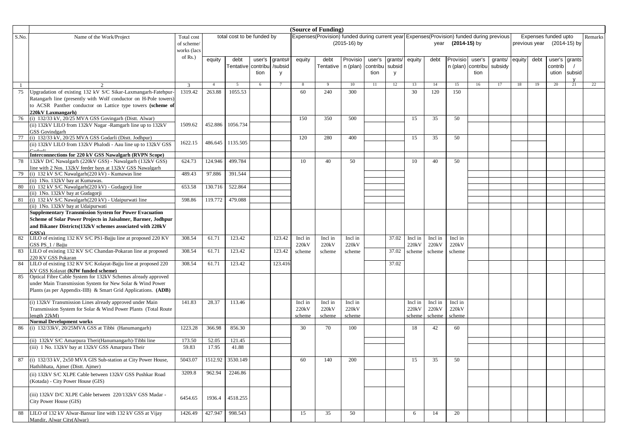|       |                                                                        |                          |                |                            |        |         |         | (Source of Funding)                                                                       |                |          |         |         |         |                |          |         |        |               |                      |        |         |
|-------|------------------------------------------------------------------------|--------------------------|----------------|----------------------------|--------|---------|---------|-------------------------------------------------------------------------------------------|----------------|----------|---------|---------|---------|----------------|----------|---------|--------|---------------|----------------------|--------|---------|
| S.No. | Name of the Work/Project                                               | Total cost               |                | total cost to be funded by |        |         |         | Expenses(Provision) funded during current year Expenses(Provision) funded during previous |                |          |         |         |         |                |          |         |        |               | Expenses funded upto |        | Remarks |
|       |                                                                        | of scheme/               |                |                            |        |         |         |                                                                                           | $(2015-16)$ by |          |         |         | year    | $(2014-15)$ by |          |         |        | previous year | (2014-15) by         |        |         |
|       |                                                                        | works (lacs              |                |                            |        |         |         |                                                                                           |                |          |         |         |         |                |          |         |        |               |                      |        |         |
|       |                                                                        | of $Rs.$ )               | equity         | debt                       | user's | grants# | equity  | debt                                                                                      | Provisio       | user's   | grants/ | equity  | debt    | Provisio       | user's   | grants/ | equity | debt          | user's grants        |        |         |
|       |                                                                        |                          |                | Tentative contribu         |        | /subsid |         | Tentative n (plan)                                                                        |                | contribu | subsid  |         |         | n (plan)       | contribu | subsidy |        |               | contrib              |        |         |
|       |                                                                        |                          |                |                            | tion   | y       |         |                                                                                           |                | tion     | y       |         |         |                | tion     |         |        |               | ution                | subsid |         |
|       |                                                                        |                          |                |                            |        |         |         |                                                                                           |                |          |         |         |         |                |          |         |        |               |                      |        |         |
|       |                                                                        | 3                        | $\overline{4}$ | 5                          | 6      |         | 8       |                                                                                           | 10             | 11       | 12      | 13      | 14      | 15             | 16       | 17      | 18     | 19            | 20                   | 21     | 22      |
| 75    | Upgradation of existing 132 kV S/C Sikar-Laxmangarh-Fatehpur-          | 1319.42                  | 263.88         | 1055.53                    |        |         | 60      | 240                                                                                       | 300            |          |         | 30      | 120     | 150            |          |         |        |               |                      |        |         |
|       | Ratangarh line (presently with Wolf conductor on H-Pole towers)        |                          |                |                            |        |         |         |                                                                                           |                |          |         |         |         |                |          |         |        |               |                      |        |         |
|       | to ACSR Panther conductor on Lattice type towers (scheme of            |                          |                |                            |        |         |         |                                                                                           |                |          |         |         |         |                |          |         |        |               |                      |        |         |
|       | 220kV Laxmangarh)                                                      |                          |                |                            |        |         |         |                                                                                           |                |          |         |         |         |                |          |         |        |               |                      |        |         |
| 76    | (i) 132/33 kV, 20/25 MVA GSS Govingarh (Distt. Alwar)                  |                          |                |                            |        |         | 150     | 350                                                                                       | 500            |          |         | 15      | 35      | 50             |          |         |        |               |                      |        |         |
|       | (ii) 132kV LILO from 132kV Nagar -Ramgarh line up to 132kV             | 1509.62                  | 452.886        | 1056.734                   |        |         |         |                                                                                           |                |          |         |         |         |                |          |         |        |               |                      |        |         |
|       | GSS Govindgarh                                                         |                          |                |                            |        |         |         |                                                                                           |                |          |         |         |         |                |          |         |        |               |                      |        |         |
| 77    | (i) 132/33 kV, 20/25 MVA GSS Godarli (Distt. Jodhpur)                  |                          | 486.645        | 1135.505                   |        |         | 120     | 280                                                                                       | 400            |          |         | 15      | 35      | 50             |          |         |        |               |                      |        |         |
|       | (ii) 132kV LILO from 132kV Phalodi - Aau line up to 132kV GSS          | 1622.15                  |                |                            |        |         |         |                                                                                           |                |          |         |         |         |                |          |         |        |               |                      |        |         |
|       | Interconnections for 220 kV GSS Nawalgarh (RVPN Scope)                 |                          |                |                            |        |         |         |                                                                                           |                |          |         |         |         |                |          |         |        |               |                      |        |         |
| 78    | 132kV D/C Nawalgarh (220kV GSS) - Nawalgarh (132kV GSS)                | 624.73                   | 124.946        | 499.784                    |        |         | 10      | 40                                                                                        | 50             |          |         | 10      | 40      | 50             |          |         |        |               |                      |        |         |
|       | line with 2 Nos. 132kV feeder bays at 132kV GSS Nawalgarh              |                          |                |                            |        |         |         |                                                                                           |                |          |         |         |         |                |          |         |        |               |                      |        |         |
| 79    | (i) 132 kV S/C Nawalgarh(220 kV) - Kumawas line                        | 489.43                   | 97.886         | 391.544                    |        |         |         |                                                                                           |                |          |         |         |         |                |          |         |        |               |                      |        |         |
|       | (ii) 1No. 132kV bay at Kumawas.                                        |                          |                |                            |        |         |         |                                                                                           |                |          |         |         |         |                |          |         |        |               |                      |        |         |
| 80    | (i) 132 kV S/C Nawalgarh(220 kV) - Gudagorji line                      | 653.58                   | 130.716        | 522.864                    |        |         |         |                                                                                           |                |          |         |         |         |                |          |         |        |               |                      |        |         |
|       | (ii) 1No. 132kV bay at Gudagorji                                       |                          |                |                            |        |         |         |                                                                                           |                |          |         |         |         |                |          |         |        |               |                      |        |         |
| 81    | (i) 132 kV S/C Nawalgarh (220 kV) - Udaipurwati line                   | 598.86                   | 119.772        | 479.088                    |        |         |         |                                                                                           |                |          |         |         |         |                |          |         |        |               |                      |        |         |
|       | (ii) 1No. 132kV bay at Udaipurwati                                     |                          |                |                            |        |         |         |                                                                                           |                |          |         |         |         |                |          |         |        |               |                      |        |         |
|       | <b>Supplementary Transmission System for Power Evacuation</b>          |                          |                |                            |        |         |         |                                                                                           |                |          |         |         |         |                |          |         |        |               |                      |        |         |
|       | Scheme of Solar Power Projects in Jaisalmer, Barmer, Jodhpur           |                          |                |                            |        |         |         |                                                                                           |                |          |         |         |         |                |          |         |        |               |                      |        |         |
|       | and Bikaner Districts(132kV schemes associated with 220kV              |                          |                |                            |        |         |         |                                                                                           |                |          |         |         |         |                |          |         |        |               |                      |        |         |
| 82    | GSS's<br>LILO of existing 132 KV S/C PS1-Bajju line at proposed 220 KV | 308.54                   | 61.71          | 123.42                     |        | 123.42  | Incl in | Incl in                                                                                   | Incl in        |          | 37.02   | Incl in | Incl in | Incl in        |          |         |        |               |                      |        |         |
|       | GSS PS 1/Bajju                                                         |                          |                |                            |        |         | 220kV   | 220kV                                                                                     | 220kV          |          |         | 220kV   | 220kV   | 220kV          |          |         |        |               |                      |        |         |
| 83    | LILO of existing 132 KV S/C Chandan-Pokaran line at proposed           | 308.54                   | 61.71          | 123.42                     |        | 123.42  | scheme  | scheme                                                                                    | scheme         |          | 37.02   | scheme  | scheme  | scheme         |          |         |        |               |                      |        |         |
|       | 220 KV GSS Pokaran                                                     |                          |                |                            |        |         |         |                                                                                           |                |          |         |         |         |                |          |         |        |               |                      |        |         |
| 84    | LILO of existing 132 KV S/C Kolayat-Bajju line at proposed 220         | 308.54                   | 61.71          | 123.42                     |        | 123.416 |         |                                                                                           |                |          | 37.02   |         |         |                |          |         |        |               |                      |        |         |
|       | KV GSS Kolayat (KfW funded scheme)                                     |                          |                |                            |        |         |         |                                                                                           |                |          |         |         |         |                |          |         |        |               |                      |        |         |
| 85    | Optical Fibre Cable System for 132kV Schemes already approved          |                          |                |                            |        |         |         |                                                                                           |                |          |         |         |         |                |          |         |        |               |                      |        |         |
|       | under Main Transmission System for New Solar & Wind Power              |                          |                |                            |        |         |         |                                                                                           |                |          |         |         |         |                |          |         |        |               |                      |        |         |
|       | Plants (as per Appendix-IIB) & Smart Grid Applications. (ADB)          |                          |                |                            |        |         |         |                                                                                           |                |          |         |         |         |                |          |         |        |               |                      |        |         |
|       |                                                                        |                          |                |                            |        |         |         |                                                                                           |                |          |         |         |         |                |          |         |        |               |                      |        |         |
|       | (i) 132kV Transmission Lines already approved under Main               | 141.83                   | 28.37          | 113.46                     |        |         | Incl in | Incl in                                                                                   | Incl in        |          |         | Incl in | Incl in | Incl in        |          |         |        |               |                      |        |         |
|       | Transmission System for Solar & Wind Power Plants (Total Route         |                          |                |                            |        |         | 220kV   | 220kV                                                                                     | 220kV          |          |         | 220kV   | 220kV   | 220kV          |          |         |        |               |                      |        |         |
|       | length $22kM$ )<br><b>Normal Development works</b>                     |                          |                |                            |        |         | scheme  | scheme                                                                                    | scheme         |          |         | scheme  | scheme  | scheme         |          |         |        |               |                      |        |         |
| 86    | (i) 132/33kV, 20/25MVA GSS at Tibbi (Hanumangarh)                      | 1223.28                  | 366.98         | 856.30                     |        |         | 30      | 70                                                                                        | 100            |          |         | 18      | 42      | 60             |          |         |        |               |                      |        |         |
|       |                                                                        |                          |                |                            |        |         |         |                                                                                           |                |          |         |         |         |                |          |         |        |               |                      |        |         |
|       | (ii) 132kV S/C Amarpura Theri(Hanumangarh)-Tibbi line                  | 173.50                   | 52.05          | 121.45                     |        |         |         |                                                                                           |                |          |         |         |         |                |          |         |        |               |                      |        |         |
|       | (iii) 1 No. 132kV bay at 132kV GSS Amarpura Their                      | 59.83                    | 17.95          | 41.88                      |        |         |         |                                                                                           |                |          |         |         |         |                |          |         |        |               |                      |        |         |
|       |                                                                        |                          |                |                            |        |         |         |                                                                                           |                |          |         |         |         |                |          |         |        |               |                      |        |         |
|       | 87 (i) 132/33 kV, 2x50 MVA GIS Sub-station at City Power House,        | 5043.07 1512.92 3530.149 |                |                            |        |         | 60      | 140                                                                                       | 200            |          |         | 15      | 35      | 50             |          |         |        |               |                      |        |         |
|       | Hathibhata, Ajmer (Distt. Ajmer)                                       |                          |                |                            |        |         |         |                                                                                           |                |          |         |         |         |                |          |         |        |               |                      |        |         |
|       | (ii) 132kV S/C XLPE Cable between 132kV GSS Pushkar Road               | 3209.8                   | 962.94         | 2246.86                    |        |         |         |                                                                                           |                |          |         |         |         |                |          |         |        |               |                      |        |         |
|       | (Kotada) - City Power House (GIS)                                      |                          |                |                            |        |         |         |                                                                                           |                |          |         |         |         |                |          |         |        |               |                      |        |         |
|       |                                                                        |                          |                |                            |        |         |         |                                                                                           |                |          |         |         |         |                |          |         |        |               |                      |        |         |
|       | (iii) 132kV D/C XLPE Cable between 220/132kV GSS Madar -               | 6454.65                  | 1936.4         | 4518.255                   |        |         |         |                                                                                           |                |          |         |         |         |                |          |         |        |               |                      |        |         |
|       | City Power House (GIS)                                                 |                          |                |                            |        |         |         |                                                                                           |                |          |         |         |         |                |          |         |        |               |                      |        |         |
| 88    | LILO of 132 kV Alwar-Bansur line with 132 kV GSS at Vijay              | 1426.49                  | 427.947        | 998.543                    |        |         | 15      | 35                                                                                        | 50             |          |         | 6       | 14      | 20             |          |         |        |               |                      |        |         |
|       | Mandir, Alwar City(Alwar)                                              |                          |                |                            |        |         |         |                                                                                           |                |          |         |         |         |                |          |         |        |               |                      |        |         |
|       |                                                                        |                          |                |                            |        |         |         |                                                                                           |                |          |         |         |         |                |          |         |        |               |                      |        |         |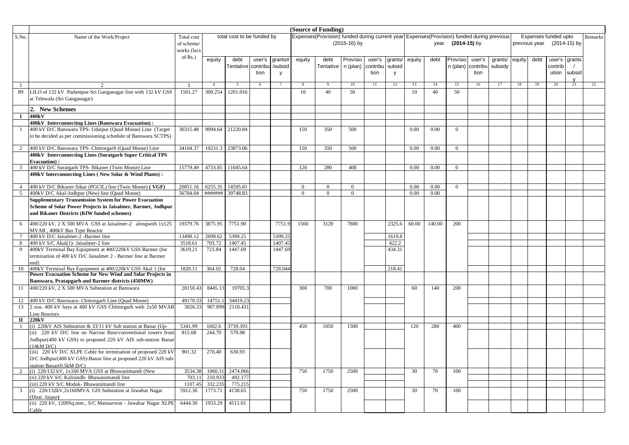|                |                                                                                                                                  |             |                   |                            |        |          |          | (Source of Funding)                                                                       |                |          |        |        |        |                |          |         |        |               |                      |    |         |
|----------------|----------------------------------------------------------------------------------------------------------------------------------|-------------|-------------------|----------------------------|--------|----------|----------|-------------------------------------------------------------------------------------------|----------------|----------|--------|--------|--------|----------------|----------|---------|--------|---------------|----------------------|----|---------|
| S.No.          | Name of the Work/Project                                                                                                         | Total cost  |                   | total cost to be funded by |        |          |          | Expenses(Provision) funded during current year Expenses(Provision) funded during previous |                |          |        |        |        |                |          |         |        |               | Expenses funded upto |    | Remarks |
|                |                                                                                                                                  | of scheme/  |                   |                            |        |          |          |                                                                                           | (2015-16) by   |          |        |        | year   | $(2014-15)$ by |          |         |        | previous year | (2014-15) by         |    |         |
|                |                                                                                                                                  | works (lacs |                   |                            |        |          |          |                                                                                           |                |          |        |        |        |                |          |         |        |               |                      |    |         |
|                |                                                                                                                                  | of $Rs.$ )  | equity            | debt                       | user's | grants#  | equity   | debt                                                                                      | Provisio       | user's   | grants | equity | debt   | Provisio       | user's   | grants/ | equity | debt          | user's grants        |    |         |
|                |                                                                                                                                  |             |                   | <b>Tentative</b> contribu  |        | /subsid  |          | Tentative                                                                                 | n (plan)       | contribu | subsic |        |        | n (plan)       | contribu | subsidy |        |               | contrib              |    |         |
|                |                                                                                                                                  |             |                   |                            | tion   | <b>V</b> |          |                                                                                           |                | tion     | V      |        |        |                | tion     |         |        |               | ution subsid         |    |         |
|                |                                                                                                                                  |             |                   |                            |        |          |          |                                                                                           |                |          |        |        |        |                |          |         |        |               |                      |    |         |
|                |                                                                                                                                  | 3           | $\overline{4}$    | 5                          | 6      |          | 8        | -9                                                                                        | 10             | 11       | 12     | 13     | 14     | 15             | 16       | 17      | 18     | 19            | 20                   | 21 | 22      |
| 89             | LILO of 132 kV Padampur-Sri Ganganagar line with 132 kV GSS                                                                      | 1501.27     | 300.254           | 1201.016                   |        |          | 10       | 40                                                                                        | 50             |          |        | 10     | 40     | 50             |          |         |        |               |                      |    |         |
|                | at Telewala (Sri Ganganagar)                                                                                                     |             |                   |                            |        |          |          |                                                                                           |                |          |        |        |        |                |          |         |        |               |                      |    |         |
|                | 2. New Schemes                                                                                                                   |             |                   |                            |        |          |          |                                                                                           |                |          |        |        |        |                |          |         |        |               |                      |    |         |
| $\bf{I}$       | 400kV                                                                                                                            |             |                   |                            |        |          |          |                                                                                           |                |          |        |        |        |                |          |         |        |               |                      |    |         |
|                | 400kV Interconnecting Lines (Banswara Evacuation):                                                                               |             |                   |                            |        |          |          |                                                                                           |                |          |        |        |        |                |          |         |        |               |                      |    |         |
|                | 400 kV D/C Banswara TPS- Udaipur (Quad Moose) Line (Target                                                                       | 30315.48    | 9094.64           | 21220.84                   |        |          | 150      | 350                                                                                       | 500            |          |        | 0.00   | 0.00   | $\overline{0}$ |          |         |        |               |                      |    |         |
|                | to be decided as per commissioning schedule of Banswara SCTPS)                                                                   |             |                   |                            |        |          |          |                                                                                           |                |          |        |        |        |                |          |         |        |               |                      |    |         |
|                |                                                                                                                                  |             |                   |                            |        |          |          |                                                                                           |                |          |        |        |        |                |          |         |        |               |                      |    |         |
| 2              | 400 kV D/C Banswara TPS- Chittorgarh (Quad Moose) Line                                                                           | 34104.37    | 10231.3           | 23873.06                   |        |          | 150      | 350                                                                                       | 500            |          |        | 0.00   | 0.00   | $\overline{0}$ |          |         |        |               |                      |    |         |
|                | 400kV Interconnecting Lines (Suratgarh Super Critical TPS                                                                        |             |                   |                            |        |          |          |                                                                                           |                |          |        |        |        |                |          |         |        |               |                      |    |         |
| 3              | <b>Evacuation</b> ):<br>400 kV D/C Suratgarh TPS- Bikaner (Twin Moose) Line                                                      | 15779.49    | 4733.85           | 11045.64                   |        |          | 120      | 280                                                                                       | 400            |          |        | 0.00   | 0.00   | $\overline{0}$ |          |         |        |               |                      |    |         |
|                | 400kV Interconnecting Lines (New Solar & Wind Plants):                                                                           |             |                   |                            |        |          |          |                                                                                           |                |          |        |        |        |                |          |         |        |               |                      |    |         |
|                |                                                                                                                                  |             |                   |                            |        |          |          |                                                                                           |                |          |        |        |        |                |          |         |        |               |                      |    |         |
| $\overline{4}$ | 400 kV D/C Bikaner-Sikar (PGCIL) line (Twin Moose) (VGF)                                                                         | 20851.16    | 6255.35           | 14595.81                   |        |          | $\Omega$ | $\Omega$                                                                                  | $\overline{0}$ |          |        | 0.00   | 0.00   | $\Omega$       |          |         |        |               |                      |    |         |
| 5              | 400kV D/C Akal-Jodhpur (New) line (Quad Moose)                                                                                   | 56784.04    | #######           | 39748.83                   |        |          | $\Omega$ | $\Omega$                                                                                  | $\Omega$       |          |        | 0.00   | 0.00   |                |          |         |        |               |                      |    |         |
|                | <b>Supplementary Transmission System for Power Evacuation</b>                                                                    |             |                   |                            |        |          |          |                                                                                           |                |          |        |        |        |                |          |         |        |               |                      |    |         |
|                | Scheme of Solar Power Projects in Jaisalmer, Barmer, Jodhpur                                                                     |             |                   |                            |        |          |          |                                                                                           |                |          |        |        |        |                |          |         |        |               |                      |    |         |
|                | and Bikaner Districts (KfW funded schemes)                                                                                       |             |                   |                            |        |          |          |                                                                                           |                |          |        |        |        |                |          |         |        |               |                      |    |         |
| 6              | 400/220 kV, 2 X 500 MVA GSS at Jaisalmer-2 alongwith 1x125                                                                       | 19379.76    | 3875.95           | 7751.90                    |        | 7751.9   | 1560     | 3120                                                                                      | 7800           |          | 2325.6 | 60.00  | 140.00 | 200            |          |         |        |               |                      |    |         |
|                | MVAR, 400kV Bus Type Reactor                                                                                                     |             |                   |                            |        |          |          |                                                                                           |                |          |        |        |        |                |          |         |        |               |                      |    |         |
| $\overline{7}$ | 400 kV D/C Jaisalmer-2 -Barmer line                                                                                              | 13498.12    | 2699.62           | 5399.25                    |        | 5399.25  |          |                                                                                           |                |          | 1619.8 |        |        |                |          |         |        |               |                      |    |         |
| 8              | 400 kV S/C Akal(1)- Jaisalmer-2 line                                                                                             | 3518.61     | 703.72            | 1407.45                    |        | 1407.45  |          |                                                                                           |                |          | 422.2  |        |        |                |          |         |        |               |                      |    |         |
| 9              | 400kV Terminal Bay Equipment at 400/220kV GSS Barmer (for<br>termination of 400 kV D/C Jaisalmer 2 - Barmer line at Barmer       | 3619.21     | 723.84            | 1447.69                    |        | 1447.69  |          |                                                                                           |                |          | 434.31 |        |        |                |          |         |        |               |                      |    |         |
|                | end)                                                                                                                             |             |                   |                            |        |          |          |                                                                                           |                |          |        |        |        |                |          |         |        |               |                      |    |         |
| 10             | 400kV Terminal Bay Equipment at 400/220kV GSS Akal 1 (for                                                                        | 1820.11     | 364.02            | 728.04                     |        | 728.044  |          |                                                                                           |                |          | 218.41 |        |        |                |          |         |        |               |                      |    |         |
|                | Power Evacuation Scheme for New Wind and Solar Projects in                                                                       |             |                   |                            |        |          |          |                                                                                           |                |          |        |        |        |                |          |         |        |               |                      |    |         |
|                | Banswara, Pratapgarh and Barmer districts (450MW)                                                                                |             |                   |                            |        |          |          |                                                                                           |                |          |        |        |        |                |          |         |        |               |                      |    |         |
| 11             | 400/220 kV, 2 X 500 MVA Substation at Banswara                                                                                   | 28150.43    | 8445.13           | 19705.3                    |        |          | 300      | 700                                                                                       | 1000           |          |        | 60     | 140    | 200            |          |         |        |               |                      |    |         |
|                | 400 kV D/C Banswara- Chittorgarh Line (Quad Moose)                                                                               | 49170.33    |                   | 34419.23                   |        |          |          |                                                                                           |                |          |        |        |        |                |          |         |        |               |                      |    |         |
| 12<br>13       | 2 nos. 400 kV bays at 400 kV GSS Chittorgarh with 2x50 MVAR                                                                      | 3026.33     | 14751.<br>907.899 | 2118.431                   |        |          |          |                                                                                           |                |          |        |        |        |                |          |         |        |               |                      |    |         |
|                | Line Reactors                                                                                                                    |             |                   |                            |        |          |          |                                                                                           |                |          |        |        |        |                |          |         |        |               |                      |    |         |
| $\mathbf{I}$   | <b>220kV</b>                                                                                                                     |             |                   |                            |        |          |          |                                                                                           |                |          |        |        |        |                |          |         |        |               |                      |    |         |
| $\mathbf{1}$   | (i) 220kV AIS Substation & 33/11 kV Sub station at Banar (Up-                                                                    | 5341.99     | 1602.6            | 3739.393                   |        |          | 450      | 1050                                                                                      | 1500           |          |        | 120    | 280    | 400            |          |         |        |               |                      |    |         |
|                | (ii) 220 kV D/C line on Narrow Base/conventional towers from                                                                     | 815.68      | 244.70            | 570.98                     |        |          |          |                                                                                           |                |          |        |        |        |                |          |         |        |               |                      |    |         |
|                | Jodhpur(400 kV GSS) to proposed 220 kV AIS sub-station Banar                                                                     |             |                   |                            |        |          |          |                                                                                           |                |          |        |        |        |                |          |         |        |               |                      |    |         |
|                | (14kM D/C)                                                                                                                       | 901.32      | 270.40            | 630.93                     |        |          |          |                                                                                           |                |          |        |        |        |                |          |         |        |               |                      |    |         |
|                | (iii) 220 kV D/C XLPE Cable for termination of proposed 220 kV<br>D/C Jodhpur(400 kV GSS)-Banar line at proposed 220 kV AIS sub- |             |                   |                            |        |          |          |                                                                                           |                |          |        |        |        |                |          |         |        |               |                      |    |         |
|                | station Banar(0.5kM D/C)                                                                                                         |             |                   |                            |        |          |          |                                                                                           |                |          |        |        |        |                |          |         |        |               |                      |    |         |
| $\overline{2}$ | (i) 220/132 kV, 1x160 MVA GSS at Bhawanimandi (New                                                                               | 3534.38     | 1060.31           | 2474.066                   |        |          | 750      | 1750                                                                                      | 2500           |          |        | 30     | 70     | 100            |          |         |        |               |                      |    |         |
|                | (ii) 220 kV S/C Kalisindh- Bhawanimandi line                                                                                     | 703.11      | 210.933           | 492.177                    |        |          |          |                                                                                           |                |          |        |        |        |                |          |         |        |               |                      |    |         |
|                | (iii) 220 kV S/C Modak- Bhawanimandi line                                                                                        | 1107.45     | 332.235           | 775.215                    |        |          |          |                                                                                           |                |          |        |        |        |                |          |         |        |               |                      |    |         |
| 3              | (i) 220/132kV,2x160MVA GIS Substation at Jawahar Nagar                                                                           | 5912.36     | 1773.71           | 4138.65                    |        |          | 750      | 1750                                                                                      | 2500           |          |        | 30     | 70     | 100            |          |         |        |               |                      |    |         |
|                | (Distt. Jaipur)<br>(ii) 220 kV, 1200Sq.mm., S/C Mansarovar - Jawahar Nagar XLPE                                                  | 6444.30     | 1933.29           | 4511.01                    |        |          |          |                                                                                           |                |          |        |        |        |                |          |         |        |               |                      |    |         |
|                | Cable                                                                                                                            |             |                   |                            |        |          |          |                                                                                           |                |          |        |        |        |                |          |         |        |               |                      |    |         |
|                |                                                                                                                                  |             |                   |                            |        |          |          |                                                                                           |                |          |        |        |        |                |          |         |        |               |                      |    |         |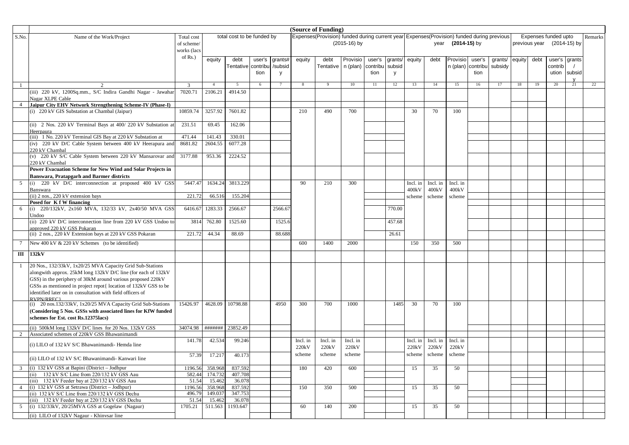|       |                                                                                                            |                   |                    |                            |        |         |          | (Source of Funding)                                                                       |                |          |         |          |          |                     |          |         |        |               |                      |    |         |
|-------|------------------------------------------------------------------------------------------------------------|-------------------|--------------------|----------------------------|--------|---------|----------|-------------------------------------------------------------------------------------------|----------------|----------|---------|----------|----------|---------------------|----------|---------|--------|---------------|----------------------|----|---------|
| S.No. | Name of the Work/Project                                                                                   | Total cost        |                    | total cost to be funded by |        |         |          | Expenses(Provision) funded during current year Expenses(Provision) funded during previous |                |          |         |          |          |                     |          |         |        |               | Expenses funded upto |    | Remarks |
|       |                                                                                                            | of scheme/        |                    |                            |        |         |          |                                                                                           | $(2015-16)$ by |          |         |          | year     | <b>(2014-15)</b> by |          |         |        | previous year | (2014-15) by         |    |         |
|       |                                                                                                            | works (lacs       |                    |                            |        |         |          |                                                                                           |                |          |         |          |          |                     |          |         |        |               |                      |    |         |
|       |                                                                                                            | of Rs.)           | equity             | debt                       | user's | grants# | equity   | debt                                                                                      | Provisio       | user's   | grants/ | equity   | debt     | Provisio            | user's   | grants/ | equity | debt          | user's grants        |    |         |
|       |                                                                                                            |                   |                    | Tentative contribu         |        | /subsid |          | Tentative   n (plan)                                                                      |                | contribu | subsid  |          |          | n (plan)            | contribu | subsidy |        |               | contrib              |    |         |
|       |                                                                                                            |                   |                    |                            | tion   | y       |          |                                                                                           |                | tion     | y       |          |          |                     | tion     |         |        |               | ution subsid         |    |         |
|       |                                                                                                            |                   |                    |                            |        |         |          |                                                                                           |                |          |         |          |          |                     |          |         |        |               |                      |    |         |
|       |                                                                                                            | 3                 | $\overline{4}$     | 5                          | 6      |         | 8        | 9                                                                                         | 10             | 11       | 12      | 13       | 14       | 15                  | 16       | 17      | 18     | 19            | 20                   | 21 | 22      |
|       | (iii) 220 kV, 1200Sq.mm., S/C Indira Gandhi Nagar - Jawahar                                                | 7020.71           | 2106.21            | 4914.50                    |        |         |          |                                                                                           |                |          |         |          |          |                     |          |         |        |               |                      |    |         |
|       | Nagar XLPE Cable                                                                                           |                   |                    |                            |        |         |          |                                                                                           |                |          |         |          |          |                     |          |         |        |               |                      |    |         |
|       | Jaipur City EHV Network Strengthening Scheme-IV (Phase-I)<br>(i) 220 kV GIS Substation at Chambal (Jaipur) | 10859.74          | 3257.92            | 7601.82                    |        |         | 210      | 490                                                                                       | 700            |          |         | 30       | 70       | 100                 |          |         |        |               |                      |    |         |
|       |                                                                                                            |                   |                    |                            |        |         |          |                                                                                           |                |          |         |          |          |                     |          |         |        |               |                      |    |         |
|       | (ii) 2 Nos. 220 kV Terminal Bays at 400/220 kV Substation a                                                | 231.51            | 69.45              | 162.06                     |        |         |          |                                                                                           |                |          |         |          |          |                     |          |         |        |               |                      |    |         |
|       | <b>Heerpaura</b>                                                                                           |                   |                    |                            |        |         |          |                                                                                           |                |          |         |          |          |                     |          |         |        |               |                      |    |         |
|       | (iii) 1 No. 220 kV Terminal GIS Bay at 220 kV Substation at                                                | 471.44            | 141.43             | 330.01                     |        |         |          |                                                                                           |                |          |         |          |          |                     |          |         |        |               |                      |    |         |
|       | (iv) 220 kV D/C Cable System between 400 kV Heerapura and                                                  | 8681.82           | 2604.55            | 6077.28                    |        |         |          |                                                                                           |                |          |         |          |          |                     |          |         |        |               |                      |    |         |
|       | 220 kV Chambal                                                                                             |                   |                    |                            |        |         |          |                                                                                           |                |          |         |          |          |                     |          |         |        |               |                      |    |         |
|       | (v) 220 kV S/C Cable System between 220 kV Mansarovar and                                                  | 3177.88           | 953.36             | 2224.52                    |        |         |          |                                                                                           |                |          |         |          |          |                     |          |         |        |               |                      |    |         |
|       | 220 kV Chambal<br>Power Evacuation Scheme for New Wind and Solar Projects in                               |                   |                    |                            |        |         |          |                                                                                           |                |          |         |          |          |                     |          |         |        |               |                      |    |         |
|       | <b>Banswara, Pratapgarh and Barmer districts</b>                                                           |                   |                    |                            |        |         |          |                                                                                           |                |          |         |          |          |                     |          |         |        |               |                      |    |         |
|       | (i) 220 kV D/C interconnection at proposed 400 kV GSS                                                      | 5447.47           | 1634.24            | 3813.229                   |        |         | 90       | 210                                                                                       | 300            |          |         | Incl. in | Incl. in | Incl. in            |          |         |        |               |                      |    |         |
|       | Banswara                                                                                                   |                   |                    |                            |        |         |          |                                                                                           |                |          |         | 400kV    | 400kV    | 400kV               |          |         |        |               |                      |    |         |
|       | (ii) 2 nos., 220 kV extension bays                                                                         | 221.72            | 66.516             | 155.204                    |        |         |          |                                                                                           |                |          |         | scheme   | scheme   | scheme              |          |         |        |               |                      |    |         |
|       | Posed for K f W financing                                                                                  |                   |                    |                            |        |         |          |                                                                                           |                |          |         |          |          |                     |          |         |        |               |                      |    |         |
|       | (i) 220/132kV, 2x160 MVA, 132/33 kV, 2x40/50 MVA GSS                                                       | 6416.67           | 1283.33            | 2566.67                    |        | 2566.67 |          |                                                                                           |                |          | 770.00  |          |          |                     |          |         |        |               |                      |    |         |
|       | Undoo<br>(ii) 220 kV D/C interconnection line from 220 kV GSS Undoo to                                     | 3814              | 762.80             | 1525.60                    |        | 1525.6  |          |                                                                                           |                |          | 457.68  |          |          |                     |          |         |        |               |                      |    |         |
|       | approved 220 kV GSS Pokaran                                                                                |                   |                    |                            |        |         |          |                                                                                           |                |          |         |          |          |                     |          |         |        |               |                      |    |         |
|       | (ii) 2 nos., 220 kV Extension bays at 220 kV GSS Pokaran                                                   | 221.72            | 44.34              | 88.69                      |        | 88.688  |          |                                                                                           |                |          | 26.61   |          |          |                     |          |         |        |               |                      |    |         |
|       | New 400 kV & 220 kV Schemes (to be identified)                                                             |                   |                    |                            |        |         | 600      | 1400                                                                                      | 2000           |          |         | 150      | 350      | 500                 |          |         |        |               |                      |    |         |
|       | III 132kV                                                                                                  |                   |                    |                            |        |         |          |                                                                                           |                |          |         |          |          |                     |          |         |        |               |                      |    |         |
|       |                                                                                                            |                   |                    |                            |        |         |          |                                                                                           |                |          |         |          |          |                     |          |         |        |               |                      |    |         |
| 1     | 20 Nos., 132/33kV, 1x20/25 MVA Capacity Grid Sub-Stations                                                  |                   |                    |                            |        |         |          |                                                                                           |                |          |         |          |          |                     |          |         |        |               |                      |    |         |
|       | alongwith approx. 25kM long 132kV D/C line (for each of 132kV                                              |                   |                    |                            |        |         |          |                                                                                           |                |          |         |          |          |                     |          |         |        |               |                      |    |         |
|       | GSS) in the periphery of 30kM around various proposed 220kV                                                |                   |                    |                            |        |         |          |                                                                                           |                |          |         |          |          |                     |          |         |        |               |                      |    |         |
|       | GSSs as mentioned in project repot{ location of 132kV GSS to be                                            |                   |                    |                            |        |         |          |                                                                                           |                |          |         |          |          |                     |          |         |        |               |                      |    |         |
|       | identified later on in consultation with field officers of<br>RVPN/RREC1                                   |                   |                    |                            |        |         |          |                                                                                           |                |          |         |          |          |                     |          |         |        |               |                      |    |         |
|       | (i) 20 nos.132/33kV, 1x20/25 MVA Capacity Grid Sub-Stations                                                | 15426.97          | 4628.09            | 10798.88                   |        | 4950    | 300      | 700                                                                                       | 1000           |          | 1485    | 30       | 70       | 100                 |          |         |        |               |                      |    |         |
|       | (Considering 5 Nos. GSSs with associated lines for KfW funded                                              |                   |                    |                            |        |         |          |                                                                                           |                |          |         |          |          |                     |          |         |        |               |                      |    |         |
|       | schemes for Est. cost Rs.12375lacs)                                                                        |                   |                    |                            |        |         |          |                                                                                           |                |          |         |          |          |                     |          |         |        |               |                      |    |         |
|       | (ii) 500kM long 132kV D/C lines for 20 Nos. 132kV GSS                                                      | 34074.98          | ********           | 23852.49                   |        |         |          |                                                                                           |                |          |         |          |          |                     |          |         |        |               |                      |    |         |
|       | Associated schemes of 220kV GSS Bhawanimandi                                                               |                   |                    |                            |        |         |          |                                                                                           |                |          |         |          |          |                     |          |         |        |               |                      |    |         |
|       | (i) LILO of 132 kV S/C Bhawanimandi- Hemda line                                                            | 141.78            | 42.534             | 99.246                     |        |         | Incl. in | Incl. in                                                                                  | Incl. in       |          |         | Incl. in | Incl. in | Incl. in            |          |         |        |               |                      |    |         |
|       |                                                                                                            |                   |                    |                            |        |         | 220kV    | 220kV                                                                                     | 220kV          |          |         | 220kV    | 220kV    | 220kV               |          |         |        |               |                      |    |         |
|       | (ii) LILO of 132 kV S/C Bhawanimandi- Kanwari line                                                         | 57.39             | 17.217             | 40.173                     |        |         | scheme   | scheme                                                                                    | scheme         |          |         | scheme   | scheme   | scheme              |          |         |        |               |                      |    |         |
|       |                                                                                                            |                   |                    |                            |        |         |          |                                                                                           |                |          |         |          |          |                     |          |         |        |               |                      |    |         |
|       | (i) $132$ kV GSS at Bapini (District – Jodhpur<br>(ii) 132 kV S/C Line from 220/132 kV GSS Aau             | 1196.56<br>582.44 | 358.968<br>174.732 | 837.592<br>407.708         |        |         | 180      | 420                                                                                       | 600            |          |         | 15       | 35       | 50                  |          |         |        |               |                      |    |         |
|       | (iii) 132 kV Feeder bay at 220/132 kV GSS Aau                                                              | 51.54             | 15.462             | 36.078                     |        |         |          |                                                                                           |                |          |         |          |          |                     |          |         |        |               |                      |    |         |
|       | 4 (i) 132 kV GSS at Setrawa (District – Jodhpur)                                                           | 1196.56           | 358.968            | 837.592                    |        |         | 150      | 350                                                                                       | 500            |          |         | 15       | 35       | 50                  |          |         |        |               |                      |    |         |
|       | (ii) 132 kV S/C Line from 220/132 kV GSS Dechu                                                             | 496.79            | 149.037            | 347.753                    |        |         |          |                                                                                           |                |          |         |          |          |                     |          |         |        |               |                      |    |         |
|       | (iii) 132 kV Feeder bay at 220/132 kV GSS Dechu                                                            | 51.54             | 15.462             | 36.078                     |        |         |          |                                                                                           |                |          |         |          |          |                     |          |         |        |               |                      |    |         |
| 5     | (i) 132/33kV, 20/25MVA GSS at Gogelaw (Nagaur)                                                             | 1705.21           | 511.563            | 1193.647                   |        |         | 60       | 140                                                                                       | 200            |          |         | 15       | 35       | 50                  |          |         |        |               |                      |    |         |
|       | (ii) LILO of 132kV Nagaur - Khinysar line                                                                  |                   |                    |                            |        |         |          |                                                                                           |                |          |         |          |          |                     |          |         |        |               |                      |    |         |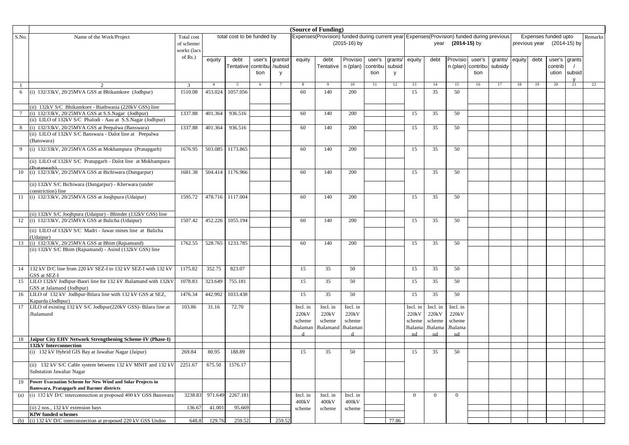|                 |                                                                                                                |             |                |                            |        |         |          | (Source of Funding)                                                                       |                |          |         |              |                |                |          |         |        |               |                      |        |         |
|-----------------|----------------------------------------------------------------------------------------------------------------|-------------|----------------|----------------------------|--------|---------|----------|-------------------------------------------------------------------------------------------|----------------|----------|---------|--------------|----------------|----------------|----------|---------|--------|---------------|----------------------|--------|---------|
| S.No.           | Name of the Work/Project                                                                                       | Total cost  |                | total cost to be funded by |        |         |          | Expenses(Provision) funded during current year Expenses(Provision) funded during previous |                |          |         |              |                |                |          |         |        |               | Expenses funded upto |        | Remarks |
|                 |                                                                                                                | of scheme/  |                |                            |        |         |          |                                                                                           | $(2015-16)$ by |          |         |              | year           | $(2014-15)$ by |          |         |        | previous year | (2014-15) by         |        |         |
|                 |                                                                                                                | works (lacs |                |                            |        |         |          |                                                                                           |                |          |         |              |                |                |          |         |        |               |                      |        |         |
|                 |                                                                                                                | of $Rs.$ )  | equity         | debt                       | user's | grants# | equity   | debt                                                                                      | Provisio       | user's   | grants/ | equity       | debt           | Provisio       | user's   | grants/ | equity | debt          | user's grants        |        |         |
|                 |                                                                                                                |             |                | Tentative contribu         |        | /subsid |          | Tentative   n (plan)                                                                      |                | contribu | subsid  |              |                | n (plan)       | contribu | subsidy |        |               | contrib              |        |         |
|                 |                                                                                                                |             |                |                            | tion   | y       |          |                                                                                           |                | tion     | y       |              |                |                | tion     |         |        |               | ution                | subsid |         |
|                 |                                                                                                                |             |                |                            |        |         |          |                                                                                           |                |          |         |              |                |                |          |         |        |               |                      |        |         |
|                 |                                                                                                                | 3           | $\overline{4}$ | 5                          | 6      |         | 8        | -9                                                                                        | 10             | 11       | 12      | 13           | 14             | 15             | 16       | 17      | 18     | 19            | 20                   | 21     | 22      |
| 6               | (i) 132/33kV, 20/25MVA GSS at Bhikamkore (Jodhpur)                                                             | 1510.08     | 453.024        | 1057.056                   |        |         | 60       | 140                                                                                       | 200            |          |         | 15           | 35             | 50             |          |         |        |               |                      |        |         |
|                 |                                                                                                                |             |                |                            |        |         |          |                                                                                           |                |          |         |              |                |                |          |         |        |               |                      |        |         |
|                 | (ii) 132kV S/C Bhikamkore - Biathwasia (220kV GSS) line                                                        |             |                |                            |        |         |          |                                                                                           |                |          |         |              |                |                |          |         |        |               |                      |        |         |
| $7\phantom{.0}$ | (i) 132/33kV, 20/25MVA GSS at S.S.Nagar (Jodhpur)                                                              | 1337.88     | 401.364        | 936.516                    |        |         | 60       | 140                                                                                       | 200            |          |         | 15           | 35             | 50             |          |         |        |               |                      |        |         |
|                 | (ii) LILO of 132kV S/C Phalodi - Aau at S.S.Nagar (Jodhpur)                                                    |             |                |                            |        |         |          |                                                                                           |                |          |         |              |                |                |          |         |        |               |                      |        |         |
| 8               | (i) 132/33kV, 20/25MVA GSS at Peepalwa (Banswara)                                                              | 1337.88     | 401.364        | 936.516                    |        |         | 60       | 140                                                                                       | 200            |          |         | 15           | 35             | 50             |          |         |        |               |                      |        |         |
|                 | (ii) LILO of 132kV S/C Banswara - Dalot line at Peepalwa                                                       |             |                |                            |        |         |          |                                                                                           |                |          |         |              |                |                |          |         |        |               |                      |        |         |
|                 | (Banswara)                                                                                                     |             |                |                            |        |         |          |                                                                                           |                |          |         |              |                |                |          |         |        |               |                      |        |         |
| 9               | (i) 132/33kV, 20/25MVA GSS at Mokhampura (Pratapgarh)                                                          | 1676.95     | 503.085        | 1173.865                   |        |         | 60       | 140                                                                                       | 200            |          |         | 15           | 35             | 50             |          |         |        |               |                      |        |         |
|                 | (ii) LILO of 132kV S/C Pratapgarh - Dalot line at Mokhampura                                                   |             |                |                            |        |         |          |                                                                                           |                |          |         |              |                |                |          |         |        |               |                      |        |         |
|                 | $(D_{\text{rotonash}})$                                                                                        |             |                |                            |        |         |          |                                                                                           |                |          |         |              |                |                |          |         |        |               |                      |        |         |
| 10              | (i) 132/33kV, 20/25MVA GSS at Bichiwara (Dungarpur)                                                            | 1681.38     | 504.414        | 1176.966                   |        |         | 60       | 140                                                                                       | 200            |          |         | 15           | 35             | 50             |          |         |        |               |                      |        |         |
|                 | (ii) 132kV S/C Bichiwara (Dungarpur) - Kherwara (under                                                         |             |                |                            |        |         |          |                                                                                           |                |          |         |              |                |                |          |         |        |               |                      |        |         |
|                 | constriction) line                                                                                             |             |                |                            |        |         |          |                                                                                           |                |          |         |              |                |                |          |         |        |               |                      |        |         |
|                 | 11 (i) 132/33kV, 20/25MVA GSS at Joojhpura (Udaipur)                                                           | 1595.72     | 478.716        | 1117.004                   |        |         | 60       | 140                                                                                       | 200            |          |         | 15           | 35             | 50             |          |         |        |               |                      |        |         |
|                 |                                                                                                                |             |                |                            |        |         |          |                                                                                           |                |          |         |              |                |                |          |         |        |               |                      |        |         |
|                 |                                                                                                                |             |                |                            |        |         |          |                                                                                           |                |          |         |              |                |                |          |         |        |               |                      |        |         |
|                 | (ii) 132kV S/C Joojhpura (Udaipur) - Bhinder (132kV GSS) line                                                  | 1507.42     | 452.226        | 1055.194                   |        |         | 60       | 140                                                                                       | 200            |          |         | 15           | 35             | 50             |          |         |        |               |                      |        |         |
|                 | 12 (i) 132/33kV, 20/25MVA GSS at Balicha (Udaipur)                                                             |             |                |                            |        |         |          |                                                                                           |                |          |         |              |                |                |          |         |        |               |                      |        |         |
|                 | (ii) LILO of 132kV S/C Madri - Jawar mines line at Balicha                                                     |             |                |                            |        |         |          |                                                                                           |                |          |         |              |                |                |          |         |        |               |                      |        |         |
|                 | (Udaipur)                                                                                                      |             |                |                            |        |         |          |                                                                                           |                |          |         |              |                |                |          |         |        |               |                      |        |         |
| 13              | (i) 132/33kV, 20/25MVA GSS at Bhim (Rajsamand)                                                                 | 1762.55     | 528.765        | 1233.785                   |        |         | 60       | 140                                                                                       | 200            |          |         | 15           | 35             | 50             |          |         |        |               |                      |        |         |
|                 | (ii) 132kV S/C Bhim (Rajsamand) - Asind (132kV GSS) line                                                       |             |                |                            |        |         |          |                                                                                           |                |          |         |              |                |                |          |         |        |               |                      |        |         |
|                 |                                                                                                                |             |                |                            |        |         |          |                                                                                           |                |          |         |              |                |                |          |         |        |               |                      |        |         |
| 14              | 132 kV D/C line from 220 kV SEZ-I to 132 kV SEZ-I with 132 kV                                                  | 1175.82     | 352.75         | 823.07                     |        |         | 15       | 35                                                                                        | 50             |          |         | 15           | 35             | 50             |          |         |        |               |                      |        |         |
|                 | GSS at SEZ-I                                                                                                   |             |                |                            |        |         |          |                                                                                           |                |          |         |              |                |                |          |         |        |               |                      |        |         |
| 15              | LILO 132kV Jodhpur-Baori line for 132 kV Jhalamand with 132kV                                                  | 1078.83     | 323.649        | 755.181                    |        |         | 15       | 35                                                                                        | 50             |          |         | 15           | 35             | 50             |          |         |        |               |                      |        |         |
|                 | GSS at Jalamand (Jodhpur)                                                                                      |             |                |                            |        |         |          |                                                                                           |                |          |         |              |                |                |          |         |        |               |                      |        |         |
| 16              | LILO of 132 kV Jodhpur-Bilara line with 132 kV GSS at SEZ,                                                     | 1476.34     | 442.902        | 1033.438                   |        |         | 15       | 35                                                                                        | 50             |          |         | 15           | 35             | 50             |          |         |        |               |                      |        |         |
| 17              | Kaparda (Jodhpur)<br>LILO of existing 132 kV S/C Jodhpur(220kV GSS)- Bilara line at                            | 103.86      | 31.16          | 72.70                      |        |         | Incl. in | Incl. in                                                                                  | Incl. in       |          |         | Incl. in     | Incl. in       | Incl. in       |          |         |        |               |                      |        |         |
|                 | Jhalamand                                                                                                      |             |                |                            |        |         | 220kV    | 220kV                                                                                     | 220kV          |          |         | 220kV        | 220kV          | 220kV          |          |         |        |               |                      |        |         |
|                 |                                                                                                                |             |                |                            |        |         | scheme   | scheme                                                                                    | scheme         |          |         | scheme       | scheme         | scheme         |          |         |        |               |                      |        |         |
|                 |                                                                                                                |             |                |                            |        |         | Jhalaman | Jhalamand                                                                                 | Jhalaman       |          |         | Jhalama      | Jhalama        | Jhalama        |          |         |        |               |                      |        |         |
|                 |                                                                                                                |             |                |                            |        |         |          |                                                                                           |                |          |         | nd           | nd             | nd             |          |         |        |               |                      |        |         |
| 18              | Jaipur City EHV Network Strengthening Scheme-IV (Phase-I)                                                      |             |                |                            |        |         |          |                                                                                           |                |          |         |              |                |                |          |         |        |               |                      |        |         |
|                 | 132kV Interconnection<br>(i) 132 kV Hybrid GIS Bay at Jawahar Nagar (Jaipur)                                   | 269.84      | 80.95          | 188.89                     |        |         | 15       | 35                                                                                        | 50             |          |         | 15           | 35             | 50             |          |         |        |               |                      |        |         |
|                 |                                                                                                                |             |                |                            |        |         |          |                                                                                           |                |          |         |              |                |                |          |         |        |               |                      |        |         |
|                 | (ii) 132 kV S/C Cable system between 132 kV MNIT and 132 kV                                                    | 2251.67     | 675.50         | 1576.17                    |        |         |          |                                                                                           |                |          |         |              |                |                |          |         |        |               |                      |        |         |
|                 | Substation Jawahar Nagar                                                                                       |             |                |                            |        |         |          |                                                                                           |                |          |         |              |                |                |          |         |        |               |                      |        |         |
|                 |                                                                                                                |             |                |                            |        |         |          |                                                                                           |                |          |         |              |                |                |          |         |        |               |                      |        |         |
| 19              | Power Evacuation Scheme for New Wind and Solar Projects in<br><b>Banswara, Pratapgarh and Barmer districts</b> |             |                |                            |        |         |          |                                                                                           |                |          |         |              |                |                |          |         |        |               |                      |        |         |
| (a)             | (i) 132 kV D/C interconnection at proposed 400 kV GSS Banswara                                                 | 3238.83     | 971.649        | 2267.181                   |        |         | Incl. in | Incl. in                                                                                  | Incl. in       |          |         | $\mathbf{0}$ | $\overline{0}$ | $\overline{0}$ |          |         |        |               |                      |        |         |
|                 |                                                                                                                |             |                |                            |        |         | 400kV    | 400kV                                                                                     | 400kV          |          |         |              |                |                |          |         |        |               |                      |        |         |
|                 | (ii) 2 nos., 132 kV extension bays                                                                             | 136.67      | 41.001         | 95.669                     |        |         | scheme   | scheme                                                                                    | scheme         |          |         |              |                |                |          |         |        |               |                      |        |         |
|                 | <b>KfW</b> funded schemes                                                                                      |             |                |                            |        |         |          |                                                                                           |                |          |         |              |                |                |          |         |        |               |                      |        |         |
| (b)             | (i) 132 kV D/C interconnection at proposed 220 kV GSS Undoo                                                    | 648.8       | 129.76         | 259.52                     |        | 259.52  |          |                                                                                           |                |          | 77.86   |              |                |                |          |         |        |               |                      |        |         |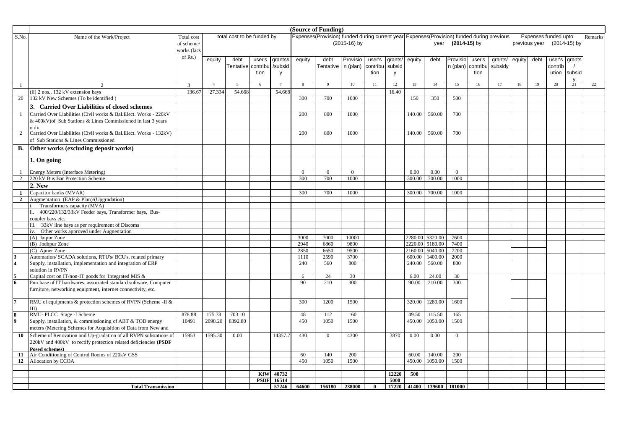|                         |                                                                   |             |               |                            |             |                |          | (Source of Funding)                                                                       |              |              |         |         |                           |                   |          |         |        |               |                      |               |         |
|-------------------------|-------------------------------------------------------------------|-------------|---------------|----------------------------|-------------|----------------|----------|-------------------------------------------------------------------------------------------|--------------|--------------|---------|---------|---------------------------|-------------------|----------|---------|--------|---------------|----------------------|---------------|---------|
| S.No.                   | Name of the Work/Project                                          | Total cost  |               | total cost to be funded by |             |                |          | Expenses(Provision) funded during current year Expenses(Provision) funded during previous |              |              |         |         |                           |                   |          |         |        |               | Expenses funded upto |               | Remarks |
|                         |                                                                   | of scheme/  |               |                            |             |                |          |                                                                                           | (2015-16) by |              |         |         |                           | year (2014-15) by |          |         |        | previous year |                      | (2014-15) by  |         |
|                         |                                                                   | works (lacs |               |                            |             |                |          |                                                                                           |              |              |         |         |                           |                   |          |         |        |               |                      |               |         |
|                         |                                                                   | of Rs.)     |               |                            |             |                |          |                                                                                           |              |              |         |         |                           |                   |          |         |        |               |                      |               |         |
|                         |                                                                   |             | equity        | debt                       | user's      | qrants#        | equity   | debt                                                                                      | Provisio     | user's       | grants/ | equity  | debt                      | Provisio          | user's   | grants/ | equity | debt          |                      | user's grants |         |
|                         |                                                                   |             |               | Tentative                  | contribu    | /subsid        |          | Tentative                                                                                 | n (plan)     | contribu     | subsid  |         |                           | n (plan)          | contribu | subsidy |        |               | contrib              |               |         |
|                         |                                                                   |             |               |                            | tion        | y              |          |                                                                                           |              | tion         | y       |         |                           |                   | tion     |         |        |               | ution                | subsid        |         |
|                         |                                                                   |             |               |                            |             |                |          |                                                                                           |              |              |         |         |                           |                   |          |         |        |               |                      | $\mathsf{v}$  |         |
| $\mathbf{1}$            | $\mathcal{D}$                                                     | 3           | $\mathcal{A}$ | $\overline{5}$             | 6           | $\overline{7}$ | -8       | $\mathbf Q$                                                                               | 10           | 11           | 12      | 13      | 14                        | 15                | 16       | 17      | 18     | 19            | 20                   | 21            | 22      |
|                         | (ii) 2 nos., 132 kV extension bays                                | 136.67      | 27.334        | 54.668                     |             | 54.668         |          |                                                                                           |              |              | 16.40   |         |                           |                   |          |         |        |               |                      |               |         |
| 20                      | 132 kV New Schemes (To be identified)                             |             |               |                            |             |                | 300      | 700                                                                                       | 1000         |              |         | 150     | 350                       | 500               |          |         |        |               |                      |               |         |
|                         | 3. Carried Over Liabilities of closed schemes                     |             |               |                            |             |                |          |                                                                                           |              |              |         |         |                           |                   |          |         |        |               |                      |               |         |
|                         | Carried Over Liabilities (Civil works & Bal.Elect. Works - 220kV  |             |               |                            |             |                | 200      | 800                                                                                       | 1000         |              |         | 140.00  | 560.00                    | 700               |          |         |        |               |                      |               |         |
|                         | & 400kV) of Sub Stations & Lines Commissioned in last 3 years     |             |               |                            |             |                |          |                                                                                           |              |              |         |         |                           |                   |          |         |        |               |                      |               |         |
|                         | onlv                                                              |             |               |                            |             |                |          |                                                                                           |              |              |         |         |                           |                   |          |         |        |               |                      |               |         |
| 2                       | Carried Over Liabilities (Civil works & Bal.Elect. Works - 132kV) |             |               |                            |             |                | 200      | 800                                                                                       | 1000         |              |         | 140.00  | 560.00                    | 700               |          |         |        |               |                      |               |         |
|                         | of Sub Stations & Lines Commissioned                              |             |               |                            |             |                |          |                                                                                           |              |              |         |         |                           |                   |          |         |        |               |                      |               |         |
|                         |                                                                   |             |               |                            |             |                |          |                                                                                           |              |              |         |         |                           |                   |          |         |        |               |                      |               |         |
| <b>B.</b>               | Other works (excluding deposit works)                             |             |               |                            |             |                |          |                                                                                           |              |              |         |         |                           |                   |          |         |        |               |                      |               |         |
|                         |                                                                   |             |               |                            |             |                |          |                                                                                           |              |              |         |         |                           |                   |          |         |        |               |                      |               |         |
|                         | 1. On going                                                       |             |               |                            |             |                |          |                                                                                           |              |              |         |         |                           |                   |          |         |        |               |                      |               |         |
|                         | Energy Meters (Interface Metering)                                |             |               |                            |             |                | $\Omega$ | $\overline{0}$                                                                            | $\Omega$     |              |         | 0.00    | 0.00                      | $\overline{0}$    |          |         |        |               |                      |               |         |
| $\overline{2}$          | 220 kV Bus Bar Protection Scheme                                  |             |               |                            |             |                | 300      | 700                                                                                       | 1000         |              |         | 300.00  | 700.00                    | 1000              |          |         |        |               |                      |               |         |
|                         | 2. New                                                            |             |               |                            |             |                |          |                                                                                           |              |              |         |         |                           |                   |          |         |        |               |                      |               |         |
|                         |                                                                   |             |               |                            |             |                |          |                                                                                           |              |              |         |         |                           |                   |          |         |        |               |                      |               |         |
| $\mathbf{1}$            | Capacitor banks (MVAR)                                            |             |               |                            |             |                | 300      | 700                                                                                       | 1000         |              |         | 300.00  | 700.00                    | 1000              |          |         |        |               |                      |               |         |
| $\overline{2}$          | Augmentation (EAP & Plan)/(Upgradation)                           |             |               |                            |             |                |          |                                                                                           |              |              |         |         |                           |                   |          |         |        |               |                      |               |         |
|                         | Transformers capacity (MVA)                                       |             |               |                            |             |                |          |                                                                                           |              |              |         |         |                           |                   |          |         |        |               |                      |               |         |
|                         | ii. 400/220/132/33kV Feeder bays, Transformer bays, Bus-          |             |               |                            |             |                |          |                                                                                           |              |              |         |         |                           |                   |          |         |        |               |                      |               |         |
|                         | coupler bays etc.                                                 |             |               |                            |             |                |          |                                                                                           |              |              |         |         |                           |                   |          |         |        |               |                      |               |         |
|                         | 33kV line bays as per requirement of Discoms<br>iii.              |             |               |                            |             |                |          |                                                                                           |              |              |         |         |                           |                   |          |         |        |               |                      |               |         |
|                         | iv. Other works approved under Augnentation                       |             |               |                            |             |                |          |                                                                                           |              |              |         |         |                           |                   |          |         |        |               |                      |               |         |
|                         | (A) Jaipur Zone                                                   |             |               |                            |             |                | 3000     | 7000                                                                                      | 10000        |              |         | 2280.00 | 5320.00                   | 7600              |          |         |        |               |                      |               |         |
|                         | (B) Jodhpur Zone                                                  |             |               |                            |             |                | 2940     | 6860                                                                                      | 9800         |              |         | 2220.00 | 5180.00                   | 7400              |          |         |        |               |                      |               |         |
|                         | (C) Ajmer Zone                                                    |             |               |                            |             |                | 2850     | 6650                                                                                      | 9500         |              |         | 2160.00 | 5040.00                   | 7200              |          |         |        |               |                      |               |         |
|                         | Automation/ SCADA solutions, RTU's/ BCU's, related primary        |             |               |                            |             |                | 1110     | 2590                                                                                      | 3700         |              |         | 600.00  | 1400.00                   | 2000              |          |         |        |               |                      |               |         |
| $\overline{\mathbf{4}}$ | Supply, installation, implementation and integration of ERP       |             |               |                            |             |                | 240      | 560                                                                                       | 800          |              |         | 240.00  | 560.00                    | 800               |          |         |        |               |                      |               |         |
|                         | solution in RVPN                                                  |             |               |                            |             |                |          |                                                                                           |              |              |         |         |                           |                   |          |         |        |               |                      |               |         |
|                         | Capital cost on IT/non-IT goods for 'Integrated MIS &             |             |               |                            |             |                | 6        | 24                                                                                        | 30           |              |         | 6.00    | 24.00                     | 30                |          |         |        |               |                      |               |         |
|                         | Purchase of IT hardwares, associated standard software, Computer  |             |               |                            |             |                | 90       | 210                                                                                       | 300          |              |         | 90.00   | 210.00                    | 300               |          |         |        |               |                      |               |         |
|                         | furniture, networking equipment, internet connectivity, etc.      |             |               |                            |             |                |          |                                                                                           |              |              |         |         |                           |                   |          |         |        |               |                      |               |         |
|                         |                                                                   |             |               |                            |             |                |          |                                                                                           |              |              |         |         |                           |                   |          |         |        |               |                      |               |         |
|                         | RMU of equipments & protection schemes of RVPN (Scheme -II &      |             |               |                            |             |                | 300      | 1200                                                                                      | 1500         |              |         | 320.00  | 1280.00                   | 1600              |          |         |        |               |                      |               |         |
|                         | III)                                                              |             |               |                            |             |                |          |                                                                                           |              |              |         |         |                           |                   |          |         |        |               |                      |               |         |
|                         | RMU- PLCC Stage -I Scheme                                         | 878.88      | 175.78        | 703.10                     |             |                | 48       | 112                                                                                       | 160          |              |         | 49.50   | 115.50                    | 165               |          |         |        |               |                      |               |         |
| 9                       | Supply, installation, & commissioning of ABT & TOD energy         | 10491       | 2098.20       | 8392.80                    |             |                | 450      | 1050                                                                                      | 1500         |              |         | 450.00  | 1050.00                   | 1500              |          |         |        |               |                      |               |         |
|                         | meters (Metering Schemes for Acquisition of Data from New and     |             |               |                            |             |                |          |                                                                                           |              |              |         |         |                           |                   |          |         |        |               |                      |               |         |
| 10                      | Scheme of Renovation and Up-gradation of all RVPN substations of  | 15953       | 1595.30       | 0.00                       |             | 14357.7        | 430      | $\Omega$                                                                                  | 4300         |              | 3870    | 0.00    | 0.00                      | $\overline{0}$    |          |         |        |               |                      |               |         |
|                         | 220kV and 400kV to rectify protection related deficiencies (PSDF  |             |               |                            |             |                |          |                                                                                           |              |              |         |         |                           |                   |          |         |        |               |                      |               |         |
|                         | Posed schemes)                                                    |             |               |                            |             |                |          |                                                                                           |              |              |         |         |                           |                   |          |         |        |               |                      |               |         |
| 11                      | Air Conditioning of Control Rooms of 220kV GSS                    |             |               |                            |             |                | 60       | 140                                                                                       | 200          |              |         | 60.00   | 140.00                    | 200               |          |         |        |               |                      |               |         |
| 12                      | Allocation by CCOA                                                |             |               |                            |             |                | 450      | 1050                                                                                      | 1500         |              |         | 450.00  | 1050.00                   | 1500              |          |         |        |               |                      |               |         |
|                         |                                                                   |             |               |                            |             |                |          |                                                                                           |              |              |         |         |                           |                   |          |         |        |               |                      |               |         |
|                         |                                                                   |             |               |                            | <b>KfW</b>  | 40732          |          |                                                                                           |              |              | 12220   | 500     |                           |                   |          |         |        |               |                      |               |         |
|                         |                                                                   |             |               |                            | <b>PSDF</b> | 16514          |          |                                                                                           |              |              | 5000    |         |                           |                   |          |         |        |               |                      |               |         |
|                         | <b>Total Transmission</b>                                         |             |               |                            |             | 57246          | 64600    | 156180                                                                                    | 238000       | $\mathbf{0}$ |         |         | 17220 41400 139600 181000 |                   |          |         |        |               |                      |               |         |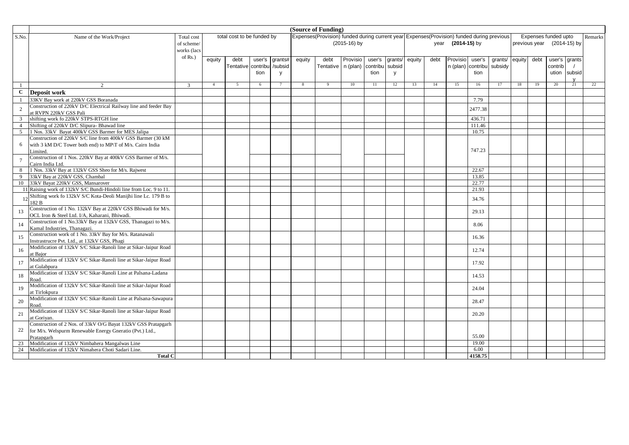|                |                                                                        |               |                |                            |        |                |              | (Source of Funding)                                                                       |              |          |          |        |      |                |          |         |        |      |                            |              |         |
|----------------|------------------------------------------------------------------------|---------------|----------------|----------------------------|--------|----------------|--------------|-------------------------------------------------------------------------------------------|--------------|----------|----------|--------|------|----------------|----------|---------|--------|------|----------------------------|--------------|---------|
| S.No.          | Name of the Work/Project                                               | Total cost    |                | total cost to be funded by |        |                |              | Expenses(Provision) funded during current year Expenses(Provision) funded during previous |              |          |          |        |      |                |          |         |        |      | Expenses funded upto       |              | Remarks |
|                |                                                                        | of scheme/    |                |                            |        |                |              |                                                                                           | (2015-16) by |          |          |        | year | $(2014-15)$ by |          |         |        |      | previous year (2014-15) by |              |         |
|                |                                                                        | works (lacs   |                |                            |        |                |              |                                                                                           |              |          |          |        |      |                |          |         |        |      |                            |              |         |
|                |                                                                        | of $Rs.$ )    | equity         | debt                       | user's | grants#        | equity       | debt                                                                                      | Provisio     | user's   | grants/  | equity | debt | Provisio       | user's   | grants/ | equity | debt | user's                     | grants       |         |
|                |                                                                        |               |                | Tentative contribi         |        |                |              | <b>Tentative</b>                                                                          | n (plan)     | contribu | subsid   |        |      | n (plan)       | contribu | subsidy |        |      | contrib                    |              |         |
|                |                                                                        |               |                |                            | tion   | /subsid        |              |                                                                                           |              | tion     |          |        |      |                | tion     |         |        |      |                            | subsid       |         |
|                |                                                                        |               |                |                            |        | y              |              |                                                                                           |              |          | <b>y</b> |        |      |                |          |         |        |      | ution                      | $\mathbf{v}$ |         |
|                | $\gamma$                                                               | $\mathcal{R}$ | $\overline{4}$ | -5                         | 6      | $\overline{7}$ | $\mathbf{8}$ | Q                                                                                         | 10           | 11       | 12       | 13     | 14   | 15             | 16       | 17      | 18     | 19   | 20                         | 21           | 22      |
| $\mathbf C$    |                                                                        |               |                |                            |        |                |              |                                                                                           |              |          |          |        |      |                |          |         |        |      |                            |              |         |
|                | Deposit work                                                           |               |                |                            |        |                |              |                                                                                           |              |          |          |        |      |                |          |         |        |      |                            |              |         |
|                | 33KV Bay work at 220kV GSS Boranada                                    |               |                |                            |        |                |              |                                                                                           |              |          |          |        |      |                | 7.79     |         |        |      |                            |              |         |
| $\sqrt{2}$     | Construction of 220kV D/C Electrical Railway line and feeder Bay       |               |                |                            |        |                |              |                                                                                           |              |          |          |        |      |                | 2477.38  |         |        |      |                            |              |         |
|                | at RVPN 220kV GSS Pali                                                 |               |                |                            |        |                |              |                                                                                           |              |          |          |        |      |                |          |         |        |      |                            |              |         |
| $\mathbf{3}$   | shifting work fo 220kV STPS-RTGH line                                  |               |                |                            |        |                |              |                                                                                           |              |          |          |        |      |                | 436.71   |         |        |      |                            |              |         |
| $\overline{4}$ | Shifting of 220kV D/C Slipura-Bhawad line                              |               |                |                            |        |                |              |                                                                                           |              |          |          |        |      |                | 111.46   |         |        |      |                            |              |         |
| 5              | 1 Nos. 33kV Bayat 400kV GSS Barmer for MES Jalipa                      |               |                |                            |        |                |              |                                                                                           |              |          |          |        |      |                | 10.75    |         |        |      |                            |              |         |
|                | Construction of 220kV S/C line from 400kV GSS Barmer (30 kM            |               |                |                            |        |                |              |                                                                                           |              |          |          |        |      |                |          |         |        |      |                            |              |         |
| 6              | with 3 kM D/C Tower both end) to MP/T of M/s. Cairn India              |               |                |                            |        |                |              |                                                                                           |              |          |          |        |      |                | 747.23   |         |        |      |                            |              |         |
|                | Limited                                                                |               |                |                            |        |                |              |                                                                                           |              |          |          |        |      |                |          |         |        |      |                            |              |         |
| $\overline{7}$ | Construction of 1 Nos. 220kV Bay at 400kV GSS Barmer of M/s.           |               |                |                            |        |                |              |                                                                                           |              |          |          |        |      |                |          |         |        |      |                            |              |         |
|                | Cairn India Ltd.<br>1 Nos. 33kV Bay at 132kV GSS Sheo for M/s. Rajwest |               |                |                            |        |                |              |                                                                                           |              |          |          |        |      |                | 22.67    |         |        |      |                            |              |         |
| 8<br>9         | 33kV Bay at 220kV GSS, Chambal                                         |               |                |                            |        |                |              |                                                                                           |              |          |          |        |      |                | 13.85    |         |        |      |                            |              |         |
| 10             | 33kV Bayat 220kV GSS, Mansarover                                       |               |                |                            |        |                |              |                                                                                           |              |          |          |        |      |                | 22.77    |         |        |      |                            |              |         |
|                | 11 Raising work of 132kV S/C Bundi-Hindoli line from Loc. 9 to 11.     |               |                |                            |        |                |              |                                                                                           |              |          |          |        |      |                | 21.93    |         |        |      |                            |              |         |
|                | Shifting work fo 132kV S/C Kota-Deoli Manijhi line Lc. 179 B to        |               |                |                            |        |                |              |                                                                                           |              |          |          |        |      |                |          |         |        |      |                            |              |         |
|                | 182 B                                                                  |               |                |                            |        |                |              |                                                                                           |              |          |          |        |      |                | 34.76    |         |        |      |                            |              |         |
|                | Construction of 1 No. 132kV Bay at 220kV GSS Bhiwadi for M/s.          |               |                |                            |        |                |              |                                                                                           |              |          |          |        |      |                |          |         |        |      |                            |              |         |
| 13             | OCL Iron & Steel Ltd. I/A, Kaharani, Bhiwadi.                          |               |                |                            |        |                |              |                                                                                           |              |          |          |        |      |                | 29.13    |         |        |      |                            |              |         |
|                | Construction of 1 No.33kV Bay at 132kV GSS, Thanagazi to M/s.          |               |                |                            |        |                |              |                                                                                           |              |          |          |        |      |                |          |         |        |      |                            |              |         |
| 14             | Kamal Industries, Thanagazi.                                           |               |                |                            |        |                |              |                                                                                           |              |          |          |        |      |                | 8.06     |         |        |      |                            |              |         |
|                | Construction work of 1 No. 33kV Bay for M/s. Ratanawali                |               |                |                            |        |                |              |                                                                                           |              |          |          |        |      |                |          |         |        |      |                            |              |         |
| 15             | Instrastrucre Pvt. Ltd., at 132kV GSS, Phagi                           |               |                |                            |        |                |              |                                                                                           |              |          |          |        |      |                | 16.36    |         |        |      |                            |              |         |
|                | Modification of 132kV S/C Sikar-Ranoli line at Sikar-Jaipur Road       |               |                |                            |        |                |              |                                                                                           |              |          |          |        |      |                |          |         |        |      |                            |              |         |
| 16             | at Bajor                                                               |               |                |                            |        |                |              |                                                                                           |              |          |          |        |      |                | 12.74    |         |        |      |                            |              |         |
|                | Modification of 132kV S/C Sikar-Ranoli line at Sikar-Jaipur Road       |               |                |                            |        |                |              |                                                                                           |              |          |          |        |      |                |          |         |        |      |                            |              |         |
| 17             | at Gulabpura                                                           |               |                |                            |        |                |              |                                                                                           |              |          |          |        |      |                | 17.92    |         |        |      |                            |              |         |
|                | Modification of 132kV S/C Sikar-Ranoli Line at Palsana-Ladana          |               |                |                            |        |                |              |                                                                                           |              |          |          |        |      |                |          |         |        |      |                            |              |         |
| 18             | Road                                                                   |               |                |                            |        |                |              |                                                                                           |              |          |          |        |      |                | 14.53    |         |        |      |                            |              |         |
|                | Modification of 132kV S/C Sikar-Ranoli line at Sikar-Jaipur Road       |               |                |                            |        |                |              |                                                                                           |              |          |          |        |      |                |          |         |        |      |                            |              |         |
| 19             | at Tirlokpura                                                          |               |                |                            |        |                |              |                                                                                           |              |          |          |        |      |                | 24.04    |         |        |      |                            |              |         |
|                | Modification of 132kV S/C Sikar-Ranoli Line at Palsana-Sawapura        |               |                |                            |        |                |              |                                                                                           |              |          |          |        |      |                |          |         |        |      |                            |              |         |
| 20             | Road                                                                   |               |                |                            |        |                |              |                                                                                           |              |          |          |        |      |                | 28.47    |         |        |      |                            |              |         |
|                | Modification of 132kV S/C Sikar-Ranoli line at Sikar-Jaipur Road       |               |                |                            |        |                |              |                                                                                           |              |          |          |        |      |                |          |         |        |      |                            |              |         |
| 21             | at Goriyan.                                                            |               |                |                            |        |                |              |                                                                                           |              |          |          |        |      |                | 20.20    |         |        |      |                            |              |         |
|                | Construction of 2 Nos. of 33kV O/G Bayat 132kV GSS Pratapgarh          |               |                |                            |        |                |              |                                                                                           |              |          |          |        |      |                |          |         |        |      |                            |              |         |
| 22             | for M/s. Welspurm Renewable Energy Gneratio (Pvt.) Ltd.,               |               |                |                            |        |                |              |                                                                                           |              |          |          |        |      |                |          |         |        |      |                            |              |         |
|                | Pratapgarh                                                             |               |                |                            |        |                |              |                                                                                           |              |          |          |        |      |                | 55.00    |         |        |      |                            |              |         |
| 23             | Modification of 132kV Nimbahera Mangalwas Line                         |               |                |                            |        |                |              |                                                                                           |              |          |          |        |      |                | 19.00    |         |        |      |                            |              |         |
| 24             | Modification of 132kV Nimahera Choti Sadari Line.                      |               |                |                            |        |                |              |                                                                                           |              |          |          |        |      |                | 6.00     |         |        |      |                            |              |         |
|                | <b>Total C</b>                                                         |               |                |                            |        |                |              |                                                                                           |              |          |          |        |      |                | 4158.75  |         |        |      |                            |              |         |
|                |                                                                        |               |                |                            |        |                |              |                                                                                           |              |          |          |        |      |                |          |         |        |      |                            |              |         |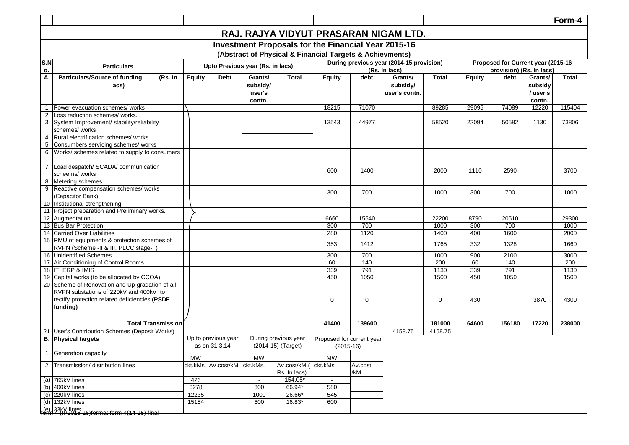|                     |                                                                                                                                                                                                                                                                                            |               |                                      |                                         |                                                            |                                          |                 |                                          |              |               |                                    |                                         | Form-4       |
|---------------------|--------------------------------------------------------------------------------------------------------------------------------------------------------------------------------------------------------------------------------------------------------------------------------------------|---------------|--------------------------------------|-----------------------------------------|------------------------------------------------------------|------------------------------------------|-----------------|------------------------------------------|--------------|---------------|------------------------------------|-----------------------------------------|--------------|
|                     |                                                                                                                                                                                                                                                                                            |               |                                      |                                         |                                                            |                                          |                 | RAJ. RAJYA VIDYUT PRASARAN NIGAM LTD.    |              |               |                                    |                                         |              |
|                     |                                                                                                                                                                                                                                                                                            |               |                                      |                                         | <b>Investment Proposals for the Financial Year 2015-16</b> |                                          |                 |                                          |              |               |                                    |                                         |              |
|                     |                                                                                                                                                                                                                                                                                            |               |                                      |                                         | (Abstract of Physical & Financial Targets & Achievments)   |                                          |                 |                                          |              |               |                                    |                                         |              |
| S.N                 |                                                                                                                                                                                                                                                                                            |               |                                      |                                         |                                                            |                                          |                 | During previous year (2014-15 provision) |              |               | Proposed for Current year (2015-16 |                                         |              |
| о.                  | <b>Particulars</b>                                                                                                                                                                                                                                                                         |               |                                      | Upto Previous year (Rs. in lacs)        |                                                            |                                          |                 | (Rs. In lacs)                            |              |               | provision) (Rs. In lacs)           |                                         |              |
| A.                  | <b>Particulars/Source of funding</b><br>(Rs. In<br>lacs)                                                                                                                                                                                                                                   | <b>Equity</b> | <b>Debt</b>                          | Grants/<br>subsidy/<br>user's<br>contn. | <b>Total</b>                                               | <b>Equity</b>                            | debt            | Grants/<br>subsidy/<br>user's contn.     | <b>Total</b> | <b>Equity</b> | debt                               | Grants/<br>subsidy<br>/user's<br>contn. | <b>Total</b> |
| $\overline{1}$      | Power evacuation schemes/works                                                                                                                                                                                                                                                             |               |                                      |                                         |                                                            | 18215                                    | 71070           |                                          | 89285        | 29095         | 74089                              | 12220                                   | 115404       |
| $\overline{2}$<br>3 | Loss reduction schemes/ works.<br>System Improvement/ stability/reliability<br>schemes/ works                                                                                                                                                                                              |               |                                      |                                         |                                                            | 13543                                    | 44977           |                                          | 58520        | 22094         | 50582                              | 1130                                    | 73806        |
| $\overline{4}$<br>5 | Rural electrification schemes/ works                                                                                                                                                                                                                                                       |               |                                      |                                         |                                                            |                                          |                 |                                          |              |               |                                    |                                         |              |
|                     | Consumbers servicing schemes/ works<br>6 Works/ schemes related to supply to consumers                                                                                                                                                                                                     |               |                                      |                                         |                                                            |                                          |                 |                                          |              |               |                                    |                                         |              |
|                     |                                                                                                                                                                                                                                                                                            |               |                                      |                                         |                                                            |                                          |                 |                                          |              |               |                                    |                                         |              |
|                     | 7 Load despatch/ SCADA/ communication<br>scheems/ works<br>Metering schemes                                                                                                                                                                                                                |               |                                      |                                         |                                                            | 600                                      | 1400            |                                          | 2000         | 1110          | 2590                               |                                         | 3700         |
| 8<br>9              | Reactive compensation schemes/ works<br>(Capacitor Bank)                                                                                                                                                                                                                                   |               |                                      |                                         |                                                            | 300                                      | 700             |                                          | 1000         | 300           | 700                                |                                         | 1000         |
|                     | 10 Institutional strengthening                                                                                                                                                                                                                                                             |               |                                      |                                         |                                                            |                                          |                 |                                          |              |               |                                    |                                         |              |
|                     | 11 Project preparation and Preliminary works.                                                                                                                                                                                                                                              |               |                                      |                                         |                                                            |                                          |                 |                                          |              |               |                                    |                                         |              |
|                     | 12 Augmentation                                                                                                                                                                                                                                                                            |               |                                      |                                         |                                                            | 6660                                     | 15540           |                                          | 22200        | 8790          | 20510                              |                                         | 29300        |
|                     | 13 Bus Bar Protection<br>14 Carried Over Liabilities                                                                                                                                                                                                                                       |               |                                      |                                         |                                                            | 300<br>280                               | 700<br>1120     |                                          | 1000<br>1400 | 300<br>400    | 700<br>1600                        |                                         | 1000<br>2000 |
|                     | 15 RMU of equipments & protection schemes of                                                                                                                                                                                                                                               |               |                                      |                                         |                                                            |                                          |                 |                                          |              |               |                                    |                                         |              |
|                     | RVPN (Scheme -II & III, PLCC stage-I)                                                                                                                                                                                                                                                      |               |                                      |                                         |                                                            | 353                                      | 1412            |                                          | 1765         | 332           | 1328                               |                                         | 1660         |
|                     | 16 Unidentified Schemes                                                                                                                                                                                                                                                                    |               |                                      |                                         |                                                            | 300                                      | 700             |                                          | 1000         | 900           | 2100                               |                                         | 3000         |
|                     | 17 Air Conditioning of Control Rooms                                                                                                                                                                                                                                                       |               |                                      |                                         |                                                            | 60                                       | 140             |                                          | 200          | 60            | 140                                |                                         | 200          |
|                     | 18 IT, ERP & IMIS                                                                                                                                                                                                                                                                          |               |                                      |                                         |                                                            | 339                                      | 791             |                                          | 1130         | 339           | 791                                |                                         | 1130         |
|                     | 19 Capital works (to be allocated by CCOA)                                                                                                                                                                                                                                                 |               |                                      |                                         |                                                            | 450                                      | 1050            |                                          | 1500         | 450           | 1050                               |                                         | 1500         |
|                     | 20 Scheme of Renovation and Up-gradation of all<br>RVPN substations of 220kV and 400kV to<br>rectify protection related deficiencies (PSDF<br>funding)                                                                                                                                     |               |                                      |                                         |                                                            | 0                                        | 0               |                                          | 0            | 430           |                                    | 3870                                    | 4300         |
|                     | <b>Total Transmission</b>                                                                                                                                                                                                                                                                  |               |                                      |                                         |                                                            | 41400                                    | 139600          |                                          | 181000       | 64600         | 156180                             | 17220                                   | 238000       |
| 21                  | User's Contribution Schemes (Deposit Works)                                                                                                                                                                                                                                                |               |                                      |                                         |                                                            |                                          |                 | 4158.75                                  | 4158.75      |               |                                    |                                         |              |
|                     | <b>B.</b> Physical targets                                                                                                                                                                                                                                                                 |               | Up to previous year<br>as on 31.3.14 |                                         | During previous year<br>(2014-15) (Target)                 | Proposed for current year<br>$(2015-16)$ |                 |                                          |              |               |                                    |                                         |              |
|                     | 1 Generation capacity                                                                                                                                                                                                                                                                      | MW            |                                      | MW                                      |                                                            | <b>MW</b>                                |                 |                                          |              |               |                                    |                                         |              |
|                     | 2 Transmission/ distribution lines                                                                                                                                                                                                                                                         |               | ckt.kMs. Av.cost/kM.                 | ckt.kMs.                                | Av.cost/kM.(ckt.kMs.<br>Rs. In lacs)                       |                                          | Av.cost<br>/kM. |                                          |              |               |                                    |                                         |              |
|                     | (a) 765kV lines                                                                                                                                                                                                                                                                            | 426           |                                      |                                         | 154.05*                                                    | $\blacksquare$                           |                 |                                          |              |               |                                    |                                         |              |
|                     |                                                                                                                                                                                                                                                                                            | 3278          |                                      | 300                                     | 66.94*                                                     | 580                                      |                 |                                          |              |               |                                    |                                         |              |
|                     |                                                                                                                                                                                                                                                                                            | 12235         |                                      | 1000                                    | 26.66*                                                     | 545                                      |                 |                                          |              |               |                                    |                                         |              |
|                     | (a) $100 \text{eV}$ lines<br>(b) 400kV lines<br>(c) 220kV lines<br>(d) 132kV lines<br>$68 \text{eV} + 32 \text{eV} + 2015$<br>$68 \text{eV} + 32 \text{eV} + 2015$<br>$68 \text{eV} + 32 \text{eV} + 2015$<br>$68 \text{eV} + 32 \text{eV} + 2015$<br>$68 \text{eV} + 32 \text{eV} + 2015$ | 15154         |                                      | 600                                     | 16.83*                                                     | 600                                      |                 |                                          |              |               |                                    |                                         |              |
|                     |                                                                                                                                                                                                                                                                                            |               |                                      |                                         |                                                            |                                          |                 |                                          |              |               |                                    |                                         |              |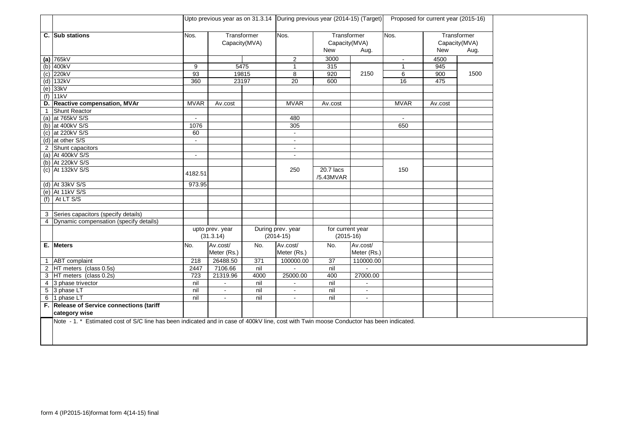|                |                                                                                                                                         | Upto previous year as on 31.3.14 During previous year (2014-15) (Target)<br>Transformer<br>Nos.<br>Capacity(MVA) |                              |       |                                  |                                     |                |                | Proposed for current year (2015-16) |                                      |
|----------------|-----------------------------------------------------------------------------------------------------------------------------------------|------------------------------------------------------------------------------------------------------------------|------------------------------|-------|----------------------------------|-------------------------------------|----------------|----------------|-------------------------------------|--------------------------------------|
|                | C. Sub stations                                                                                                                         |                                                                                                                  |                              |       | Nos.                             | Transformer<br>Capacity(MVA)<br>New | Aug.           | Nos.           | <b>New</b>                          | Transformer<br>Capacity(MVA)<br>Aug. |
|                | (a) $765kV$                                                                                                                             |                                                                                                                  |                              |       | $\overline{2}$                   | 3000                                |                | $\blacksquare$ | 4500                                |                                      |
|                | $(b)$ 400kV                                                                                                                             | 9                                                                                                                |                              | 5475  |                                  | 315                                 |                | $\overline{1}$ | 945                                 |                                      |
|                | $(c)$ 220kV                                                                                                                             | 93                                                                                                               |                              | 19815 | 8                                | 920                                 | 2150           | 6              | 900                                 | 1500                                 |
|                | $(d)$ 132kV                                                                                                                             | 360                                                                                                              |                              | 23197 | 20                               | 600                                 |                | 16             | 475                                 |                                      |
|                | $(e)$ 33kV                                                                                                                              |                                                                                                                  |                              |       |                                  |                                     |                |                |                                     |                                      |
|                | $(f)$ 11kV                                                                                                                              |                                                                                                                  |                              |       |                                  |                                     |                |                |                                     |                                      |
| D.             | Reactive compensation, MVAr                                                                                                             | <b>MVAR</b>                                                                                                      | Av.cost                      |       | <b>MVAR</b>                      | Av.cost                             |                | <b>MVAR</b>    | Av.cost                             |                                      |
| $\mathbf{1}$   | <b>Shunt Reactor</b>                                                                                                                    |                                                                                                                  |                              |       |                                  |                                     |                |                |                                     |                                      |
|                | (a) at 765kV S/S                                                                                                                        | $\blacksquare$                                                                                                   |                              |       | 480                              |                                     |                | $\sim$         |                                     |                                      |
|                | (b) at 400kV S/S                                                                                                                        | 1076                                                                                                             |                              |       | 305                              |                                     |                | 650            |                                     |                                      |
|                | (c) at $220kV$ S/S                                                                                                                      | 60                                                                                                               |                              |       | $\sim$                           |                                     |                |                |                                     |                                      |
|                | (d) at other S/S                                                                                                                        | $\mathbf{u}$                                                                                                     |                              |       | $\blacksquare$                   |                                     |                |                |                                     |                                      |
|                | 2 Shunt capacitors                                                                                                                      |                                                                                                                  |                              |       | $\sim$                           |                                     |                |                |                                     |                                      |
|                | (a) At 400kV S/S                                                                                                                        | $\blacksquare$                                                                                                   |                              |       |                                  |                                     |                |                |                                     |                                      |
|                | (b) At 220kV S/S                                                                                                                        |                                                                                                                  |                              |       |                                  |                                     |                |                |                                     |                                      |
|                | (c) At 132kV S/S                                                                                                                        | 4182.51                                                                                                          |                              |       | 250                              | 20.7 lacs<br>/5.43MVAR              |                | 150            |                                     |                                      |
|                | (d) At 33kV S/S                                                                                                                         | 973.95                                                                                                           |                              |       |                                  |                                     |                |                |                                     |                                      |
|                | (e) At 11kV S/S                                                                                                                         |                                                                                                                  |                              |       |                                  |                                     |                |                |                                     |                                      |
|                | $(f)$ At LT S/S                                                                                                                         |                                                                                                                  |                              |       |                                  |                                     |                |                |                                     |                                      |
|                |                                                                                                                                         |                                                                                                                  |                              |       |                                  |                                     |                |                |                                     |                                      |
|                | 3 Series capacitors (specify details)                                                                                                   |                                                                                                                  |                              |       |                                  |                                     |                |                |                                     |                                      |
|                | 4 Dynamic compensation (specify details)                                                                                                |                                                                                                                  |                              |       |                                  |                                     |                |                |                                     |                                      |
|                |                                                                                                                                         |                                                                                                                  | upto prev. year<br>(31.3.14) |       | During prev. year<br>$(2014-15)$ | for current year<br>$(2015-16)$     |                |                |                                     |                                      |
|                | E. Meters                                                                                                                               | No.                                                                                                              | Av.cost/                     | No.   | Av.cost/                         | No.                                 | Av.cost/       |                |                                     |                                      |
|                |                                                                                                                                         |                                                                                                                  | Meter (Rs.)                  |       | Meter (Rs.)                      |                                     | Meter (Rs.)    |                |                                     |                                      |
|                | 1 ABT complaint                                                                                                                         | 218                                                                                                              | 26488.50                     | 371   | 100000.00                        | 37                                  | 110000.00      |                |                                     |                                      |
|                | 2 HT meters (class 0.5s)                                                                                                                | 2447                                                                                                             | 7106.66                      | nil   |                                  | nil                                 |                |                |                                     |                                      |
|                | 3 HT meters (class 0.2s)                                                                                                                | 723                                                                                                              | 21319.96                     | 4000  | 25000.00                         | 400                                 | 27000.00       |                |                                     |                                      |
| $\overline{4}$ | 3 phase trivector                                                                                                                       | nil                                                                                                              |                              | nil   |                                  | nil                                 | $\overline{a}$ |                |                                     |                                      |
|                | 5 3 phase LT                                                                                                                            | nil                                                                                                              |                              | nil   | $\blacksquare$                   | nil                                 | $\blacksquare$ |                |                                     |                                      |
|                | 6 1 phase LT                                                                                                                            | nil                                                                                                              | $\sim$                       | nil   | $\blacksquare$                   | nil                                 | $\blacksquare$ |                |                                     |                                      |
|                | F. Release of Service connections (tariff                                                                                               |                                                                                                                  |                              |       |                                  |                                     |                |                |                                     |                                      |
|                | category wise                                                                                                                           |                                                                                                                  |                              |       |                                  |                                     |                |                |                                     |                                      |
|                | Note - 1. * Estimated cost of S/C line has been indicated and in case of 400kV line, cost with Twin moose Conductor has been indicated. |                                                                                                                  |                              |       |                                  |                                     |                |                |                                     |                                      |
|                |                                                                                                                                         |                                                                                                                  |                              |       |                                  |                                     |                |                |                                     |                                      |
|                |                                                                                                                                         |                                                                                                                  |                              |       |                                  |                                     |                |                |                                     |                                      |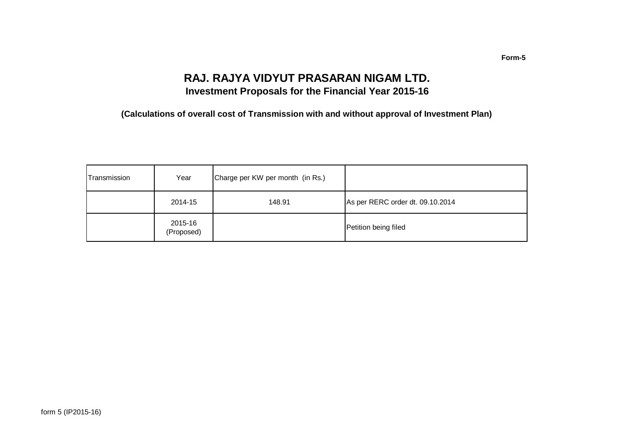### **RAJ. RAJYA VIDYUT PRASARAN NIGAM LTD. Investment Proposals for the Financial Year 2015-16**

**(Calculations of overall cost of Transmission with and without approval of Investment Plan)**

| Transmission | Year                  | Charge per KW per month (in Rs.) |                                  |
|--------------|-----------------------|----------------------------------|----------------------------------|
|              | 2014-15               | 148.91                           | As per RERC order dt. 09.10.2014 |
|              | 2015-16<br>(Proposed) |                                  | Petition being filed             |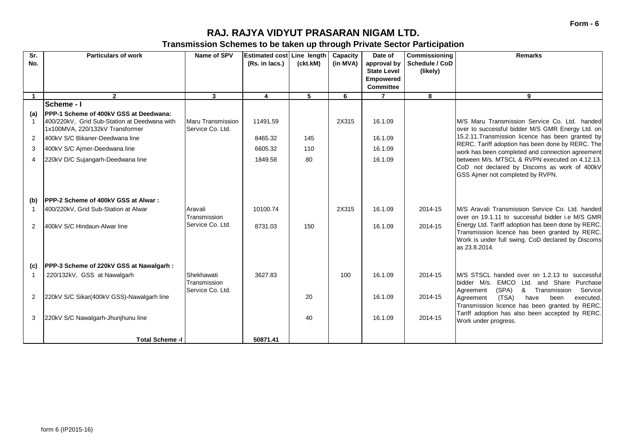### **RAJ. RAJYA VIDYUT PRASARAN NIGAM LTD.**

**Transmission Schemes to be taken up through Private Sector Participation**

| $\overline{\text{Sr.}}$ | <b>Particulars of work</b>                                                                                                        | Name of SPV                                  | Estimated cost Line length |          | Capacity | Date of                              | Commissioning  | <b>Remarks</b>                                                                                                                                                             |
|-------------------------|-----------------------------------------------------------------------------------------------------------------------------------|----------------------------------------------|----------------------------|----------|----------|--------------------------------------|----------------|----------------------------------------------------------------------------------------------------------------------------------------------------------------------------|
| No.                     |                                                                                                                                   |                                              | (Rs. in lacs.)             | (ckt.kM) | (in MVA) | approval by                          | Schedule / CoD |                                                                                                                                                                            |
|                         |                                                                                                                                   |                                              |                            |          |          | <b>State Level</b>                   | (likely)       |                                                                                                                                                                            |
|                         |                                                                                                                                   |                                              |                            |          |          | <b>Empowered</b><br><b>Committee</b> |                |                                                                                                                                                                            |
|                         | $\overline{2}$                                                                                                                    | $\mathbf{3}$                                 | 4                          | 5        | 6        | $\overline{7}$                       | 8              | 9                                                                                                                                                                          |
|                         | <b>Scheme - I</b>                                                                                                                 |                                              |                            |          |          |                                      |                |                                                                                                                                                                            |
| (a)                     | <b>IPPP-1 Scheme of 400kV GSS at Deedwana:</b><br>400/220kV, Grid Sub-Station at Deedwana with<br>1x100MVA, 220/132kV Transformer | <b>Maru Transmission</b><br>Service Co. Ltd. | 11491.59                   |          | 2X315    | 16.1.09                              |                | M/S Maru Transmission Service Co. Ltd. handed<br>over to successful bidder M/S GMR Energy Ltd. on                                                                          |
| 2                       | 400kV S/C Bikaner-Deedwana line                                                                                                   |                                              | 8465.32                    | 145      |          | 16.1.09                              |                | 15.2.11. Transmission licence has been granted by                                                                                                                          |
| 3                       | 400kV S/C Ajmer-Deedwana line                                                                                                     |                                              | 6605.32                    | 110      |          | 16.1.09                              |                | RERC. Tariff adoption has been done by RERC. The                                                                                                                           |
| $\overline{4}$          | 220kV D/C Sujangarh-Deedwana line                                                                                                 |                                              | 1849.58                    | 80       |          | 16.1.09                              |                | work has been completed and connection agreement<br>between M/s. MTSCL & RVPN executed on 4.12.13.                                                                         |
|                         |                                                                                                                                   |                                              |                            |          |          |                                      |                | CoD not declared by Discoms as work of 400kV<br>GSS Aimer not completed by RVPN.                                                                                           |
| (b)                     | <b>IPPP-2 Scheme of 400kV GSS at Alwar:</b>                                                                                       |                                              |                            |          |          |                                      |                |                                                                                                                                                                            |
| $\overline{1}$          | 400/220kV, Grid Sub-Station at Alwar                                                                                              | Aravali<br>Transmission                      | 10100.74                   |          | 2X315    | 16.1.09                              | 2014-15        | M/S Aravali Transmission Service Co. Ltd. handed<br>over on 19.1.11 to successful bidder i.e M/S GMR                                                                       |
| 2                       | 400kV S/C Hindaun-Alwar line                                                                                                      | Service Co. Ltd.                             | 8731.03                    | 150      |          | 16.1.09                              | 2014-15        | Energy Ltd. Tariff adoption has been done by RERC.<br>Transmission licence has been granted by RERC.<br>Work is under full swing. CoD declared by Discoms<br>as 23.8.2014. |
| (c)                     | PPP-3 Scheme of 220kV GSS at Nawalgarh:                                                                                           |                                              |                            |          |          |                                      |                |                                                                                                                                                                            |
|                         | 220/132kV, GSS at Nawalgarh                                                                                                       | Shekhawati<br>Transmission                   | 3627.83                    |          | 100      | 16.1.09                              | 2014-15        | M/S STSCL handed over on 1.2.13 to successful<br>bidder M/s. EMCO Ltd. and Share Purchase                                                                                  |
| 2                       | 220kV S/C Sikar(400kV GSS)-Nawalgarh line                                                                                         | Service Co. Ltd.                             |                            | 20       |          | 16.1.09                              | 2014-15        | (SPA)<br>& Transmission<br>Service<br>Agreement<br>(TSA)<br>have<br>Agreement<br>been<br>executed.<br>Transmission licence has been granted by RERC.                       |
| 3                       | 220kV S/C Nawalgarh-Jhunjhunu line                                                                                                |                                              |                            | 40       |          | 16.1.09                              | 2014-15        | Tariff adoption has also been accepted by RERC.<br>Work under progress.                                                                                                    |
|                         | <b>Total Scheme -I</b>                                                                                                            |                                              | 50871.41                   |          |          |                                      |                |                                                                                                                                                                            |